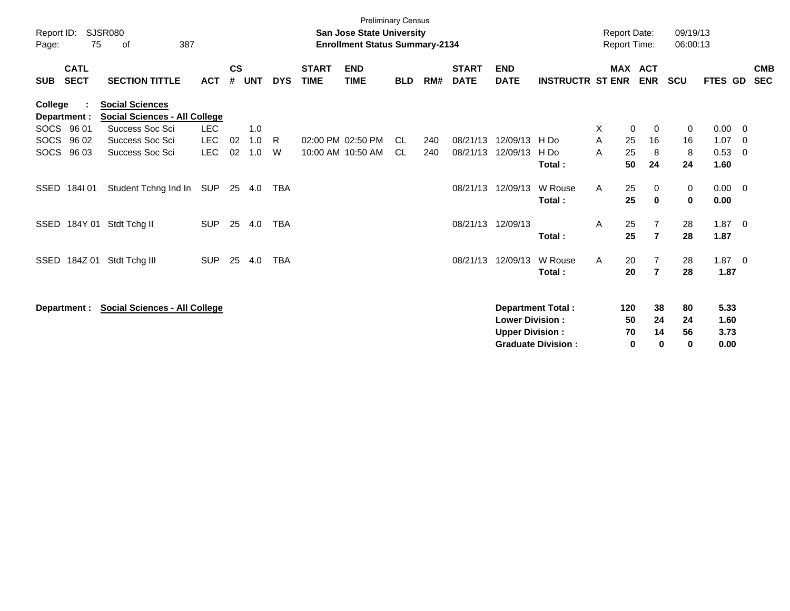| Report ID:  |                            | SJSR080                                                                           |                          |                    |            |            |                             | <b>Preliminary Census</b><br><b>San Jose State University</b> |            |            |                             |                                                  |                                                       | <b>Report Date:</b>      |                                  | 09/19/13            |                              |                          |                          |
|-------------|----------------------------|-----------------------------------------------------------------------------------|--------------------------|--------------------|------------|------------|-----------------------------|---------------------------------------------------------------|------------|------------|-----------------------------|--------------------------------------------------|-------------------------------------------------------|--------------------------|----------------------------------|---------------------|------------------------------|--------------------------|--------------------------|
| Page:       | 75                         | 387<br>оf                                                                         |                          |                    |            |            |                             | <b>Enrollment Status Summary-2134</b>                         |            |            |                             |                                                  |                                                       | <b>Report Time:</b>      |                                  | 06:00:13            |                              |                          |                          |
| <b>SUB</b>  | <b>CATL</b><br><b>SECT</b> | <b>SECTION TITTLE</b>                                                             | <b>ACT</b>               | $\mathsf{cs}$<br># | <b>UNT</b> | <b>DYS</b> | <b>START</b><br><b>TIME</b> | <b>END</b><br><b>TIME</b>                                     | <b>BLD</b> | RM#        | <b>START</b><br><b>DATE</b> | <b>END</b><br><b>DATE</b>                        | <b>INSTRUCTR ST ENR</b>                               | <b>MAX</b>               | <b>ACT</b><br><b>ENR</b>         | <b>SCU</b>          | FTES GD                      |                          | <b>CMB</b><br><b>SEC</b> |
| College     | Department :<br>SOCS 96 01 | <b>Social Sciences</b><br><b>Social Sciences - All College</b><br>Success Soc Sci | <b>LEC</b>               |                    | 1.0        |            |                             |                                                               |            |            |                             |                                                  |                                                       | Χ                        | 0<br>0                           | 0                   | 0.00                         | - 0                      |                          |
| <b>SOCS</b> | 96 02<br>SOCS 96 03        | Success Soc Sci<br>Success Soc Sci                                                | <b>LEC</b><br><b>LEC</b> | 02<br>02           | 1.0<br>1.0 | R.<br>W    |                             | 02:00 PM 02:50 PM<br>10:00 AM 10:50 AM                        | CL.<br>CL. | 240<br>240 | 08/21/13<br>08/21/13        | 12/09/13<br>12/09/13                             | H Do<br>H Do<br>Total:                                | 25<br>A<br>25<br>A<br>50 | 16<br>8<br>24                    | 16<br>8<br>24       | 1.07<br>0.53<br>1.60         | - 0<br>- 0               |                          |
| SSED        | 184I 01                    | Student Tchng Ind In                                                              | SUP                      |                    | 25 4.0     | <b>TBA</b> |                             |                                                               |            |            | 08/21/13                    | 12/09/13                                         | W Rouse<br>Total:                                     | A<br>25<br>25            | 0<br>$\mathbf 0$                 | 0<br>0              | 0.00<br>0.00                 | $\overline{\phantom{0}}$ |                          |
| SSED        |                            | 184Y 01 Stdt Tchg II                                                              | <b>SUP</b>               | 25                 | 4.0        | <b>TBA</b> |                             |                                                               |            |            |                             | 08/21/13 12/09/13                                | Total:                                                | 25<br>A<br>25            | $\overline{7}$<br>$\overline{7}$ | 28<br>28            | 1.87<br>1.87                 | $\overline{\phantom{0}}$ |                          |
| SSED        | 184Z 01                    | Stdt Tchg III                                                                     | <b>SUP</b>               | 25                 | 4.0        | <b>TBA</b> |                             |                                                               |            |            | 08/21/13                    | 12/09/13                                         | W Rouse<br>Total:                                     | 20<br>A<br>20            | $\overline{7}$<br>$\overline{7}$ | 28<br>28            | $1.87 \ 0$<br>1.87           |                          |                          |
|             | Department :               | <b>Social Sciences - All College</b>                                              |                          |                    |            |            |                             |                                                               |            |            |                             | <b>Lower Division:</b><br><b>Upper Division:</b> | <b>Department Total:</b><br><b>Graduate Division:</b> | 120<br>50<br>70          | 38<br>24<br>14<br>0<br>$\bf{0}$  | 80<br>24<br>56<br>0 | 5.33<br>1.60<br>3.73<br>0.00 |                          |                          |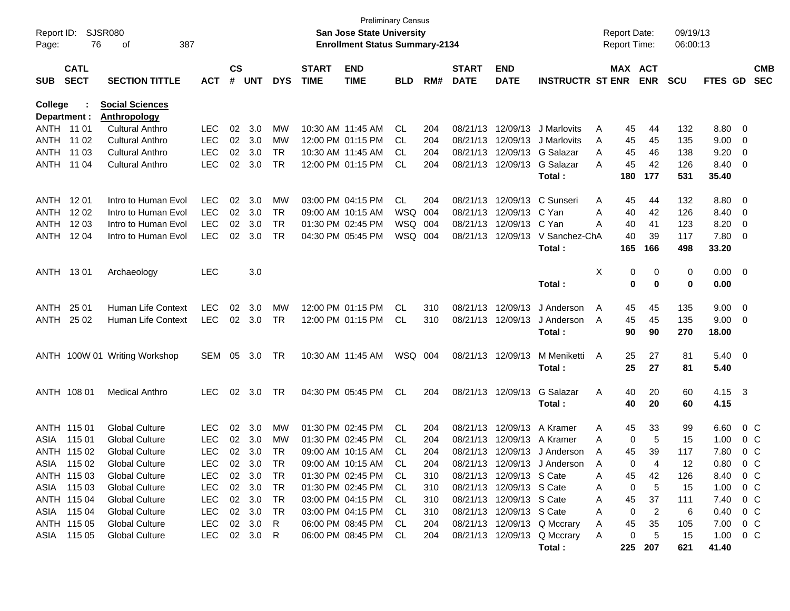| Report ID:<br>Page:     | 76                         | SJSR080<br>387<br>οf                          |            |                |            |            |                             | <b>San Jose State University</b><br><b>Enrollment Status Summary-2134</b> | <b>Preliminary Census</b> |     |                             |                           |                              | <b>Report Date:</b><br>Report Time: |                       | 09/19/13<br>06:00:13 |                |                          |  |
|-------------------------|----------------------------|-----------------------------------------------|------------|----------------|------------|------------|-----------------------------|---------------------------------------------------------------------------|---------------------------|-----|-----------------------------|---------------------------|------------------------------|-------------------------------------|-----------------------|----------------------|----------------|--------------------------|--|
| <b>SUB</b>              | <b>CATL</b><br><b>SECT</b> | <b>SECTION TITTLE</b>                         | <b>ACT</b> | <b>CS</b><br># | <b>UNT</b> | <b>DYS</b> | <b>START</b><br><b>TIME</b> | <b>END</b><br><b>TIME</b>                                                 | <b>BLD</b>                | RM# | <b>START</b><br><b>DATE</b> | <b>END</b><br><b>DATE</b> | <b>INSTRUCTR ST ENR</b>      |                                     | MAX ACT<br><b>ENR</b> | <b>SCU</b>           | <b>FTES GD</b> | <b>CMB</b><br><b>SEC</b> |  |
| College<br>Department : |                            | <b>Social Sciences</b><br><b>Anthropology</b> |            |                |            |            |                             |                                                                           |                           |     |                             |                           |                              |                                     |                       |                      |                |                          |  |
| ANTH 11 01              |                            | <b>Cultural Anthro</b>                        | <b>LEC</b> | 02             | 3.0        | МW         |                             | 10:30 AM 11:45 AM                                                         | CL                        | 204 | 08/21/13                    | 12/09/13                  | J Marlovits                  | A<br>45                             | 44                    | 132                  | 8.80 0         |                          |  |
| ANTH 11 02              |                            | <b>Cultural Anthro</b>                        | <b>LEC</b> | 02             | 3.0        | MW         |                             | 12:00 PM 01:15 PM                                                         | CL                        | 204 | 08/21/13                    | 12/09/13                  | J Marlovits                  | 45<br>A                             | 45                    | 135                  | 9.00           | $\overline{\phantom{0}}$ |  |
| <b>ANTH</b>             | 11 03                      | <b>Cultural Anthro</b>                        | <b>LEC</b> | 02             | 3.0        | <b>TR</b>  |                             | 10:30 AM 11:45 AM                                                         | CL                        | 204 | 08/21/13                    | 12/09/13                  | G Salazar                    | 45<br>A                             | 46                    | 138                  | 9.20           | $\overline{\mathbf{0}}$  |  |
| ANTH                    | 11 04                      | <b>Cultural Anthro</b>                        | <b>LEC</b> | 02             | 3.0        | <b>TR</b>  |                             | 12:00 PM 01:15 PM                                                         | CL                        | 204 | 08/21/13                    | 12/09/13                  | G Salazar<br>Total:          | 45<br>А<br>180                      | 42<br>177             | 126<br>531           | 8.40<br>35.40  | $\overline{\mathbf{0}}$  |  |
| ANTH 1201               |                            | Intro to Human Evol                           | <b>LEC</b> | 02             | 3.0        | MW         |                             | 03:00 PM 04:15 PM                                                         | CL.                       | 204 | 08/21/13                    | 12/09/13                  | C Sunseri                    | 45<br>A                             | 44                    | 132                  | $8.80\ 0$      |                          |  |
| ANTH                    | 1202                       | Intro to Human Evol                           | <b>LEC</b> | 02             | 3.0        | <b>TR</b>  | 09:00 AM 10:15 AM           |                                                                           | WSQ                       | 004 | 08/21/13                    | 12/09/13                  | C Yan                        | Α<br>40                             | 42                    | 126                  | 8.40           | $\overline{\phantom{0}}$ |  |
| <b>ANTH</b>             | 12 03                      | Intro to Human Evol                           | <b>LEC</b> | 02             | 3.0        | <b>TR</b>  | 01:30 PM 02:45 PM           |                                                                           | WSQ 004                   |     | 08/21/13                    | 12/09/13                  | C Yan                        | Α<br>40                             | 41                    | 123                  | 8.20           | $\overline{\mathbf{0}}$  |  |
| <b>ANTH</b>             | 12 04                      | Intro to Human Evol                           | <b>LEC</b> | 02             | 3.0        | <b>TR</b>  | 04:30 PM 05:45 PM           |                                                                           | WSQ 004                   |     | 08/21/13                    | 12/09/13                  | V Sanchez-ChA                | 40                                  | 39                    | 117                  | 7.80 0         |                          |  |
|                         |                            |                                               |            |                |            |            |                             |                                                                           |                           |     |                             |                           | Total:                       | 165                                 | 166                   | 498                  | 33.20          |                          |  |
| ANTH 1301               |                            | Archaeology                                   | <b>LEC</b> |                | 3.0        |            |                             |                                                                           |                           |     |                             |                           |                              | X<br>0                              | 0                     | 0                    | $0.00 \t 0$    |                          |  |
|                         |                            |                                               |            |                |            |            |                             |                                                                           |                           |     |                             |                           | Total:                       | 0                                   | 0                     | 0                    | 0.00           |                          |  |
| ANTH                    | 25 01                      | Human Life Context                            | <b>LEC</b> | 02             | 3.0        | MW         |                             | 12:00 PM 01:15 PM                                                         | CL                        | 310 | 08/21/13                    | 12/09/13                  | J Anderson                   | 45<br>A                             | 45                    | 135                  | 9.00           | $\overline{\phantom{0}}$ |  |
| ANTH                    | 25 02                      | Human Life Context                            | <b>LEC</b> |                | 02 3.0     | <b>TR</b>  |                             | 12:00 PM 01:15 PM                                                         | CL                        | 310 | 08/21/13                    | 12/09/13                  | J Anderson                   | 45<br>A                             | 45                    | 135                  | $9.00 \t 0$    |                          |  |
|                         |                            |                                               |            |                |            |            |                             |                                                                           |                           |     |                             |                           | Total:                       | 90                                  | 90                    | 270                  | 18.00          |                          |  |
|                         |                            | ANTH 100W 01 Writing Workshop                 | SEM 05     |                | 3.0        | TR         |                             | 10:30 AM 11:45 AM                                                         | WSQ 004                   |     | 08/21/13 12/09/13           |                           | M Meniketti                  | 25<br>A                             | 27                    | 81                   | $5.40 \ 0$     |                          |  |
|                         |                            |                                               |            |                |            |            |                             |                                                                           |                           |     |                             |                           | Total :                      | 25                                  | 27                    | 81                   | 5.40           |                          |  |
|                         | ANTH 108 01                | <b>Medical Anthro</b>                         | <b>LEC</b> | 02             | 3.0        | TR         |                             | 04:30 PM 05:45 PM                                                         | CL.                       | 204 |                             | 08/21/13 12/09/13         | G Salazar                    | A<br>40                             | 20                    | 60                   | 4.15           | $\overline{\mathbf{3}}$  |  |
|                         |                            |                                               |            |                |            |            |                             |                                                                           |                           |     |                             |                           | Total:                       | 40                                  | 20                    | 60                   | 4.15           |                          |  |
|                         | ANTH 115 01                | <b>Global Culture</b>                         | <b>LEC</b> | 02             | 3.0        | MW         |                             | 01:30 PM 02:45 PM                                                         | CL                        | 204 | 08/21/13                    | 12/09/13                  | A Kramer                     | 45<br>Α                             | 33                    | 99                   | 6.60           | 0 C                      |  |
| ASIA                    | 115 01                     | <b>Global Culture</b>                         | <b>LEC</b> | 02             | 3.0        | MW         |                             | 01:30 PM 02:45 PM                                                         | CL                        | 204 | 08/21/13                    | 12/09/13                  | A Kramer                     | 0<br>Α                              | 5                     | 15                   | 1.00           | $0\,$ C                  |  |
|                         | ANTH 115 02                | <b>Global Culture</b>                         | <b>LEC</b> | 02             | 3.0        | TR         |                             | 09:00 AM 10:15 AM                                                         | CL                        | 204 | 08/21/13                    | 12/09/13                  | J Anderson                   | 45<br>A                             | 39                    | 117                  | 7.80           | 0 <sup>o</sup>           |  |
|                         | ASIA 115 02                | <b>Global Culture</b>                         | <b>LEC</b> |                | 02 3.0     | <b>TR</b>  |                             | 09:00 AM 10:15 AM                                                         | <b>CL</b>                 | 204 |                             |                           | 08/21/13 12/09/13 J Anderson | 0<br>A                              |                       | 12                   | 0.80           | $0\,$ C                  |  |
|                         | ANTH 115 03                | <b>Global Culture</b>                         | <b>LEC</b> |                | 02 3.0     | TR         |                             | 01:30 PM 02:45 PM                                                         | -CL                       | 310 |                             | 08/21/13 12/09/13 S Cate  |                              | 45<br>Α                             | 42                    | 126                  | 8.40           | 0 C                      |  |
|                         | ASIA 115 03                | <b>Global Culture</b>                         | <b>LEC</b> | 02             | 3.0        | TR         |                             | 01:30 PM 02:45 PM                                                         | CL.                       | 310 |                             | 08/21/13 12/09/13 S Cate  |                              | 0<br>Α                              | 5                     | 15                   | 1.00           | $0\,C$                   |  |
|                         | ANTH 115 04                | <b>Global Culture</b>                         | LEC        | 02             | 3.0        | TR         |                             | 03:00 PM 04:15 PM                                                         | CL                        | 310 |                             | 08/21/13 12/09/13 S Cate  |                              | 45<br>Α                             | 37                    | 111                  | 7.40           | $0\,$ C                  |  |
|                         | ASIA 115 04                | <b>Global Culture</b>                         | <b>LEC</b> | 02             | 3.0        | TR         |                             | 03:00 PM 04:15 PM                                                         | CL                        | 310 |                             | 08/21/13 12/09/13 S Cate  |                              | Α<br>0                              | 2                     | 6                    | 0.40           | $0\,$ C                  |  |
|                         | ANTH 115 05                | <b>Global Culture</b>                         | <b>LEC</b> | 02             | 3.0        | R          |                             | 06:00 PM 08:45 PM                                                         | CL                        | 204 |                             |                           | 08/21/13 12/09/13 Q Mccrary  | 45<br>Α                             | 35                    | 105                  | 7.00           | 0 C                      |  |
|                         | ASIA 115 05                | <b>Global Culture</b>                         | <b>LEC</b> |                | 02 3.0     | R          |                             | 06:00 PM 08:45 PM                                                         | CL                        | 204 |                             |                           | 08/21/13 12/09/13 Q Mccrary  | 0<br>A                              | 5                     | 15                   | $1.00 \t 0 C$  |                          |  |
|                         |                            |                                               |            |                |            |            |                             |                                                                           |                           |     |                             |                           | Total:                       |                                     | 225 207               | 621                  | 41.40          |                          |  |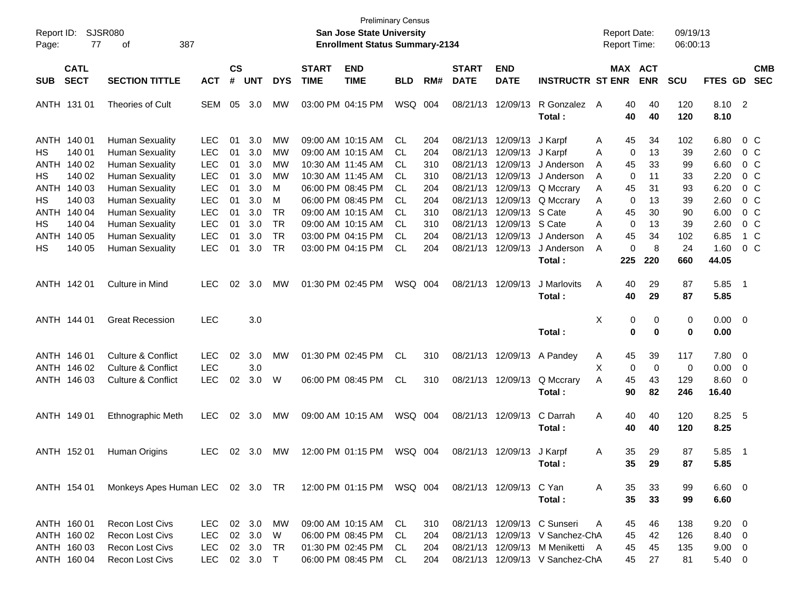| Report ID:<br>77<br>Page:                                               | SJSR080<br>387<br>оf                                                                                 |                          |                      |                                        |                                     |                             | <b>Preliminary Census</b><br><b>San Jose State University</b><br><b>Enrollment Status Summary-2134</b> |                          |                          |                                              |                                  |                                                                                                                                      | <b>Report Date:</b><br><b>Report Time:</b> |                       |                      | 09/19/13<br>06:00:13    |                                               |                                                     |                                                        |
|-------------------------------------------------------------------------|------------------------------------------------------------------------------------------------------|--------------------------|----------------------|----------------------------------------|-------------------------------------|-----------------------------|--------------------------------------------------------------------------------------------------------|--------------------------|--------------------------|----------------------------------------------|----------------------------------|--------------------------------------------------------------------------------------------------------------------------------------|--------------------------------------------|-----------------------|----------------------|-------------------------|-----------------------------------------------|-----------------------------------------------------|--------------------------------------------------------|
| <b>CATL</b><br><b>SECT</b><br><b>SUB</b>                                | <b>SECTION TITTLE</b>                                                                                | <b>ACT</b>               | $\mathsf{cs}$<br>#   | <b>UNT</b>                             | <b>DYS</b>                          | <b>START</b><br><b>TIME</b> | <b>END</b><br><b>TIME</b>                                                                              | <b>BLD</b>               | RM#                      | <b>START</b><br><b>DATE</b>                  | <b>END</b><br><b>DATE</b>        | <b>INSTRUCTR ST ENR</b>                                                                                                              |                                            | MAX ACT<br><b>ENR</b> |                      | <b>SCU</b>              | <b>FTES GD</b>                                |                                                     | <b>CMB</b><br><b>SEC</b>                               |
| ANTH 131 01                                                             | Theories of Cult                                                                                     | <b>SEM</b>               | 05                   | 3.0                                    | МW                                  |                             | 03:00 PM 04:15 PM                                                                                      | WSQ 004                  |                          | 08/21/13                                     | 12/09/13                         | R Gonzalez<br>Total:                                                                                                                 | A                                          | 40<br>40              | 40<br>40             | 120<br>120              | 8.10 2<br>8.10                                |                                                     |                                                        |
| ANTH 140 01<br>140 01<br>НS<br><b>ANTH</b><br>140 02                    | <b>Human Sexuality</b><br><b>Human Sexuality</b><br><b>Human Sexuality</b>                           | <b>LEC</b><br>LEC<br>LEC | 01<br>01<br>01       | 3.0<br>3.0<br>3.0                      | МW<br>MW<br>МW                      |                             | 09:00 AM 10:15 AM<br>09:00 AM 10:15 AM<br>10:30 AM 11:45 AM                                            | <b>CL</b><br>CL.<br>CL.  | 204<br>204<br>310        | 08/21/13<br>08/21/13<br>08/21/13             | 12/09/13<br>12/09/13<br>12/09/13 | J Karpf<br>J Karpf<br>J Anderson                                                                                                     | A<br>A<br>A                                | 45<br>0<br>45         | 34<br>13<br>33       | 102<br>39<br>99         | 6.80<br>2.60<br>6.60                          | 0 C                                                 | $0\,$ C<br>$0\,$ C                                     |
| 140 02<br>НS<br>140 03<br>ANTH<br>140 03<br>НS<br><b>ANTH</b><br>140 04 | <b>Human Sexuality</b><br><b>Human Sexuality</b><br><b>Human Sexuality</b><br><b>Human Sexuality</b> | LEC<br>LEC<br>LEC<br>LEC | 01<br>01<br>01<br>01 | 3.0<br>3.0<br>3.0<br>3.0               | МW<br>М<br>М<br><b>TR</b>           |                             | 10:30 AM 11:45 AM<br>06:00 PM 08:45 PM<br>06:00 PM 08:45 PM<br>09:00 AM 10:15 AM                       | CL.<br>CL.<br>CL.<br>CL. | 310<br>204<br>204<br>310 | 08/21/13<br>08/21/13<br>08/21/13<br>08/21/13 | 12/09/13<br>12/09/13 S Cate      | J Anderson<br>12/09/13 Q Mccrary<br>12/09/13 Q Mccrary                                                                               | A<br>A<br>A<br>Α                           | 0<br>45<br>0<br>45    | 11<br>31<br>13<br>30 | 33<br>93<br>39<br>90    | 2.20<br>6.20<br>2.60<br>6.00                  |                                                     | $0\,$ C<br>$0\,$ C<br>0 <sup>o</sup><br>0 <sup>o</sup> |
| НS<br>140 04<br>140 05<br>ANTH<br>140 05<br>HS.                         | <b>Human Sexuality</b><br><b>Human Sexuality</b><br><b>Human Sexuality</b>                           | LEC<br>LEC<br>LEC        | 01<br>01<br>01       | 3.0<br>3.0<br>3.0                      | <b>TR</b><br><b>TR</b><br><b>TR</b> |                             | 09:00 AM 10:15 AM<br>03:00 PM 04:15 PM<br>03:00 PM 04:15 PM                                            | CL.<br>CL.<br><b>CL</b>  | 310<br>204<br>204        | 08/21/13<br>08/21/13<br>08/21/13             | 12/09/13<br>12/09/13<br>12/09/13 | S Cate<br>J Anderson<br>J Anderson<br>Total:                                                                                         | A<br>A<br>A                                | 0<br>45<br>0<br>225   | 13<br>34<br>8<br>220 | 39<br>102<br>24<br>660  | 2.60<br>6.85<br>1.60<br>44.05                 |                                                     | 0 <sup>o</sup><br>1 C<br>$0\,C$                        |
| ANTH 142 01                                                             | Culture in Mind                                                                                      | <b>LEC</b>               | 02                   | 3.0                                    | МW                                  |                             | 01:30 PM 02:45 PM                                                                                      | WSQ 004                  |                          | 08/21/13                                     | 12/09/13                         | J Marlovits<br>Total:                                                                                                                | Α                                          | 40<br>40              | 29<br>29             | 87<br>87                | 5.85<br>5.85                                  | - 1                                                 |                                                        |
| ANTH 144 01                                                             | <b>Great Recession</b>                                                                               | <b>LEC</b>               |                      | 3.0                                    |                                     |                             |                                                                                                        |                          |                          |                                              |                                  | Total:                                                                                                                               | Χ                                          | 0<br>$\bf{0}$         | 0<br>0               | 0<br>0                  | $0.00 \t 0$<br>0.00                           |                                                     |                                                        |
| ANTH 146 01<br>ANTH 146 02                                              | Culture & Conflict<br><b>Culture &amp; Conflict</b>                                                  | <b>LEC</b><br><b>LEC</b> | 02                   | 3.0<br>3.0                             | MW                                  |                             | 01:30 PM 02:45 PM                                                                                      | <b>CL</b>                | 310                      | 08/21/13                                     | 12/09/13                         | A Pandey                                                                                                                             | A<br>Χ                                     | 45<br>0               | 39<br>0              | 117<br>0                | 7.80<br>0.00                                  | $\overline{\phantom{0}}$<br>$\overline{\mathbf{0}}$ |                                                        |
| ANTH 146 03                                                             | <b>Culture &amp; Conflict</b>                                                                        | <b>LEC</b>               | 02                   | 3.0                                    | W                                   |                             | 06:00 PM 08:45 PM                                                                                      | <b>CL</b>                | 310                      |                                              | 08/21/13 12/09/13                | Q Mccrary<br>Total:                                                                                                                  | A                                          | 45<br>90              | 43<br>82             | 129<br>246              | 8.60<br>16.40                                 | 0                                                   |                                                        |
| ANTH 149 01                                                             | <b>Ethnographic Meth</b>                                                                             | <b>LEC</b>               | $02\,$               | 3.0                                    | MW                                  |                             | 09:00 AM 10:15 AM                                                                                      | WSQ 004                  |                          |                                              | 08/21/13 12/09/13                | C Darrah<br>Total:                                                                                                                   | Α                                          | 40<br>40              | 40<br>40             | 120<br>120              | 8.25<br>8.25                                  | - 5                                                 |                                                        |
| ANTH 152 01                                                             | Human Origins                                                                                        | <b>LEC</b>               | 02                   | 3.0                                    | МW                                  |                             | 12:00 PM 01:15 PM                                                                                      | WSQ 004                  |                          | 08/21/13                                     | 12/09/13                         | J Karpf<br>Total:                                                                                                                    | Α                                          | 35<br>35              | 29<br>29             | 87<br>87                | 5.85<br>5.85                                  | - 1                                                 |                                                        |
| ANTH 154 01                                                             | Monkeys Apes Human LEC 02 3.0 TR                                                                     |                          |                      |                                        |                                     |                             |                                                                                                        |                          |                          |                                              | 08/21/13 12/09/13 C Yan          | Total:                                                                                                                               | A                                          | 35<br>35              | 33<br>33             | 99<br>99                | $6.60 \quad 0$<br>6.60                        |                                                     |                                                        |
| ANTH 160 01<br>ANTH 160 02<br>ANTH 160 03<br>ANTH 160 04                | <b>Recon Lost Civs</b><br>Recon Lost Civs<br>Recon Lost Civs<br>Recon Lost Civs                      | LEC<br>LEC<br>LEC<br>LEC |                      | 02 3.0<br>02 3.0<br>02 3.0<br>02 3.0 T | МW<br>W<br>TR                       |                             | 09:00 AM 10:15 AM<br>06:00 PM 08:45 PM<br>01:30 PM 02:45 PM<br>06:00 PM 08:45 PM                       | CL.<br>CL<br>CL<br>CL    | 310<br>204<br>204<br>204 |                                              |                                  | 08/21/13 12/09/13 C Sunseri<br>08/21/13 12/09/13 V Sanchez-ChA<br>08/21/13 12/09/13 M Meniketti A<br>08/21/13 12/09/13 V Sanchez-ChA | A                                          | 45<br>45<br>45<br>45  | 46<br>42<br>45<br>27 | 138<br>126<br>135<br>81 | $9.20 \ 0$<br>8.40 0<br>$9.00 \t 0$<br>5.40 0 |                                                     |                                                        |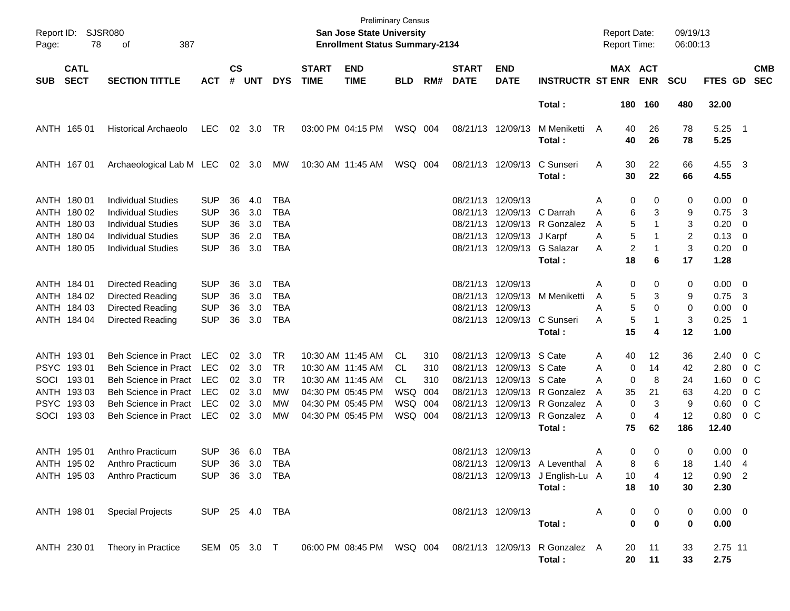| Report ID:<br>Page: | SJSR080<br>78              | 387<br>οf                                              |                          |                    |            |                          |                             | <b>Preliminary Census</b><br><b>San Jose State University</b><br><b>Enrollment Status Summary-2134</b> |            |     |                             |                           |                                          | <b>Report Date:</b><br>Report Time: |             |                              | 09/19/13<br>06:00:13 |                  |                          |                          |
|---------------------|----------------------------|--------------------------------------------------------|--------------------------|--------------------|------------|--------------------------|-----------------------------|--------------------------------------------------------------------------------------------------------|------------|-----|-----------------------------|---------------------------|------------------------------------------|-------------------------------------|-------------|------------------------------|----------------------|------------------|--------------------------|--------------------------|
| <b>SUB</b>          | <b>CATL</b><br><b>SECT</b> | <b>SECTION TITTLE</b>                                  | <b>ACT</b>               | $\mathsf{cs}$<br># | <b>UNT</b> | <b>DYS</b>               | <b>START</b><br><b>TIME</b> | <b>END</b><br><b>TIME</b>                                                                              | <b>BLD</b> | RM# | <b>START</b><br><b>DATE</b> | <b>END</b><br><b>DATE</b> | <b>INSTRUCTR ST ENR</b>                  |                                     |             | <b>MAX ACT</b><br><b>ENR</b> | <b>SCU</b>           | FTES GD          |                          | <b>CMB</b><br><b>SEC</b> |
|                     |                            |                                                        |                          |                    |            |                          |                             |                                                                                                        |            |     |                             |                           | Total:                                   |                                     |             | 180 160                      | 480                  | 32.00            |                          |                          |
|                     | ANTH 165 01                | <b>Historical Archaeolo</b>                            | LEC                      |                    | 02 3.0     | TR                       |                             | 03:00 PM 04:15 PM                                                                                      | WSQ 004    |     |                             | 08/21/13 12/09/13         | M Meniketti<br>Total:                    | A                                   | 40<br>40    | 26<br>26                     | 78<br>78             | $5.25$ 1<br>5.25 |                          |                          |
|                     | ANTH 167 01                | Archaeological Lab M LEC                               |                          |                    | 02 3.0     | МW                       |                             | 10:30 AM 11:45 AM                                                                                      | WSQ 004    |     |                             | 08/21/13 12/09/13         | C Sunseri<br>Total:                      | Α                                   | 30<br>30    | 22<br>22                     | 66<br>66             | 4.55 3<br>4.55   |                          |                          |
|                     | ANTH 180 01                | <b>Individual Studies</b>                              | <b>SUP</b>               | 36                 | 4.0        | TBA                      |                             |                                                                                                        |            |     | 08/21/13 12/09/13           |                           |                                          | Α                                   | 0           | 0                            | 0                    | $0.00 \t 0$      |                          |                          |
|                     | ANTH 180 02<br>ANTH 180 03 | <b>Individual Studies</b><br><b>Individual Studies</b> | <b>SUP</b><br><b>SUP</b> | 36<br>36           | 3.0<br>3.0 | <b>TBA</b><br><b>TBA</b> |                             |                                                                                                        |            |     | 08/21/13                    | 12/09/13 C Darrah         | 08/21/13 12/09/13 R Gonzalez             | Α<br>A                              | 6<br>5      | 3<br>1                       | 9<br>3               | 0.75<br>0.20     | - 3<br>- 0               |                          |
|                     | ANTH 180 04                | <b>Individual Studies</b>                              | <b>SUP</b>               | 36                 | 2.0        | TBA                      |                             |                                                                                                        |            |     |                             | 08/21/13 12/09/13 J Karpf |                                          | Α                                   | 5           |                              | 2                    | 0.13             | $\overline{\phantom{0}}$ |                          |
|                     | ANTH 180 05                | <b>Individual Studies</b>                              | <b>SUP</b>               | 36                 | 3.0        | <b>TBA</b>               |                             |                                                                                                        |            |     |                             |                           | 08/21/13 12/09/13 G Salazar              | Α                                   | 2           | 1                            | 3                    | $0.20 \ 0$       |                          |                          |
|                     |                            |                                                        |                          |                    |            |                          |                             |                                                                                                        |            |     |                             |                           | Total:                                   |                                     | 18          | 6                            | 17                   | 1.28             |                          |                          |
|                     | ANTH 184 01                | Directed Reading                                       | <b>SUP</b>               | 36                 | 3.0        | <b>TBA</b>               |                             |                                                                                                        |            |     | 08/21/13 12/09/13           |                           |                                          | Α                                   | 0           | 0                            | 0                    | $0.00 \t 0$      |                          |                          |
|                     | ANTH 184 02                | Directed Reading                                       | <b>SUP</b>               | 36                 | 3.0        | <b>TBA</b>               |                             |                                                                                                        |            |     |                             |                           | 08/21/13 12/09/13 M Meniketti            | A                                   | 5           | 3                            | 9                    | 0.75             | $\overline{\mathbf{3}}$  |                          |
|                     | ANTH 184 03                | Directed Reading                                       | <b>SUP</b>               | 36                 | 3.0        | <b>TBA</b>               |                             |                                                                                                        |            |     | 08/21/13 12/09/13           |                           |                                          | Α                                   | 5           | 0                            | 0                    | 0.00             | $\overline{\phantom{0}}$ |                          |
|                     | ANTH 184 04                | Directed Reading                                       | <b>SUP</b>               | 36                 | 3.0        | <b>TBA</b>               |                             |                                                                                                        |            |     |                             |                           | 08/21/13 12/09/13 C Sunseri              | A                                   | 5           | 1                            | 3                    | 0.25             | -1                       |                          |
|                     |                            |                                                        |                          |                    |            |                          |                             |                                                                                                        |            |     |                             |                           | Total:                                   |                                     | 15          | 4                            | 12                   | 1.00             |                          |                          |
|                     | ANTH 193 01                | Beh Science in Pract                                   | LEC                      | 02 <sub>2</sub>    | 3.0        | <b>TR</b>                |                             | 10:30 AM 11:45 AM                                                                                      | CL.        | 310 |                             | 08/21/13 12/09/13 S Cate  |                                          | Α                                   | 40          | 12                           | 36                   | 2.40             | $0\,$ C                  |                          |
|                     | PSYC 19301                 | <b>Beh Science in Pract</b>                            | <b>LEC</b>               | 02                 | 3.0        | <b>TR</b>                |                             | 10:30 AM 11:45 AM                                                                                      | CL.        | 310 |                             | 08/21/13 12/09/13 S Cate  |                                          | A                                   | 0           | 14                           | 42                   | 2.80             | $0\,$ C                  |                          |
| SOCI                | 19301                      | <b>Beh Science in Pract</b>                            | <b>LEC</b>               | 02                 | 3.0        | TR.                      |                             | 10:30 AM 11:45 AM                                                                                      | CL.        | 310 |                             | 08/21/13 12/09/13 S Cate  |                                          | Α                                   | 0           | 8                            | 24                   | 1.60             | $0\,$ C                  |                          |
|                     | ANTH 193 03                | <b>Beh Science in Pract</b>                            | <b>LEC</b>               | 02                 | 3.0        | МW                       |                             | 04:30 PM 05:45 PM                                                                                      | <b>WSQ</b> | 004 |                             |                           | 08/21/13 12/09/13 R Gonzalez             | A                                   | 35          | 21                           | 63                   | 4.20             | $0\,$ C                  |                          |
|                     | PSYC 19303                 | <b>Beh Science in Pract</b>                            | <b>LEC</b>               | 02                 | 3.0        | МW                       |                             | 04:30 PM 05:45 PM                                                                                      | WSQ        | 004 |                             |                           | 08/21/13 12/09/13 R Gonzalez             | A                                   | $\mathbf 0$ | 3                            | 9                    | 0.60             | 0 C                      |                          |
| SOCI                | 19303                      | <b>Beh Science in Pract</b>                            | LEC                      | 02                 | 3.0        | MW                       |                             | 04:30 PM 05:45 PM                                                                                      | WSQ        | 004 |                             | 08/21/13 12/09/13         | R Gonzalez                               | A                                   | $\mathbf 0$ | $\overline{4}$               | 12                   | 0.80             | $0\,C$                   |                          |
|                     |                            |                                                        |                          |                    |            |                          |                             |                                                                                                        |            |     |                             |                           | Total:                                   |                                     | 75          | 62                           | 186                  | 12.40            |                          |                          |
|                     | ANTH 195 01                | Anthro Practicum                                       | <b>SUP</b>               | 36                 | 6.0        | TBA                      |                             |                                                                                                        |            |     | 08/21/13 12/09/13           |                           |                                          | Α                                   | 0           | 0                            | 0                    | $0.00 \t 0$      |                          |                          |
|                     | ANTH 195 02                | Anthro Practicum                                       | SUP 36 3.0 TBA           |                    |            |                          |                             |                                                                                                        |            |     |                             |                           | 08/21/13 12/09/13 A Leventhal A          |                                     | 8           | 6                            | 18                   | $1.40 \quad 4$   |                          |                          |
|                     | ANTH 195 03                | Anthro Practicum                                       | <b>SUP</b>               |                    | 36 3.0 TBA |                          |                             |                                                                                                        |            |     |                             |                           | 08/21/13 12/09/13 J English-Lu A         |                                     | 10          | 4                            | 12                   | $0.90$ 2         |                          |                          |
|                     |                            |                                                        |                          |                    |            |                          |                             |                                                                                                        |            |     |                             |                           | Total:                                   |                                     | 18          | 10                           | 30                   | 2.30             |                          |                          |
|                     | ANTH 198 01                | <b>Special Projects</b>                                | SUP 25 4.0 TBA           |                    |            |                          |                             |                                                                                                        |            |     |                             | 08/21/13 12/09/13         |                                          | Α                                   | 0           | $\boldsymbol{0}$             | 0                    | $0.00 \t 0$      |                          |                          |
|                     |                            |                                                        |                          |                    |            |                          |                             |                                                                                                        |            |     |                             |                           | Total:                                   |                                     | $\pmb{0}$   | $\bf{0}$                     | 0                    | 0.00             |                          |                          |
|                     | ANTH 230 01                | Theory in Practice                                     | SEM 05 3.0 T             |                    |            |                          |                             | 06:00 PM 08:45 PM WSQ 004                                                                              |            |     |                             |                           | 08/21/13 12/09/13 R Gonzalez A<br>Total: |                                     | 20<br>20    | 11<br>11                     | 33<br>33             | 2.75 11<br>2.75  |                          |                          |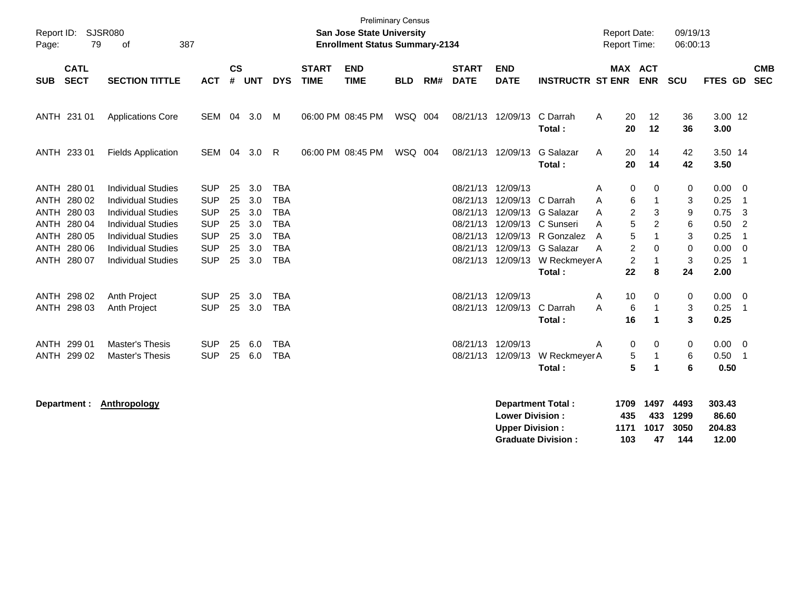| Page:       | <b>Preliminary Census</b><br><b>SJSR080</b><br>Report ID:<br>San Jose State University<br>79<br>of<br>387<br><b>Enrollment Status Summary-2134</b> |                           |            |                    |            |            |                             |                           |            |     |                             |                                                  | <b>Report Date:</b><br><b>Report Time:</b> |                     | 09/19/13<br>06:00:13      |                      |                           |                         |                          |
|-------------|----------------------------------------------------------------------------------------------------------------------------------------------------|---------------------------|------------|--------------------|------------|------------|-----------------------------|---------------------------|------------|-----|-----------------------------|--------------------------------------------------|--------------------------------------------|---------------------|---------------------------|----------------------|---------------------------|-------------------------|--------------------------|
| <b>SUB</b>  | <b>CATL</b><br><b>SECT</b>                                                                                                                         | <b>SECTION TITTLE</b>     | <b>ACT</b> | $\mathsf{cs}$<br># | <b>UNT</b> | <b>DYS</b> | <b>START</b><br><b>TIME</b> | <b>END</b><br><b>TIME</b> | <b>BLD</b> | RM# | <b>START</b><br><b>DATE</b> | <b>END</b><br><b>DATE</b>                        | <b>INSTRUCTR ST ENR</b>                    |                     | MAX ACT<br><b>ENR</b>     | <b>SCU</b>           | FTES GD                   |                         | <b>CMB</b><br><b>SEC</b> |
|             | ANTH 231 01                                                                                                                                        | <b>Applications Core</b>  | SEM 04     |                    | 3.0        | M          |                             | 06:00 PM 08:45 PM         | WSQ 004    |     |                             | 08/21/13 12/09/13                                | C Darrah<br>Total:                         | A<br>20<br>20       | 12<br>12                  | 36<br>36             | 3.00 12<br>3.00           |                         |                          |
|             | ANTH 233 01                                                                                                                                        | <b>Fields Application</b> | SEM 04     |                    | 3.0        | R          |                             | 06:00 PM 08:45 PM         | WSQ 004    |     |                             | 08/21/13 12/09/13                                | G Salazar<br>Total:                        | 20<br>A<br>20       | 14<br>14                  | 42<br>42             | 3.50 14<br>3.50           |                         |                          |
|             | ANTH 280 01                                                                                                                                        | <b>Individual Studies</b> | <b>SUP</b> | 25                 | 3.0        | <b>TBA</b> |                             |                           |            |     |                             | 08/21/13 12/09/13                                |                                            | Α                   | 0<br>0                    | 0                    | 0.00                      | $\overline{\mathbf{0}}$ |                          |
|             | ANTH 280 02                                                                                                                                        | <b>Individual Studies</b> | <b>SUP</b> | 25                 | 3.0        | <b>TBA</b> |                             |                           |            |     | 08/21/13                    |                                                  | 12/09/13 C Darrah                          | A                   | 6                         | 3                    | 0.25                      | $\overline{1}$          |                          |
|             | ANTH 280 03                                                                                                                                        | <b>Individual Studies</b> | <b>SUP</b> | 25                 | 3.0        | <b>TBA</b> |                             |                           |            |     |                             |                                                  | 08/21/13 12/09/13 G Salazar                | A                   | $\overline{c}$<br>3       | 9                    | 0.75                      | 3                       |                          |
|             | ANTH 280 04                                                                                                                                        | <b>Individual Studies</b> | <b>SUP</b> | 25                 | 3.0        | <b>TBA</b> |                             |                           |            |     |                             |                                                  | 08/21/13 12/09/13 C Sunseri                | Α                   | 5<br>$\overline{2}$       | 6                    | 0.50                      | $\overline{2}$          |                          |
| ANTH        | 280 05                                                                                                                                             | <b>Individual Studies</b> | <b>SUP</b> | 25                 | 3.0        | <b>TBA</b> |                             |                           |            |     |                             |                                                  | 08/21/13 12/09/13 R Gonzalez               | A                   | 5                         | 3                    | 0.25                      | $\overline{1}$          |                          |
| <b>ANTH</b> | 280 06                                                                                                                                             | <b>Individual Studies</b> | <b>SUP</b> | 25                 | 3.0        | <b>TBA</b> |                             |                           |            |     |                             |                                                  | 08/21/13 12/09/13 G Salazar                | A                   | 2<br>$\Omega$             | $\mathbf 0$          | 0.00                      | $\mathbf 0$             |                          |
|             | ANTH 280 07                                                                                                                                        | <b>Individual Studies</b> | <b>SUP</b> | 25                 | 3.0        | <b>TBA</b> |                             |                           |            |     |                             |                                                  | 08/21/13 12/09/13 W Reckmeyer A            |                     | $\overline{c}$            | 3                    | 0.25                      | $\overline{1}$          |                          |
|             |                                                                                                                                                    |                           |            |                    |            |            |                             |                           |            |     |                             |                                                  | Total:                                     | 22                  | 8                         | 24                   | 2.00                      |                         |                          |
|             | ANTH 298 02                                                                                                                                        | Anth Project              | <b>SUP</b> | 25                 | 3.0        | <b>TBA</b> |                             |                           |            |     |                             | 08/21/13 12/09/13                                |                                            | 10<br>Α             | 0                         | 0                    | $0.00 \t 0$               |                         |                          |
|             | ANTH 298 03                                                                                                                                        | <b>Anth Project</b>       | <b>SUP</b> |                    | 25 3.0     | <b>TBA</b> |                             |                           |            |     |                             | 08/21/13 12/09/13                                | C Darrah                                   | Α                   | 6<br>-1                   | 3                    | $0.25$ 1                  |                         |                          |
|             |                                                                                                                                                    |                           |            |                    |            |            |                             |                           |            |     |                             |                                                  | Total:                                     | 16                  | $\blacktriangleleft$      | 3                    | 0.25                      |                         |                          |
|             | ANTH 299 01                                                                                                                                        | Master's Thesis           | <b>SUP</b> | 25                 | 6.0        | <b>TBA</b> |                             |                           |            |     |                             | 08/21/13 12/09/13                                |                                            | Α                   | 0<br>$\Omega$             | 0                    | $0.00 \t 0$               |                         |                          |
|             | ANTH 299 02                                                                                                                                        | <b>Master's Thesis</b>    | <b>SUP</b> | 25                 | 6.0        | <b>TBA</b> |                             |                           |            |     |                             | 08/21/13 12/09/13                                | W Reckmeyer A                              |                     | 5<br>-1                   | 6                    | 0.50                      | $\overline{1}$          |                          |
|             |                                                                                                                                                    |                           |            |                    |            |            |                             |                           |            |     |                             |                                                  | Total:                                     |                     | 5<br>$\blacktriangleleft$ | 6                    | 0.50                      |                         |                          |
|             | Department :                                                                                                                                       | Anthropology              |            |                    |            |            |                             |                           |            |     |                             | <b>Lower Division:</b><br><b>Upper Division:</b> | <b>Department Total:</b>                   | 1709<br>435<br>1171 | 1497<br>433<br>1017       | 4493<br>1299<br>3050 | 303.43<br>86.60<br>204.83 |                         |                          |

**Graduate Division : 103 47 144 12.00**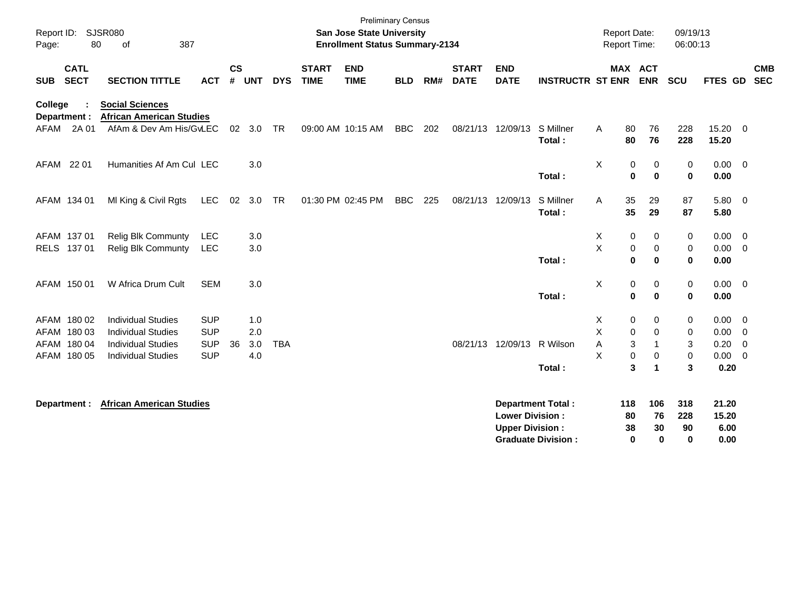| SJSR080<br>Report ID:<br>80<br>of<br>387<br>Page:                                                                                    | <b>Preliminary Census</b><br>San Jose State University<br><b>Enrollment Status Summary-2134</b>                                                         | Report Date:<br>09/19/13<br><b>Report Time:</b><br>06:00:13                                                                                           |
|--------------------------------------------------------------------------------------------------------------------------------------|---------------------------------------------------------------------------------------------------------------------------------------------------------|-------------------------------------------------------------------------------------------------------------------------------------------------------|
| $\mathsf{cs}$<br><b>CATL</b><br><b>SECT</b><br><b>SECTION TITTLE</b><br># UNT<br><b>SUB</b><br><b>ACT</b>                            | <b>END</b><br><b>START</b><br><b>END</b><br><b>START</b><br><b>TIME</b><br><b>TIME</b><br><b>DYS</b><br>RM#<br><b>DATE</b><br><b>DATE</b><br><b>BLD</b> | MAX ACT<br><b>CMB</b><br><b>ENR</b><br><b>SCU</b><br><b>FTES GD</b><br><b>SEC</b><br><b>INSTRUCTR ST ENR</b>                                          |
| <b>Social Sciences</b><br>College<br><b>African American Studies</b><br>Department :                                                 |                                                                                                                                                         |                                                                                                                                                       |
| 2A 01<br>AfAm & Dev Am His/GvLEC<br>AFAM<br>02<br>3.0                                                                                | 09:00 AM 10:15 AM<br><b>BBC</b><br>202<br>08/21/13 12/09/13<br><b>TR</b>                                                                                | S Millner<br>80<br>76<br>228<br>15.20 0<br>Α<br>80<br>76<br>228<br>15.20<br>Total:                                                                    |
| AFAM 22 01<br>Humanities Af Am Cul LEC<br>3.0                                                                                        |                                                                                                                                                         | X<br>0<br>$0.00 \t 0$<br>0<br>0<br>$\mathbf 0$<br>Total:<br>0<br>$\bf{0}$<br>0.00                                                                     |
| AFAM 134 01<br>MI King & Civil Rgts<br>LEC<br>02<br>3.0                                                                              | 225<br><b>TR</b><br>01:30 PM 02:45 PM<br><b>BBC</b><br>08/21/13                                                                                         | S Millner<br>29<br>87<br>5.80 0<br>12/09/13<br>35<br>A<br>35<br>29<br>87<br>Total:<br>5.80                                                            |
| AFAM 137 01<br>Relig Blk Communty<br>LEC<br>3.0                                                                                      |                                                                                                                                                         | 0<br>0<br>0<br>$0.00 \t 0$<br>X                                                                                                                       |
| RELS 137 01<br><b>Relig Blk Communty</b><br>3.0<br><b>LEC</b>                                                                        |                                                                                                                                                         | X<br>$\mathbf 0$<br>0<br>0.00<br>0<br>$\overline{\mathbf{0}}$<br>Total:<br>0<br>$\bf{0}$<br>$\mathbf 0$<br>0.00                                       |
| W Africa Drum Cult<br><b>SEM</b><br>3.0<br>AFAM 150 01                                                                               |                                                                                                                                                         | X<br>$\pmb{0}$<br>0<br>0<br>$0.00 \t 0$<br>Total:<br>$\mathbf 0$<br>$\bf{0}$<br>0<br>0.00                                                             |
|                                                                                                                                      |                                                                                                                                                         |                                                                                                                                                       |
| AFAM 180 02<br><b>Individual Studies</b><br><b>SUP</b><br>1.0                                                                        |                                                                                                                                                         | X<br>0<br>0<br>0.00<br>0<br>$\overline{\phantom{0}}$                                                                                                  |
| AFAM 180 03<br><b>Individual Studies</b><br><b>SUP</b><br>2.0<br>AFAM 180 04<br><b>Individual Studies</b><br><b>SUP</b><br>36<br>3.0 | <b>TBA</b>                                                                                                                                              | X<br>$\mathbf 0$<br>$\mathbf 0$<br>0.00<br>0<br>$\overline{0}$<br>3<br>3<br>0.20<br>08/21/13 12/09/13 R Wilson<br>Α<br>$\mathbf{1}$<br>$\overline{0}$ |
| AFAM 180 05<br><b>SUP</b><br>4.0<br><b>Individual Studies</b>                                                                        |                                                                                                                                                         | $\pmb{0}$<br>X<br>$\pmb{0}$<br>$\mathbf 0$<br>$0.00 \t 0$                                                                                             |
|                                                                                                                                      |                                                                                                                                                         | 3<br>3<br>0.20<br>Total:<br>$\blacktriangleleft$                                                                                                      |
| <b>Department : African American Studies</b>                                                                                         |                                                                                                                                                         | 21.20<br><b>Department Total:</b><br>118<br>106<br>318                                                                                                |
|                                                                                                                                      |                                                                                                                                                         | <b>Lower Division:</b><br>228<br>15.20<br>80<br>76                                                                                                    |
|                                                                                                                                      |                                                                                                                                                         | 90<br><b>Upper Division:</b><br>38<br>30<br>6.00<br><b>Graduate Division:</b><br>$\mathbf 0$<br>0.00<br>0<br>$\bf{0}$                                 |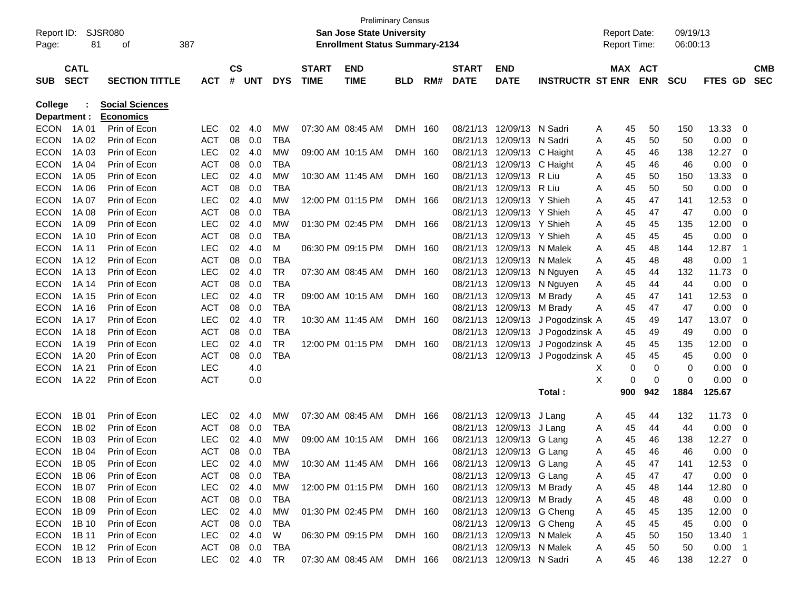|                |             |                        |               |               |            |            |              |                                                     | <b>Preliminary Census</b> |     |              |                           |                         |                     |            |            |           |                          |            |
|----------------|-------------|------------------------|---------------|---------------|------------|------------|--------------|-----------------------------------------------------|---------------------------|-----|--------------|---------------------------|-------------------------|---------------------|------------|------------|-----------|--------------------------|------------|
| Report ID:     |             | SJSR080                |               |               |            |            |              | <b>San Jose State University</b>                    |                           |     |              |                           |                         | <b>Report Date:</b> |            | 09/19/13   |           |                          |            |
| Page:          | 81          | 387<br>οf              |               |               |            |            |              | <b>Enrollment Status Summary-2134</b>               |                           |     |              |                           |                         | <b>Report Time:</b> |            | 06:00:13   |           |                          |            |
|                |             |                        |               |               |            |            |              |                                                     |                           |     |              |                           |                         |                     |            |            |           |                          |            |
|                | <b>CATL</b> |                        |               | $\mathsf{cs}$ |            |            | <b>START</b> | <b>END</b>                                          |                           |     | <b>START</b> | <b>END</b>                |                         |                     | MAX ACT    |            |           |                          | <b>CMB</b> |
| <b>SUB</b>     | <b>SECT</b> | <b>SECTION TITTLE</b>  | <b>ACT</b>    | #             | <b>UNT</b> | <b>DYS</b> | <b>TIME</b>  | <b>TIME</b>                                         | <b>BLD</b>                | RM# | <b>DATE</b>  | <b>DATE</b>               | <b>INSTRUCTR ST ENR</b> |                     | <b>ENR</b> | <b>SCU</b> | FTES GD   |                          | <b>SEC</b> |
| <b>College</b> |             | <b>Social Sciences</b> |               |               |            |            |              |                                                     |                           |     |              |                           |                         |                     |            |            |           |                          |            |
| Department :   |             | <b>Economics</b>       |               |               |            |            |              |                                                     |                           |     |              |                           |                         |                     |            |            |           |                          |            |
| <b>ECON</b>    | 1A 01       | Prin of Econ           | <b>LEC</b>    | 02            | 4.0        | MW         |              | 07:30 AM 08:45 AM                                   | <b>DMH</b>                | 160 | 08/21/13     | 12/09/13                  | N Sadri                 | 45<br>A             | 50         | 150        | 13.33     | 0                        |            |
| <b>ECON</b>    | 1A 02       | Prin of Econ           | <b>ACT</b>    | 08            | 0.0        | <b>TBA</b> |              |                                                     |                           |     | 08/21/13     | 12/09/13                  | N Sadri                 | A<br>45             | 50         | 50         | 0.00      | 0                        |            |
| <b>ECON</b>    | 1A 03       | Prin of Econ           | <b>LEC</b>    | 02            | 4.0        | MW         |              | 09:00 AM 10:15 AM                                   | DMH                       | 160 | 08/21/13     | 12/09/13                  | C Haight                | 45<br>A             | 46         | 138        | 12.27     | 0                        |            |
| <b>ECON</b>    | 1A 04       | Prin of Econ           | <b>ACT</b>    | 08            | 0.0        | <b>TBA</b> |              |                                                     |                           |     | 08/21/13     | 12/09/13                  | C Haight                | 45<br>A             | 46         | 46         | 0.00      | 0                        |            |
| <b>ECON</b>    | 1A 05       | Prin of Econ           | <b>LEC</b>    | 02            | 4.0        | MW         |              | 10:30 AM 11:45 AM                                   | DMH                       | 160 | 08/21/13     | 12/09/13                  | R Liu                   | 45<br>Α             | 50         | 150        | 13.33     | 0                        |            |
| <b>ECON</b>    | 1A 06       | Prin of Econ           | <b>ACT</b>    | 08            | 0.0        | <b>TBA</b> |              |                                                     |                           |     | 08/21/13     | 12/09/13                  | R Liu                   | Α<br>45             | 50         | 50         | 0.00      | 0                        |            |
| <b>ECON</b>    | 1A 07       | Prin of Econ           | <b>LEC</b>    | 02            | 4.0        | MW         |              | 12:00 PM 01:15 PM                                   | DMH                       | 166 | 08/21/13     | 12/09/13                  | Y Shieh                 | 45<br>Α             | 47         | 141        | 12.53     | 0                        |            |
| <b>ECON</b>    | 1A 08       | Prin of Econ           | <b>ACT</b>    | 08            | 0.0        | <b>TBA</b> |              |                                                     |                           |     | 08/21/13     | 12/09/13                  | Y Shieh                 | 45<br>Α             | 47         | 47         | 0.00      | 0                        |            |
| <b>ECON</b>    | 1A 09       | Prin of Econ           | <b>LEC</b>    | 02            | 4.0        | <b>MW</b>  |              | 01:30 PM 02:45 PM                                   | DMH                       | 166 | 08/21/13     | 12/09/13                  | Y Shieh                 | 45<br>Α             | 45         | 135        | 12.00     | 0                        |            |
| <b>ECON</b>    | 1A 10       | Prin of Econ           | <b>ACT</b>    | 08            | 0.0        | <b>TBA</b> |              |                                                     |                           |     | 08/21/13     | 12/09/13                  | Y Shieh                 | Α<br>45             | 45         | 45         | 0.00      | 0                        |            |
| <b>ECON</b>    | 1A 11       | Prin of Econ           | <b>LEC</b>    | 02            | 4.0        | M          |              | 06:30 PM 09:15 PM                                   | DMH                       | 160 | 08/21/13     | 12/09/13                  | N Malek                 | 45<br>Α             | 48         | 144        | 12.87     | $\overline{1}$           |            |
| <b>ECON</b>    | 1A 12       | Prin of Econ           | <b>ACT</b>    | 08            | 0.0        | <b>TBA</b> |              |                                                     |                           |     | 08/21/13     | 12/09/13                  | N Malek                 | 45<br>Α             | 48         | 48         | 0.00      | -1                       |            |
| <b>ECON</b>    | 1A 13       | Prin of Econ           | <b>LEC</b>    | 02            | 4.0        | <b>TR</b>  |              | 07:30 AM 08:45 AM                                   | DMH                       | 160 | 08/21/13     | 12/09/13                  | N Nguyen                | 45<br>A             | 44         | 132        | 11.73     | 0                        |            |
| <b>ECON</b>    | 1A 14       | Prin of Econ           | <b>ACT</b>    | 08            | 0.0        | <b>TBA</b> |              |                                                     |                           |     | 08/21/13     | 12/09/13                  | N Nguyen                | 45<br>A             | 44         | 44         | 0.00      | 0                        |            |
| <b>ECON</b>    | 1A 15       | Prin of Econ           | <b>LEC</b>    | 02            | 4.0        | <b>TR</b>  |              | 09:00 AM 10:15 AM                                   | DMH 160                   |     | 08/21/13     | 12/09/13                  | M Brady                 | 45<br>A             | 47         | 141        | 12.53     | 0                        |            |
| <b>ECON</b>    | 1A 16       | Prin of Econ           | <b>ACT</b>    | 08            | 0.0        | <b>TBA</b> |              |                                                     |                           |     | 08/21/13     | 12/09/13                  | M Brady                 | A<br>45             | 47         | 47         | 0.00      | 0                        |            |
| <b>ECON</b>    | 1A 17       | Prin of Econ           | <b>LEC</b>    | 02            | 4.0        | <b>TR</b>  |              | 10:30 AM 11:45 AM                                   | DMH 160                   |     | 08/21/13     | 12/09/13                  | J Pogodzinsk A          | 45                  | 49         | 147        | 13.07     | 0                        |            |
| <b>ECON</b>    | 1A 18       | Prin of Econ           | <b>ACT</b>    | 08            | 0.0        | <b>TBA</b> |              |                                                     |                           |     | 08/21/13     | 12/09/13                  | J Pogodzinsk A          | 45                  | 49         | 49         | 0.00      | 0                        |            |
| <b>ECON</b>    | 1A 19       | Prin of Econ           | <b>LEC</b>    | 02            | 4.0        | <b>TR</b>  |              | 12:00 PM 01:15 PM                                   | DMH 160                   |     | 08/21/13     | 12/09/13                  | J Pogodzinsk A          | 45                  | 45         | 135        | 12.00     | 0                        |            |
| <b>ECON</b>    | 1A 20       | Prin of Econ           | <b>ACT</b>    | 08            | 0.0        | <b>TBA</b> |              |                                                     |                           |     | 08/21/13     | 12/09/13                  | J Pogodzinsk A          | 45                  | 45         | 45         | 0.00      | 0                        |            |
| <b>ECON</b>    | 1A 21       | Prin of Econ           | <b>LEC</b>    |               | 4.0        |            |              |                                                     |                           |     |              |                           |                         | Х<br>0              | 0          | 0          | 0.00      | 0                        |            |
| <b>ECON</b>    | 1A 22       | Prin of Econ           | <b>ACT</b>    |               | 0.0        |            |              |                                                     |                           |     |              |                           |                         | X<br>0              | 0          | 0          | 0.00      | 0                        |            |
|                |             |                        |               |               |            |            |              |                                                     |                           |     |              |                           | Total:                  | 900                 | 942        | 1884       | 125.67    |                          |            |
|                |             |                        |               |               |            |            |              |                                                     |                           |     |              |                           |                         |                     |            |            |           |                          |            |
| <b>ECON</b>    | 1B 01       | Prin of Econ           | <b>LEC</b>    | 02            | 4.0        | MW         |              | 07:30 AM 08:45 AM                                   | DMH                       | 166 | 08/21/13     | 12/09/13                  | J Lang                  | 45<br>A             | 44         | 132        | 11.73     | 0                        |            |
| <b>ECON</b>    | 1B 02       | Prin of Econ           | <b>ACT</b>    | 08            | 0.0        | <b>TBA</b> |              |                                                     |                           |     | 08/21/13     | 12/09/13                  | J Lang                  | 45<br>A             | 44         | 44         | 0.00      | 0                        |            |
| <b>ECON</b>    | 1B 03       | Prin of Econ           | <b>LEC</b>    | 02            | 4.0        | MW         |              | 09:00 AM 10:15 AM                                   | DMH                       | 166 | 08/21/13     | 12/09/13                  | G Lang                  | 45<br>A             | 46         | 138        | 12.27     | 0                        |            |
| <b>ECON</b>    | 1B 04       | Prin of Econ           | <b>ACT</b>    | 08            | 0.0        | <b>TBA</b> |              |                                                     |                           |     | 08/21/13     | 12/09/13                  | G Lang                  | 45<br>Α             | 46         | 46         | 0.00      | 0                        |            |
| <b>ECON</b>    | 1B 05       | Prin of Econ           | <b>LEC</b>    |               | 02 4.0     | MW         |              | 10:30 AM 11:45 AM                                   | DMH 166                   |     |              | 08/21/13 12/09/13 G Lang  |                         | 45<br>A             | 47         | 141        | 12.53     | 0                        |            |
|                | ECON 1B 06  | Prin of Econ           | ACT           |               | 08 0.0     | TBA        |              |                                                     |                           |     |              | 08/21/13 12/09/13 G Lang  |                         | A<br>45             | 47         | 47         | 0.00      | $\overline{\phantom{0}}$ |            |
| <b>ECON</b>    | 1B 07       | Prin of Econ           | <b>LEC</b>    |               | 02 4.0     | MW         |              | 12:00 PM 01:15 PM DMH 160                           |                           |     |              | 08/21/13 12/09/13 M Brady |                         | 45<br>A             | 48         | 144        | 12.80     | $\overline{\mathbf{0}}$  |            |
| <b>ECON</b>    | 1B 08       | Prin of Econ           | ACT           |               | 08 0.0     | TBA        |              |                                                     |                           |     |              | 08/21/13 12/09/13 M Brady |                         | 45<br>A             | 48         | 48         | 0.00      | $\overline{\mathbf{0}}$  |            |
| <b>ECON</b>    | 1B 09       | Prin of Econ           | LEC           |               | 02 4.0     | MW         |              | 01:30 PM 02:45 PM DMH 160                           |                           |     |              | 08/21/13 12/09/13 G Cheng |                         | 45<br>A             | 45         | 135        | 12.00     | $\overline{\phantom{0}}$ |            |
| <b>ECON</b>    | 1B 10       | Prin of Econ           | ACT           |               | 08 0.0     | TBA        |              |                                                     |                           |     |              | 08/21/13 12/09/13 G Cheng |                         | A<br>45             | 45         | 45         | 0.00      | $\overline{\mathbf{0}}$  |            |
| ECON           | 1B 11       | Prin of Econ           | LEC           |               | 02 4.0     | W          |              | 06:30 PM 09:15 PM DMH 160                           |                           |     |              | 08/21/13 12/09/13 N Malek |                         | 45<br>A             | 50         | 150        | 13.40     | $\blacksquare$           |            |
| <b>ECON</b>    | 1B 12       | Prin of Econ           | ACT           |               | 08 0.0     | TBA        |              |                                                     |                           |     |              | 08/21/13 12/09/13 N Malek |                         | 45<br>A             | 50         | 50         | 0.00      | $\overline{\phantom{0}}$ |            |
|                | ECON 1B13   | Prin of Econ           | LEC 02 4.0 TR |               |            |            |              | 07:30 AM 08:45 AM DMH 166 08/21/13 12/09/13 N Sadri |                           |     |              |                           |                         | 45<br>A             | 46         | 138        | $12.27$ 0 |                          |            |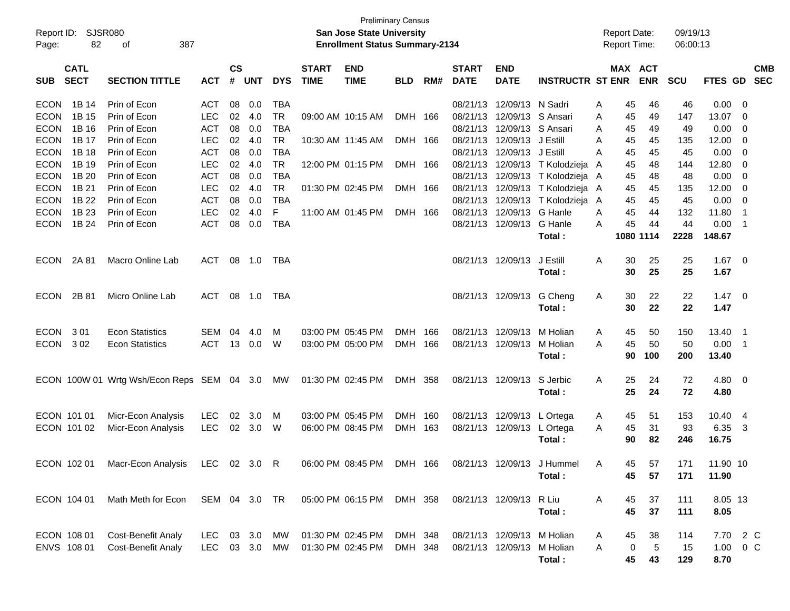| Report ID:<br>Page:        | 82                         | SJSR080<br>387<br>оf                                       |                          |                    |            |                         |                             | <b>Preliminary Census</b><br><b>San Jose State University</b><br><b>Enrollment Status Summary-2134</b> |            |     |                             |                                        |                                            |          | <b>Report Date:</b><br><b>Report Time:</b> |                 | 09/19/13<br>06:00:13 |                 |                            |                          |
|----------------------------|----------------------------|------------------------------------------------------------|--------------------------|--------------------|------------|-------------------------|-----------------------------|--------------------------------------------------------------------------------------------------------|------------|-----|-----------------------------|----------------------------------------|--------------------------------------------|----------|--------------------------------------------|-----------------|----------------------|-----------------|----------------------------|--------------------------|
| <b>SUB</b>                 | <b>CATL</b><br><b>SECT</b> | <b>SECTION TITTLE</b>                                      | <b>ACT</b>               | $\mathsf{cs}$<br># | <b>UNT</b> | <b>DYS</b>              | <b>START</b><br><b>TIME</b> | <b>END</b><br><b>TIME</b>                                                                              | BLD        | RM# | <b>START</b><br><b>DATE</b> | <b>END</b><br><b>DATE</b>              | <b>INSTRUCTR ST ENR</b>                    |          | MAX ACT                                    | <b>ENR</b>      | <b>SCU</b>           | <b>FTES GD</b>  |                            | <b>CMB</b><br><b>SEC</b> |
| <b>ECON</b><br><b>ECON</b> | 1B 14<br>1B 15             | Prin of Econ<br>Prin of Econ                               | <b>ACT</b><br><b>LEC</b> | 08<br>02           | 0.0<br>4.0 | <b>TBA</b><br><b>TR</b> |                             | 09:00 AM 10:15 AM                                                                                      | DMH 166    |     |                             | 08/21/13 12/09/13<br>08/21/13 12/09/13 | N Sadri<br>S Ansari                        | A<br>A   | 45<br>45                                   | 46<br>49        | 46<br>147            | 0.00<br>13.07   | - 0<br>- 0                 |                          |
| <b>ECON</b>                | 1B 16                      | Prin of Econ                                               | <b>ACT</b>               | 08                 | 0.0        | <b>TBA</b>              |                             |                                                                                                        |            |     |                             | 08/21/13 12/09/13                      | S Ansari                                   | A        | 45                                         | 49              | 49                   | 0.00            | 0                          |                          |
| <b>ECON</b>                | 1B 17                      | Prin of Econ                                               | <b>LEC</b>               | 02                 | 4.0        | <b>TR</b>               |                             | 10:30 AM 11:45 AM                                                                                      | DMH 166    |     |                             | 08/21/13 12/09/13                      | J Estill                                   | A        | 45                                         | 45              | 135                  | 12.00           | - 0                        |                          |
| <b>ECON</b><br><b>ECON</b> | 1B 18<br>1B 19             | Prin of Econ<br>Prin of Econ                               | <b>ACT</b><br><b>LEC</b> | 08<br>02           | 0.0<br>4.0 | <b>TBA</b><br><b>TR</b> |                             | 12:00 PM 01:15 PM                                                                                      |            |     |                             | 08/21/13 12/09/13                      | J Estill<br>08/21/13 12/09/13 T Kolodzieja | A        | 45<br>45                                   | 45<br>48        | 45<br>144            | 0.00<br>12.80   | - 0                        |                          |
| <b>ECON</b>                | 1B 20                      | Prin of Econ                                               | <b>ACT</b>               | 08                 | 0.0        | <b>TBA</b>              |                             |                                                                                                        | DMH 166    |     |                             |                                        | 08/21/13 12/09/13 T Kolodzieja A           | A        | 45                                         | 48              | 48                   | 0.00            | - 0<br>0                   |                          |
| <b>ECON</b>                | 1B 21                      | Prin of Econ                                               | <b>LEC</b>               | 02                 | 4.0        | <b>TR</b>               |                             | 01:30 PM 02:45 PM                                                                                      | DMH 166    |     |                             | 08/21/13 12/09/13                      | T Kolodzieja A                             |          | 45                                         | 45              | 135                  | 12.00           | - 0                        |                          |
| <b>ECON</b>                | 1B 22                      | Prin of Econ                                               | <b>ACT</b>               | 08                 | 0.0        | <b>TBA</b>              |                             |                                                                                                        |            |     |                             | 08/21/13 12/09/13                      | T Kolodzieja A                             |          | 45                                         | 45              | 45                   | 0.00            | $\overline{\mathbf{0}}$    |                          |
| <b>ECON</b>                | 1B 23                      | Prin of Econ                                               | <b>LEC</b>               | 02                 | 4.0        | F                       |                             | 11:00 AM 01:45 PM                                                                                      | DMH 166    |     |                             | 08/21/13 12/09/13                      | G Hanle                                    | A        | 45                                         | 44              | 132                  | 11.80           | $\overline{\phantom{1}}$   |                          |
| <b>ECON</b>                | 1B 24                      | Prin of Econ                                               | <b>ACT</b>               | 08                 | 0.0        | <b>TBA</b>              |                             |                                                                                                        |            |     |                             | 08/21/13 12/09/13                      | G Hanle<br>Total:                          | A        | 45                                         | 44<br>1080 1114 | 44<br>2228           | 0.00<br>148.67  | $\overline{\phantom{0}}$ 1 |                          |
|                            |                            |                                                            |                          |                    |            |                         |                             |                                                                                                        |            |     |                             |                                        |                                            |          |                                            |                 |                      |                 |                            |                          |
| <b>ECON</b>                | 2A 81                      | Macro Online Lab                                           | <b>ACT</b>               | 08                 | 1.0        | TBA                     |                             |                                                                                                        |            |     |                             | 08/21/13 12/09/13                      | J Estill                                   | A        | 30                                         | 25              | 25                   | 1.67            | $\overline{\mathbf{0}}$    |                          |
|                            |                            |                                                            |                          |                    |            |                         |                             |                                                                                                        |            |     |                             |                                        | Total:                                     |          | 30                                         | 25              | 25                   | 1.67            |                            |                          |
| <b>ECON</b>                | 2B 81                      | Micro Online Lab                                           | <b>ACT</b>               | 08                 | 1.0        | TBA                     |                             |                                                                                                        |            |     |                             | 08/21/13 12/09/13                      | G Cheng<br>Total:                          | Α        | 30<br>30                                   | 22<br>22        | 22<br>22             | 1.47<br>1.47    | $\overline{\phantom{0}}$   |                          |
|                            |                            |                                                            |                          |                    |            |                         |                             |                                                                                                        |            |     |                             |                                        |                                            |          |                                            |                 |                      |                 |                            |                          |
| <b>ECON</b>                | 301                        | <b>Econ Statistics</b>                                     | SEM                      | 04                 | 4.0        | M                       |                             | 03:00 PM 05:45 PM                                                                                      | <b>DMH</b> | 166 |                             | 08/21/13 12/09/13                      | M Holian                                   | A        | 45                                         | 50              | 150                  | 13.40           | $\overline{\phantom{1}}$   |                          |
| <b>ECON</b>                | 302                        | <b>Econ Statistics</b>                                     | <b>ACT</b>               | 13                 | 0.0        | W                       |                             | 03:00 PM 05:00 PM                                                                                      | DMH 166    |     |                             | 08/21/13 12/09/13                      | M Holian                                   | A        | 45                                         | 50              | 50                   | 0.00            | $\overline{\phantom{0}}$ 1 |                          |
|                            |                            |                                                            |                          |                    |            |                         |                             |                                                                                                        |            |     |                             |                                        | Total:                                     |          | 90                                         | 100             | 200                  | 13.40           |                            |                          |
|                            |                            | ECON 100W 01 Wrtg Wsh/Econ Reps SEM 04 3.0                 |                          |                    |            | MW                      |                             | 01:30 PM 02:45 PM                                                                                      | DMH 358    |     |                             | 08/21/13 12/09/13                      | S Jerbic                                   | A        | 25                                         | 24              | 72                   | $4.80\ 0$       |                            |                          |
|                            |                            |                                                            |                          |                    |            |                         |                             |                                                                                                        |            |     |                             |                                        | Total:                                     |          | 25                                         | 24              | 72                   | 4.80            |                            |                          |
|                            | ECON 101 01                | Micr-Econ Analysis                                         | <b>LEC</b>               | 02                 | 3.0        | M                       |                             | 03:00 PM 05:45 PM                                                                                      | DMH 160    |     |                             | 08/21/13 12/09/13                      | L Ortega                                   | A        | 45                                         | 51              | 153                  | 10.40           | -4                         |                          |
|                            | ECON 101 02                | Micr-Econ Analysis                                         | <b>LEC</b>               | 02                 | 3.0        | W                       |                             | 06:00 PM 08:45 PM                                                                                      | DMH 163    |     |                             | 08/21/13 12/09/13                      | L Ortega                                   | A        | 45                                         | 31              | 93                   | 6.35            | $\overline{\mathbf{3}}$    |                          |
|                            |                            |                                                            |                          |                    |            |                         |                             |                                                                                                        |            |     |                             |                                        | Total:                                     |          | 90                                         | 82              | 246                  | 16.75           |                            |                          |
|                            | ECON 102 01                | Macr-Econ Analysis LEC 02 3.0 R                            |                          |                    |            |                         |                             | 06:00 PM 08:45 PM DMH 166                                                                              |            |     |                             |                                        | 08/21/13 12/09/13 J Hummel                 | <b>A</b> | 45                                         | 57              | 171                  | 11.90 10        |                            |                          |
|                            |                            |                                                            |                          |                    |            |                         |                             |                                                                                                        |            |     |                             |                                        | Total:                                     |          | 45                                         | 57              | 171                  | 11.90           |                            |                          |
|                            |                            |                                                            |                          |                    |            |                         |                             |                                                                                                        |            |     |                             |                                        |                                            |          |                                            |                 |                      |                 |                            |                          |
|                            | ECON 104 01                | Math Meth for Econ SEM 04 3.0 TR 05:00 PM 06:15 PM DMH 358 |                          |                    |            |                         |                             |                                                                                                        |            |     |                             | 08/21/13 12/09/13 R Liu                | Total:                                     | A        | 45<br>45                                   | 37<br>37        | 111<br>111           | 8.05 13<br>8.05 |                            |                          |
|                            |                            |                                                            |                          |                    |            |                         |                             |                                                                                                        |            |     |                             |                                        |                                            |          |                                            |                 |                      |                 |                            |                          |
|                            | ECON 108 01                | <b>Cost-Benefit Analy</b>                                  | LEC.                     |                    | 03 3.0 MW  |                         |                             | 01:30 PM 02:45 PM                                                                                      | DMH 348    |     |                             | 08/21/13 12/09/13 M Holian             |                                            | A        | 45                                         | 38              | 114                  | 7.70 2 C        |                            |                          |
|                            | ENVS 108 01                | <b>Cost-Benefit Analy</b>                                  | <b>LEC</b>               |                    | 03 3.0     | MW                      |                             | 01:30 PM 02:45 PM                                                                                      | DMH 348    |     |                             | 08/21/13 12/09/13                      | M Holian                                   | Α        | 0                                          | $\sqrt{5}$      | 15                   | 1.00 0 C        |                            |                          |
|                            |                            |                                                            |                          |                    |            |                         |                             |                                                                                                        |            |     |                             |                                        | Total:                                     |          | 45                                         | 43              | 129                  | 8.70            |                            |                          |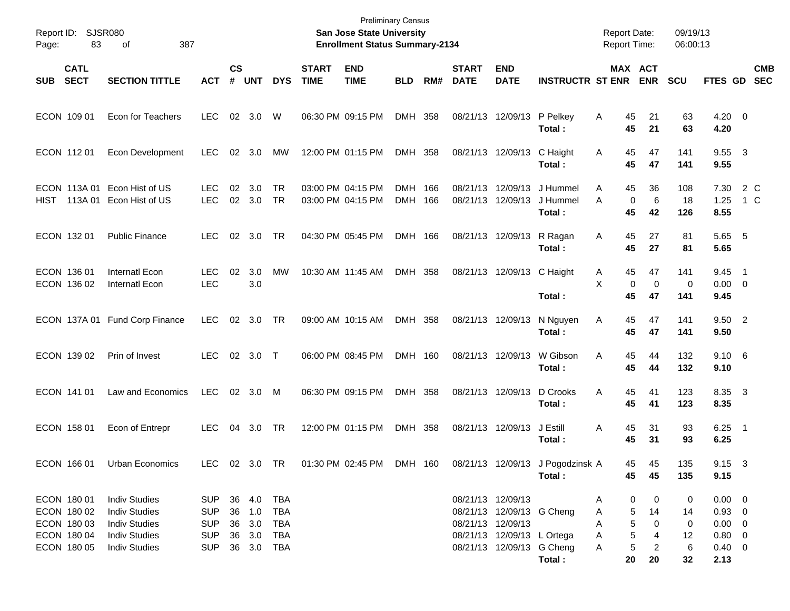| Page:      | Report ID: SJSR080<br>83                                 | 387<br>οf                                                                                    |                                               |                    |                                      |                                 |                                        | <b>Preliminary Census</b><br><b>San Jose State University</b><br><b>Enrollment Status Summary-2134</b> |                    |     |                                        |                                                         |                                 | <b>Report Date:</b><br><b>Report Time:</b> |                                        | 09/19/13<br>06:00:13 |                                                        |            |            |
|------------|----------------------------------------------------------|----------------------------------------------------------------------------------------------|-----------------------------------------------|--------------------|--------------------------------------|---------------------------------|----------------------------------------|--------------------------------------------------------------------------------------------------------|--------------------|-----|----------------------------------------|---------------------------------------------------------|---------------------------------|--------------------------------------------|----------------------------------------|----------------------|--------------------------------------------------------|------------|------------|
| <b>SUB</b> | <b>CATL</b><br><b>SECT</b>                               | <b>SECTION TITTLE</b>                                                                        | <b>ACT</b>                                    | $\mathsf{cs}$<br># | <b>UNT</b>                           | <b>DYS</b>                      | <b>START</b><br><b>TIME</b>            | <b>END</b><br><b>TIME</b>                                                                              | <b>BLD</b>         | RM# | <b>START</b><br><b>DATE</b>            | <b>END</b><br><b>DATE</b>                               | <b>INSTRUCTR ST ENR</b>         |                                            | MAX ACT<br><b>ENR</b>                  | <b>SCU</b>           | FTES GD SEC                                            |            | <b>CMB</b> |
|            | ECON 109 01                                              | Econ for Teachers                                                                            | <b>LEC</b>                                    |                    | 02 3.0                               | W                               | 06:30 PM 09:15 PM                      |                                                                                                        | DMH 358            |     |                                        | 08/21/13 12/09/13                                       | P Pelkey<br>Total :             | 45<br>A<br>45                              | 21<br>21                               | 63<br>63             | $4.20 \ 0$<br>4.20                                     |            |            |
|            | ECON 11201                                               | <b>Econ Development</b>                                                                      | LEC.                                          |                    | 02 3.0                               | МW                              | 12:00 PM 01:15 PM                      |                                                                                                        | DMH 358            |     |                                        | 08/21/13 12/09/13                                       | C Haight<br>Total :             | 45<br>A<br>45                              | 47<br>47                               | 141<br>141           | 9.55 3<br>9.55                                         |            |            |
| HIST       |                                                          | ECON 113A 01 Econ Hist of US<br>113A 01 Econ Hist of US                                      | <b>LEC</b><br><b>LEC</b>                      | 02                 | 3.0<br>02 3.0                        | TR<br>TR                        | 03:00 PM 04:15 PM<br>03:00 PM 04:15 PM |                                                                                                        | DMH 166<br>DMH 166 |     | 08/21/13<br>08/21/13                   | 12/09/13<br>12/09/13                                    | J Hummel<br>J Hummel<br>Total : | 45<br>A<br>A<br>45                         | 36<br>0<br>6<br>42                     | 108<br>18<br>126     | 7.30<br>1.25<br>8.55                                   | 2 C<br>1 C |            |
|            | ECON 132 01                                              | <b>Public Finance</b>                                                                        | LEC.                                          | 02                 | 3.0                                  | TR                              | 04:30 PM 05:45 PM                      |                                                                                                        | DMH 166            |     | 08/21/13 12/09/13                      |                                                         | R Ragan<br>Total:               | 45<br>A<br>45                              | 27<br>27                               | 81<br>81             | 5.65 5<br>5.65                                         |            |            |
|            | ECON 136 01<br>ECON 136 02                               | Internatl Econ<br>Internatl Econ                                                             | <b>LEC</b><br><b>LEC</b>                      | 02                 | 3.0<br>3.0                           | MW                              | 10:30 AM 11:45 AM                      |                                                                                                        | DMH 358            |     |                                        | 08/21/13 12/09/13                                       | C Haight<br>Total:              | 45<br>A<br>X<br>45                         | 47<br>$\mathbf 0$<br>$\mathbf 0$<br>47 | 141<br>0<br>141      | 9.45 1<br>$0.00 \t 0$<br>9.45                          |            |            |
|            |                                                          | ECON 137A 01 Fund Corp Finance                                                               | <b>LEC</b>                                    | 02                 | 3.0                                  | TR                              | 09:00 AM 10:15 AM                      |                                                                                                        | DMH 358            |     | 08/21/13 12/09/13                      |                                                         | N Nguyen<br>Total:              | 45<br>A<br>45                              | 47<br>47                               | 141<br>141           | 9.50 2<br>9.50                                         |            |            |
|            | ECON 139 02                                              | Prin of Invest                                                                               | <b>LEC</b>                                    |                    | 02 3.0 T                             |                                 | 06:00 PM 08:45 PM                      |                                                                                                        | DMH 160            |     | 08/21/13 12/09/13                      |                                                         | W Gibson<br>Total:              | 45<br>Α<br>45                              | 44<br>44                               | 132<br>132           | $9.10\ 6$<br>9.10                                      |            |            |
|            | ECON 141 01                                              | Law and Economics                                                                            | LEC                                           |                    | 02 3.0                               | M                               | 06:30 PM 09:15 PM                      |                                                                                                        | DMH 358            |     | 08/21/13 12/09/13                      |                                                         | D Crooks<br>Total:              | 45<br>Α<br>45                              | 41<br>41                               | 123<br>123           | 8.35 3<br>8.35                                         |            |            |
|            | ECON 158 01                                              | Econ of Entrepr                                                                              | <b>LEC</b>                                    | 04                 | 3.0                                  | TR                              | 12:00 PM 01:15 PM                      |                                                                                                        | DMH 358            |     | 08/21/13 12/09/13                      |                                                         | J Estill<br>Total :             | 45<br>Α<br>45                              | 31<br>31                               | 93<br>93             | $6.25$ 1<br>6.25                                       |            |            |
|            | ECON 166 01                                              | Urban Economics                                                                              | LEC 02 3.0 TR                                 |                    |                                      |                                 |                                        | 01:30 PM 02:45 PM                                                                                      | DMH 160            |     |                                        | 08/21/13 12/09/13                                       | J Pogodzinsk A<br>Total:        | 45                                         | 45<br>45<br>45                         | 135<br>135           | $9.15 \quad 3$<br>9.15                                 |            |            |
|            | ECON 180 01<br>ECON 180 02<br>ECON 180 03<br>ECON 180 04 | <b>Indiv Studies</b><br><b>Indiv Studies</b><br><b>Indiv Studies</b><br><b>Indiv Studies</b> | SUP<br><b>SUP</b><br><b>SUP</b><br><b>SUP</b> |                    | 36 4.0<br>36 1.0<br>36 3.0<br>36 3.0 | TBA<br><b>TBA</b><br>TBA<br>TBA |                                        |                                                                                                        |                    |     | 08/21/13 12/09/13<br>08/21/13 12/09/13 | 08/21/13 12/09/13 G Cheng<br>08/21/13 12/09/13 L Ortega |                                 | A<br>A<br>A<br>A                           | 0<br>0<br>5<br>14<br>5<br>0<br>5<br>4  | 0<br>14<br>0<br>12   | $0.00 \t 0$<br>$0.93 \ 0$<br>$0.00 \t 0$<br>$0.80 \ 0$ |            |            |
|            | ECON 180 05                                              | <b>Indiv Studies</b>                                                                         | <b>SUP</b>                                    |                    | 36 3.0 TBA                           |                                 |                                        |                                                                                                        |                    |     |                                        | 08/21/13 12/09/13 G Cheng                               | Total:                          | A<br>20                                    | 5<br>2<br>20                           | 6<br>32              | $0.40 \quad 0$<br>2.13                                 |            |            |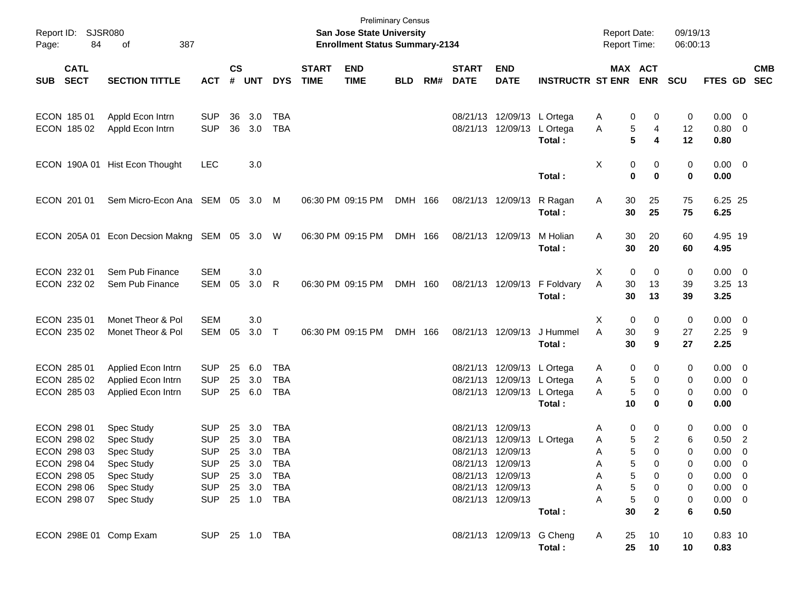| Report ID: SJSR080<br>84<br>Page:                                                                     | 387<br>of                                                                                                           |                                                                                                    |               |                                                        |                                               |                             | <b>San Jose State University</b><br><b>Enrollment Status Summary-2134</b> | <b>Preliminary Census</b> |     |                                        |                                                                                                                |                             | <b>Report Date:</b><br>Report Time:                                 |                                                        | 09/19/13<br>06:00:13                 |                                                                                                     |                          |            |
|-------------------------------------------------------------------------------------------------------|---------------------------------------------------------------------------------------------------------------------|----------------------------------------------------------------------------------------------------|---------------|--------------------------------------------------------|-----------------------------------------------|-----------------------------|---------------------------------------------------------------------------|---------------------------|-----|----------------------------------------|----------------------------------------------------------------------------------------------------------------|-----------------------------|---------------------------------------------------------------------|--------------------------------------------------------|--------------------------------------|-----------------------------------------------------------------------------------------------------|--------------------------|------------|
| <b>CATL</b><br><b>SECT</b><br>SUB                                                                     | <b>SECTION TITTLE</b>                                                                                               | <b>ACT</b>                                                                                         | $\mathsf{cs}$ | # UNT                                                  | <b>DYS</b>                                    | <b>START</b><br><b>TIME</b> | <b>END</b><br><b>TIME</b>                                                 | <b>BLD</b>                | RM# | <b>START</b><br><b>DATE</b>            | <b>END</b><br><b>DATE</b>                                                                                      | <b>INSTRUCTR ST ENR ENR</b> |                                                                     | <b>MAX ACT</b>                                         | <b>SCU</b>                           | FTES GD SEC                                                                                         |                          | <b>CMB</b> |
| ECON 185 01<br>ECON 185 02                                                                            | Appld Econ Intrn<br>Appld Econ Intrn                                                                                | <b>SUP</b><br><b>SUP</b>                                                                           | 36<br>36      | 3.0<br>3.0                                             | <b>TBA</b><br><b>TBA</b>                      |                             |                                                                           |                           |     |                                        | 08/21/13 12/09/13 L Ortega<br>08/21/13 12/09/13 L Ortega                                                       | Total:                      | 0<br>A<br>5<br>Α<br>5                                               | 0<br>4<br>4                                            | 0<br>12<br>12                        | $0.00 \t 0$<br>0.80 0<br>0.80                                                                       |                          |            |
|                                                                                                       | ECON 190A 01 Hist Econ Thought                                                                                      | <b>LEC</b>                                                                                         |               | 3.0                                                    |                                               |                             |                                                                           |                           |     |                                        |                                                                                                                | Total:                      | Χ<br>0<br>$\bf{0}$                                                  | 0<br>$\bf{0}$                                          | 0<br>0                               | $0.00 \t 0$<br>0.00                                                                                 |                          |            |
| ECON 201 01                                                                                           | Sem Micro-Econ Ana SEM 05 3.0 M                                                                                     |                                                                                                    |               |                                                        |                                               |                             | 06:30 PM 09:15 PM                                                         | DMH 166                   |     |                                        | 08/21/13 12/09/13                                                                                              | R Ragan<br>Total:           | Α<br>30<br>30                                                       | 25<br>25                                               | 75<br>75                             | 6.25 25<br>6.25                                                                                     |                          |            |
| ECON 205A 01                                                                                          | Econ Decsion Makng SEM 05 3.0 W                                                                                     |                                                                                                    |               |                                                        |                                               |                             | 06:30 PM 09:15 PM                                                         | DMH 166                   |     |                                        | 08/21/13 12/09/13                                                                                              | M Holian<br>Total:          | 30<br>Α<br>30                                                       | 20<br>20                                               | 60<br>60                             | 4.95 19<br>4.95                                                                                     |                          |            |
| ECON 232 01<br>ECON 232 02                                                                            | Sem Pub Finance<br>Sem Pub Finance                                                                                  | <b>SEM</b><br>SEM                                                                                  | 05            | 3.0<br>3.0                                             | R                                             |                             | 06:30 PM 09:15 PM                                                         | DMH 160                   |     |                                        | 08/21/13 12/09/13                                                                                              | F Foldvary<br>Total:        | $\mathbf 0$<br>X<br>Α<br>30<br>30                                   | 0<br>13<br>13                                          | 0<br>39<br>39                        | $0.00 \t 0$<br>3.25 13<br>3.25                                                                      |                          |            |
| ECON 235 01<br>ECON 235 02                                                                            | Monet Theor & Pol<br>Monet Theor & Pol                                                                              | <b>SEM</b><br>SEM                                                                                  | 05            | 3.0<br>$3.0$ T                                         |                                               |                             | 06:30 PM 09:15 PM                                                         | DMH 166                   |     |                                        | 08/21/13 12/09/13                                                                                              | J Hummel<br>Total:          | 0<br>X<br>A<br>30<br>30                                             | 0<br>9<br>9                                            | 0<br>27<br>27                        | $0.00 \t 0$<br>$2.25$ 9<br>2.25                                                                     |                          |            |
| ECON 285 01<br>ECON 285 02<br>ECON 285 03                                                             | Applied Econ Intrn<br>Applied Econ Intrn<br>Applied Econ Intrn                                                      | <b>SUP</b><br><b>SUP</b><br><b>SUP</b>                                                             | 25<br>25      | 6.0<br>3.0<br>25 6.0                                   | TBA<br><b>TBA</b><br><b>TBA</b>               |                             |                                                                           |                           |     |                                        | 08/21/13 12/09/13 L Ortega<br>08/21/13 12/09/13 L Ortega<br>08/21/13 12/09/13 L Ortega                         | Total:                      | 0<br>Α<br>Α<br>5<br>$\sqrt{5}$<br>A<br>10                           | 0<br>0<br>$\mathbf 0$<br>0                             | 0<br>0<br>0<br>0                     | $0.00 \t 0$<br>$0.00 \t 0$<br>$0.00 \t 0$<br>0.00                                                   |                          |            |
| ECON 298 01<br>ECON 298 02<br>ECON 298 03<br>ECON 298 04<br>ECON 298 05<br>ECON 298 06<br>ECON 298 07 | Spec Study<br>Spec Study<br>Spec Study<br><b>Spec Study</b><br><b>Spec Study</b><br>Spec Study<br><b>Spec Study</b> | <b>SUP</b><br><b>SUP</b><br><b>SUP</b><br>SUP 25 3.0 TBA<br><b>SUP</b><br><b>SUP</b><br><b>SUP</b> | 25<br>25      | 3.0<br>3.0<br>25 3.0<br>25 3.0<br>25 3.0<br>25 1.0 TBA | <b>TBA</b><br><b>TBA</b><br>TBA<br>TBA<br>TBA |                             |                                                                           |                           |     | 08/21/13 12/09/13<br>08/21/13 12/09/13 | 08/21/13 12/09/13 L Ortega<br>08/21/13 12/09/13<br>08/21/13 12/09/13<br>08/21/13 12/09/13<br>08/21/13 12/09/13 | Total:                      | 0<br>Α<br>5<br>Α<br>5<br>Α<br>5<br>A<br>5<br>Α<br>5<br>А<br>5<br>30 | 0<br>2<br>$\Omega$<br>0<br>0<br>0<br>0<br>$\mathbf{2}$ | 0<br>6<br>0<br>0<br>0<br>0<br>0<br>6 | $0.00 \t 0$<br>$0.50$ 2<br>0.00<br>$0.00 \t 0$<br>$0.00 \t 0$<br>$0.00 \t 0$<br>$0.00 \t 0$<br>0.50 | $\overline{\phantom{0}}$ |            |
| ECON 298E 01 Comp Exam                                                                                |                                                                                                                     | SUP 25 1.0 TBA                                                                                     |               |                                                        |                                               |                             |                                                                           |                           |     |                                        | 08/21/13 12/09/13 G Cheng                                                                                      | Total:                      | 25<br>A<br>25                                                       | 10<br>10                                               | 10<br>10                             | $0.83$ 10<br>0.83                                                                                   |                          |            |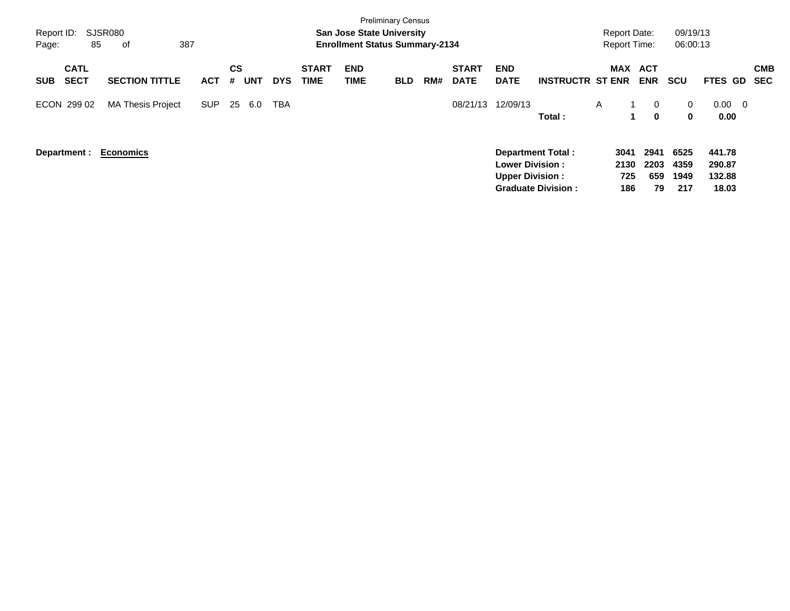| Report ID:<br>Page:                      | SJSR080<br>85<br>387<br>οf |            |                       |            |                             | <b>Preliminary Census</b><br><b>San Jose State University</b><br><b>Enrollment Status Summary-2134</b> |            |     |                             |                                                                              |                           | Report Date:<br><b>Report Time:</b> |                           | 09/19/13<br>06:00:13        |                                              |                          |
|------------------------------------------|----------------------------|------------|-----------------------|------------|-----------------------------|--------------------------------------------------------------------------------------------------------|------------|-----|-----------------------------|------------------------------------------------------------------------------|---------------------------|-------------------------------------|---------------------------|-----------------------------|----------------------------------------------|--------------------------|
| <b>CATL</b><br><b>SECT</b><br><b>SUB</b> | <b>SECTION TITTLE</b>      | <b>ACT</b> | CS<br><b>UNT</b><br># | <b>DYS</b> | <b>START</b><br><b>TIME</b> | <b>END</b><br>TIME                                                                                     | <b>BLD</b> | RM# | <b>START</b><br><b>DATE</b> | <b>END</b><br><b>DATE</b>                                                    | <b>INSTRUCTR ST ENR</b>   | <b>MAX</b>                          | ACT<br><b>ENR</b>         | <b>SCU</b>                  | <b>FTES GD</b>                               | <b>CMB</b><br><b>SEC</b> |
| ECON 299 02                              | <b>MA Thesis Project</b>   | <b>SUP</b> | 25<br>6.0             | <b>TBA</b> |                             |                                                                                                        |            |     | 08/21/13                    | 12/09/13                                                                     | Total:                    | A<br>1                              | 0<br>0                    | 0<br>$\bf{0}$               | $0.00\,$<br>$\overline{\phantom{0}}$<br>0.00 |                          |
| Department :                             | <b>Economics</b>           |            |                       |            |                             |                                                                                                        |            |     |                             | <b>Department Total:</b><br><b>Lower Division:</b><br><b>Upper Division:</b> | <b>Graduate Division:</b> | 3041<br>2130<br>725<br>186          | 2941<br>2203<br>659<br>79 | 6525<br>4359<br>1949<br>217 | 441.78<br>290.87<br>132.88<br>18.03          |                          |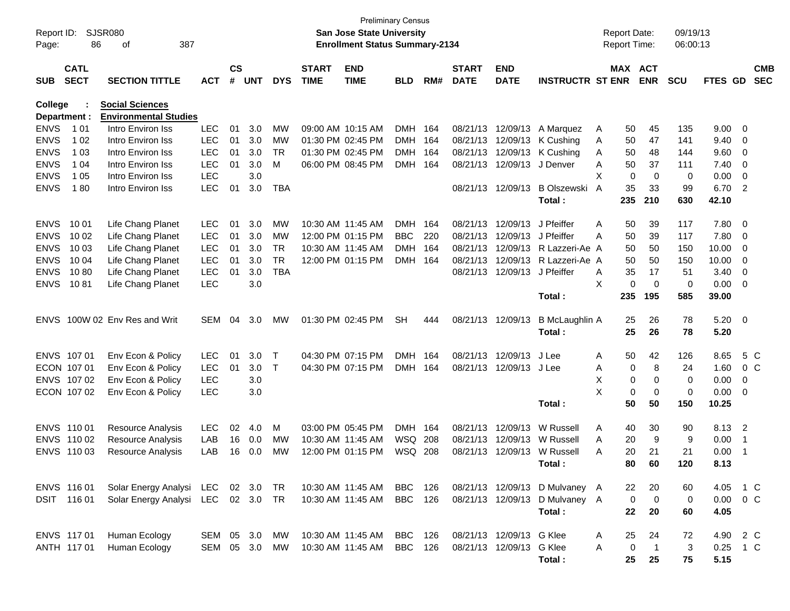| Report ID:<br>Page: | 86           | <b>SJSR080</b><br>387<br>οf        |            |               |            |              |                   | <b>Preliminary Census</b><br>San Jose State University<br><b>Enrollment Status Summary-2134</b> |                |       |                   |                              |                                  | <b>Report Date:</b><br><b>Report Time:</b> |                     | 09/19/13<br>06:00:13 |               |                          |  |
|---------------------|--------------|------------------------------------|------------|---------------|------------|--------------|-------------------|-------------------------------------------------------------------------------------------------|----------------|-------|-------------------|------------------------------|----------------------------------|--------------------------------------------|---------------------|----------------------|---------------|--------------------------|--|
|                     | <b>CATL</b>  |                                    |            | $\mathsf{cs}$ |            |              | <b>START</b>      | <b>END</b>                                                                                      |                |       | <b>START</b>      | <b>END</b>                   |                                  |                                            | MAX ACT             |                      |               | <b>CMB</b>               |  |
| <b>SUB</b>          | <b>SECT</b>  | <b>SECTION TITTLE</b>              | <b>ACT</b> | #             | <b>UNT</b> | <b>DYS</b>   | <b>TIME</b>       | <b>TIME</b>                                                                                     | <b>BLD</b>     | RM#   | <b>DATE</b>       | <b>DATE</b>                  | <b>INSTRUCTR ST ENR</b>          |                                            | <b>ENR</b>          | <b>SCU</b>           |               | FTES GD SEC              |  |
| <b>College</b>      |              | <b>Social Sciences</b>             |            |               |            |              |                   |                                                                                                 |                |       |                   |                              |                                  |                                            |                     |                      |               |                          |  |
|                     | Department : | <b>Environmental Studies</b>       |            |               |            |              |                   |                                                                                                 |                |       |                   |                              |                                  |                                            |                     |                      |               |                          |  |
| <b>ENVS</b>         | 1 0 1        | Intro Environ Iss                  | <b>LEC</b> | 01            | 3.0        | МW           |                   | 09:00 AM 10:15 AM                                                                               | DMH 164        |       |                   |                              | 08/21/13 12/09/13 A Marquez      | 50<br>A                                    | 45                  | 135                  | 9.00          | $\overline{0}$           |  |
| <b>ENVS</b>         | 1 0 2        | Intro Environ Iss                  | <b>LEC</b> | 01            | 3.0        | MW           | 01:30 PM 02:45 PM |                                                                                                 | <b>DMH</b>     | - 164 |                   | 08/21/13 12/09/13            | K Cushing                        | 50<br>A                                    | 47                  | 141                  | 9.40          | 0                        |  |
| <b>ENVS</b>         | 1 0 3        | Intro Environ Iss                  | <b>LEC</b> | 01            | 3.0        | <b>TR</b>    |                   | 01:30 PM 02:45 PM                                                                               | <b>DMH</b>     | - 164 |                   |                              | 08/21/13 12/09/13 K Cushing      | 50<br>A                                    | 48                  | 144                  | 9.60          | 0                        |  |
| <b>ENVS</b>         | 1 0 4        | Intro Environ Iss                  | <b>LEC</b> | 01            | 3.0        | M            |                   | 06:00 PM 08:45 PM                                                                               | <b>DMH</b>     | 164   |                   | 08/21/13 12/09/13            | J Denver                         | 50<br>A                                    | 37                  | 111                  | 7.40          | 0                        |  |
| <b>ENVS</b>         | 1 0 5        | Intro Environ Iss                  | <b>LEC</b> |               | 3.0        |              |                   |                                                                                                 |                |       |                   |                              |                                  | X                                          | 0<br>0              | 0                    | 0.00          | $\overline{0}$           |  |
| <b>ENVS</b>         | 180          | Intro Environ Iss                  | <b>LEC</b> | 01            | 3.0        | <b>TBA</b>   |                   |                                                                                                 |                |       | 08/21/13 12/09/13 |                              | <b>B Olszewski</b>               | 35<br>A                                    | 33                  | 99                   | 6.70          | $\overline{2}$           |  |
|                     |              |                                    |            |               |            |              |                   |                                                                                                 |                |       |                   |                              | Total:                           | 235                                        | 210                 | 630                  | 42.10         |                          |  |
| <b>ENVS</b>         | 10 01        | Life Chang Planet                  | <b>LEC</b> | 01            | 3.0        | MW           |                   | 10:30 AM 11:45 AM                                                                               | <b>DMH</b>     | - 164 |                   | 08/21/13 12/09/13            | J Pfeiffer                       | 50<br>A                                    | 39                  | 117                  | 7.80          | 0                        |  |
| <b>ENVS</b>         | 10 02        | Life Chang Planet                  | <b>LEC</b> | 01            | 3.0        | MW           |                   | 12:00 PM 01:15 PM                                                                               | <b>BBC</b>     | 220   |                   | 08/21/13 12/09/13 J Pfeiffer |                                  | 50<br>A                                    | 39                  | 117                  | 7.80          | 0                        |  |
| <b>ENVS</b>         | 10 03        | Life Chang Planet                  | <b>LEC</b> | 01            | 3.0        | <b>TR</b>    |                   | 10:30 AM 11:45 AM                                                                               | <b>DMH</b>     | - 164 |                   |                              | 08/21/13 12/09/13 R Lazzeri-Ae A | 50                                         | 50                  | 150                  | 10.00         | 0                        |  |
| <b>ENVS</b>         | 10 04        | Life Chang Planet                  | <b>LEC</b> | 01            | 3.0        | <b>TR</b>    |                   | 12:00 PM 01:15 PM                                                                               | <b>DMH</b>     | 164   | 08/21/13          |                              | 12/09/13 R Lazzeri-Ae A          | 50                                         | 50                  | 150                  | 10.00         | 0                        |  |
| <b>ENVS</b>         | 1080         | Life Chang Planet                  | <b>LEC</b> | 01            | 3.0        | <b>TBA</b>   |                   |                                                                                                 |                |       |                   | 08/21/13 12/09/13 J Pfeiffer |                                  | 35<br>A                                    | 17                  | 51                   | 3.40          | $\overline{0}$           |  |
| <b>ENVS</b>         | 1081         | Life Chang Planet                  | <b>LEC</b> |               | 3.0        |              |                   |                                                                                                 |                |       |                   |                              |                                  | X                                          | 0<br>0              | 0                    | 0.00          | - 0                      |  |
|                     |              |                                    |            |               |            |              |                   |                                                                                                 |                |       |                   |                              | Total:                           | 235                                        | 195                 | 585                  | 39.00         |                          |  |
| <b>ENVS</b>         |              | 100W 02 Env Res and Writ           | <b>SEM</b> | 04            | 3.0        | MW           |                   | 01:30 PM 02:45 PM                                                                               | <b>SH</b>      | 444   | 08/21/13 12/09/13 |                              | <b>B McLaughlin A</b>            | 25                                         | 26                  | 78                   | 5.20          | $\overline{\mathbf{0}}$  |  |
|                     |              |                                    |            |               |            |              |                   |                                                                                                 |                |       |                   |                              | Total:                           | 25                                         | 26                  | 78                   | 5.20          |                          |  |
|                     |              |                                    |            |               |            |              |                   |                                                                                                 |                |       |                   |                              |                                  |                                            |                     |                      |               |                          |  |
|                     | ENVS 107 01  | Env Econ & Policy                  | <b>LEC</b> | 01            | 3.0        | $\top$       | 04:30 PM 07:15 PM |                                                                                                 | <b>DMH</b>     | 164   |                   | 08/21/13 12/09/13            | J Lee                            | 50<br>A                                    | 42                  | 126                  | 8.65          | 5 C                      |  |
|                     | ECON 107 01  | Env Econ & Policy                  | <b>LEC</b> | 01            | 3.0        | $\mathsf{T}$ |                   | 04:30 PM 07:15 PM                                                                               | <b>DMH</b>     | 164   |                   | 08/21/13 12/09/13 J Lee      |                                  | A                                          | 8<br>0              | 24                   | 1.60          | $0\,C$                   |  |
|                     | ENVS 107 02  | Env Econ & Policy                  | <b>LEC</b> |               | 3.0        |              |                   |                                                                                                 |                |       |                   |                              |                                  | X                                          | 0<br>0              | 0                    | 0.00          | 0                        |  |
|                     | ECON 107 02  | Env Econ & Policy                  | <b>LEC</b> |               | 3.0        |              |                   |                                                                                                 |                |       |                   |                              |                                  | X                                          | 0<br>0              | 0                    | 0.00          | 0                        |  |
|                     |              |                                    |            |               |            |              |                   |                                                                                                 |                |       |                   |                              | Total:                           | 50                                         | 50                  | 150                  | 10.25         |                          |  |
|                     | ENVS 110 01  | Resource Analysis                  | <b>LEC</b> | 02            | 4.0        | M            |                   | 03:00 PM 05:45 PM                                                                               | <b>DMH</b>     | 164   | 08/21/13 12/09/13 |                              | W Russell                        | 40<br>A                                    | 30                  | 90                   | 8.13          | $\overline{\phantom{0}}$ |  |
|                     | ENVS 110 02  | Resource Analysis                  | LAB        | 16            | 0.0        | МW           |                   | 10:30 AM 11:45 AM                                                                               | <b>WSQ 208</b> |       | 08/21/13 12/09/13 |                              | W Russell                        | 20<br>A                                    | 9                   | 9                    | 0.00          | -1                       |  |
|                     | ENVS 110 03  | Resource Analysis                  | LAB        | 16            | 0.0        | МW           | 12:00 PM 01:15 PM |                                                                                                 | WSQ 208        |       |                   | 08/21/13 12/09/13            | W Russell                        | 20<br>A                                    | 21                  | 21                   | 0.00          | - 1                      |  |
|                     |              |                                    |            |               |            |              |                   |                                                                                                 |                |       |                   |                              | Total:                           | 80                                         | 60                  | 120                  | 8.13          |                          |  |
|                     | ENVS 116 01  | Solar Energy Analysi LEC 02 3.0 TR |            |               |            |              |                   | 10:30 AM 11:45 AM                                                                               | BBC 126        |       |                   |                              | 08/21/13 12/09/13 D Mulvaney A   | 22                                         | 20                  | 60                   |               | 4.05 1 C                 |  |
|                     | DSIT 116 01  | Solar Energy Analysi LEC 02 3.0 TR |            |               |            |              |                   | 10:30 AM 11:45 AM                                                                               | BBC 126        |       | 08/21/13 12/09/13 |                              | D Mulvaney A                     |                                            | 0<br>0              | 0                    | $0.00 \t 0 C$ |                          |  |
|                     |              |                                    |            |               |            |              |                   |                                                                                                 |                |       |                   |                              | Total:                           | 22                                         | 20                  | 60                   | 4.05          |                          |  |
|                     |              |                                    |            |               |            |              |                   |                                                                                                 |                |       |                   |                              |                                  |                                            |                     |                      |               |                          |  |
|                     | ENVS 11701   | Human Ecology                      | SEM 05 3.0 |               |            | МW           |                   | 10:30 AM 11:45 AM                                                                               | BBC 126        |       |                   | 08/21/13 12/09/13 G Klee     |                                  | 25<br>A                                    | 24                  | 72                   |               | 4.90 2 C                 |  |
|                     | ANTH 117 01  | Human Ecology                      | SEM 05 3.0 |               |            | MW           |                   | 10:30 AM 11:45 AM                                                                               | BBC 126        |       |                   | 08/21/13 12/09/13 G Klee     |                                  | A                                          | 0<br>$\overline{1}$ | 3                    | 0.25 1 C      |                          |  |
|                     |              |                                    |            |               |            |              |                   |                                                                                                 |                |       |                   |                              | Total:                           | 25                                         | 25                  | 75                   | 5.15          |                          |  |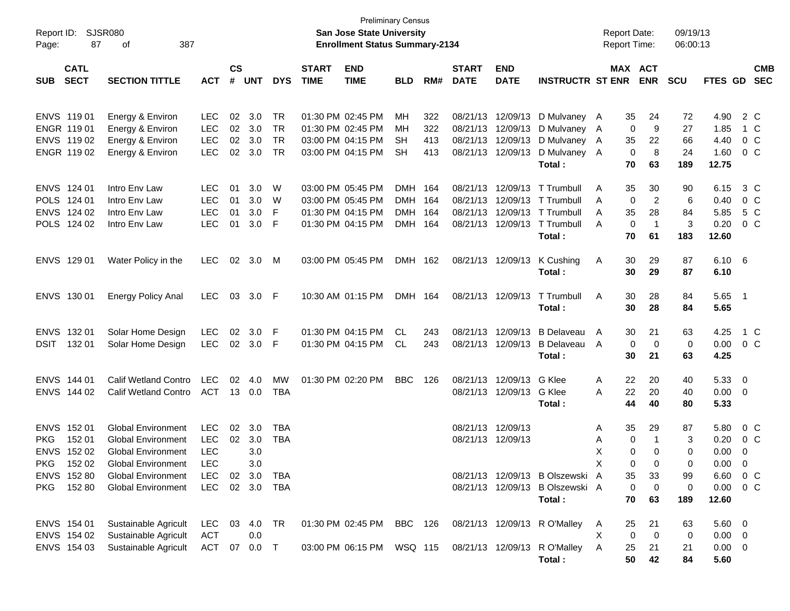|                                                          |             |                             |              |           |             |            |              | <b>Preliminary Census</b>                                                 |            |     |              |                   |                                        |                                            |             |                |                      |                     |                         |                |
|----------------------------------------------------------|-------------|-----------------------------|--------------|-----------|-------------|------------|--------------|---------------------------------------------------------------------------|------------|-----|--------------|-------------------|----------------------------------------|--------------------------------------------|-------------|----------------|----------------------|---------------------|-------------------------|----------------|
| <b>SJSR080</b><br>Report ID:<br>87<br>387<br>οf<br>Page: |             |                             |              |           |             |            |              | <b>San Jose State University</b><br><b>Enrollment Status Summary-2134</b> |            |     |              |                   |                                        | <b>Report Date:</b><br><b>Report Time:</b> |             |                | 09/19/13<br>06:00:13 |                     |                         |                |
|                                                          | <b>CATL</b> |                             |              | <b>CS</b> |             |            | <b>START</b> | <b>END</b>                                                                |            |     | <b>START</b> | <b>END</b>        |                                        |                                            |             | MAX ACT        |                      |                     |                         | <b>CMB</b>     |
| <b>SUB</b>                                               | <b>SECT</b> | <b>SECTION TITTLE</b>       | <b>ACT</b>   | #         | <b>UNT</b>  | <b>DYS</b> | <b>TIME</b>  | <b>TIME</b>                                                               | <b>BLD</b> | RM# | <b>DATE</b>  | <b>DATE</b>       | <b>INSTRUCTR ST ENR</b>                |                                            |             | <b>ENR</b>     | <b>SCU</b>           | FTES GD             |                         | <b>SEC</b>     |
|                                                          | ENVS 11901  | Energy & Environ            | <b>LEC</b>   | 02        | 3.0         | <b>TR</b>  |              | 01:30 PM 02:45 PM                                                         | MH         | 322 | 08/21/13     | 12/09/13          | D Mulvaney A                           |                                            | 35          | 24             | 72                   | 4.90                |                         | 2 C            |
|                                                          | ENGR 119 01 | Energy & Environ            | <b>LEC</b>   | 02        | 3.0         | <b>TR</b>  |              | 01:30 PM 02:45 PM                                                         | <b>MH</b>  | 322 | 08/21/13     | 12/09/13          | D Mulvaney A                           |                                            | 0           | 9              | 27                   | 1.85                |                         | 1 C            |
|                                                          | ENVS 119 02 | Energy & Environ            | <b>LEC</b>   | 02        | 3.0         | <b>TR</b>  |              | 03:00 PM 04:15 PM                                                         | <b>SH</b>  | 413 | 08/21/13     | 12/09/13          | D Mulvaney A                           |                                            | 35          | 22             | 66                   | 4.40                |                         | $0\,C$         |
|                                                          | ENGR 119 02 | Energy & Environ            | <b>LEC</b>   | 02        | 3.0         | <b>TR</b>  |              | 03:00 PM 04:15 PM                                                         | <b>SH</b>  | 413 | 08/21/13     | 12/09/13          | D Mulvaney A                           |                                            | 0           | 8              | 24                   | 1.60                |                         | 0 C            |
|                                                          |             |                             |              |           |             |            |              |                                                                           |            |     |              |                   | Total:                                 |                                            | 70          | 63             | 189                  | 12.75               |                         |                |
|                                                          | ENVS 124 01 | Intro Env Law               | <b>LEC</b>   | 01        | 3.0         | W          |              | 03:00 PM 05:45 PM                                                         | <b>DMH</b> | 164 | 08/21/13     | 12/09/13          | T Trumbull                             | Α                                          | 35          | 30             | 90                   | 6.15                |                         | 3 C            |
|                                                          | POLS 124 01 | Intro Env Law               | <b>LEC</b>   | 01        | 3.0         | W          |              | 03:00 PM 05:45 PM                                                         | <b>DMH</b> | 164 | 08/21/13     | 12/09/13          | T Trumbull                             | A                                          | 0           | 2              | 6                    | 0.40                |                         | 0 <sup>o</sup> |
|                                                          | ENVS 124 02 | Intro Env Law               | <b>LEC</b>   | 01        | 3.0         | F          |              | 01:30 PM 04:15 PM                                                         | <b>DMH</b> | 164 | 08/21/13     | 12/09/13          | T Trumbull                             | A                                          | 35          | 28             | 84                   | 5.85                |                         | 5 C            |
|                                                          | POLS 124 02 | Intro Env Law               | <b>LEC</b>   | 01        | 3.0         | F          |              | 01:30 PM 04:15 PM                                                         | DMH 164    |     | 08/21/13     | 12/09/13          | T Trumbull                             | A                                          | $\mathbf 0$ | $\overline{1}$ | 3                    | 0.20                |                         | 0 <sup>o</sup> |
|                                                          |             |                             |              |           |             |            |              |                                                                           |            |     |              |                   | Total:                                 |                                            | 70          | 61             | 183                  | 12.60               |                         |                |
|                                                          | ENVS 129 01 | Water Policy in the         | <b>LEC</b>   |           | 02 3.0      | M          |              | 03:00 PM 05:45 PM                                                         | DMH 162    |     |              | 08/21/13 12/09/13 | K Cushing                              | Α                                          | 30          | 29             | 87                   | $6.10\quad 6$       |                         |                |
|                                                          |             |                             |              |           |             |            |              |                                                                           |            |     |              |                   | Total:                                 |                                            | 30          | 29             | 87                   | 6.10                |                         |                |
|                                                          | ENVS 130 01 | <b>Energy Policy Anal</b>   | <b>LEC</b>   |           | 03 3.0 F    |            |              | 10:30 AM 01:15 PM                                                         | DMH 164    |     |              | 08/21/13 12/09/13 | T Trumbull                             | A                                          | 30          | 28             | 84                   | $5.65$ 1            |                         |                |
|                                                          |             |                             |              |           |             |            |              |                                                                           |            |     |              |                   | Total:                                 |                                            | 30          | 28             | 84                   | 5.65                |                         |                |
|                                                          | ENVS 132 01 | Solar Home Design           | <b>LEC</b>   | 02        | 3.0         | F          |              | 01:30 PM 04:15 PM                                                         | CL         | 243 | 08/21/13     | 12/09/13          | <b>B</b> Delaveau                      | A                                          | 30          | 21             | 63                   | 4.25                |                         | 1 C            |
| <b>DSIT</b>                                              | 132 01      | Solar Home Design           | <b>LEC</b>   |           | 02 3.0      | -F         |              | 01:30 PM 04:15 PM                                                         | CL         | 243 | 08/21/13     | 12/09/13          | <b>B</b> Delaveau                      | A                                          | $\mathbf 0$ | 0              | 0                    | 0.00                |                         | 0 C            |
|                                                          |             |                             |              |           |             |            |              |                                                                           |            |     |              |                   | Total:                                 |                                            | 30          | 21             | 63                   | 4.25                |                         |                |
|                                                          | ENVS 144 01 | <b>Calif Wetland Contro</b> | <b>LEC</b>   | 02        | 4.0         | MW         |              | 01:30 PM 02:20 PM                                                         | <b>BBC</b> | 126 | 08/21/13     | 12/09/13          | G Klee                                 | Α                                          | 22          | 20             | 40                   | 5.33 0              |                         |                |
|                                                          | ENVS 144 02 | <b>Calif Wetland Contro</b> | ACT          |           | 13 0.0      | <b>TBA</b> |              |                                                                           |            |     |              | 08/21/13 12/09/13 | G Klee                                 | A                                          | 22          | 20             | 40                   | $0.00 \t 0$         |                         |                |
|                                                          |             |                             |              |           |             |            |              |                                                                           |            |     |              |                   | Total:                                 |                                            | 44          | 40             | 80                   | 5.33                |                         |                |
|                                                          | ENVS 152 01 | <b>Global Environment</b>   | <b>LEC</b>   | 02        | 3.0         | <b>TBA</b> |              |                                                                           |            |     | 08/21/13     | 12/09/13          |                                        | A                                          | 35          | 29             | 87                   | 5.80                |                         | 0 C            |
| <b>PKG</b>                                               | 152 01      | <b>Global Environment</b>   | <b>LEC</b>   | 02        | 3.0         | <b>TBA</b> |              |                                                                           |            |     |              | 08/21/13 12/09/13 |                                        | Α                                          | 0           | $\mathbf 1$    | 3                    | 0.20                |                         | $0\,$ C        |
|                                                          | ENVS 152 02 | <b>Global Environment</b>   | <b>LEC</b>   |           | 3.0         |            |              |                                                                           |            |     |              |                   |                                        | X                                          | 0           | 0              | 0                    | 0.00                | 0                       |                |
|                                                          | PKG 152 02  | <b>Global Environment</b>   | <b>LEC</b>   |           | 3.0         |            |              |                                                                           |            |     |              |                   |                                        | X                                          | 0           | 0              | $\Omega$             | 0.00                | $\overline{\mathbf{0}}$ |                |
|                                                          | ENVS 152 80 | <b>Global Environment</b>   | LEC          |           | 02 3.0      | TBA        |              |                                                                           |            |     |              |                   | 08/21/13 12/09/13 B Olszewski A        |                                            | 35          | 33             | 99                   | 6.60 0 C            |                         |                |
| PKG                                                      | 152 80      | <b>Global Environment</b>   | LEC          |           |             | 02 3.0 TBA |              |                                                                           |            |     |              |                   | 08/21/13 12/09/13 B Olszewski A        |                                            | 0           | 0              | 0                    | $0.00 \t 0 C$       |                         |                |
|                                                          |             |                             |              |           |             |            |              |                                                                           |            |     |              |                   | Total:                                 |                                            | 70          | 63             | 189                  | 12.60               |                         |                |
|                                                          | ENVS 154 01 | Sustainable Agricult        | LEC          |           | 03  4.0  TR |            |              | 01:30 PM 02:45 PM BBC 126                                                 |            |     |              |                   | 08/21/13 12/09/13 R O'Malley           | A                                          | 25          | 21             | 63                   | $5.60$ 0            |                         |                |
|                                                          | ENVS 154 02 | Sustainable Agricult        | ACT          |           | 0.0         |            |              |                                                                           |            |     |              |                   |                                        | X                                          | 0           | 0              | 0                    | $0.00 \t 0$         |                         |                |
|                                                          | ENVS 154 03 | Sustainable Agricult        | ACT 07 0.0 T |           |             |            |              | 03:00 PM 06:15 PM WSQ 115                                                 |            |     |              |                   | 08/21/13 12/09/13 R O'Malley<br>Total: | A                                          | 25<br>50    | 21<br>42       | 21<br>84             | $0.00 \t 0$<br>5.60 |                         |                |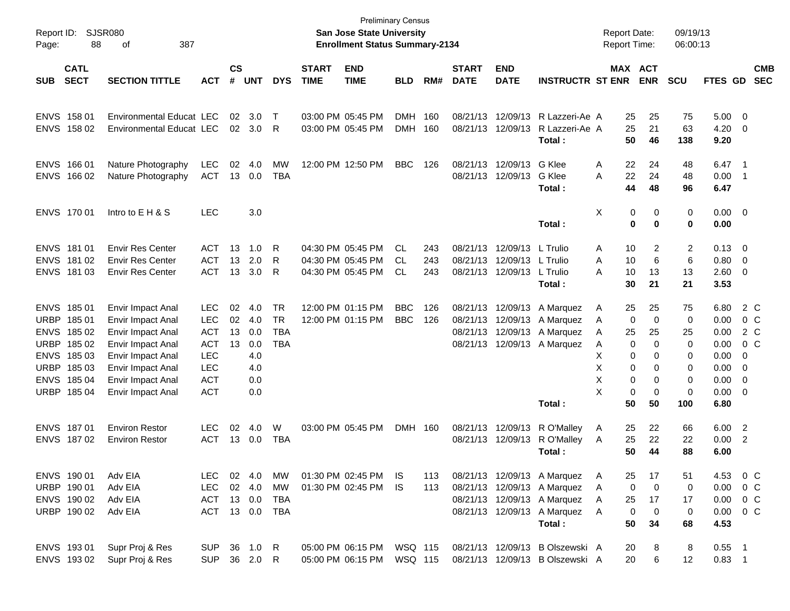| Report ID:<br>Page:                       |                                                                                                      |                                                                                                                                                                      |                                                                                                              |                      |                                                      | <b>San Jose State University</b><br><b>Enrollment Status Summary-2134</b> | <b>Preliminary Census</b>   |                                                             |                               |                   |                             | <b>Report Date:</b>                                         |                                                                                                                                    | Report Time:                         | 09/19/13<br>06:00:13                                                                 |                                                                                |                                               |                                                                      |                                                            |                                                |
|-------------------------------------------|------------------------------------------------------------------------------------------------------|----------------------------------------------------------------------------------------------------------------------------------------------------------------------|--------------------------------------------------------------------------------------------------------------|----------------------|------------------------------------------------------|---------------------------------------------------------------------------|-----------------------------|-------------------------------------------------------------|-------------------------------|-------------------|-----------------------------|-------------------------------------------------------------|------------------------------------------------------------------------------------------------------------------------------------|--------------------------------------|--------------------------------------------------------------------------------------|--------------------------------------------------------------------------------|-----------------------------------------------|----------------------------------------------------------------------|------------------------------------------------------------|------------------------------------------------|
| <b>SUB</b>                                | <b>CATL</b><br><b>SECT</b>                                                                           | <b>SECTION TITTLE</b>                                                                                                                                                | <b>ACT</b>                                                                                                   | $\mathsf{cs}$<br>#   | <b>UNT</b>                                           | <b>DYS</b>                                                                | <b>START</b><br><b>TIME</b> | <b>END</b><br><b>TIME</b>                                   | <b>BLD</b>                    | RM#               | <b>START</b><br><b>DATE</b> | <b>END</b><br><b>DATE</b>                                   | <b>INSTRUCTR ST ENR</b>                                                                                                            |                                      |                                                                                      | MAX ACT<br><b>ENR</b>                                                          | <b>SCU</b>                                    | FTES GD SEC                                                          |                                                            | <b>CMB</b>                                     |
|                                           | ENVS 158 01<br>ENVS 158 02                                                                           | <b>Environmental Educat LEC</b><br>Environmental Educat LEC                                                                                                          |                                                                                                              | 02                   | 3.0<br>02 3.0                                        | Т<br>R                                                                    |                             | 03:00 PM 05:45 PM<br>03:00 PM 05:45 PM                      | DMH.<br><b>DMH</b>            | 160<br>160        |                             | 08/21/13 12/09/13<br>08/21/13 12/09/13                      | R Lazzeri-Ae A<br>R Lazzeri-Ae A<br>Total:                                                                                         |                                      | 25<br>25<br>50                                                                       | 25<br>21<br>46                                                                 | 75<br>63<br>138                               | 5.00<br>4.20<br>9.20                                                 | $\overline{\phantom{0}}$<br>- 0                            |                                                |
| <b>ENVS</b>                               | ENVS 166 01<br>166 02                                                                                | Nature Photography<br>Nature Photography                                                                                                                             | <b>LEC</b><br><b>ACT</b>                                                                                     | 02<br>13             | 4.0<br>0.0                                           | MW<br><b>TBA</b>                                                          |                             | 12:00 PM 12:50 PM                                           | <b>BBC</b>                    | 126               |                             | 08/21/13 12/09/13<br>08/21/13 12/09/13                      | G Klee<br>G Klee<br>Total:                                                                                                         | A<br>Α                               | 22<br>22<br>44                                                                       | 24<br>24<br>48                                                                 | 48<br>48<br>96                                | 6.47<br>0.00<br>6.47                                                 | $\overline{\phantom{0}}$ 1<br>- 1                          |                                                |
|                                           | ENVS 170 01                                                                                          | Intro to E H & S                                                                                                                                                     | <b>LEC</b>                                                                                                   |                      | 3.0                                                  |                                                                           |                             |                                                             |                               |                   |                             |                                                             | Total:                                                                                                                             | X                                    | 0<br>$\mathbf 0$                                                                     | 0<br>$\bf{0}$                                                                  | 0<br>0                                        | $0.00 \t 0$<br>0.00                                                  |                                                            |                                                |
|                                           | ENVS 181 01<br>ENVS 181 02<br>ENVS 181 03                                                            | <b>Envir Res Center</b><br><b>Envir Res Center</b><br><b>Envir Res Center</b>                                                                                        | <b>ACT</b><br><b>ACT</b><br><b>ACT</b>                                                                       | 13<br>13<br>13       | 1.0<br>2.0<br>3.0                                    | R<br>R<br>R                                                               |                             | 04:30 PM 05:45 PM<br>04:30 PM 05:45 PM<br>04:30 PM 05:45 PM | CL.<br><b>CL</b><br><b>CL</b> | 243<br>243<br>243 |                             | 08/21/13 12/09/13<br>08/21/13 12/09/13<br>08/21/13 12/09/13 | L Trulio<br>L Trulio<br>L Trulio<br>Total:                                                                                         | A<br>A<br>Α                          | 10<br>10<br>10<br>30                                                                 | 2<br>6<br>13<br>21                                                             | 2<br>6<br>13<br>21                            | 0.13<br>0.80<br>2.60<br>3.53                                         | $\overline{\phantom{0}}$<br>$\overline{\mathbf{0}}$<br>- 0 |                                                |
| <b>URBP</b><br><b>ENVS</b><br><b>URBP</b> | ENVS 185 01<br>18501<br>185 02<br>185 02<br>ENVS 185 03<br>URBP 185 03<br>ENVS 185 04<br>URBP 185 04 | Envir Impact Anal<br>Envir Impact Anal<br>Envir Impact Anal<br>Envir Impact Anal<br>Envir Impact Anal<br>Envir Impact Anal<br>Envir Impact Anal<br>Envir Impact Anal | <b>LEC</b><br><b>LEC</b><br><b>ACT</b><br><b>ACT</b><br><b>LEC</b><br><b>LEC</b><br><b>ACT</b><br><b>ACT</b> | 02<br>02<br>13<br>13 | 4.0<br>4.0<br>0.0<br>0.0<br>4.0<br>4.0<br>0.0<br>0.0 | <b>TR</b><br><b>TR</b><br><b>TBA</b><br><b>TBA</b>                        |                             | 12:00 PM 01:15 PM<br>12:00 PM 01:15 PM                      | <b>BBC</b><br><b>BBC</b>      | 126<br>126        |                             | 08/21/13 12/09/13<br>08/21/13 12/09/13<br>08/21/13 12/09/13 | A Marquez<br>A Marquez<br>A Marquez<br>08/21/13 12/09/13 A Marquez<br>Total:                                                       | A<br>A<br>A<br>A<br>X<br>X<br>X<br>X | 25<br>$\mathbf 0$<br>25<br>$\mathbf 0$<br>0<br>$\mathbf 0$<br>0<br>$\mathbf 0$<br>50 | 25<br>$\mathbf 0$<br>25<br>0<br>$\Omega$<br>$\Omega$<br>0<br>$\mathbf 0$<br>50 | 75<br>0<br>25<br>0<br>0<br>0<br>0<br>0<br>100 | 6.80<br>0.00<br>0.00<br>0.00<br>0.00<br>0.00<br>0.00<br>0.00<br>6.80 | 0<br>0<br>0<br>- 0                                         | 2 C<br>0 <sup>o</sup><br>2 C<br>0 <sup>o</sup> |
|                                           | ENVS 187 01<br>ENVS 18702                                                                            | <b>Environ Restor</b><br><b>Environ Restor</b>                                                                                                                       | <b>LEC</b><br><b>ACT</b>                                                                                     | 02                   | 4.0<br>13 0.0                                        | W<br><b>TBA</b>                                                           |                             | 03:00 PM 05:45 PM                                           | <b>DMH</b>                    | 160               | 08/21/13 12/09/13           | 08/21/13 12/09/13                                           | R O'Malley<br>R O'Malley<br>Total:                                                                                                 | A<br>A                               | 25<br>25<br>50                                                                       | 22<br>22<br>44                                                                 | 66<br>22<br>88                                | 6.00<br>0.00<br>6.00                                                 | $\overline{\phantom{a}}$<br>$\overline{2}$                 |                                                |
|                                           | ENVS 190 01<br>URBP 190 01<br>ENVS 190 02<br>URBP 190 02                                             | Adv EIA<br>Adv EIA<br>Adv EIA<br>Adv EIA                                                                                                                             | LEC.<br><b>LEC</b><br><b>ACT</b><br>ACT 13 0.0 TBA                                                           |                      | 02 4.0<br>02 4.0<br>13 0.0                           | МW<br>MW<br>TBA                                                           |                             | 01:30 PM 02:45 PM<br>01:30 PM 02:45 PM                      | IS.<br>IS.                    | 113<br>113        |                             |                                                             | 08/21/13 12/09/13 A Marquez<br>08/21/13 12/09/13 A Marquez<br>08/21/13 12/09/13 A Marquez<br>08/21/13 12/09/13 A Marquez<br>Total: | A<br>A<br>A<br>A                     | 25<br>0<br>25<br>$\mathbf 0$<br>50                                                   | 17<br>$\mathbf 0$<br>17<br>$\mathbf 0$<br>34                                   | 51<br>0<br>17<br>0<br>68                      | 4.53<br>0.00<br>$0.00 \t 0 C$<br>$0.00 \t 0 C$<br>4.53               |                                                            | 0 <sup>o</sup><br>$0\,$ C                      |
|                                           | ENVS 193 01<br>ENVS 193 02                                                                           | Supr Proj & Res<br>Supr Proj & Res                                                                                                                                   | <b>SUP</b><br><b>SUP</b>                                                                                     |                      | 36 1.0 R<br>36 2.0 R                                 |                                                                           |                             | 05:00 PM 06:15 PM<br>05:00 PM 06:15 PM                      | WSQ 115<br>WSQ 115            |                   |                             |                                                             | 08/21/13 12/09/13 B Olszewski A<br>08/21/13 12/09/13 B Olszewski A                                                                 |                                      | 20<br>20                                                                             | 8<br>6                                                                         | 8<br>12                                       | $0.55$ 1<br>$0.83$ 1                                                 |                                                            |                                                |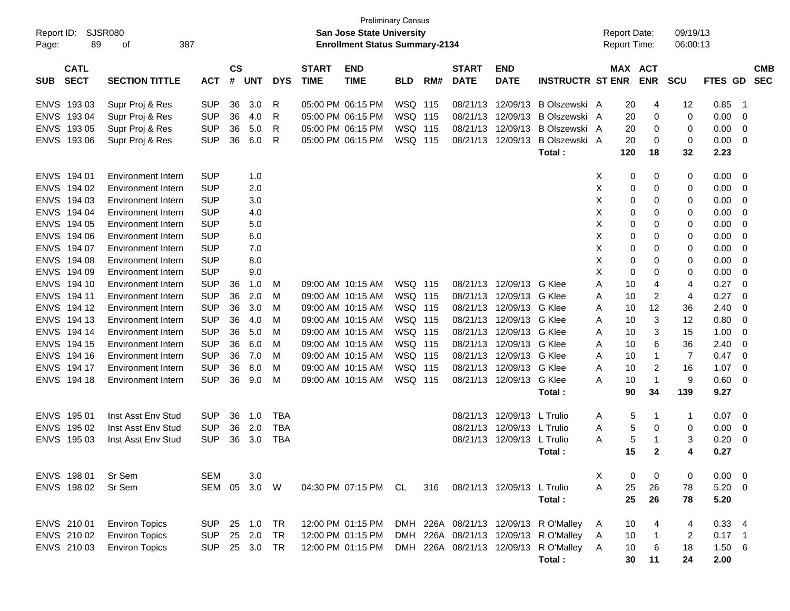| <b>Preliminary Census</b><br><b>SJSR080</b><br>San Jose State University<br>Report ID:<br><b>Enrollment Status Summary-2134</b><br>89<br>387<br>Page:<br>οf |                            |                           |            |                    |            |            |                             |                           |            | <b>Report Date:</b><br>Report Time: |                             | 09/19/13<br>06:00:13       |                                       |              |         |                |            |          |                 |                          |
|-------------------------------------------------------------------------------------------------------------------------------------------------------------|----------------------------|---------------------------|------------|--------------------|------------|------------|-----------------------------|---------------------------|------------|-------------------------------------|-----------------------------|----------------------------|---------------------------------------|--------------|---------|----------------|------------|----------|-----------------|--------------------------|
| <b>SUB</b>                                                                                                                                                  | <b>CATL</b><br><b>SECT</b> | <b>SECTION TITTLE</b>     | <b>ACT</b> | $\mathsf{cs}$<br># | <b>UNT</b> | <b>DYS</b> | <b>START</b><br><b>TIME</b> | <b>END</b><br><b>TIME</b> | <b>BLD</b> | RM#                                 | <b>START</b><br><b>DATE</b> | <b>END</b><br><b>DATE</b>  | <b>INSTRUCTR ST ENR</b>               |              | MAX ACT | <b>ENR</b>     | <b>SCU</b> | FTES GD  |                 | <b>CMB</b><br><b>SEC</b> |
|                                                                                                                                                             |                            |                           |            |                    |            |            |                             |                           |            |                                     |                             |                            |                                       |              |         |                |            |          |                 |                          |
| <b>ENVS</b>                                                                                                                                                 | 193 03                     | Supr Proj & Res           | <b>SUP</b> | 36                 | 3.0        | R          |                             | 05:00 PM 06:15 PM         | WSQ 115    |                                     | 08/21/13                    | 12/09/13                   | B Olszewski A                         |              | 20      | 4              | 12         | 0.85     | $\overline{1}$  |                          |
| <b>ENVS</b>                                                                                                                                                 | 193 04                     | Supr Proj & Res           | <b>SUP</b> | 36                 | 4.0        | R          |                             | 05:00 PM 06:15 PM         | WSQ 115    |                                     | 08/21/13                    | 12/09/13                   | B Olszewski A                         |              | 20      | 0              | 0          | 0.00     | 0               |                          |
| <b>ENVS</b>                                                                                                                                                 | 193 05                     | Supr Proj & Res           | <b>SUP</b> | 36                 | 5.0        | R          |                             | 05:00 PM 06:15 PM         | WSQ 115    |                                     | 08/21/13                    | 12/09/13                   | <b>B Olszewski</b>                    | A            | 20      | 0              | 0          | 0.00     | 0               |                          |
| <b>ENVS</b>                                                                                                                                                 | 193 06                     | Supr Proj & Res           | <b>SUP</b> | 36                 | 6.0        | R          |                             | 05:00 PM 06:15 PM         | WSQ 115    |                                     | 08/21/13                    | 12/09/13                   | B Olszewski A                         |              | 20      | 0              | 0          | 0.00     | 0               |                          |
|                                                                                                                                                             |                            |                           |            |                    |            |            |                             |                           |            |                                     |                             |                            | Total:                                |              | 120     | 18             | 32         | 2.23     |                 |                          |
| <b>ENVS</b>                                                                                                                                                 | 194 01                     | <b>Environment Intern</b> | <b>SUP</b> |                    | 1.0        |            |                             |                           |            |                                     |                             |                            |                                       | Х            | 0       | 0              | 0          | 0.00     | 0               |                          |
| <b>ENVS</b>                                                                                                                                                 | 194 02                     | <b>Environment Intern</b> | <b>SUP</b> |                    | 2.0        |            |                             |                           |            |                                     |                             |                            |                                       | X            | 0       | 0              | 0          | 0.00     | 0               |                          |
| <b>ENVS</b>                                                                                                                                                 | 194 03                     | <b>Environment Intern</b> | <b>SUP</b> |                    | 3.0        |            |                             |                           |            |                                     |                             |                            |                                       | X            | 0       | 0              | 0          | 0.00     | 0               |                          |
| <b>ENVS</b>                                                                                                                                                 | 194 04                     | <b>Environment Intern</b> | <b>SUP</b> |                    | 4.0        |            |                             |                           |            |                                     |                             |                            |                                       | X            | 0       | 0              | 0          | 0.00     | 0               |                          |
| <b>ENVS</b>                                                                                                                                                 | 194 05                     | <b>Environment Intern</b> | <b>SUP</b> |                    | 5.0        |            |                             |                           |            |                                     |                             |                            |                                       | X            | 0       | 0              | 0          | 0.00     | 0               |                          |
| <b>ENVS</b>                                                                                                                                                 | 194 06                     | <b>Environment Intern</b> | <b>SUP</b> |                    | 6.0        |            |                             |                           |            |                                     |                             |                            |                                       | Х            | 0       | 0              | 0          | 0.00     | 0               |                          |
| <b>ENVS</b>                                                                                                                                                 | 194 07                     | <b>Environment Intern</b> | <b>SUP</b> |                    | 7.0        |            |                             |                           |            |                                     |                             |                            |                                       | X            | 0       | 0              | 0          | 0.00     | 0               |                          |
| <b>ENVS</b>                                                                                                                                                 | 194 08                     | <b>Environment Intern</b> | <b>SUP</b> |                    | 8.0        |            |                             |                           |            |                                     |                             |                            |                                       | Х            | 0       | 0              | 0          | 0.00     | 0               |                          |
| <b>ENVS</b>                                                                                                                                                 | 194 09                     | <b>Environment Intern</b> | <b>SUP</b> |                    | 9.0        |            |                             |                           |            |                                     |                             |                            |                                       | X            | 0       | 0              | 0          | 0.00     | 0               |                          |
| <b>ENVS</b>                                                                                                                                                 | 194 10                     | <b>Environment Intern</b> | <b>SUP</b> | 36                 | 1.0        | M          |                             | 09:00 AM 10:15 AM         | WSQ 115    |                                     | 08/21/13                    | 12/09/13                   | G Klee                                | Α            | 10      | 4              | 4          | 0.27     | 0               |                          |
| <b>ENVS</b>                                                                                                                                                 | 194 11                     | <b>Environment Intern</b> | <b>SUP</b> | 36                 | 2.0        | M          |                             | 09:00 AM 10:15 AM         | WSQ 115    |                                     | 08/21/13                    | 12/09/13                   | G Klee                                | A            | 10      | 2              | 4          | 0.27     | 0               |                          |
| <b>ENVS</b>                                                                                                                                                 | 194 12                     | <b>Environment Intern</b> | <b>SUP</b> | 36                 | 3.0        | M          |                             | 09:00 AM 10:15 AM         | WSQ 115    |                                     | 08/21/13                    | 12/09/13                   | G Klee                                | A            | 10      | 12             | 36         | 2.40     | 0               |                          |
| <b>ENVS</b>                                                                                                                                                 | 194 13                     | <b>Environment Intern</b> | <b>SUP</b> | 36                 | 4.0        | M          |                             | 09:00 AM 10:15 AM         | WSQ 115    |                                     | 08/21/13                    | 12/09/13                   | G Klee                                | A            | 10      | 3              | 12         | 0.80     | 0               |                          |
| <b>ENVS</b>                                                                                                                                                 | 194 14                     | <b>Environment Intern</b> | <b>SUP</b> | 36                 | 5.0        | M          |                             | 09:00 AM 10:15 AM         | WSQ 115    |                                     | 08/21/13                    | 12/09/13                   | G Klee                                | A            | 10      | 3              | 15         | 1.00     | 0               |                          |
| <b>ENVS</b>                                                                                                                                                 | 194 15                     | <b>Environment Intern</b> | <b>SUP</b> | 36                 | 6.0        | M          |                             | 09:00 AM 10:15 AM         | WSQ 115    |                                     | 08/21/13                    | 12/09/13                   | G Klee                                | A            | 10      | 6              | 36         | 2.40     | 0               |                          |
| <b>ENVS</b>                                                                                                                                                 | 194 16                     | <b>Environment Intern</b> | <b>SUP</b> | 36                 | 7.0        | M          |                             | 09:00 AM 10:15 AM         | WSQ 115    |                                     | 08/21/13                    | 12/09/13                   | G Klee                                | A            | 10      | $\mathbf 1$    | 7          | 0.47     | 0               |                          |
| <b>ENVS</b>                                                                                                                                                 | 194 17                     | <b>Environment Intern</b> | <b>SUP</b> | 36                 | 8.0        | M          |                             | 09:00 AM 10:15 AM         | WSQ 115    |                                     | 08/21/13                    | 12/09/13                   | G Klee                                | A            | 10      | $\overline{2}$ | 16         | 1.07     | 0               |                          |
| <b>ENVS</b>                                                                                                                                                 | 194 18                     | Environment Intern        | <b>SUP</b> | 36                 | 9.0        | M          |                             | 09:00 AM 10:15 AM         | WSQ 115    |                                     | 08/21/13                    | 12/09/13                   | G Klee                                | A            | 10      | $\mathbf 1$    | 9          | 0.60     | 0               |                          |
|                                                                                                                                                             |                            |                           |            |                    |            |            |                             |                           |            |                                     |                             |                            | Total:                                |              | 90      | 34             | 139        | 9.27     |                 |                          |
| <b>ENVS</b>                                                                                                                                                 | 195 01                     | Inst Asst Env Stud        | <b>SUP</b> | 36                 | 1.0        | <b>TBA</b> |                             |                           |            |                                     | 08/21/13                    | 12/09/13 L Trulio          |                                       | A            | 5       | $\mathbf 1$    | 1          | 0.07     | 0               |                          |
| <b>ENVS</b>                                                                                                                                                 | 195 02                     | Inst Asst Env Stud        | <b>SUP</b> | 36                 | 2.0        | <b>TBA</b> |                             |                           |            |                                     | 08/21/13                    | 12/09/13                   | L Trulio                              | A            | 5       | 0              | 0          | 0.00     | 0               |                          |
| <b>ENVS</b>                                                                                                                                                 | 195 03                     | Inst Asst Env Stud        | <b>SUP</b> | 36                 | 3.0        | <b>TBA</b> |                             |                           |            |                                     | 08/21/13                    | 12/09/13                   | L Trulio                              | A            | 5       | -1             | 3          | 0.20     | 0               |                          |
|                                                                                                                                                             |                            |                           |            |                    |            |            |                             |                           |            |                                     |                             |                            | Total:                                |              | 15      | $\mathbf{2}$   | 4          | 0.27     |                 |                          |
|                                                                                                                                                             |                            |                           |            |                    |            |            |                             |                           |            |                                     |                             |                            |                                       |              |         |                |            |          |                 |                          |
|                                                                                                                                                             | ENVS 198 01                | Sr Sem                    | <b>SEM</b> |                    | 3.0        |            |                             |                           |            |                                     |                             |                            |                                       | Х            | 0       | 0              | 0          | 0.00     | - 0             |                          |
|                                                                                                                                                             | ENVS 198 02                | Sr Sem                    | SEM 05     |                    | 3.0        | W          |                             | 04:30 PM 07:15 PM CL      |            | 316                                 |                             | 08/21/13 12/09/13 L Trulio |                                       | Α            | 25      | 26             | 78         | 5.20     | - 0             |                          |
|                                                                                                                                                             |                            |                           |            |                    |            |            |                             |                           |            |                                     |                             |                            | Total:                                |              | 25      | 26             | 78         | 5.20     |                 |                          |
|                                                                                                                                                             | ENVS 210 01                | <b>Environ Topics</b>     | <b>SUP</b> |                    | 25 1.0     | TR         |                             | 12:00 PM 01:15 PM         |            |                                     |                             |                            | DMH 226A 08/21/13 12/09/13 R O'Malley | A            | 10      |                | 4          | 0.33     | - 4             |                          |
|                                                                                                                                                             | ENVS 210 02                | <b>Environ Topics</b>     | <b>SUP</b> | 25                 | 2.0        | <b>TR</b>  |                             | 12:00 PM 01:15 PM         |            |                                     |                             |                            | DMH 226A 08/21/13 12/09/13 R O'Malley | Α            | 10      | $\overline{1}$ | 2          | $0.17$ 1 |                 |                          |
|                                                                                                                                                             | ENVS 210 03                | <b>Environ Topics</b>     | <b>SUP</b> |                    | 25 3.0     | TR         |                             | 12:00 PM 01:15 PM         |            |                                     |                             |                            | DMH 226A 08/21/13 12/09/13 R O'Malley | $\mathsf{A}$ | 10      | 6              | 18         | 1.50     | $6\overline{6}$ |                          |
|                                                                                                                                                             |                            |                           |            |                    |            |            |                             |                           |            |                                     |                             |                            | Total:                                |              | 30      | 11             | 24         | 2.00     |                 |                          |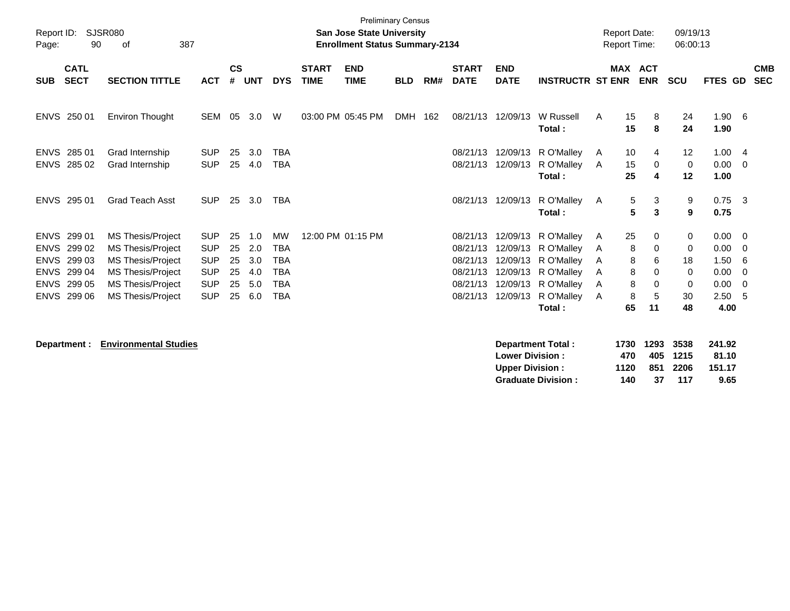| <b>Preliminary Census</b><br>SJSR080<br>Report ID:<br><b>San Jose State University</b><br>90<br>387<br><b>Enrollment Status Summary-2134</b><br>Page:<br>οf |                            |                          |            |                    |            |            |                             |                           |            |     |                             |                           | <b>Report Date:</b><br><b>Report Time:</b>                                                                                |   | 09/19/13<br>06:00:13         |                            |                       |                          |                          |
|-------------------------------------------------------------------------------------------------------------------------------------------------------------|----------------------------|--------------------------|------------|--------------------|------------|------------|-----------------------------|---------------------------|------------|-----|-----------------------------|---------------------------|---------------------------------------------------------------------------------------------------------------------------|---|------------------------------|----------------------------|-----------------------|--------------------------|--------------------------|
| <b>SUB</b>                                                                                                                                                  | <b>CATL</b><br><b>SECT</b> | <b>SECTION TITTLE</b>    | <b>ACT</b> | $\mathsf{cs}$<br># | <b>UNT</b> | <b>DYS</b> | <b>START</b><br><b>TIME</b> | <b>END</b><br><b>TIME</b> | <b>BLD</b> | RM# | <b>START</b><br><b>DATE</b> | <b>END</b><br><b>DATE</b> | <b>INSTRUCTR ST ENR</b>                                                                                                   |   | <b>MAX ACT</b><br><b>ENR</b> | <b>SCU</b>                 | FTES GD               |                          | <b>CMB</b><br><b>SEC</b> |
|                                                                                                                                                             | ENVS 250 01                | Environ Thought          | SEM        | 05                 | 3.0        | W          |                             | 03:00 PM 05:45 PM         | DMH        | 162 | 08/21/13                    | 12/09/13                  | W Russell<br>Total:                                                                                                       | A | 15<br>8<br>15<br>8           | 24<br>24                   | $1.90\quad 6$<br>1.90 |                          |                          |
|                                                                                                                                                             | ENVS 285 01                | Grad Internship          | <b>SUP</b> | 25                 | 3.0        | <b>TBA</b> |                             |                           |            |     | 08/21/13                    |                           | 12/09/13 R O'Malley                                                                                                       | A | 10<br>4                      | 12                         | 1.004                 |                          |                          |
| <b>ENVS</b>                                                                                                                                                 | 285 02                     | Grad Internship          | <b>SUP</b> | 25                 | 4.0        | <b>TBA</b> |                             |                           |            |     | 08/21/13                    | 12/09/13                  | R O'Malley<br>Total:                                                                                                      | A | 15<br>0<br>25<br>4           | $\mathbf 0$<br>12          | 0.00<br>1.00          | $\overline{\phantom{0}}$ |                          |
|                                                                                                                                                             | ENVS 295 01                | <b>Grad Teach Asst</b>   | <b>SUP</b> | 25                 | 3.0        | <b>TBA</b> |                             |                           |            |     | 08/21/13                    | 12/09/13                  | R O'Malley<br>Total:                                                                                                      | A | 5<br>3<br>5<br>3             | 9<br>9                     | $0.75$ 3<br>0.75      |                          |                          |
|                                                                                                                                                             | ENVS 299 01                | <b>MS Thesis/Project</b> | <b>SUP</b> | 25                 | 1.0        | MW         |                             | 12:00 PM 01:15 PM         |            |     | 08/21/13                    |                           | 12/09/13 R O'Malley                                                                                                       | A | 25<br>0                      | 0                          | $0.00 \t 0$           |                          |                          |
|                                                                                                                                                             | ENVS 299 02                | <b>MS Thesis/Project</b> | <b>SUP</b> | 25                 | 2.0        | <b>TBA</b> |                             |                           |            |     | 08/21/13                    |                           | 12/09/13 R O'Malley                                                                                                       | A | 8<br>0                       | 0                          | 0.00                  | $\overline{0}$           |                          |
| <b>ENVS</b>                                                                                                                                                 | 299 03                     | MS Thesis/Project        | <b>SUP</b> | 25                 | 3.0        | <b>TBA</b> |                             |                           |            |     | 08/21/13                    |                           | 12/09/13 R O'Malley                                                                                                       | A | 8<br>6                       | 18                         | 1.50                  | - 6                      |                          |
| <b>ENVS</b>                                                                                                                                                 | 299 04                     | <b>MS Thesis/Project</b> | <b>SUP</b> | 25                 | 4.0        | <b>TBA</b> |                             |                           |            |     | 08/21/13                    |                           | 12/09/13 R O'Malley                                                                                                       | A | 8<br>$\Omega$                | 0                          | 0.00                  | $\overline{0}$           |                          |
|                                                                                                                                                             | ENVS 299 05                | MS Thesis/Project        | <b>SUP</b> | 25                 | 5.0        | <b>TBA</b> |                             |                           |            |     | 08/21/13                    |                           | 12/09/13 R O'Malley                                                                                                       | A | 8<br>0                       | 0                          | 0.00                  | $\overline{\mathbf{0}}$  |                          |
|                                                                                                                                                             | ENVS 299 06                | <b>MS Thesis/Project</b> | <b>SUP</b> | 25                 | 6.0        | <b>TBA</b> |                             |                           |            |     | 08/21/13                    |                           | 12/09/13 R O'Malley                                                                                                       | A | 8<br>5                       | 30                         | 2.50                  | - 5                      |                          |
|                                                                                                                                                             |                            |                          |            |                    |            |            |                             |                           |            |     |                             |                           | Total:<br>The contract of the contract of the contract of the contract of the contract of the contract of the contract of |   | 11<br>65                     | 48<br>$1700$ $1000$ $0700$ | 4.00                  |                          |                          |

**Department : Environmental Studies** 

|      |    |     | 241.92                                 |
|------|----|-----|----------------------------------------|
| 470  |    |     | 81.10                                  |
| 1120 |    |     | 151.17                                 |
| 140  | 37 | 117 | 9.65                                   |
|      |    |     | 1730 1293 3538<br>405 1215<br>851 2206 |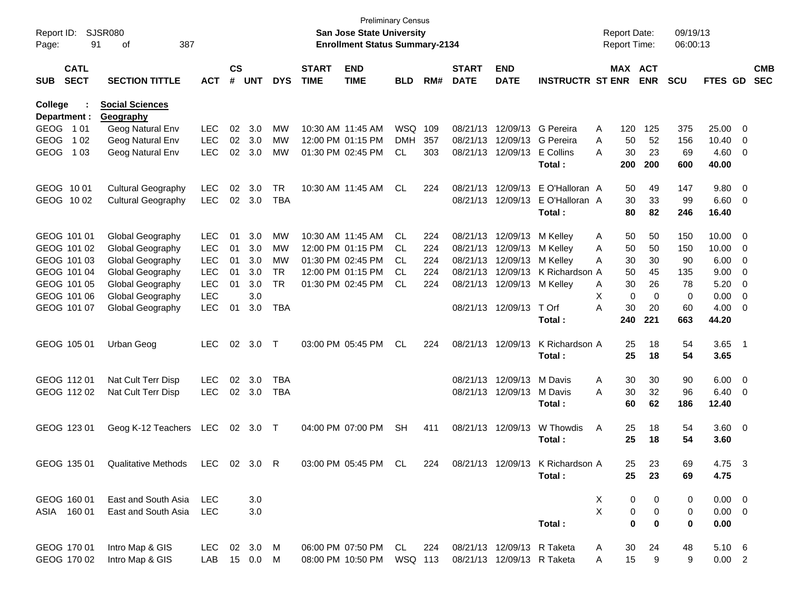| Page:       | SJSR080<br>Report ID:<br>91<br>387<br>οf |                           |              |                    |            |            |                             | <b>San Jose State University</b><br><b>Enrollment Status Summary-2134</b> | <b>Preliminary Census</b> |     |                             |                            |                                  |   | <b>Report Date:</b><br><b>Report Time:</b> |             | 09/19/13<br>06:00:13 |               |                          |            |
|-------------|------------------------------------------|---------------------------|--------------|--------------------|------------|------------|-----------------------------|---------------------------------------------------------------------------|---------------------------|-----|-----------------------------|----------------------------|----------------------------------|---|--------------------------------------------|-------------|----------------------|---------------|--------------------------|------------|
| <b>SUB</b>  | <b>CATL</b><br><b>SECT</b>               | <b>SECTION TITTLE</b>     | <b>ACT</b>   | $\mathsf{cs}$<br># | <b>UNT</b> | <b>DYS</b> | <b>START</b><br><b>TIME</b> | <b>END</b><br><b>TIME</b>                                                 | <b>BLD</b>                | RM# | <b>START</b><br><b>DATE</b> | <b>END</b><br><b>DATE</b>  | <b>INSTRUCTR ST ENR</b>          |   | MAX ACT                                    | <b>ENR</b>  | <b>SCU</b>           | FTES GD SEC   |                          | <b>CMB</b> |
| College     |                                          | <b>Social Sciences</b>    |              |                    |            |            |                             |                                                                           |                           |     |                             |                            |                                  |   |                                            |             |                      |               |                          |            |
|             | Department :                             | Geography                 |              |                    |            |            |                             | 10:30 AM 11:45 AM                                                         |                           |     |                             |                            |                                  |   |                                            |             |                      |               |                          |            |
|             | GEOG 101                                 | Geog Natural Env          | <b>LEC</b>   | 02                 | 3.0        | MW         |                             |                                                                           | WSQ 109                   |     |                             |                            | 08/21/13 12/09/13 G Pereira      | A | 120                                        | 125         | 375                  | 25.00         | $\overline{\mathbf{0}}$  |            |
| <b>GEOG</b> | 1 0 2                                    | Geog Natural Env          | <b>LEC</b>   | 02                 | 3.0        | MW         |                             | 12:00 PM 01:15 PM                                                         | <b>DMH</b>                | 357 |                             | 08/21/13 12/09/13          | G Pereira                        | A | 50                                         | 52          | 156                  | 10.40         | $\overline{\mathbf{0}}$  |            |
| <b>GEOG</b> | 1 0 3                                    | Geog Natural Env          | <b>LEC</b>   | 02                 | 3.0        | <b>MW</b>  |                             | 01:30 PM 02:45 PM                                                         | CL.                       | 303 |                             | 08/21/13 12/09/13          | E Collins<br>Total:              | A | 30<br>200                                  | 23<br>200   | 69<br>600            | 4.60<br>40.00 | $\overline{\mathbf{0}}$  |            |
|             | GEOG 1001                                | <b>Cultural Geography</b> | <b>LEC</b>   | 02                 | 3.0        | TR         |                             | 10:30 AM 11:45 AM                                                         | CL                        | 224 |                             | 08/21/13 12/09/13          | E O'Halloran A                   |   | 50                                         | 49          | 147                  | 9.80          | $\overline{\mathbf{0}}$  |            |
|             | GEOG 1002                                | <b>Cultural Geography</b> | <b>LEC</b>   |                    | 02 3.0     | TBA        |                             |                                                                           |                           |     |                             | 08/21/13 12/09/13          | E O'Halloran A                   |   | 30                                         | 33          | 99                   | 6.60          | $\overline{\phantom{0}}$ |            |
|             |                                          |                           |              |                    |            |            |                             |                                                                           |                           |     |                             |                            | Total:                           |   | 80                                         | 82          | 246                  | 16.40         |                          |            |
|             | GEOG 101 01                              | Global Geography          | <b>LEC</b>   | 01                 | 3.0        | MW         |                             | 10:30 AM 11:45 AM                                                         | CL.                       | 224 |                             | 08/21/13 12/09/13          | M Kelley                         | A | 50                                         | 50          | 150                  | 10.00         | $\overline{\mathbf{0}}$  |            |
|             | GEOG 101 02                              | Global Geography          | <b>LEC</b>   | 01                 | 3.0        | <b>MW</b>  |                             | 12:00 PM 01:15 PM                                                         | CL.                       | 224 |                             | 08/21/13 12/09/13          | M Kelley                         | A | 50                                         | 50          | 150                  | 10.00         | $\overline{\mathbf{0}}$  |            |
|             | GEOG 101 03                              | Global Geography          | <b>LEC</b>   | 01                 | 3.0        | <b>MW</b>  |                             | 01:30 PM 02:45 PM                                                         | CL.                       | 224 |                             | 08/21/13 12/09/13          | M Kellev                         | Α | 30                                         | 30          | 90                   | 6.00          | $\overline{\mathbf{0}}$  |            |
|             | GEOG 101 04                              | Global Geography          | <b>LEC</b>   | 01                 | 3.0        | <b>TR</b>  |                             | 12:00 PM 01:15 PM                                                         | CL.                       | 224 |                             | 08/21/13 12/09/13          | K Richardson A                   |   | 50                                         | 45          | 135                  | 9.00          | - 0                      |            |
|             | GEOG 101 05                              | Global Geography          | <b>LEC</b>   | 01                 | 3.0        | <b>TR</b>  |                             | 01:30 PM 02:45 PM                                                         | CL.                       | 224 |                             | 08/21/13 12/09/13          | M Kellev                         | A | 30                                         | 26          | 78                   | 5.20          | $\overline{\mathbf{0}}$  |            |
|             | GEOG 101 06                              | Global Geography          | <b>LEC</b>   |                    | 3.0        |            |                             |                                                                           |                           |     |                             |                            |                                  | Χ | $\mathbf 0$                                | $\mathbf 0$ | 0                    | 0.00          | $\overline{\mathbf{0}}$  |            |
|             | GEOG 101 07                              | Global Geography          | <b>LEC</b>   | 01                 | 3.0        | TBA        |                             |                                                                           |                           |     |                             | 08/21/13 12/09/13          | T Orf                            | Α | 30                                         | 20          | 60                   | 4.00          | $\overline{\mathbf{0}}$  |            |
|             |                                          |                           |              |                    |            |            |                             |                                                                           |                           |     |                             |                            | Total:                           |   | 240                                        | 221         | 663                  | 44.20         |                          |            |
|             | GEOG 105 01                              | Urban Geog                | <b>LEC</b>   | 02                 | 3.0        | $\top$     |                             | 03:00 PM 05:45 PM                                                         | CL.                       | 224 |                             | 08/21/13 12/09/13          | K Richardson A                   |   | 25                                         | 18          | 54                   | $3.65$ 1      |                          |            |
|             |                                          |                           |              |                    |            |            |                             |                                                                           |                           |     |                             |                            | Total:                           |   | 25                                         | 18          | 54                   | 3.65          |                          |            |
|             | GEOG 11201                               | Nat Cult Terr Disp        | <b>LEC</b>   | 02                 | 3.0        | <b>TBA</b> |                             |                                                                           |                           |     |                             | 08/21/13 12/09/13          | M Davis                          | A | 30                                         | 30          | 90                   | 6.00          | $\overline{\phantom{0}}$ |            |
|             | GEOG 112 02                              | Nat Cult Terr Disp        | <b>LEC</b>   |                    | 02 3.0     | TBA        |                             |                                                                           |                           |     |                             | 08/21/13 12/09/13          | M Davis                          | A | 30                                         | 32          | 96                   | 6.40          | $\overline{\mathbf{0}}$  |            |
|             |                                          |                           |              |                    |            |            |                             |                                                                           |                           |     |                             |                            | Total:                           |   | 60                                         | 62          | 186                  | 12.40         |                          |            |
|             | GEOG 123 01                              | Geog K-12 Teachers LEC    |              |                    | 02 3.0 T   |            |                             | 04:00 PM 07:00 PM                                                         | <b>SH</b>                 | 411 |                             | 08/21/13 12/09/13          | W Thowdis                        | A | 25                                         | 18          | 54                   | $3.60 \ 0$    |                          |            |
|             |                                          |                           |              |                    |            |            |                             |                                                                           |                           |     |                             |                            | Total:                           |   | 25                                         | 18          | 54                   | 3.60          |                          |            |
|             | GEOG 135 01                              | Qualitative Methods       | LEC 02 3.0 R |                    |            |            |                             | 03:00 PM 05:45 PM                                                         | -CL                       | 224 |                             |                            | 08/21/13 12/09/13 K Richardson A |   | 25                                         | -23         | 69                   | 4.75          | -3                       |            |
|             |                                          |                           |              |                    |            |            |                             |                                                                           |                           |     |                             |                            | Total:                           |   | 25                                         | 23          | 69                   | 4.75          |                          |            |
|             |                                          |                           |              |                    |            |            |                             |                                                                           |                           |     |                             |                            |                                  |   |                                            |             |                      |               |                          |            |
|             | GEOG 160 01                              | East and South Asia       | LEC          |                    | 3.0        |            |                             |                                                                           |                           |     |                             |                            |                                  | X | 0                                          | 0           | 0                    | $0.00 \t 0$   |                          |            |
|             | ASIA 160 01                              | East and South Asia       | <b>LEC</b>   |                    | 3.0        |            |                             |                                                                           |                           |     |                             |                            |                                  | X | 0                                          | 0           | 0                    | $0.00 \t 0$   |                          |            |
|             |                                          |                           |              |                    |            |            |                             |                                                                           |                           |     |                             |                            | Total:                           |   | $\mathbf 0$                                | $\mathbf 0$ | 0                    | 0.00          |                          |            |
|             | GEOG 170 01                              | Intro Map & GIS           | LEC.         | 02                 | 3.0        | M          |                             | 06:00 PM 07:50 PM                                                         | CL                        | 224 |                             | 08/21/13 12/09/13 R Taketa |                                  | A | 30                                         | 24          | 48                   | 5.10 6        |                          |            |
|             | GEOG 170 02                              | Intro Map & GIS           | LAB          |                    | 15  0.0  M |            |                             | 08:00 PM 10:50 PM                                                         | WSQ 113                   |     |                             | 08/21/13 12/09/13 R Taketa |                                  | Α | 15                                         | 9           | 9                    | 0.00 2        |                          |            |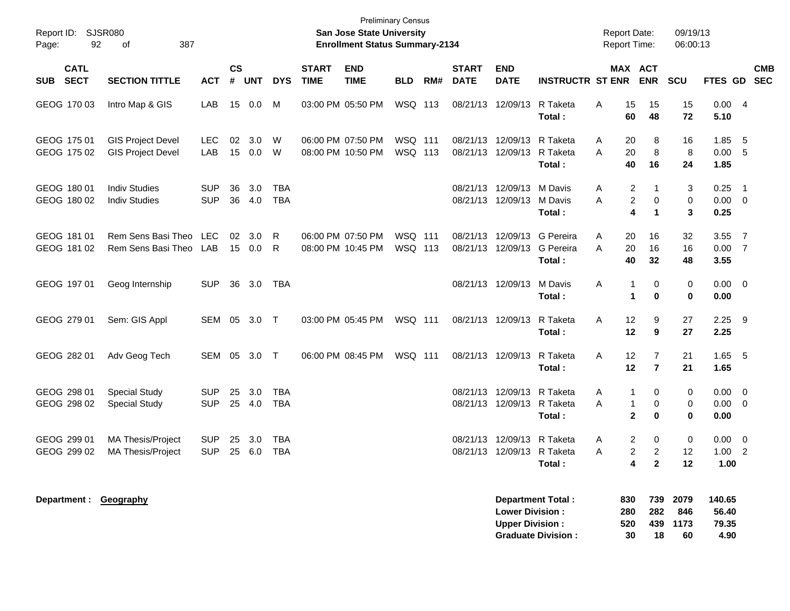| Report ID: SJSR080<br>92<br>Page:        | 387<br>οf                                            |                          |                    |            |                          |                             | <b>San Jose State University</b><br><b>Enrollment Status Summary-2134</b> | <b>Preliminary Census</b> |     |                             |                                                  |                                                       | <b>Report Date:</b><br>Report Time: |                                                                                                | 09/19/13<br>06:00:13      |                                  |                                           |            |
|------------------------------------------|------------------------------------------------------|--------------------------|--------------------|------------|--------------------------|-----------------------------|---------------------------------------------------------------------------|---------------------------|-----|-----------------------------|--------------------------------------------------|-------------------------------------------------------|-------------------------------------|------------------------------------------------------------------------------------------------|---------------------------|----------------------------------|-------------------------------------------|------------|
| <b>CATL</b><br><b>SECT</b><br><b>SUB</b> | <b>SECTION TITTLE</b>                                | <b>ACT</b>               | $\mathsf{cs}$<br># | <b>UNT</b> | <b>DYS</b>               | <b>START</b><br><b>TIME</b> | <b>END</b><br><b>TIME</b>                                                 | <b>BLD</b>                | RM# | <b>START</b><br><b>DATE</b> | <b>END</b><br><b>DATE</b>                        | <b>INSTRUCTR ST ENR</b>                               |                                     | MAX ACT<br><b>ENR</b>                                                                          | <b>SCU</b>                | FTES GD SEC                      |                                           | <b>CMB</b> |
| GEOG 170 03                              | Intro Map & GIS                                      | LAB                      | 15                 | 0.0        | м                        |                             | 03:00 PM 05:50 PM                                                         | WSQ 113                   |     |                             | 08/21/13 12/09/13                                | R Taketa<br>Total:                                    | 15<br>Α<br>60                       | 15<br>48                                                                                       | 15<br>72                  | 0.00<br>5.10                     | $\overline{4}$                            |            |
| GEOG 175 01<br>GEOG 175 02               | <b>GIS Project Devel</b><br><b>GIS Project Devel</b> | <b>LEC</b><br>LAB        | 02<br>15           | 3.0<br>0.0 | W<br>W                   |                             | 06:00 PM 07:50 PM<br>08:00 PM 10:50 PM                                    | WSQ 111<br>WSQ 113        |     |                             | 08/21/13 12/09/13<br>08/21/13 12/09/13           | R Taketa<br>R Taketa<br>Total:                        | Α<br>20<br>20<br>А<br>40            | 8<br>8<br>16                                                                                   | 16<br>8<br>24             | 1.85<br>0.00<br>1.85             | 5<br>- 5                                  |            |
| GEOG 180 01<br>GEOG 180 02               | <b>Indiv Studies</b><br><b>Indiv Studies</b>         | <b>SUP</b><br><b>SUP</b> | 36<br>36           | 3.0<br>4.0 | <b>TBA</b><br><b>TBA</b> |                             |                                                                           |                           |     |                             | 08/21/13 12/09/13<br>08/21/13 12/09/13           | M Davis<br>M Davis<br>Total:                          | Α<br>А                              | 2<br>1<br>2<br>0<br>4<br>$\mathbf 1$                                                           | 3<br>0<br>3               | 0.25<br>$0.00 \t 0$<br>0.25      | $\overline{1}$                            |            |
| GEOG 181 01<br>GEOG 181 02               | Rem Sens Basi Theo<br>Rem Sens Basi Theo             | <b>LEC</b><br>LAB        | 02<br>15           | 3.0<br>0.0 | R<br>R                   |                             | 06:00 PM 07:50 PM<br>08:00 PM 10:45 PM                                    | WSQ 111<br>WSQ 113        |     |                             | 08/21/13 12/09/13<br>08/21/13 12/09/13           | G Pereira<br>G Pereira<br>Total:                      | Α<br>20<br>20<br>А<br>40            | 16<br>16<br>32                                                                                 | 32<br>16<br>48            | 3.55<br>0.00<br>3.55             | $\overline{7}$<br>$\overline{7}$          |            |
| GEOG 197 01                              | Geog Internship                                      | <b>SUP</b>               | 36                 | 3.0        | TBA                      |                             |                                                                           |                           |     |                             | 08/21/13 12/09/13                                | M Davis<br>Total:                                     | Α<br>1<br>1                         | 0<br>$\bf{0}$                                                                                  | 0<br>0                    | 0.00<br>0.00                     | $\overline{\phantom{0}}$                  |            |
| GEOG 279 01                              | Sem: GIS Appl                                        | SEM 05                   |                    | 3.0        | $\top$                   |                             | 03:00 PM 05:45 PM                                                         | <b>WSQ 111</b>            |     |                             | 08/21/13 12/09/13                                | R Taketa<br>Total:                                    | 12<br>A<br>12                       | 9<br>9                                                                                         | 27<br>27                  | 2.25<br>2.25                     | - 9                                       |            |
| GEOG 282 01                              | Adv Geog Tech                                        | SEM 05                   |                    | $3.0$ T    |                          |                             | 06:00 PM 08:45 PM                                                         | <b>WSQ 111</b>            |     |                             | 08/21/13 12/09/13                                | R Taketa<br>Total:                                    | 12<br>A<br>12                       | 7<br>$\overline{7}$                                                                            | 21<br>21                  | 1.65<br>1.65                     | $-5$                                      |            |
| GEOG 298 01<br>GEOG 298 02               | <b>Special Study</b><br><b>Special Study</b>         | <b>SUP</b><br><b>SUP</b> | 25<br>25           | 3.0<br>4.0 | <b>TBA</b><br><b>TBA</b> |                             |                                                                           |                           |     |                             | 08/21/13 12/09/13<br>08/21/13 12/09/13 R Taketa  | R Taketa<br>Total:                                    | 1<br>Α<br>Α                         | 0<br>1<br>0<br>$\mathbf{2}$<br>$\bf{0}$                                                        | 0<br>0<br>0               | 0.00<br>$0.00 \t 0$<br>0.00      | $\overline{\mathbf{0}}$                   |            |
| GEOG 299 01<br>GEOG 299 02               | MA Thesis/Project<br><b>MA Thesis/Project</b>        | <b>SUP</b><br><b>SUP</b> | 25<br>25           | 3.0<br>6.0 | TBA<br><b>TBA</b>        |                             |                                                                           |                           |     |                             | 08/21/13 12/09/13<br>08/21/13 12/09/13 R Taketa  | R Taketa<br>Total:                                    | Α<br>Α                              | 2<br>0<br>$\overline{\mathbf{c}}$<br>$\overline{c}$<br>$\overline{\mathbf{4}}$<br>$\mathbf{2}$ | 0<br>12<br>12             | 0.00<br>1.00<br>1.00             | $\overline{\mathbf{0}}$<br>$\overline{2}$ |            |
| Department: Geography                    |                                                      |                          |                    |            |                          |                             |                                                                           |                           |     |                             | <b>Lower Division:</b><br><b>Upper Division:</b> | <b>Department Total:</b><br><b>Graduate Division:</b> | 830<br>280<br>520<br>30             | 739<br>282<br>439<br>18                                                                        | 2079<br>846<br>1173<br>60 | 140.65<br>56.40<br>79.35<br>4.90 |                                           |            |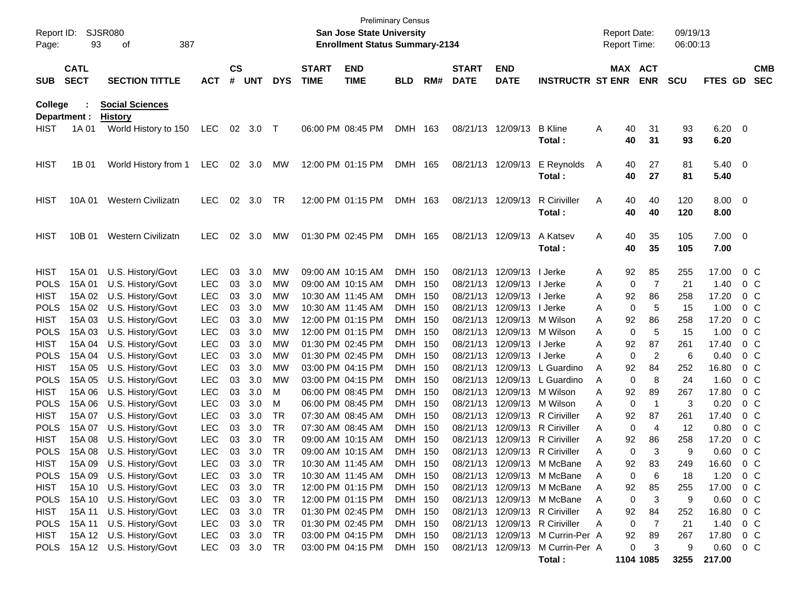| Report ID:<br>Page: | 93                         | SJSR080<br>387<br>οf                     |            |                    |                |            |                             | <b>Preliminary Census</b><br>San Jose State University<br><b>Enrollment Status Summary-2134</b> |            |     |                             |                           |                                            |   | <b>Report Date:</b><br><b>Report Time:</b> |                | 09/19/13<br>06:00:13 |                        |                          |                          |
|---------------------|----------------------------|------------------------------------------|------------|--------------------|----------------|------------|-----------------------------|-------------------------------------------------------------------------------------------------|------------|-----|-----------------------------|---------------------------|--------------------------------------------|---|--------------------------------------------|----------------|----------------------|------------------------|--------------------------|--------------------------|
| <b>SUB</b>          | <b>CATL</b><br><b>SECT</b> | <b>SECTION TITTLE</b>                    | <b>ACT</b> | $\mathsf{cs}$<br># | <b>UNT</b>     | <b>DYS</b> | <b>START</b><br><b>TIME</b> | <b>END</b><br><b>TIME</b>                                                                       | <b>BLD</b> | RM# | <b>START</b><br><b>DATE</b> | <b>END</b><br><b>DATE</b> | <b>INSTRUCTR ST ENR</b>                    |   | MAX ACT                                    | <b>ENR</b>     | <b>SCU</b>           | FTES GD                |                          | <b>CMB</b><br><b>SEC</b> |
| College             | Department :               | <b>Social Sciences</b><br><b>History</b> |            |                    |                |            |                             |                                                                                                 |            |     |                             |                           |                                            |   |                                            |                |                      |                        |                          |                          |
| <b>HIST</b>         | 1A 01                      | World History to 150                     | LEC        | 02                 | 3.0            | $\top$     |                             | 06:00 PM 08:45 PM                                                                               | <b>DMH</b> | 163 |                             | 08/21/13 12/09/13         | <b>B</b> Kline<br>Total:                   | Α | 40<br>40                                   | 31<br>31       | 93<br>93             | 6.20<br>6.20           | $\overline{\phantom{0}}$ |                          |
| <b>HIST</b>         | 1B 01                      | World History from 1                     | <b>LEC</b> | 02                 | 3.0            | МW         |                             | 12:00 PM 01:15 PM                                                                               | DMH 165    |     | 08/21/13 12/09/13           |                           | E Reynolds<br>Total:                       | A | 40<br>40                                   | 27<br>27       | 81<br>81             | $5.40 \quad 0$<br>5.40 |                          |                          |
| HIST                | 10A 01                     | <b>Western Civilizatn</b>                | <b>LEC</b> | 02                 | 3.0            | TR         |                             | 12:00 PM 01:15 PM                                                                               | DMH 163    |     |                             | 08/21/13 12/09/13         | <b>R</b> Ciriviller<br>Total:              | A | 40<br>40                                   | 40<br>40       | 120<br>120           | 8.00 0<br>8.00         |                          |                          |
| HIST                | 10B 01                     | <b>Western Civilizatn</b>                | <b>LEC</b> | 02                 | 3.0            | MW         | 01:30 PM 02:45 PM           |                                                                                                 | DMH 165    |     |                             | 08/21/13 12/09/13         | A Katsev<br>Total:                         | A | 40<br>40                                   | 35<br>35       | 105<br>105           | 7.00 0<br>7.00         |                          |                          |
| <b>HIST</b>         | 15A 01                     | U.S. History/Govt                        | <b>LEC</b> | 03                 | 3.0            | MW         | 09:00 AM 10:15 AM           |                                                                                                 | DMH 150    |     |                             | 08/21/13 12/09/13 l Jerke |                                            | A | 92                                         | 85             | 255                  | 17.00                  | $0\,C$                   |                          |
| <b>POLS</b>         | 15A 01                     | U.S. History/Govt                        | <b>LEC</b> | 03                 | 3.0            | MW         | 09:00 AM 10:15 AM           |                                                                                                 | DMH 150    |     | 08/21/13                    | 12/09/13   Jerke          |                                            | A | 0                                          | 7              | 21                   | 1.40                   | $0\,$ C                  |                          |
| <b>HIST</b>         | 15A 02                     | U.S. History/Govt                        | <b>LEC</b> | 03                 | 3.0            | MW         |                             | 10:30 AM 11:45 AM                                                                               | DMH 150    |     | 08/21/13                    | 12/09/13   Jerke          |                                            | A | 92                                         | 86             | 258                  | 17.20                  | $0\,C$                   |                          |
| <b>POLS</b>         | 15A 02                     | U.S. History/Govt                        | <b>LEC</b> | 03                 | 3.0            | MW         |                             | 10:30 AM 11:45 AM                                                                               | DMH 150    |     | 08/21/13                    | 12/09/13   Jerke          |                                            | A | 0                                          | 5              | 15                   | 1.00                   | $0\,C$                   |                          |
| <b>HIST</b>         | 15A 03                     | U.S. History/Govt                        | <b>LEC</b> | 03                 | 3.0            | MW         |                             | 12:00 PM 01:15 PM                                                                               | DMH 150    |     | 08/21/13                    | 12/09/13 M Wilson         |                                            | Α | 92                                         | 86             | 258                  | 17.20                  | $0\,C$                   |                          |
| <b>POLS</b>         | 15A 03                     | U.S. History/Govt                        | <b>LEC</b> | 03                 | 3.0            | MW         |                             | 12:00 PM 01:15 PM                                                                               | DMH 150    |     | 08/21/13                    | 12/09/13 M Wilson         |                                            | A | 0                                          | 5              | 15                   | 1.00                   | $0\,C$                   |                          |
| <b>HIST</b>         | 15A 04                     | U.S. History/Govt                        | <b>LEC</b> | 03                 | 3.0            | MW         |                             | 01:30 PM 02:45 PM                                                                               | DMH 150    |     | 08/21/13                    | 12/09/13   Jerke          |                                            | A | 92                                         | 87             | 261                  | 17.40                  | $0\,C$                   |                          |
| <b>POLS</b>         | 15A 04                     | U.S. History/Govt                        | <b>LEC</b> | 03                 | 3.0            | MW         |                             | 01:30 PM 02:45 PM                                                                               | DMH 150    |     | 08/21/13                    | 12/09/13   Jerke          |                                            | A | 0                                          | $\overline{2}$ | 6                    | 0.40                   | $0\,C$                   |                          |
| <b>HIST</b>         | 15A 05                     | U.S. History/Govt                        | <b>LEC</b> | 03                 | 3.0            | MW         |                             | 03:00 PM 04:15 PM                                                                               | DMH 150    |     | 08/21/13                    |                           | 12/09/13 L Guardino                        | A | 92                                         | 84             | 252                  | 16.80                  | $0\,C$                   |                          |
| <b>POLS</b>         | 15A 05                     | U.S. History/Govt                        | <b>LEC</b> | 03                 | 3.0            | MW         |                             | 03:00 PM 04:15 PM                                                                               | DMH 150    |     | 08/21/13                    |                           | 12/09/13 L Guardino                        | A | 0                                          | 8              | 24                   | 1.60                   | $0\,C$                   |                          |
| <b>HIST</b>         | 15A 06                     | U.S. History/Govt                        | <b>LEC</b> | 03                 | 3.0            | м          |                             | 06:00 PM 08:45 PM                                                                               | DMH 150    |     | 08/21/13                    | 12/09/13 M Wilson         |                                            | A | 92                                         | 89             | 267                  | 17.80                  | $0\,C$                   |                          |
| <b>POLS</b>         | 15A 06                     | U.S. History/Govt                        | <b>LEC</b> | 03                 | 3.0            | м          |                             | 06:00 PM 08:45 PM                                                                               | DMH 150    |     | 08/21/13                    | 12/09/13 M Wilson         |                                            | A | 0                                          | $\overline{1}$ | 3                    | 0.20                   | $0\,C$                   |                          |
| <b>HIST</b>         | 15A 07                     | U.S. History/Govt                        | <b>LEC</b> | 03                 | 3.0            | TR         |                             | 07:30 AM 08:45 AM                                                                               | DMH 150    |     | 08/21/13                    |                           | 12/09/13 R Ciriviller                      | A | 92                                         | 87             | 261                  | 17.40                  | $0\,C$                   |                          |
| <b>POLS</b>         | 15A 07                     | U.S. History/Govt                        | <b>LEC</b> | 03                 | 3.0            | <b>TR</b>  | 07:30 AM 08:45 AM           |                                                                                                 | DMH 150    |     | 08/21/13                    |                           | 12/09/13 R Ciriviller                      | A | 0                                          | 4              | 12                   | 0.80                   | $0\,C$                   |                          |
| <b>HIST</b>         | 15A 08                     | U.S. History/Govt                        | <b>LEC</b> | 03                 | 3.0            | TR         | 09:00 AM 10:15 AM           |                                                                                                 | <b>DMH</b> | 150 | 08/21/13                    |                           | 12/09/13 R Ciriviller                      | A | 92                                         | 86             | 258                  | 17.20                  | $0\,C$                   |                          |
| <b>POLS</b>         | 15A 08                     | U.S. History/Govt                        | <b>LEC</b> | 03                 | 3.0            | <b>TR</b>  |                             | 09:00 AM 10:15 AM                                                                               | DMH        | 150 | 08/21/13                    |                           | 12/09/13 R Ciriviller                      | Α | 0                                          | 3              | 9                    | 0.60                   | $0\,C$                   |                          |
| <b>HIST</b>         |                            | 15A 09 U.S. History/Govt                 | LEC        |                    | $03 \quad 3.0$ | TR         |                             | 10:30 AM_11:45 AM_                                                                              | DMH 150    |     |                             |                           | 08/21/13 12/09/13 M McBane                 | А | 92                                         | 83             | 249                  | 16.60                  | $0\,C$                   |                          |
|                     |                            | POLS 15A 09 U.S. History/Govt            | <b>LEC</b> | 03                 | 3.0            | TR         |                             | 10:30 AM 11:45 AM                                                                               | DMH 150    |     |                             |                           | 08/21/13 12/09/13 M McBane                 |   | 0                                          | 6              | 18                   | 1.20                   | $0\,C$                   |                          |
| <b>HIST</b>         |                            | 15A 10 U.S. History/Govt                 | <b>LEC</b> | 03                 | 3.0            | TR         |                             | 12:00 PM 01:15 PM                                                                               | DMH 150    |     |                             |                           | 08/21/13 12/09/13 M McBane                 | Α | 92                                         | 85             | 255                  | 17.00                  | $0\,$ C                  |                          |
| <b>POLS</b>         |                            | 15A 10 U.S. History/Govt                 | <b>LEC</b> | 03                 | 3.0            | TR         |                             | 12:00 PM 01:15 PM                                                                               | DMH 150    |     |                             |                           | 08/21/13 12/09/13 M McBane                 | Α | 0                                          | 3              | 9                    | 0.60                   | $0\,$ C                  |                          |
| HIST                | 15A 11                     | U.S. History/Govt                        | <b>LEC</b> | 03                 | 3.0            | TR         |                             | 01:30 PM 02:45 PM                                                                               | DMH 150    |     |                             |                           | 08/21/13 12/09/13 R Ciriviller             | Α | 92                                         | 84             | 252                  | 16.80                  | $0\,C$                   |                          |
| <b>POLS</b>         | 15A 11                     | U.S. History/Govt                        | <b>LEC</b> | 03                 | 3.0            | TR         |                             | 01:30 PM 02:45 PM                                                                               | DMH 150    |     |                             |                           | 08/21/13 12/09/13 R Ciriviller             | Α | 0                                          | 7              | 21                   | 1.40                   | $0\,$ C                  |                          |
| HIST                |                            | 15A 12 U.S. History/Govt                 | <b>LEC</b> | 03                 | 3.0            | TR         |                             | 03:00 PM 04:15 PM                                                                               | DMH 150    |     |                             |                           | 08/21/13 12/09/13 M Currin-Per A           |   | 92                                         | 89             | 267                  | 17.80                  | $0\,C$                   |                          |
|                     |                            | POLS 15A 12 U.S. History/Govt            | <b>LEC</b> |                    | 03 3.0         | TR         |                             | 03:00 PM 04:15 PM                                                                               | DMH 150    |     |                             |                           | 08/21/13 12/09/13 M Currin-Per A<br>Total: |   | 0                                          | 3<br>1104 1085 | 9<br>3255            | 0.60<br>217.00         | $0\,$ C                  |                          |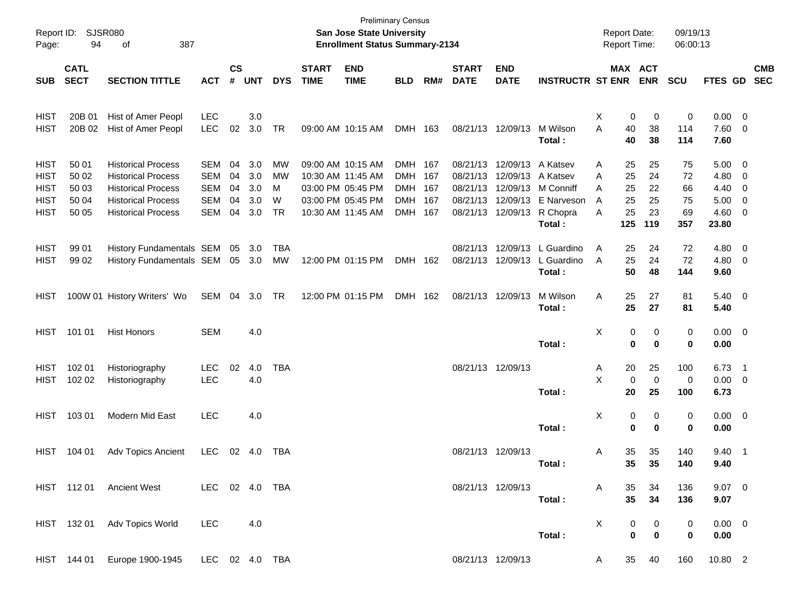| Report ID:<br>Page: | 94                         | SJSR080<br>387<br>of        |                |                    |            |            |                             | San Jose State University<br><b>Enrollment Status Summary-2134</b> | <b>Preliminary Census</b> |     |                             |                           |                         |   |          | <b>Report Date:</b><br><b>Report Time:</b> | 09/19/13<br>06:00:13 |                |                          |                          |
|---------------------|----------------------------|-----------------------------|----------------|--------------------|------------|------------|-----------------------------|--------------------------------------------------------------------|---------------------------|-----|-----------------------------|---------------------------|-------------------------|---|----------|--------------------------------------------|----------------------|----------------|--------------------------|--------------------------|
| <b>SUB</b>          | <b>CATL</b><br><b>SECT</b> | <b>SECTION TITTLE</b>       | <b>ACT</b>     | $\mathsf{cs}$<br># | <b>UNT</b> | <b>DYS</b> | <b>START</b><br><b>TIME</b> | <b>END</b><br><b>TIME</b>                                          | <b>BLD</b>                | RM# | <b>START</b><br><b>DATE</b> | <b>END</b><br><b>DATE</b> | <b>INSTRUCTR ST ENR</b> |   |          | MAX ACT<br><b>ENR</b>                      | <b>SCU</b>           | FTES GD        |                          | <b>CMB</b><br><b>SEC</b> |
|                     |                            |                             |                |                    |            |            |                             |                                                                    |                           |     |                             |                           |                         |   |          |                                            |                      |                |                          |                          |
| <b>HIST</b>         | 20B 01                     | Hist of Amer Peopl          | <b>LEC</b>     |                    | 3.0        |            |                             |                                                                    |                           |     |                             |                           |                         | Х | 0        | 0                                          | 0                    | $0.00 \t 0$    |                          |                          |
| <b>HIST</b>         | 20B 02                     | Hist of Amer Peopl          | <b>LEC</b>     | 02                 | 3.0        | TR         |                             | 09:00 AM 10:15 AM                                                  | DMH 163                   |     | 08/21/13                    | 12/09/13                  | M Wilson                | A | 40       | 38                                         | 114                  | 7.60           | $\overline{\phantom{0}}$ |                          |
|                     |                            |                             |                |                    |            |            |                             |                                                                    |                           |     |                             |                           | Total:                  |   | 40       | 38                                         | 114                  | 7.60           |                          |                          |
| <b>HIST</b>         | 50 01                      | <b>Historical Process</b>   | <b>SEM</b>     | 04                 | 3.0        | MW         |                             | 09:00 AM 10:15 AM                                                  | DMH 167                   |     | 08/21/13                    | 12/09/13                  | A Katsev                | A | 25       | 25                                         | 75                   | 5.00           | $\overline{\phantom{0}}$ |                          |
| <b>HIST</b>         | 50 02                      | <b>Historical Process</b>   | <b>SEM</b>     | 04                 | 3.0        | MW         |                             | 10:30 AM 11:45 AM                                                  | DMH                       | 167 | 08/21/13                    | 12/09/13                  | A Katsev                | A | 25       | 24                                         | 72                   | 4.80           | $\overline{\mathbf{0}}$  |                          |
| <b>HIST</b>         | 50 03                      | <b>Historical Process</b>   | <b>SEM</b>     | 04                 | 3.0        | M          |                             | 03:00 PM 05:45 PM                                                  | DMH                       | 167 | 08/21/13                    | 12/09/13                  | M Conniff               | A | 25       | 22                                         | 66                   | 4.40           | $\overline{\mathbf{0}}$  |                          |
| <b>HIST</b>         | 50 04                      | <b>Historical Process</b>   | <b>SEM</b>     | 04                 | 3.0        | W          |                             | 03:00 PM 05:45 PM                                                  | DMH                       | 167 | 08/21/13                    | 12/09/13                  | E Narveson              | A | 25       | 25                                         | 75                   | 5.00           | $\overline{\mathbf{0}}$  |                          |
| <b>HIST</b>         | 50 05                      | <b>Historical Process</b>   | <b>SEM</b>     | 04                 | 3.0        | TR         |                             | 10:30 AM 11:45 AM                                                  | DMH 167                   |     | 08/21/13                    | 12/09/13                  | R Chopra                | A | 25       | 23                                         | 69                   | 4.60           | $\overline{\mathbf{0}}$  |                          |
|                     |                            |                             |                |                    |            |            |                             |                                                                    |                           |     |                             |                           | Total:                  |   | 125      | 119                                        | 357                  | 23.80          |                          |                          |
| <b>HIST</b>         | 99 01                      | History Fundamentals SEM    |                | 05                 | 3.0        | TBA        |                             |                                                                    |                           |     | 08/21/13                    | 12/09/13                  | L Guardino              | A | 25       | 24                                         | 72                   | 4.80           | $\overline{\mathbf{0}}$  |                          |
| <b>HIST</b>         | 99 02                      | History Fundamentals SEM    |                |                    | 05 3.0     | МW         |                             | 12:00 PM 01:15 PM                                                  | <b>DMH</b>                | 162 | 08/21/13                    | 12/09/13                  | L Guardino              | A | 25       | 24                                         | 72                   | 4.80           | $\overline{\phantom{0}}$ |                          |
|                     |                            |                             |                |                    |            |            |                             |                                                                    |                           |     |                             |                           | Total:                  |   | 50       | 48                                         | 144                  | 9.60           |                          |                          |
| HIST                |                            | 100W 01 History Writers' Wo | SEM            | 04                 | 3.0        | TR         |                             | 12:00 PM 01:15 PM                                                  | DMH 162                   |     |                             | 08/21/13 12/09/13         | M Wilson                | Α | 25       | 27                                         | 81                   | $5.40 \quad 0$ |                          |                          |
|                     |                            |                             |                |                    |            |            |                             |                                                                    |                           |     |                             |                           | Total:                  |   | 25       | 27                                         | 81                   | 5.40           |                          |                          |
| <b>HIST</b>         | 101 01                     | <b>Hist Honors</b>          | <b>SEM</b>     |                    | 4.0        |            |                             |                                                                    |                           |     |                             |                           |                         | X | 0        | 0                                          | 0                    | $0.00 \t 0$    |                          |                          |
|                     |                            |                             |                |                    |            |            |                             |                                                                    |                           |     |                             |                           | Total:                  |   | 0        | $\bf{0}$                                   | 0                    | 0.00           |                          |                          |
|                     |                            |                             |                |                    |            |            |                             |                                                                    |                           |     |                             |                           |                         |   |          |                                            |                      |                |                          |                          |
| <b>HIST</b>         | 102 01                     | Historiography              | <b>LEC</b>     | 02                 | 4.0        | TBA        |                             |                                                                    |                           |     |                             | 08/21/13 12/09/13         |                         | Α | 20       | 25                                         | 100                  | 6.73           | $\overline{\phantom{1}}$ |                          |
| <b>HIST</b>         | 102 02                     | Historiography              | <b>LEC</b>     |                    | 4.0        |            |                             |                                                                    |                           |     |                             |                           |                         | X | 0        | 0                                          | 0                    | $0.00 \t 0$    |                          |                          |
|                     |                            |                             |                |                    |            |            |                             |                                                                    |                           |     |                             |                           | Total:                  |   | 20       | 25                                         | 100                  | 6.73           |                          |                          |
| <b>HIST</b>         | 103 01                     | Modern Mid East             | <b>LEC</b>     |                    | 4.0        |            |                             |                                                                    |                           |     |                             |                           |                         | х | 0        | 0                                          | 0                    | $0.00 \t 0$    |                          |                          |
|                     |                            |                             |                |                    |            |            |                             |                                                                    |                           |     |                             |                           | Total:                  |   | $\bf{0}$ | 0                                          | 0                    | 0.00           |                          |                          |
| <b>HIST</b>         | 104 01                     | Adv Topics Ancient          | <b>LEC</b>     | 02                 | 4.0        | TBA        |                             |                                                                    |                           |     |                             | 08/21/13 12/09/13         |                         | Α | 35       | 35                                         | 140                  | 9.40           | $\overline{\phantom{1}}$ |                          |
|                     |                            |                             |                |                    |            |            |                             |                                                                    |                           |     |                             |                           | Total:                  |   | 35       | 35                                         | 140                  | 9.40           |                          |                          |
|                     |                            | HIST 112 01 Ancient West    | LEC 02 4.0 TBA |                    |            |            |                             |                                                                    |                           |     |                             | 08/21/13 12/09/13         |                         | A | 35       | 34                                         | 136                  | $9.07$ 0       |                          |                          |
|                     |                            |                             |                |                    |            |            |                             |                                                                    |                           |     |                             |                           | Total:                  |   | 35       | 34                                         | 136                  | 9.07           |                          |                          |
|                     |                            |                             |                |                    |            |            |                             |                                                                    |                           |     |                             |                           |                         |   |          |                                            |                      |                |                          |                          |
|                     | HIST 132 01                | Adv Topics World            | <b>LEC</b>     |                    | 4.0        |            |                             |                                                                    |                           |     |                             |                           |                         | X | 0        | 0                                          | 0                    | $0.00 \t 0$    |                          |                          |
|                     |                            |                             |                |                    |            |            |                             |                                                                    |                           |     |                             |                           | Total:                  |   | 0        | $\bf{0}$                                   | 0                    | 0.00           |                          |                          |
|                     | HIST 144 01                | Europe 1900-1945            | LEC 02 4.0 TBA |                    |            |            |                             |                                                                    |                           |     |                             | 08/21/13 12/09/13         |                         | A | 35       | 40                                         | 160                  | 10.80 2        |                          |                          |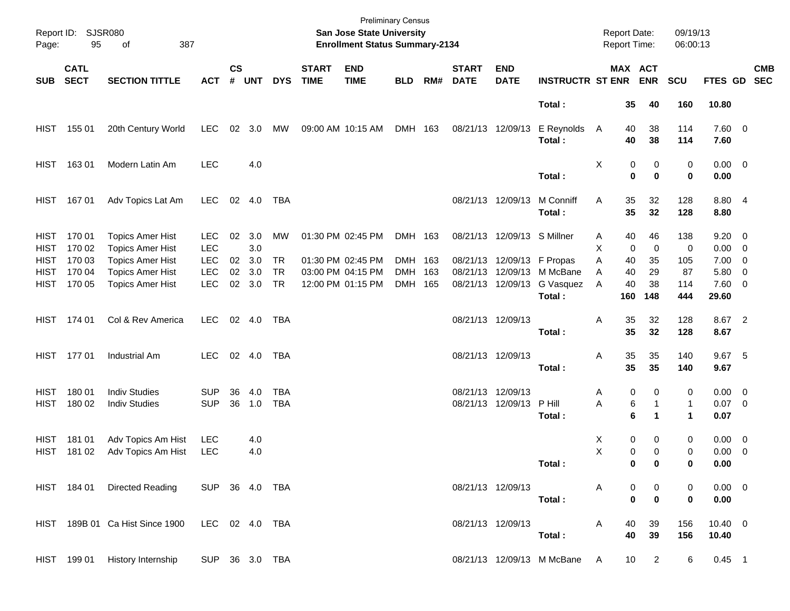| Page:                      | Report ID: SJSR080<br>95   | 387<br>of                                          |                          |                    |            |            |                             | San Jose State University<br><b>Enrollment Status Summary-2134</b> | <b>Preliminary Census</b> |     |                             |                             |                              | <b>Report Date:</b><br>Report Time: |                  |                               | 09/19/13<br>06:00:13 |                           |                          |            |
|----------------------------|----------------------------|----------------------------------------------------|--------------------------|--------------------|------------|------------|-----------------------------|--------------------------------------------------------------------|---------------------------|-----|-----------------------------|-----------------------------|------------------------------|-------------------------------------|------------------|-------------------------------|----------------------|---------------------------|--------------------------|------------|
| <b>SUB</b>                 | <b>CATL</b><br><b>SECT</b> | <b>SECTION TITTLE</b>                              | <b>ACT</b>               | $\mathsf{cs}$<br># | <b>UNT</b> | <b>DYS</b> | <b>START</b><br><b>TIME</b> | <b>END</b><br><b>TIME</b>                                          | <b>BLD</b>                | RM# | <b>START</b><br><b>DATE</b> | <b>END</b><br><b>DATE</b>   | <b>INSTRUCTR ST ENR</b>      |                                     |                  | MAX ACT<br><b>ENR</b>         | <b>SCU</b>           | FTES GD SEC               |                          | <b>CMB</b> |
|                            |                            |                                                    |                          |                    |            |            |                             |                                                                    |                           |     |                             |                             | Total:                       |                                     | 35               | 40                            | 160                  | 10.80                     |                          |            |
| HIST                       | 155 01                     | 20th Century World                                 | <b>LEC</b>               | 02                 | 3.0        | МW         |                             | 09:00 AM 10:15 AM                                                  | DMH 163                   |     |                             | 08/21/13 12/09/13           | E Reynolds<br>Total:         | $\mathsf{A}$                        | 40<br>40         | 38<br>38                      | 114<br>114           | 7.60 0<br>7.60            |                          |            |
| HIST                       | 16301                      | Modern Latin Am                                    | <b>LEC</b>               |                    | 4.0        |            |                             |                                                                    |                           |     |                             |                             | Total:                       | Χ                                   | 0<br>0           | 0<br>$\mathbf 0$              | 0<br>0               | $0.00 \t 0$<br>0.00       |                          |            |
| HIST                       | 16701                      | Adv Topics Lat Am                                  | <b>LEC</b>               | 02                 | 4.0        | TBA        |                             |                                                                    |                           |     |                             | 08/21/13 12/09/13           | M Conniff<br>Total:          | Α                                   | 35<br>35         | 32<br>32                      | 128<br>128           | 8.80 4<br>8.80            |                          |            |
| <b>HIST</b><br><b>HIST</b> | 170 01<br>170 02           | <b>Topics Amer Hist</b><br><b>Topics Amer Hist</b> | <b>LEC</b><br><b>LEC</b> | 02                 | 3.0<br>3.0 | МW         |                             | 01:30 PM 02:45 PM                                                  | DMH 163                   |     |                             | 08/21/13 12/09/13 S Millner |                              | Α<br>х                              | 40<br>0          | 46<br>$\mathbf 0$             | 138<br>0             | $9.20 \ 0$<br>$0.00 \t 0$ |                          |            |
| <b>HIST</b>                | 170 03                     | <b>Topics Amer Hist</b>                            | <b>LEC</b>               | $02\,$             | 3.0        | <b>TR</b>  |                             | 01:30 PM 02:45 PM                                                  | DMH 163                   |     |                             |                             | 08/21/13 12/09/13 F Propas   | A                                   | 40               | 35                            | 105                  | $7.00 \t 0$               |                          |            |
| <b>HIST</b>                | 170 04                     | <b>Topics Amer Hist</b>                            | <b>LEC</b>               | 02                 | 3.0        | <b>TR</b>  |                             | 03:00 PM 04:15 PM                                                  | <b>DMH</b>                | 163 |                             |                             | 08/21/13 12/09/13 M McBane   | Α                                   | 40               | 29                            | 87                   | 5.80                      | $\overline{\phantom{0}}$ |            |
| HIST                       | 170 05                     | <b>Topics Amer Hist</b>                            | <b>LEC</b>               | $02\,$             | 3.0        | <b>TR</b>  |                             | 12:00 PM 01:15 PM                                                  | DMH 165                   |     |                             | 08/21/13 12/09/13           | G Vasquez                    | A                                   | 40               | 38                            | 114                  | 7.60 0                    |                          |            |
|                            |                            |                                                    |                          |                    |            |            |                             |                                                                    |                           |     |                             |                             | Total:                       |                                     | 160              | 148                           | 444                  | 29.60                     |                          |            |
|                            | HIST 174 01                | Col & Rev America                                  | <b>LEC</b>               |                    | 02 4.0     | TBA        |                             |                                                                    |                           |     |                             | 08/21/13 12/09/13           | Total:                       | Α                                   | 35<br>35         | 32<br>32                      | 128<br>128           | 8.67 2<br>8.67            |                          |            |
|                            | HIST 177 01                | Industrial Am                                      | <b>LEC</b>               |                    | 02 4.0     | TBA        |                             |                                                                    |                           |     |                             | 08/21/13 12/09/13           | Total:                       | Α                                   | 35<br>35         | 35<br>35                      | 140<br>140           | 9.67 5<br>9.67            |                          |            |
|                            |                            |                                                    |                          |                    |            |            |                             |                                                                    |                           |     |                             |                             |                              |                                     |                  |                               |                      |                           |                          |            |
| <b>HIST</b>                | 180 01                     | <b>Indiv Studies</b>                               | <b>SUP</b>               | 36                 | 4.0        | <b>TBA</b> |                             |                                                                    |                           |     | 08/21/13 12/09/13           |                             |                              | Α                                   | 0                | 0                             | 0                    | $0.00 \t 0$               |                          |            |
| HIST                       | 180 02                     | <b>Indiv Studies</b>                               | <b>SUP</b>               | 36                 | 1.0        | <b>TBA</b> |                             |                                                                    |                           |     |                             | 08/21/13 12/09/13 P Hill    |                              | Α                                   | 6                | 1                             | $\mathbf{1}$         | $0.07$ 0                  |                          |            |
|                            |                            |                                                    |                          |                    |            |            |                             |                                                                    |                           |     |                             |                             | Total:                       |                                     | 6                | 1                             | $\blacktriangleleft$ | 0.07                      |                          |            |
| <b>HIST</b>                | 181 01                     | Adv Topics Am Hist                                 | <b>LEC</b>               |                    | 4.0        |            |                             |                                                                    |                           |     |                             |                             |                              | X                                   | 0                | 0                             | 0                    | $0.00 \ 0$                |                          |            |
| HIST                       | 181 02                     | Adv Topics Am Hist                                 | <b>LEC</b>               |                    | 4.0        |            |                             |                                                                    |                           |     |                             |                             |                              | Χ                                   | 0                | 0                             | 0                    | $0.00 \t 0$               |                          |            |
|                            |                            |                                                    |                          |                    |            |            |                             |                                                                    |                           |     |                             |                             | Total:                       |                                     | $\mathbf{0}$     | $\overline{\mathbf{0}}$       | 0                    | 0.00                      |                          |            |
|                            |                            | HIST 184 01 Directed Reading                       | SUP 36 4.0 TBA           |                    |            |            |                             |                                                                    |                           |     |                             | 08/21/13 12/09/13           |                              |                                     |                  |                               |                      | $0.00 \t 0$               |                          |            |
|                            |                            |                                                    |                          |                    |            |            |                             |                                                                    |                           |     |                             |                             | Total:                       | A                                   | 0<br>$\mathbf 0$ | $\boldsymbol{0}$<br>$\pmb{0}$ | 0<br>0               | 0.00                      |                          |            |
|                            |                            | HIST 189B 01 Ca Hist Since 1900                    | LEC 02 4.0 TBA           |                    |            |            |                             |                                                                    |                           |     |                             | 08/21/13 12/09/13           |                              | A                                   | 40<br>40         | 39                            | 156                  | $10.40 \ 0$               |                          |            |
|                            |                            |                                                    |                          |                    |            |            |                             |                                                                    |                           |     |                             |                             | Total:                       |                                     |                  | 39                            | 156                  | 10.40                     |                          |            |
|                            |                            | HIST 199 01 History Internship                     | SUP 36 3.0 TBA           |                    |            |            |                             |                                                                    |                           |     |                             |                             | 08/21/13 12/09/13 M McBane A |                                     | 10               | $\overline{2}$                | 6                    | $0.45$ 1                  |                          |            |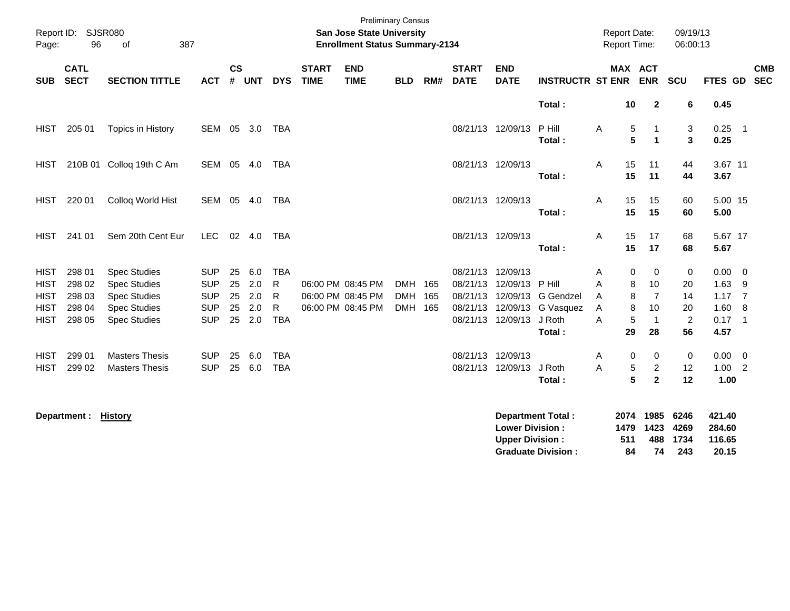| Page:       | Report ID: SJSR080<br>96   | 387<br>of                |            |                    |            |            |                             | <b>San Jose State University</b><br><b>Enrollment Status Summary-2134</b> | <b>Preliminary Census</b> |     |                             |                           |                          | <b>Report Date:</b><br><b>Report Time:</b> |         |                | 09/19/13<br>06:00:13 |                |                            |
|-------------|----------------------------|--------------------------|------------|--------------------|------------|------------|-----------------------------|---------------------------------------------------------------------------|---------------------------|-----|-----------------------------|---------------------------|--------------------------|--------------------------------------------|---------|----------------|----------------------|----------------|----------------------------|
| <b>SUB</b>  | <b>CATL</b><br><b>SECT</b> | <b>SECTION TITTLE</b>    | <b>ACT</b> | $\mathsf{cs}$<br># | <b>UNT</b> | <b>DYS</b> | <b>START</b><br><b>TIME</b> | <b>END</b><br><b>TIME</b>                                                 | <b>BLD</b>                | RM# | <b>START</b><br><b>DATE</b> | <b>END</b><br><b>DATE</b> | <b>INSTRUCTR ST ENR</b>  |                                            | MAX ACT | <b>ENR</b>     | <b>SCU</b>           | <b>FTES GD</b> | <b>CMB</b><br><b>SEC</b>   |
|             |                            |                          |            |                    |            |            |                             |                                                                           |                           |     |                             |                           | Total:                   |                                            | 10      | $\overline{2}$ | 6                    | 0.45           |                            |
| <b>HIST</b> | 205 01                     | Topics in History        | SEM 05     |                    | 3.0        | TBA        |                             |                                                                           |                           |     |                             | 08/21/13 12/09/13         | P Hill                   | A                                          | 5       | $\mathbf{1}$   | 3                    | 0.25           | $\overline{\phantom{0}}$ 1 |
|             |                            |                          |            |                    |            |            |                             |                                                                           |                           |     |                             |                           | Total:                   |                                            | 5       | $\mathbf{1}$   | 3                    | 0.25           |                            |
| HIST        |                            | 210B 01 Colloq 19th C Am | SEM 05 4.0 |                    |            | TBA        |                             |                                                                           |                           |     |                             | 08/21/13 12/09/13         |                          | Α                                          | 15      | 11             | 44                   | 3.67 11        |                            |
|             |                            |                          |            |                    |            |            |                             |                                                                           |                           |     |                             |                           | Total:                   |                                            | 15      | 11             | 44                   | 3.67           |                            |
| HIST        | 220 01                     | Colloq World Hist        | SEM 05 4.0 |                    |            | TBA        |                             |                                                                           |                           |     |                             | 08/21/13 12/09/13         |                          | A                                          | 15      | 15             | 60                   | 5.00 15        |                            |
|             |                            |                          |            |                    |            |            |                             |                                                                           |                           |     |                             |                           | Total:                   |                                            | 15      | 15             | 60                   | 5.00           |                            |
| <b>HIST</b> | 241 01                     | Sem 20th Cent Eur        | LEC        |                    | 02 4.0     | TBA        |                             |                                                                           |                           |     |                             | 08/21/13 12/09/13         |                          | A                                          | 15      | 17             | 68                   | 5.67 17        |                            |
|             |                            |                          |            |                    |            |            |                             |                                                                           |                           |     |                             |                           | Total:                   |                                            | 15      | 17             | 68                   | 5.67           |                            |
| <b>HIST</b> | 298 01                     | <b>Spec Studies</b>      | <b>SUP</b> | 25                 | 6.0        | <b>TBA</b> |                             |                                                                           |                           |     | 08/21/13                    | 12/09/13                  |                          | A                                          | 0       | $\mathbf 0$    | 0                    | $0.00 \t 0$    |                            |
| <b>HIST</b> | 298 02                     | <b>Spec Studies</b>      | <b>SUP</b> | 25                 | 2.0        | R          |                             | 06:00 PM 08:45 PM                                                         | <b>DMH</b>                | 165 | 08/21/13                    | 12/09/13                  | P Hill                   | A                                          | 8       | 10             | 20                   | 1.63           | - 9                        |
| <b>HIST</b> | 298 03                     | <b>Spec Studies</b>      | <b>SUP</b> | 25                 | 2.0        | R          |                             | 06:00 PM 08:45 PM                                                         | DMH 165                   |     | 08/21/13                    | 12/09/13                  | <b>G</b> Gendzel         | A                                          | 8       | $\overline{7}$ | 14                   | 1.17           | $\overline{7}$             |
| <b>HIST</b> | 298 04                     | <b>Spec Studies</b>      | <b>SUP</b> | 25                 | 2.0        | R          |                             | 06:00 PM 08:45 PM                                                         | DMH 165                   |     | 08/21/13                    | 12/09/13                  | G Vasquez                | A                                          | 8       | 10             | 20                   | 1.60           | - 8                        |
| <b>HIST</b> | 298 05                     | <b>Spec Studies</b>      | <b>SUP</b> | 25                 | 2.0        | <b>TBA</b> |                             |                                                                           |                           |     | 08/21/13                    | 12/09/13                  | J Roth                   | A                                          | 5       | $\overline{1}$ | $\overline{c}$       | $0.17$ 1       |                            |
|             |                            |                          |            |                    |            |            |                             |                                                                           |                           |     |                             |                           | Total:                   |                                            | 29      | 28             | 56                   | 4.57           |                            |
| HIST        | 299 01                     | <b>Masters Thesis</b>    | <b>SUP</b> | 25                 | 6.0        | <b>TBA</b> |                             |                                                                           |                           |     | 08/21/13                    | 12/09/13                  |                          | Α                                          | 0       | 0              | 0                    | $0.00 \t 0$    |                            |
| <b>HIST</b> | 299 02                     | <b>Masters Thesis</b>    | <b>SUP</b> | 25                 | 6.0        | <b>TBA</b> |                             |                                                                           |                           |     | 08/21/13                    | 12/09/13 J Roth           |                          | A                                          | 5       | $\overline{c}$ | 12                   | $1.00$ 2       |                            |
|             |                            |                          |            |                    |            |            |                             |                                                                           |                           |     |                             |                           | Total:                   |                                            | 5       | $\mathbf{2}$   | 12                   | 1.00           |                            |
|             | Department: History        |                          |            |                    |            |            |                             |                                                                           |                           |     |                             |                           | <b>Department Total:</b> |                                            |         |                | 2074 1985 6246       | 421.40         |                            |

| PYPULUIIVIIL LYWL L        |     |                |          | - <b>11</b> |
|----------------------------|-----|----------------|----------|-------------|
| <b>Lower Division :</b>    |     | 1479 1423 4269 |          | 284.60      |
| <b>Upper Division :</b>    | 511 |                | 488 1734 | 116.65      |
| <b>Graduate Division :</b> | 84  | 74             | -243     | 20.15       |
|                            |     |                |          |             |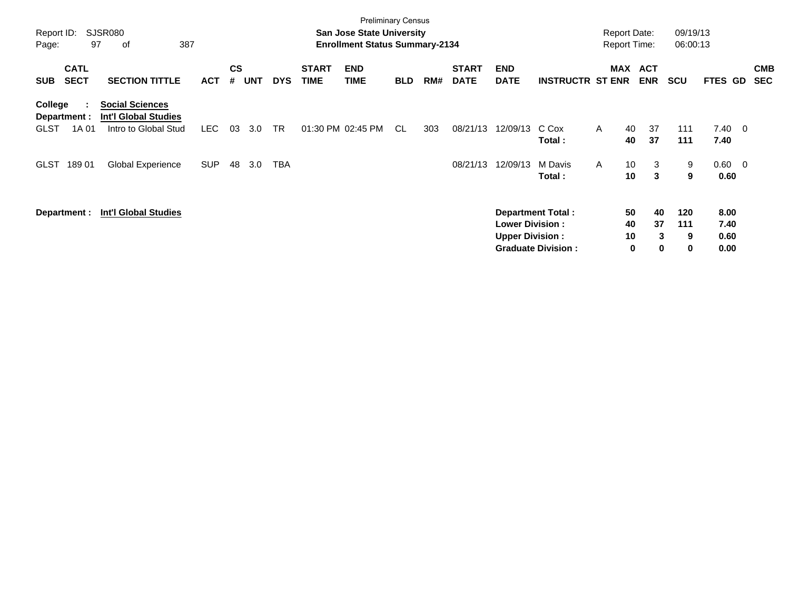| Report ID:<br>Page: | 97                         | <b>SJSR080</b><br>387<br>οf                           |            |                             |            |            |                             | <b>Preliminary Census</b><br><b>San Jose State University</b><br><b>Enrollment Status Summary-2134</b> |            |     |                             |                           |                           | <b>Report Date:</b><br><b>Report Time:</b> |                          | 09/19/13<br>06:00:13 |              |                          |                          |
|---------------------|----------------------------|-------------------------------------------------------|------------|-----------------------------|------------|------------|-----------------------------|--------------------------------------------------------------------------------------------------------|------------|-----|-----------------------------|---------------------------|---------------------------|--------------------------------------------|--------------------------|----------------------|--------------|--------------------------|--------------------------|
| <b>SUB</b>          | <b>CATL</b><br><b>SECT</b> | <b>SECTION TITTLE</b>                                 | <b>ACT</b> | $\mathbf{c}\mathbf{s}$<br># | <b>UNT</b> | <b>DYS</b> | <b>START</b><br><b>TIME</b> | <b>END</b><br><b>TIME</b>                                                                              | <b>BLD</b> | RM# | <b>START</b><br><b>DATE</b> | <b>END</b><br><b>DATE</b> | <b>INSTRUCTR ST ENR</b>   | MAX                                        | <b>ACT</b><br><b>ENR</b> | <b>SCU</b>           | FTES GD      |                          | <b>CMB</b><br><b>SEC</b> |
| College             | Department :               | <b>Social Sciences</b><br><b>Int'l Global Studies</b> |            |                             |            |            |                             |                                                                                                        |            |     |                             |                           |                           |                                            |                          |                      |              |                          |                          |
| <b>GLST</b>         | 1A 01                      | Intro to Global Stud                                  | LEC        | 03                          | 3.0        | <b>TR</b>  |                             | 01:30 PM 02:45 PM                                                                                      | -CL        | 303 | 08/21/13                    | 12/09/13                  | C Cox<br>Total:           | A<br>40<br>40                              | 37<br>37                 | 111<br>111           | 7.40<br>7.40 | $\overline{\phantom{0}}$ |                          |
| <b>GLST</b>         | 18901                      | <b>Global Experience</b>                              | <b>SUP</b> | 48                          | 3.0        | TBA        |                             |                                                                                                        |            |     | 08/21/13                    | 12/09/13                  | M Davis<br>Total:         | 10<br>A<br>10                              | 3<br>3                   | 9<br>9               | 0.60<br>0.60 | $\overline{\phantom{0}}$ |                          |
|                     | Department :               | <b>Int'l Global Studies</b>                           |            |                             |            |            |                             |                                                                                                        |            |     |                             | <b>Lower Division:</b>    | <b>Department Total:</b>  | 50<br>40                                   | 40<br>37                 | 120<br>111           | 8.00<br>7.40 |                          |                          |
|                     |                            |                                                       |            |                             |            |            |                             |                                                                                                        |            |     |                             | <b>Upper Division:</b>    | <b>Graduate Division:</b> | 10                                         | 3<br>0<br>$\bf{0}$       | 9<br>0               | 0.60<br>0.00 |                          |                          |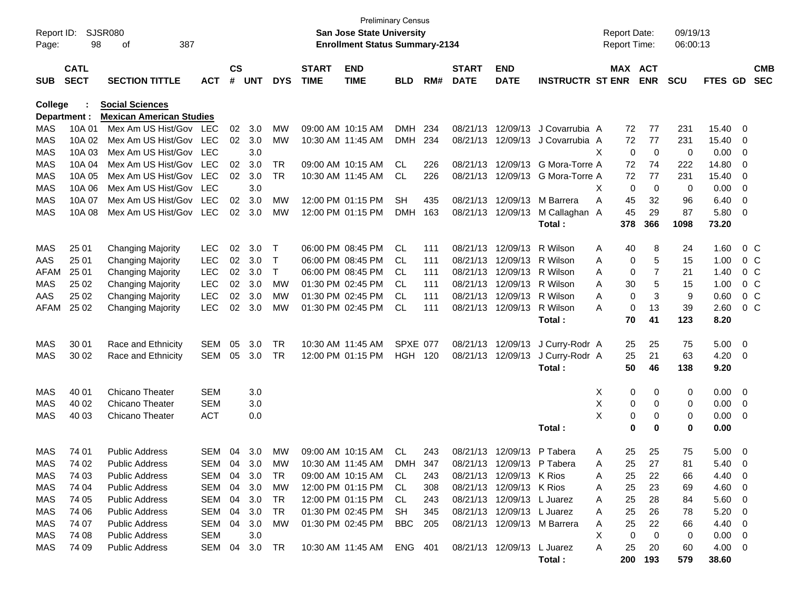| Report ID:<br>Page: | 98                         | <b>SJSR080</b><br>387<br>οf     |            |                |            |              |                             | <b>Preliminary Census</b><br><b>San Jose State University</b><br><b>Enrollment Status Summary-2134</b> |            |     |                             |                            |                                  | <b>Report Date:</b><br><b>Report Time:</b> |             | 09/19/13<br>06:00:13 |             |                         |                          |
|---------------------|----------------------------|---------------------------------|------------|----------------|------------|--------------|-----------------------------|--------------------------------------------------------------------------------------------------------|------------|-----|-----------------------------|----------------------------|----------------------------------|--------------------------------------------|-------------|----------------------|-------------|-------------------------|--------------------------|
| <b>SUB</b>          | <b>CATL</b><br><b>SECT</b> | <b>SECTION TITTLE</b>           | <b>ACT</b> | <b>CS</b><br># | <b>UNT</b> | <b>DYS</b>   | <b>START</b><br><b>TIME</b> | <b>END</b><br><b>TIME</b>                                                                              | <b>BLD</b> | RM# | <b>START</b><br><b>DATE</b> | <b>END</b><br><b>DATE</b>  | <b>INSTRUCTR ST ENR</b>          | MAX ACT                                    | <b>ENR</b>  | <b>SCU</b>           | FTES GD     |                         | <b>CMB</b><br><b>SEC</b> |
| College             |                            | <b>Social Sciences</b>          |            |                |            |              |                             |                                                                                                        |            |     |                             |                            |                                  |                                            |             |                      |             |                         |                          |
|                     | Department :               | <b>Mexican American Studies</b> |            |                |            |              |                             |                                                                                                        |            |     |                             |                            |                                  |                                            |             |                      |             |                         |                          |
| <b>MAS</b>          | 10A 01                     | Mex Am US Hist/Gov LEC          |            | 02             | 3.0        | MW           | 09:00 AM 10:15 AM           |                                                                                                        | <b>DMH</b> | 234 | 08/21/13                    | 12/09/13                   | J Covarrubia A                   | 72                                         | 77          | 231                  | 15.40       | 0                       |                          |
| <b>MAS</b>          | 10A 02                     | Mex Am US Hist/Gov LEC          |            |                | 02 3.0     | <b>MW</b>    | 10:30 AM 11:45 AM           |                                                                                                        | <b>DMH</b> | 234 | 08/21/13                    |                            | 12/09/13 J Covarrubia A          | 72                                         | 77          | 231                  | 15.40       | 0                       |                          |
| <b>MAS</b>          | 10A 03                     | Mex Am US Hist/Gov              | LEC        |                | 3.0        |              |                             |                                                                                                        |            |     |                             |                            |                                  | X<br>0                                     | 0           | 0                    | 0.00        | 0                       |                          |
| <b>MAS</b>          | 10A 04                     | Mex Am US Hist/Gov              | <b>LEC</b> | 02             | 3.0        | TR           | 09:00 AM 10:15 AM           |                                                                                                        | CL         | 226 |                             |                            | 08/21/13 12/09/13 G Mora-Torre A | 72                                         | 74          | 222                  | 14.80       | 0                       |                          |
| MAS                 | 10A 05                     | Mex Am US Hist/Gov              | <b>LEC</b> | 02             | 3.0        | <b>TR</b>    |                             | 10:30 AM 11:45 AM                                                                                      | CL.        | 226 |                             |                            | 08/21/13 12/09/13 G Mora-Torre A | 72                                         | 77          | 231                  | 15.40       | 0                       |                          |
| MAS                 | 10A 06                     | Mex Am US Hist/Gov              | LEC        |                | 3.0        |              |                             |                                                                                                        |            |     |                             |                            |                                  | X<br>0                                     | 0           | 0                    | 0.00        | 0                       |                          |
| MAS                 | 10A 07                     | Mex Am US Hist/Gov              | <b>LEC</b> | 02             | 3.0        | <b>MW</b>    |                             | 12:00 PM 01:15 PM                                                                                      | <b>SH</b>  | 435 |                             | 08/21/13 12/09/13          | M Barrera                        | Α<br>45                                    | 32          | 96                   | 6.40        | 0                       |                          |
| <b>MAS</b>          | 10A 08                     | Mex Am US Hist/Gov              | <b>LEC</b> | 02             | 3.0        | MW           | 12:00 PM 01:15 PM           |                                                                                                        | <b>DMH</b> | 163 |                             | 08/21/13 12/09/13          | M Callaghan A                    | 45                                         | 29          | 87                   | 5.80        | 0                       |                          |
|                     |                            |                                 |            |                |            |              |                             |                                                                                                        |            |     |                             |                            | Total:                           | 378                                        | 366         | 1098                 | 73.20       |                         |                          |
| MAS                 | 25 01                      | <b>Changing Majority</b>        | <b>LEC</b> | 02             | 3.0        | Т            |                             | 06:00 PM 08:45 PM                                                                                      | CL         | 111 | 08/21/13                    | 12/09/13                   | R Wilson                         | 40<br>A                                    | 8           | 24                   | 1.60        | 0 <sup>o</sup>          |                          |
| AAS                 | 25 01                      | <b>Changing Majority</b>        | <b>LEC</b> | 02             | 3.0        | Т            |                             | 06:00 PM 08:45 PM                                                                                      | CL.        | 111 | 08/21/13                    | 12/09/13                   | R Wilson                         | 0<br>A                                     | 5           | 15                   | 1.00        | 0 <sup>o</sup>          |                          |
| AFAM                | 25 01                      | <b>Changing Majority</b>        | <b>LEC</b> | 02             | 3.0        | $\mathsf{T}$ | 06:00 PM 08:45 PM           |                                                                                                        | CL.        | 111 | 08/21/13                    | 12/09/13                   | R Wilson                         | 0<br>A                                     | 7           | 21                   | 1.40        | 0 <sup>o</sup>          |                          |
| MAS                 | 25 02                      | <b>Changing Majority</b>        | <b>LEC</b> | 02             | 3.0        | <b>MW</b>    | 01:30 PM 02:45 PM           |                                                                                                        | CL.        | 111 | 08/21/13                    | 12/09/13                   | R Wilson                         | 30<br>A                                    | 5           | 15                   | 1.00        | 0 <sup>o</sup>          |                          |
| AAS                 | 25 02                      | <b>Changing Majority</b>        | LEC        | 02             | 3.0        | MW           | 01:30 PM 02:45 PM           |                                                                                                        | CL.        | 111 |                             | 08/21/13 12/09/13          | R Wilson                         | A<br>0                                     | 3           | 9                    | 0.60        | 0 <sup>o</sup>          |                          |
| AFAM                | 25 02                      | <b>Changing Majority</b>        | <b>LEC</b> | 02             | 3.0        | MW           | 01:30 PM 02:45 PM           |                                                                                                        | CL.        | 111 |                             | 08/21/13 12/09/13          | R Wilson                         | A<br>0                                     | 13          | 39                   | 2.60        | 0 <sup>o</sup>          |                          |
|                     |                            |                                 |            |                |            |              |                             |                                                                                                        |            |     |                             |                            | Total:                           | 70                                         | 41          | 123                  | 8.20        |                         |                          |
| MAS                 | 30 01                      | Race and Ethnicity              | SEM        | 05             | 3.0        | TR           | 10:30 AM 11:45 AM           |                                                                                                        | SPXE 077   |     |                             | 08/21/13 12/09/13          | J Curry-Rodr A                   | 25                                         | 25          | 75                   | 5.00        | 0                       |                          |
| MAS                 | 30 02                      | Race and Ethnicity              | SEM        | 05             | 3.0        | TR           | 12:00 PM 01:15 PM           |                                                                                                        | HGH 120    |     |                             | 08/21/13 12/09/13          | J Curry-Rodr A                   | 25                                         | 21          | 63                   | 4.20        | 0                       |                          |
|                     |                            |                                 |            |                |            |              |                             |                                                                                                        |            |     |                             |                            | Total:                           | 50                                         | 46          | 138                  | 9.20        |                         |                          |
| MAS                 | 40 01                      | <b>Chicano Theater</b>          | <b>SEM</b> |                | 3.0        |              |                             |                                                                                                        |            |     |                             |                            |                                  | 0<br>X                                     | 0           | 0                    | 0.00        | 0                       |                          |
| MAS                 | 40 02                      | <b>Chicano Theater</b>          | <b>SEM</b> |                | 3.0        |              |                             |                                                                                                        |            |     |                             |                            |                                  | X<br>0                                     | 0           | 0                    | 0.00        | 0                       |                          |
| MAS                 | 40 03                      | <b>Chicano Theater</b>          | <b>ACT</b> |                | 0.0        |              |                             |                                                                                                        |            |     |                             |                            |                                  | X<br>0                                     | 0           | 0                    | 0.00        | 0                       |                          |
|                     |                            |                                 |            |                |            |              |                             |                                                                                                        |            |     |                             |                            | Total:                           | 0                                          | $\mathbf 0$ | 0                    | 0.00        |                         |                          |
| <b>MAS</b>          | 74 01                      | <b>Public Address</b>           | <b>SEM</b> | 04             | 3.0        | <b>MW</b>    |                             | 09:00 AM 10:15 AM                                                                                      | CL.        | 243 |                             | 08/21/13 12/09/13          | P Tabera                         | 25<br>Α                                    | 25          | 75                   | 5.00        | - 0                     |                          |
| MAS                 | 74 02                      | Public Address                  |            |                | SEM 04 3.0 | МW           |                             | 10:30 AM 11:45 AM                                                                                      | DMH        | 347 |                             | 08/21/13 12/09/13 P Tabera |                                  | 25<br>A                                    | 27          | 81                   | 5.40        | $\Omega$                |                          |
| MAS                 | 74 03                      | <b>Public Address</b>           | SEM 04 3.0 |                |            | TR           |                             | 09:00 AM 10:15 AM                                                                                      | CL.        | 243 |                             | 08/21/13 12/09/13 K Rios   |                                  | 25<br>Α                                    | 22          | 66                   | 4.40        | - 0                     |                          |
| MAS                 | 74 04                      | <b>Public Address</b>           | SEM        | 04             | 3.0        | МW           |                             | 12:00 PM 01:15 PM                                                                                      | CL.        | 308 |                             | 08/21/13 12/09/13 K Rios   |                                  | 25<br>Α                                    | 23          | 69                   | 4.60        | - 0                     |                          |
| MAS                 | 74 05                      | <b>Public Address</b>           | SEM 04 3.0 |                |            | TR           |                             | 12:00 PM 01:15 PM                                                                                      | CL.        | 243 |                             | 08/21/13 12/09/13 L Juarez |                                  | 25<br>A                                    | 28          | 84                   | 5.60        | $\overline{\mathbf{0}}$ |                          |
| MAS                 | 74 06                      | <b>Public Address</b>           | SEM 04 3.0 |                |            | TR           |                             | 01:30 PM 02:45 PM                                                                                      | SH         | 345 |                             | 08/21/13 12/09/13 L Juarez |                                  | 25<br>A                                    | 26          | 78                   | 5.20        | - 0                     |                          |
| MAS                 | 74 07                      | <b>Public Address</b>           | SEM 04 3.0 |                |            | МW           |                             | 01:30 PM 02:45 PM                                                                                      | BBC        | 205 |                             |                            | 08/21/13 12/09/13 M Barrera      | 25<br>Α                                    | 22          | 66                   | 4.40        | - 0                     |                          |
| MAS                 | 74 08                      | <b>Public Address</b>           | <b>SEM</b> |                | 3.0        |              |                             |                                                                                                        |            |     |                             |                            |                                  | 0<br>X.                                    | 0           | 0                    | $0.00 \t 0$ |                         |                          |
| MAS                 | 74 09                      | <b>Public Address</b>           | SEM 04 3.0 |                |            | TR.          |                             | 10:30 AM 11:45 AM ENG 401                                                                              |            |     |                             | 08/21/13 12/09/13 L Juarez |                                  | 25<br>A                                    | 20          | 60                   | $4.00 \ 0$  |                         |                          |
|                     |                            |                                 |            |                |            |              |                             |                                                                                                        |            |     |                             |                            | Total:                           | 200                                        | 193         | 579                  | 38.60       |                         |                          |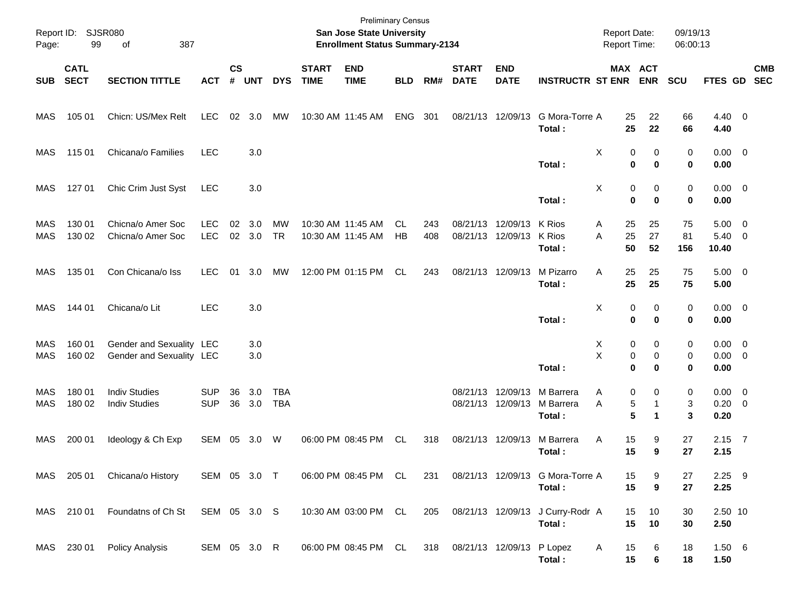| Page:             | Report ID: SJSR080<br>99   | 387<br>of                                            |                          |                             |               |                          |                                        | <b>Preliminary Census</b><br>San Jose State University<br><b>Enrollment Status Summary-2134</b> |                  |            |                               |                           |                                            | <b>Report Date:</b><br><b>Report Time:</b> |                       | 09/19/13<br>06:00:13 |                                    |            |
|-------------------|----------------------------|------------------------------------------------------|--------------------------|-----------------------------|---------------|--------------------------|----------------------------------------|-------------------------------------------------------------------------------------------------|------------------|------------|-------------------------------|---------------------------|--------------------------------------------|--------------------------------------------|-----------------------|----------------------|------------------------------------|------------|
| SUB               | <b>CATL</b><br><b>SECT</b> | <b>SECTION TITTLE</b>                                | <b>ACT</b>               | $\mathsf{cs}$<br>$\pmb{\#}$ | <b>UNT</b>    | <b>DYS</b>               | <b>START</b><br><b>TIME</b>            | <b>END</b><br><b>TIME</b>                                                                       | <b>BLD</b>       | RM#        | <b>START</b><br><b>DATE</b>   | <b>END</b><br><b>DATE</b> | <b>INSTRUCTR ST ENR</b>                    |                                            | MAX ACT<br><b>ENR</b> | <b>SCU</b>           | FTES GD SEC                        | <b>CMB</b> |
| MAS               | 105 01                     | Chicn: US/Mex Relt                                   | <b>LEC</b>               | 02                          | 3.0           | МW                       | 10:30 AM 11:45 AM                      |                                                                                                 | <b>ENG</b>       | 301        | 08/21/13                      | 12/09/13                  | G Mora-Torre A<br>Total:                   | 25<br>25                                   | 22<br>22              | 66<br>66             | $4.40 \quad 0$<br>4.40             |            |
| MAS               | 115 01                     | Chicana/o Families                                   | <b>LEC</b>               |                             | 3.0           |                          |                                        |                                                                                                 |                  |            |                               |                           | Total:                                     | X<br>0<br>$\bf{0}$                         | 0<br>$\bf{0}$         | 0<br>0               | $0.00 \t 0$<br>0.00                |            |
| MAS               | 127 01                     | Chic Crim Just Syst                                  | <b>LEC</b>               |                             | 3.0           |                          |                                        |                                                                                                 |                  |            |                               |                           | Total:                                     | X<br>0<br>$\mathbf 0$                      | 0<br>$\bf{0}$         | 0<br>0               | $0.00 \t 0$<br>0.00                |            |
| MAS<br><b>MAS</b> | 130 01<br>130 02           | Chicna/o Amer Soc<br>Chicna/o Amer Soc               | <b>LEC</b><br><b>LEC</b> | 02                          | 3.0<br>02 3.0 | <b>MW</b><br><b>TR</b>   | 10:30 AM 11:45 AM<br>10:30 AM 11:45 AM |                                                                                                 | CL.<br><b>HB</b> | 243<br>408 | 08/21/13<br>08/21/13          | 12/09/13<br>12/09/13      | K Rios<br>K Rios<br>Total:                 | 25<br>A<br>25<br>A<br>50                   | 25<br>27<br>52        | 75<br>81<br>156      | $5.00 \t 0$<br>$5.40 \ 0$<br>10.40 |            |
| <b>MAS</b>        | 135 01                     | Con Chicana/o Iss                                    | <b>LEC</b>               | 01                          | 3.0           | MW                       | 12:00 PM 01:15 PM                      |                                                                                                 | CL.              | 243        | 08/21/13                      | 12/09/13                  | M Pizarro<br>Total:                        | 25<br>Α<br>25                              | 25<br>25              | 75<br>75             | $5.00 \t 0$<br>5.00                |            |
| <b>MAS</b>        | 144 01                     | Chicana/o Lit                                        | <b>LEC</b>               |                             | 3.0           |                          |                                        |                                                                                                 |                  |            |                               |                           | Total:                                     | Χ<br>0<br>$\bf{0}$                         | 0<br>0                | 0<br>0               | $0.00 \t 0$<br>0.00                |            |
| MAS<br>MAS        | 160 01<br>160 02           | Gender and Sexuality LEC<br>Gender and Sexuality LEC |                          |                             | 3.0<br>3.0    |                          |                                        |                                                                                                 |                  |            |                               |                           | Total:                                     | 0<br>X<br>X<br>0<br>$\bf{0}$               | 0<br>0<br>0           | 0<br>0<br>0          | $0.00 \t 0$<br>$0.00 \t 0$<br>0.00 |            |
| MAS<br>MAS        | 180 01<br>180 02           | <b>Indiv Studies</b><br><b>Indiv Studies</b>         | <b>SUP</b><br><b>SUP</b> | 36<br>36                    | 3.0<br>3.0    | <b>TBA</b><br><b>TBA</b> |                                        |                                                                                                 |                  |            | 08/21/13<br>08/21/13          | 12/09/13<br>12/09/13      | M Barrera<br>M Barrera<br>Total:           | 0<br>Α<br>5<br>A<br>5                      | 0<br>-1<br>1          | 0<br>3<br>3          | $0.00 \t 0$<br>$0.20 \ 0$<br>0.20  |            |
| MAS               | 200 01                     | Ideology & Ch Exp                                    | SEM 05                   |                             | 3.0           | W                        | 06:00 PM 08:45 PM                      |                                                                                                 | CL.              | 318        | 08/21/13                      | 12/09/13                  | M Barrera<br>Total :                       | 15<br>Α<br>15                              | 9<br>9                | 27<br>27             | $2.15$ 7<br>2.15                   |            |
|                   | MAS 205 01                 | Chicana/o History                                    | SEM 05 3.0 T             |                             |               |                          |                                        | 06:00 PM 08:45 PM CL                                                                            |                  | 231        |                               |                           | 08/21/13 12/09/13 G Mora-Torre A<br>Total: | 15<br>15                                   | 9<br>9                | 27<br>27             | $2.25$ 9<br>2.25                   |            |
|                   |                            | MAS 210 01 Foundatns of Ch St SEM 05 3.0 S           |                          |                             |               |                          |                                        | 10:30 AM 03:00 PM CL                                                                            |                  | 205        |                               |                           | 08/21/13 12/09/13 J Curry-Rodr A<br>Total: | 15<br>15                                   | 10<br>10              | 30<br>30             | 2.50 10<br>2.50                    |            |
|                   | MAS 230 01                 | <b>Policy Analysis</b>                               | SEM 05 3.0 R             |                             |               |                          |                                        | 06:00 PM 08:45 PM CL                                                                            |                  |            | 318 08/21/13 12/09/13 P Lopez |                           | Total:                                     | 15<br>A<br>15                              | 6<br>$\bf 6$          | 18<br>18             | 1.50 6<br>1.50                     |            |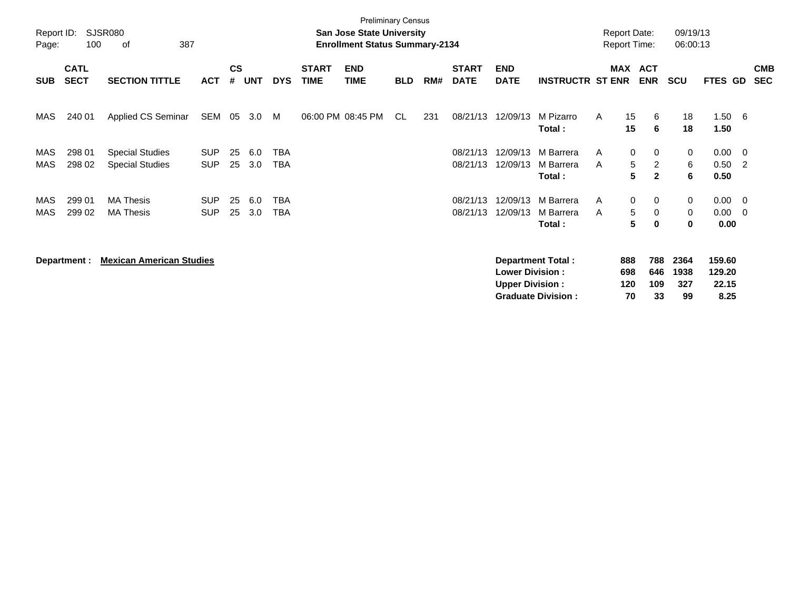| Report ID:<br>Page: | 100                        | <b>SJSR080</b><br>387<br>0f                      |                          |                    |            |                   |                             | <b>Preliminary Census</b><br>San Jose State University<br><b>Enrollment Status Summary-2134</b> |            |     |                             |                                                  |                                                       |            | <b>Report Date:</b><br><b>Report Time:</b> |                                     | 09/19/13<br>06:00:13      |                                   |                                                    |                          |
|---------------------|----------------------------|--------------------------------------------------|--------------------------|--------------------|------------|-------------------|-----------------------------|-------------------------------------------------------------------------------------------------|------------|-----|-----------------------------|--------------------------------------------------|-------------------------------------------------------|------------|--------------------------------------------|-------------------------------------|---------------------------|-----------------------------------|----------------------------------------------------|--------------------------|
| <b>SUB</b>          | <b>CATL</b><br><b>SECT</b> | <b>SECTION TITTLE</b>                            | <b>ACT</b>               | $\mathsf{cs}$<br># | <b>UNT</b> | <b>DYS</b>        | <b>START</b><br><b>TIME</b> | <b>END</b><br><b>TIME</b>                                                                       | <b>BLD</b> | RM# | <b>START</b><br><b>DATE</b> | <b>END</b><br><b>DATE</b>                        | <b>INSTRUCTR ST ENR</b>                               | <b>MAX</b> | <b>ACT</b>                                 | <b>ENR</b>                          | <b>SCU</b>                | <b>FTES GD</b>                    |                                                    | <b>CMB</b><br><b>SEC</b> |
| MAS                 | 240 01                     | Applied CS Seminar                               | SEM                      | 05                 | 3.0        | M                 |                             | 06:00 PM 08:45 PM                                                                               | CL.        | 231 | 08/21/13                    | 12/09/13                                         | M Pizarro<br>Total:                                   | A          | 15<br>15                                   | 6<br>6                              | 18<br>18                  | 1.50<br>1.50                      | - 6                                                |                          |
| MAS<br>MAS          | 298 01<br>298 02           | <b>Special Studies</b><br><b>Special Studies</b> | <b>SUP</b><br><b>SUP</b> | 25<br>25           | 6.0<br>3.0 | TBA<br>TBA        |                             |                                                                                                 |            |     | 08/21/13<br>08/21/13        | 12/09/13<br>12/09/13                             | M Barrera<br>M Barrera<br>Total:                      | A<br>A     | 0<br>5<br>5                                | 0<br>$\overline{2}$<br>$\mathbf{2}$ | 0<br>6<br>6               | 0.00<br>0.50<br>0.50              | $\overline{\phantom{0}}$<br>$\overline{2}$         |                          |
| MAS<br>MAS          | 299 01<br>299 02           | <b>MA Thesis</b><br><b>MA Thesis</b>             | <b>SUP</b><br><b>SUP</b> | 25<br>25           | 6.0<br>3.0 | <b>TBA</b><br>TBA |                             |                                                                                                 |            |     | 08/21/13<br>08/21/13        | 12/09/13<br>12/09/13                             | M Barrera<br>M Barrera<br>Total:                      | A<br>A     | 0<br>5<br>5                                | $\mathbf{0}$<br>0<br>0              | 0<br>0<br>0               | 0.00<br>0.00<br>0.00              | $\overline{\mathbf{0}}$<br>$\overline{\mathbf{0}}$ |                          |
|                     | Department :               | <b>Mexican American Studies</b>                  |                          |                    |            |                   |                             |                                                                                                 |            |     |                             | <b>Lower Division:</b><br><b>Upper Division:</b> | <b>Department Total:</b><br><b>Graduate Division:</b> |            | 888<br>698<br>120<br>70                    | 788<br>646<br>109<br>33             | 2364<br>1938<br>327<br>99 | 159.60<br>129.20<br>22.15<br>8.25 |                                                    |                          |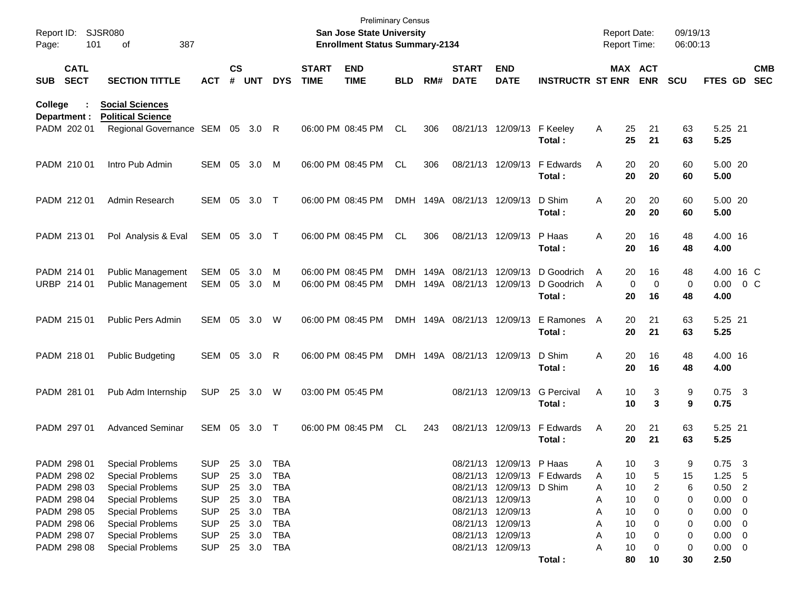| Report ID:<br>Page: | 101                                       | <b>SJSR080</b><br>387<br>οf                                                            |                                        |                    |                            |                          |                             | <b>Preliminary Census</b><br>San Jose State University<br><b>Enrollment Status Summary-2134</b> |                    |      |                                             |                           |                             | Report Date:<br>Report Time: |                                  | 09/19/13<br>06:00:13 |                                       |                          |
|---------------------|-------------------------------------------|----------------------------------------------------------------------------------------|----------------------------------------|--------------------|----------------------------|--------------------------|-----------------------------|-------------------------------------------------------------------------------------------------|--------------------|------|---------------------------------------------|---------------------------|-----------------------------|------------------------------|----------------------------------|----------------------|---------------------------------------|--------------------------|
| SUB                 | <b>CATL</b><br><b>SECT</b>                | <b>SECTION TITTLE</b>                                                                  | <b>ACT</b>                             | $\mathsf{cs}$<br># | UNT                        | <b>DYS</b>               | <b>START</b><br><b>TIME</b> | <b>END</b><br><b>TIME</b>                                                                       | <b>BLD</b>         | RM#  | <b>START</b><br><b>DATE</b>                 | <b>END</b><br><b>DATE</b> | <b>INSTRUCTR ST ENR</b>     |                              | MAX ACT<br><b>ENR</b>            | <b>SCU</b>           | FTES GD                               | <b>CMB</b><br><b>SEC</b> |
| College             | Department :<br>PADM 202 01               | <b>Social Sciences</b><br><b>Political Science</b><br>Regional Governance SEM 05 3.0 R |                                        |                    |                            |                          |                             | 06:00 PM 08:45 PM                                                                               | CL                 | 306  |                                             | 08/21/13 12/09/13         | F Keeley                    | A                            | 25<br>21                         | 63                   | 5.25 21                               |                          |
|                     | PADM 210 01                               | Intro Pub Admin                                                                        | <b>SEM</b>                             | 05                 | 3.0                        | M                        |                             | 06:00 PM 08:45 PM                                                                               | CL                 | 306  |                                             | 08/21/13 12/09/13         | Total:<br>F Edwards         | A                            | 25<br>21<br>20<br>20             | 63<br>60             | 5.25<br>5.00 20                       |                          |
|                     | PADM 212 01                               | Admin Research                                                                         | SEM 05                                 |                    | 3.0                        | $\top$                   |                             | 06:00 PM 08:45 PM                                                                               | <b>DMH</b>         |      | 149A 08/21/13 12/09/13                      |                           | Total:<br>D Shim            | A                            | 20<br>20<br>20<br>20             | 60<br>60             | 5.00<br>5.00 20                       |                          |
|                     | PADM 213 01                               | Pol Analysis & Eval                                                                    | SEM 05                                 |                    | 3.0                        | $\top$                   |                             | 06:00 PM 08:45 PM                                                                               | <b>CL</b>          | 306  |                                             | 08/21/13 12/09/13         | Total:<br>P Haas<br>Total:  | A                            | 20<br>20<br>20<br>16<br>20<br>16 | 60<br>48<br>48       | 5.00<br>4.00 16<br>4.00               |                          |
|                     | PADM 214 01<br>URBP 214 01                | <b>Public Management</b><br><b>Public Management</b>                                   | <b>SEM</b><br>SEM                      | 05                 | 3.0<br>05 3.0              | M<br>M                   |                             | 06:00 PM 08:45 PM<br>06:00 PM 08:45 PM                                                          | DMH.<br><b>DMH</b> | 149A | 08/21/13 12/09/13<br>149A 08/21/13 12/09/13 |                           | D Goodrich<br>D Goodrich    | A<br>A                       | 20<br>16<br>$\mathbf 0$<br>0     | 48<br>0              | 4.00 16 C<br>$0.00 \t 0 C$            |                          |
|                     | PADM 215 01                               | <b>Public Pers Admin</b>                                                               | SEM 05                                 |                    | 3.0                        | W                        |                             | 06:00 PM 08:45 PM                                                                               | <b>DMH</b>         |      | 149A 08/21/13 12/09/13                      |                           | Total:<br>E Ramones         | A                            | 20<br>16<br>20<br>21             | 48<br>63             | 4.00<br>5.25 21                       |                          |
|                     | PADM 218 01                               | <b>Public Budgeting</b>                                                                | SEM 05                                 |                    | 3.0                        | R                        |                             | 06:00 PM 08:45 PM                                                                               | <b>DMH</b>         |      | 149A 08/21/13 12/09/13                      |                           | Total:<br>D Shim<br>Total:  | A                            | 20<br>21<br>20<br>16<br>20<br>16 | 63<br>48<br>48       | 5.25<br>4.00 16<br>4.00               |                          |
|                     | PADM 281 01                               | Pub Adm Internship                                                                     | <b>SUP</b>                             | 25                 | 3.0                        | W                        |                             | 03:00 PM 05:45 PM                                                                               |                    |      |                                             | 08/21/13 12/09/13         | <b>G</b> Percival<br>Total: | A                            | 10<br>3<br>10<br>3               | 9<br>9               | $0.75$ 3<br>0.75                      |                          |
|                     | PADM 297 01                               | <b>Advanced Seminar</b>                                                                | SEM 05                                 |                    | 3.0                        | $\top$                   |                             | 06:00 PM 08:45 PM                                                                               | <b>CL</b>          | 243  |                                             | 08/21/13 12/09/13         | F Edwards<br>Total:         | Α                            | 20<br>21<br>20<br>21             | 63<br>63             | 5.25 21<br>5.25                       |                          |
|                     | PADM 298 01<br>PADM 298 02                | <b>Special Problems</b><br><b>Special Problems</b>                                     | <b>SUP</b><br><b>SUP</b>               |                    | 25 3.0 TBA<br>25 3.0       | TBA                      |                             |                                                                                                 |                    |      |                                             | 08/21/13 12/09/13 P Haas  | 08/21/13 12/09/13 F Edwards | A<br>10<br>A                 | 3<br>10<br>5                     | 9<br>15              | $0.75$ 3<br>$1.25$ 5                  |                          |
|                     | PADM 298 03<br>PADM 298 04<br>PADM 298 05 | <b>Special Problems</b><br><b>Special Problems</b><br><b>Special Problems</b>          | <b>SUP</b><br><b>SUP</b><br><b>SUP</b> |                    | 25 3.0<br>25 3.0<br>25 3.0 | <b>TBA</b><br>TBA<br>TBA |                             |                                                                                                 |                    |      | 08/21/13 12/09/13<br>08/21/13 12/09/13      | 08/21/13 12/09/13 D Shim  |                             | Α<br>10<br>A<br>10<br>A      | 10<br>2<br>0                     | 6<br>0<br>0          | $0.50$ 2<br>$0.00 \t 0$<br>$0.00 \ 0$ |                          |
|                     | PADM 298 06<br>PADM 298 07                | <b>Special Problems</b><br><b>Special Problems</b>                                     | <b>SUP</b><br><b>SUP</b>               |                    | 25 3.0<br>25 3.0           | TBA<br>TBA               |                             |                                                                                                 |                    |      | 08/21/13 12/09/13<br>08/21/13 12/09/13      |                           |                             | 10<br>A<br>10<br>Α           |                                  | 0<br>0               | $0.00 \ 0$<br>$0.00 \t 0$             |                          |
|                     | PADM 298 08                               | <b>Special Problems</b>                                                                | <b>SUP</b>                             |                    | 25 3.0                     | TBA                      |                             |                                                                                                 |                    |      | 08/21/13 12/09/13                           |                           | Total:                      | 10<br>Α                      | 0<br>80<br>10                    | 0<br>30              | $0.00 \t 0$<br>2.50                   |                          |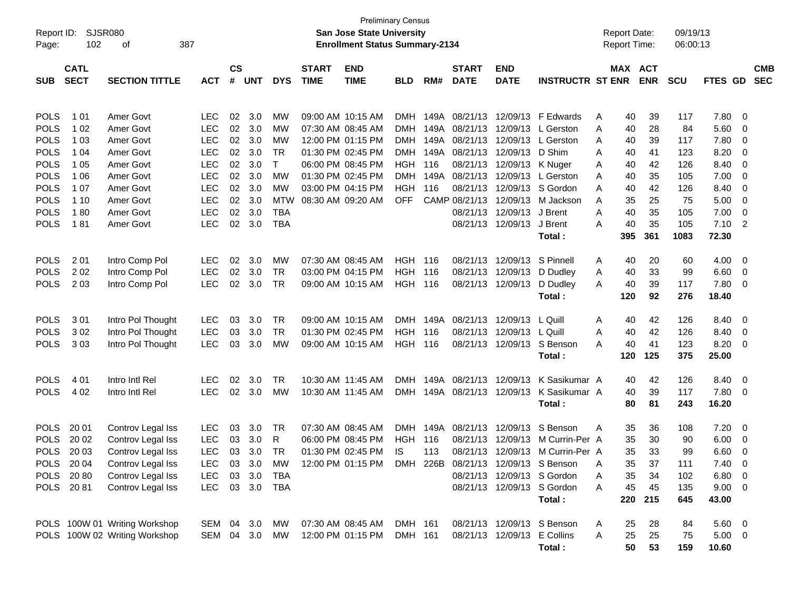| <b>CS</b><br><b>CATL</b><br><b>START</b><br><b>END</b><br><b>START</b><br><b>END</b><br>MAX ACT<br><b>CMB</b><br>#<br><b>ENR</b><br><b>SECT</b><br><b>SECTION TITTLE</b><br><b>UNT</b><br><b>DYS</b><br><b>TIME</b><br><b>TIME</b><br>RM#<br><b>DATE</b><br><b>DATE</b><br><b>INSTRUCTR ST ENR</b><br><b>SCU</b><br>FTES GD<br><b>SEC</b><br><b>SUB</b><br><b>ACT</b><br><b>BLD</b><br><b>POLS</b><br>02<br>3.0<br>09:00 AM 10:15 AM<br>08/21/13<br>12/09/13<br>39<br>7.80<br>1 0 1<br>Amer Govt<br><b>LEC</b><br>MW<br>DMH.<br>149A<br><b>F</b> Edwards<br>117<br>40<br>- 0<br>Α<br><b>POLS</b><br>1 0 2<br>Amer Govt<br><b>LEC</b><br>02<br>3.0<br>07:30 AM 08:45 AM<br>149A 08/21/13<br>28<br>84<br>5.60<br>MW<br>DMH.<br>12/09/13<br>L Gerston<br>A<br>40<br>- 0<br><b>POLS</b><br>Amer Govt<br><b>LEC</b><br>02<br>3.0<br>12:00 PM 01:15 PM<br>149A 08/21/13<br>12/09/13<br>7.80<br>1 0 3<br>MW<br>DMH.<br>L Gerston<br>39<br>117<br>A<br>40<br>- 0<br><b>POLS</b><br>Amer Govt<br><b>LEC</b><br>02<br>3.0<br><b>TR</b><br>01:30 PM 02:45 PM<br>149A 08/21/13<br>12/09/13<br>D Shim<br>8.20<br>1 04<br>DMH.<br>41<br>123<br>A<br>40<br>- 0<br><b>POLS</b><br>T.<br>Amer Govt<br><b>LEC</b><br>02<br>3.0<br>06:00 PM 08:45 PM<br><b>HGH</b><br>116<br>08/21/13 12/09/13<br>126<br>8.40<br>1 0 5<br>K Nuger<br>42<br>0<br>40<br>A<br><b>POLS</b><br>Amer Govt<br><b>LEC</b><br>02<br>3.0<br><b>MW</b><br>01:30 PM 02:45 PM<br>149A 08/21/13<br>12/09/13<br>35<br>7.00<br>1 0 6<br>DMH<br>L Gerston<br>105<br>0<br>A<br>40<br><b>POLS</b><br>Amer Govt<br><b>LEC</b><br>02<br>3.0<br><b>MW</b><br>03:00 PM 04:15 PM<br><b>HGH</b><br>116<br>08/21/13<br>12/09/13<br>S Gordon<br>8.40<br>1 0 7<br>40<br>42<br>126<br>0<br>A<br><b>POLS</b><br>Amer Govt<br><b>LEC</b><br>02<br>3.0<br><b>OFF</b><br>CAMP 08/21/13<br>12/09/13<br>25<br>75<br>5.00<br>1 10<br><b>MTW</b><br>08:30 AM 09:20 AM<br>M Jackson<br>35<br>0<br>A<br><b>POLS</b><br>180<br>Amer Govt<br><b>LEC</b><br>02<br>3.0<br><b>TBA</b><br>08/21/13 12/09/13<br>40<br>35<br>7.00<br>J Brent<br>A<br>105<br>0<br><b>POLS</b><br>181<br>Amer Govt<br><b>LEC</b><br>02<br>3.0<br><b>TBA</b><br>08/21/13 12/09/13<br>J Brent<br>35<br>7.10<br>$\overline{2}$<br>A<br>40<br>105<br>395<br>361<br>1083<br>72.30<br>Total:<br><b>POLS</b><br>2 0 1<br>02<br>3.0<br>07:30 AM 08:45 AM<br>HGH<br>S Pinnell<br>4.00<br>Intro Comp Pol<br><b>LEC</b><br>MW<br>116<br>08/21/13<br>12/09/13<br>20<br>- 0<br>A<br>40<br>60<br><b>POLS</b><br>202<br>Intro Comp Pol<br><b>LEC</b><br>02<br>3.0<br><b>TR</b><br>03:00 PM 04:15 PM<br><b>HGH</b><br>08/21/13<br>12/09/13<br>33<br>99<br>6.60<br>116<br>D Dudley<br>40<br>A<br>- 0<br><b>POLS</b><br>203<br><b>LEC</b><br>02<br>3.0<br><b>TR</b><br>08/21/13 12/09/13<br>39<br>7.80<br>Intro Comp Pol<br>09:00 AM 10:15 AM<br><b>HGH 116</b><br>D Dudley<br>40<br>117<br>- 0<br>A<br>120<br>92<br>276<br>18.40<br>Total:<br><b>POLS</b><br>301<br><b>TR</b><br>09:00 AM 10:15 AM<br>08/21/13<br>Intro Pol Thought<br><b>LEC</b><br>03<br>3.0<br>DMH.<br>149A<br>12/09/13<br>L Quill<br>42<br>126<br>8.40<br>- 0<br>A<br>40<br><b>POLS</b><br>302<br>Intro Pol Thought<br><b>LEC</b><br><b>TR</b><br>01:30 PM 02:45 PM<br><b>HGH</b><br>08/21/13<br>12/09/13<br>L Quill<br>42<br>126<br>8.40<br>03<br>3.0<br>116<br>40<br>A<br>- 0<br><b>POLS</b><br>303<br><b>LEC</b><br>08/21/13 12/09/13<br>S Benson<br>41<br>123<br>8.20<br>Intro Pol Thought<br>03<br>3.0<br>MW<br>09:00 AM 10:15 AM<br><b>HGH 116</b><br>40<br>- 0<br>A<br>120<br>125<br>375<br>25.00<br>Total:<br><b>POLS</b><br>4 0 1<br>Intro Intl Rel<br><b>LEC</b><br>02<br>3.0<br><b>TR</b><br>10:30 AM 11:45 AM<br>08/21/13<br>K Sasikumar A<br>126<br>DMH.<br>149A<br>12/09/13<br>42<br>8.40<br>- 0<br>40<br><b>POLS</b><br>4 0 2<br><b>LEC</b><br>149A 08/21/13 12/09/13<br>K Sasikumar A<br>39<br>117<br>7.80<br>Intro Intl Rel<br>02<br>3.0<br>MW<br>10:30 AM 11:45 AM<br><b>DMH</b><br>40<br>- 0<br>16.20<br>Total:<br>80<br>81<br>243<br><b>POLS</b><br>20 01<br>07:30 AM 08:45 AM<br>149A 08/21/13<br>S Benson<br>Controv Legal Iss<br>LEC<br>03<br>3.0<br>TR<br><b>DMH</b><br>12/09/13<br>35<br>36<br>7.20<br>108<br>- 0<br>A<br><b>POLS</b><br>20 02<br>Controv Legal Iss<br>R<br>06:00 PM 08:45 PM<br>08/21/13<br>12/09/13<br><b>LEC</b><br>03<br>3.0<br>HGH<br>116<br>M Currin-Per A<br>35<br>30<br>90<br>6.00<br>- 0<br><b>POLS</b><br>20 03<br>Controv Legal Iss<br><b>LEC</b><br>03<br>3.0<br><b>TR</b><br>01:30 PM 02:45 PM<br><b>IS</b><br>113<br>08/21/13 12/09/13<br>35<br>33<br>99<br>6.60<br>M Currin-Per A<br>- 0<br>POLS 2004<br>LEC<br>03 3.0<br>MW<br>12:00 PM 01:15 PM<br>DMH 226B 08/21/13 12/09/13 S Benson<br>35<br>37<br>Controv Legal Iss<br>111<br>7.40<br>0<br>A<br>Controv Legal Iss<br>POLS 2080<br>08/21/13 12/09/13 S Gordon<br>$6.80\quad 0$<br><b>LEC</b><br>03 3.0 TBA<br>35<br>34<br>102<br>Α<br>Controv Legal Iss<br>POLS 2081<br><b>LEC</b><br>03 3.0 TBA<br>08/21/13 12/09/13 S Gordon<br>9.00 0<br>45<br>45<br>135<br>A<br>Total:<br>220<br>215<br>645<br>43.00<br>POLS 100W 01 Writing Workshop<br>07:30 AM 08:45 AM<br>SEM 04 3.0<br>DMH 161<br>08/21/13 12/09/13 S Benson<br>$5.60 \t 0$<br>МW<br>28<br>A<br>25<br>84<br>POLS 100W 02 Writing Workshop<br>SEM 04 3.0<br>12:00 PM 01:15 PM<br>DMH 161<br>E Collins<br>25<br>25<br>$5.00 \t 0$<br>MW<br>08/21/13 12/09/13<br>A<br>75 | Report ID:<br>Page: | 102 | <b>SJSR080</b><br>387<br>οf |  |  | <b>San Jose State University</b><br><b>Enrollment Status Summary-2134</b> | <b>Preliminary Census</b> |  |  | <b>Report Date:</b><br><b>Report Time:</b> | 09/19/13<br>06:00:13 |  |
|--------------------------------------------------------------------------------------------------------------------------------------------------------------------------------------------------------------------------------------------------------------------------------------------------------------------------------------------------------------------------------------------------------------------------------------------------------------------------------------------------------------------------------------------------------------------------------------------------------------------------------------------------------------------------------------------------------------------------------------------------------------------------------------------------------------------------------------------------------------------------------------------------------------------------------------------------------------------------------------------------------------------------------------------------------------------------------------------------------------------------------------------------------------------------------------------------------------------------------------------------------------------------------------------------------------------------------------------------------------------------------------------------------------------------------------------------------------------------------------------------------------------------------------------------------------------------------------------------------------------------------------------------------------------------------------------------------------------------------------------------------------------------------------------------------------------------------------------------------------------------------------------------------------------------------------------------------------------------------------------------------------------------------------------------------------------------------------------------------------------------------------------------------------------------------------------------------------------------------------------------------------------------------------------------------------------------------------------------------------------------------------------------------------------------------------------------------------------------------------------------------------------------------------------------------------------------------------------------------------------------------------------------------------------------------------------------------------------------------------------------------------------------------------------------------------------------------------------------------------------------------------------------------------------------------------------------------------------------------------------------------------------------------------------------------------------------------------------------------------------------------------------------------------------------------------------------------------------------------------------------------------------------------------------------------------------------------------------------------------------------------------------------------------------------------------------------------------------------------------------------------------------------------------------------------------------------------------------------------------------------------------------------------------------------------------------------------------------------------------------------------------------------------------------------------------------------------------------------------------------------------------------------------------------------------------------------------------------------------------------------------------------------------------------------------------------------------------------------------------------------------------------------------------------------------------------------------------------------------------------------------------------------------------------------------------------------------------------------------------------------------------------------------------------------------------------------------------------------------------------------------------------------------------------------------------------------------------------------------------------------------------------------------------------------------------------------------------------------------------------------------------------------------------------------------------------------------------------------------------------------------------------------------------------------------------------------------------------------------------------------------------------------------------------------------------------------------------------------------------------------------------------------------------------------------------------------------------------------------------------------------------------------------------------------------------------------------------------------------------------------------------------|---------------------|-----|-----------------------------|--|--|---------------------------------------------------------------------------|---------------------------|--|--|--------------------------------------------|----------------------|--|
|                                                                                                                                                                                                                                                                                                                                                                                                                                                                                                                                                                                                                                                                                                                                                                                                                                                                                                                                                                                                                                                                                                                                                                                                                                                                                                                                                                                                                                                                                                                                                                                                                                                                                                                                                                                                                                                                                                                                                                                                                                                                                                                                                                                                                                                                                                                                                                                                                                                                                                                                                                                                                                                                                                                                                                                                                                                                                                                                                                                                                                                                                                                                                                                                                                                                                                                                                                                                                                                                                                                                                                                                                                                                                                                                                                                                                                                                                                                                                                                                                                                                                                                                                                                                                                                                                                                                                                                                                                                                                                                                                                                                                                                                                                                                                                                                                                                                                                                                                                                                                                                                                                                                                                                                                                                                                                                                                                                            |                     |     |                             |  |  |                                                                           |                           |  |  |                                            |                      |  |
|                                                                                                                                                                                                                                                                                                                                                                                                                                                                                                                                                                                                                                                                                                                                                                                                                                                                                                                                                                                                                                                                                                                                                                                                                                                                                                                                                                                                                                                                                                                                                                                                                                                                                                                                                                                                                                                                                                                                                                                                                                                                                                                                                                                                                                                                                                                                                                                                                                                                                                                                                                                                                                                                                                                                                                                                                                                                                                                                                                                                                                                                                                                                                                                                                                                                                                                                                                                                                                                                                                                                                                                                                                                                                                                                                                                                                                                                                                                                                                                                                                                                                                                                                                                                                                                                                                                                                                                                                                                                                                                                                                                                                                                                                                                                                                                                                                                                                                                                                                                                                                                                                                                                                                                                                                                                                                                                                                                            |                     |     |                             |  |  |                                                                           |                           |  |  |                                            |                      |  |
|                                                                                                                                                                                                                                                                                                                                                                                                                                                                                                                                                                                                                                                                                                                                                                                                                                                                                                                                                                                                                                                                                                                                                                                                                                                                                                                                                                                                                                                                                                                                                                                                                                                                                                                                                                                                                                                                                                                                                                                                                                                                                                                                                                                                                                                                                                                                                                                                                                                                                                                                                                                                                                                                                                                                                                                                                                                                                                                                                                                                                                                                                                                                                                                                                                                                                                                                                                                                                                                                                                                                                                                                                                                                                                                                                                                                                                                                                                                                                                                                                                                                                                                                                                                                                                                                                                                                                                                                                                                                                                                                                                                                                                                                                                                                                                                                                                                                                                                                                                                                                                                                                                                                                                                                                                                                                                                                                                                            |                     |     |                             |  |  |                                                                           |                           |  |  |                                            |                      |  |
|                                                                                                                                                                                                                                                                                                                                                                                                                                                                                                                                                                                                                                                                                                                                                                                                                                                                                                                                                                                                                                                                                                                                                                                                                                                                                                                                                                                                                                                                                                                                                                                                                                                                                                                                                                                                                                                                                                                                                                                                                                                                                                                                                                                                                                                                                                                                                                                                                                                                                                                                                                                                                                                                                                                                                                                                                                                                                                                                                                                                                                                                                                                                                                                                                                                                                                                                                                                                                                                                                                                                                                                                                                                                                                                                                                                                                                                                                                                                                                                                                                                                                                                                                                                                                                                                                                                                                                                                                                                                                                                                                                                                                                                                                                                                                                                                                                                                                                                                                                                                                                                                                                                                                                                                                                                                                                                                                                                            |                     |     |                             |  |  |                                                                           |                           |  |  |                                            |                      |  |
|                                                                                                                                                                                                                                                                                                                                                                                                                                                                                                                                                                                                                                                                                                                                                                                                                                                                                                                                                                                                                                                                                                                                                                                                                                                                                                                                                                                                                                                                                                                                                                                                                                                                                                                                                                                                                                                                                                                                                                                                                                                                                                                                                                                                                                                                                                                                                                                                                                                                                                                                                                                                                                                                                                                                                                                                                                                                                                                                                                                                                                                                                                                                                                                                                                                                                                                                                                                                                                                                                                                                                                                                                                                                                                                                                                                                                                                                                                                                                                                                                                                                                                                                                                                                                                                                                                                                                                                                                                                                                                                                                                                                                                                                                                                                                                                                                                                                                                                                                                                                                                                                                                                                                                                                                                                                                                                                                                                            |                     |     |                             |  |  |                                                                           |                           |  |  |                                            |                      |  |
|                                                                                                                                                                                                                                                                                                                                                                                                                                                                                                                                                                                                                                                                                                                                                                                                                                                                                                                                                                                                                                                                                                                                                                                                                                                                                                                                                                                                                                                                                                                                                                                                                                                                                                                                                                                                                                                                                                                                                                                                                                                                                                                                                                                                                                                                                                                                                                                                                                                                                                                                                                                                                                                                                                                                                                                                                                                                                                                                                                                                                                                                                                                                                                                                                                                                                                                                                                                                                                                                                                                                                                                                                                                                                                                                                                                                                                                                                                                                                                                                                                                                                                                                                                                                                                                                                                                                                                                                                                                                                                                                                                                                                                                                                                                                                                                                                                                                                                                                                                                                                                                                                                                                                                                                                                                                                                                                                                                            |                     |     |                             |  |  |                                                                           |                           |  |  |                                            |                      |  |
|                                                                                                                                                                                                                                                                                                                                                                                                                                                                                                                                                                                                                                                                                                                                                                                                                                                                                                                                                                                                                                                                                                                                                                                                                                                                                                                                                                                                                                                                                                                                                                                                                                                                                                                                                                                                                                                                                                                                                                                                                                                                                                                                                                                                                                                                                                                                                                                                                                                                                                                                                                                                                                                                                                                                                                                                                                                                                                                                                                                                                                                                                                                                                                                                                                                                                                                                                                                                                                                                                                                                                                                                                                                                                                                                                                                                                                                                                                                                                                                                                                                                                                                                                                                                                                                                                                                                                                                                                                                                                                                                                                                                                                                                                                                                                                                                                                                                                                                                                                                                                                                                                                                                                                                                                                                                                                                                                                                            |                     |     |                             |  |  |                                                                           |                           |  |  |                                            |                      |  |
|                                                                                                                                                                                                                                                                                                                                                                                                                                                                                                                                                                                                                                                                                                                                                                                                                                                                                                                                                                                                                                                                                                                                                                                                                                                                                                                                                                                                                                                                                                                                                                                                                                                                                                                                                                                                                                                                                                                                                                                                                                                                                                                                                                                                                                                                                                                                                                                                                                                                                                                                                                                                                                                                                                                                                                                                                                                                                                                                                                                                                                                                                                                                                                                                                                                                                                                                                                                                                                                                                                                                                                                                                                                                                                                                                                                                                                                                                                                                                                                                                                                                                                                                                                                                                                                                                                                                                                                                                                                                                                                                                                                                                                                                                                                                                                                                                                                                                                                                                                                                                                                                                                                                                                                                                                                                                                                                                                                            |                     |     |                             |  |  |                                                                           |                           |  |  |                                            |                      |  |
|                                                                                                                                                                                                                                                                                                                                                                                                                                                                                                                                                                                                                                                                                                                                                                                                                                                                                                                                                                                                                                                                                                                                                                                                                                                                                                                                                                                                                                                                                                                                                                                                                                                                                                                                                                                                                                                                                                                                                                                                                                                                                                                                                                                                                                                                                                                                                                                                                                                                                                                                                                                                                                                                                                                                                                                                                                                                                                                                                                                                                                                                                                                                                                                                                                                                                                                                                                                                                                                                                                                                                                                                                                                                                                                                                                                                                                                                                                                                                                                                                                                                                                                                                                                                                                                                                                                                                                                                                                                                                                                                                                                                                                                                                                                                                                                                                                                                                                                                                                                                                                                                                                                                                                                                                                                                                                                                                                                            |                     |     |                             |  |  |                                                                           |                           |  |  |                                            |                      |  |
|                                                                                                                                                                                                                                                                                                                                                                                                                                                                                                                                                                                                                                                                                                                                                                                                                                                                                                                                                                                                                                                                                                                                                                                                                                                                                                                                                                                                                                                                                                                                                                                                                                                                                                                                                                                                                                                                                                                                                                                                                                                                                                                                                                                                                                                                                                                                                                                                                                                                                                                                                                                                                                                                                                                                                                                                                                                                                                                                                                                                                                                                                                                                                                                                                                                                                                                                                                                                                                                                                                                                                                                                                                                                                                                                                                                                                                                                                                                                                                                                                                                                                                                                                                                                                                                                                                                                                                                                                                                                                                                                                                                                                                                                                                                                                                                                                                                                                                                                                                                                                                                                                                                                                                                                                                                                                                                                                                                            |                     |     |                             |  |  |                                                                           |                           |  |  |                                            |                      |  |
|                                                                                                                                                                                                                                                                                                                                                                                                                                                                                                                                                                                                                                                                                                                                                                                                                                                                                                                                                                                                                                                                                                                                                                                                                                                                                                                                                                                                                                                                                                                                                                                                                                                                                                                                                                                                                                                                                                                                                                                                                                                                                                                                                                                                                                                                                                                                                                                                                                                                                                                                                                                                                                                                                                                                                                                                                                                                                                                                                                                                                                                                                                                                                                                                                                                                                                                                                                                                                                                                                                                                                                                                                                                                                                                                                                                                                                                                                                                                                                                                                                                                                                                                                                                                                                                                                                                                                                                                                                                                                                                                                                                                                                                                                                                                                                                                                                                                                                                                                                                                                                                                                                                                                                                                                                                                                                                                                                                            |                     |     |                             |  |  |                                                                           |                           |  |  |                                            |                      |  |
|                                                                                                                                                                                                                                                                                                                                                                                                                                                                                                                                                                                                                                                                                                                                                                                                                                                                                                                                                                                                                                                                                                                                                                                                                                                                                                                                                                                                                                                                                                                                                                                                                                                                                                                                                                                                                                                                                                                                                                                                                                                                                                                                                                                                                                                                                                                                                                                                                                                                                                                                                                                                                                                                                                                                                                                                                                                                                                                                                                                                                                                                                                                                                                                                                                                                                                                                                                                                                                                                                                                                                                                                                                                                                                                                                                                                                                                                                                                                                                                                                                                                                                                                                                                                                                                                                                                                                                                                                                                                                                                                                                                                                                                                                                                                                                                                                                                                                                                                                                                                                                                                                                                                                                                                                                                                                                                                                                                            |                     |     |                             |  |  |                                                                           |                           |  |  |                                            |                      |  |
|                                                                                                                                                                                                                                                                                                                                                                                                                                                                                                                                                                                                                                                                                                                                                                                                                                                                                                                                                                                                                                                                                                                                                                                                                                                                                                                                                                                                                                                                                                                                                                                                                                                                                                                                                                                                                                                                                                                                                                                                                                                                                                                                                                                                                                                                                                                                                                                                                                                                                                                                                                                                                                                                                                                                                                                                                                                                                                                                                                                                                                                                                                                                                                                                                                                                                                                                                                                                                                                                                                                                                                                                                                                                                                                                                                                                                                                                                                                                                                                                                                                                                                                                                                                                                                                                                                                                                                                                                                                                                                                                                                                                                                                                                                                                                                                                                                                                                                                                                                                                                                                                                                                                                                                                                                                                                                                                                                                            |                     |     |                             |  |  |                                                                           |                           |  |  |                                            |                      |  |
|                                                                                                                                                                                                                                                                                                                                                                                                                                                                                                                                                                                                                                                                                                                                                                                                                                                                                                                                                                                                                                                                                                                                                                                                                                                                                                                                                                                                                                                                                                                                                                                                                                                                                                                                                                                                                                                                                                                                                                                                                                                                                                                                                                                                                                                                                                                                                                                                                                                                                                                                                                                                                                                                                                                                                                                                                                                                                                                                                                                                                                                                                                                                                                                                                                                                                                                                                                                                                                                                                                                                                                                                                                                                                                                                                                                                                                                                                                                                                                                                                                                                                                                                                                                                                                                                                                                                                                                                                                                                                                                                                                                                                                                                                                                                                                                                                                                                                                                                                                                                                                                                                                                                                                                                                                                                                                                                                                                            |                     |     |                             |  |  |                                                                           |                           |  |  |                                            |                      |  |
|                                                                                                                                                                                                                                                                                                                                                                                                                                                                                                                                                                                                                                                                                                                                                                                                                                                                                                                                                                                                                                                                                                                                                                                                                                                                                                                                                                                                                                                                                                                                                                                                                                                                                                                                                                                                                                                                                                                                                                                                                                                                                                                                                                                                                                                                                                                                                                                                                                                                                                                                                                                                                                                                                                                                                                                                                                                                                                                                                                                                                                                                                                                                                                                                                                                                                                                                                                                                                                                                                                                                                                                                                                                                                                                                                                                                                                                                                                                                                                                                                                                                                                                                                                                                                                                                                                                                                                                                                                                                                                                                                                                                                                                                                                                                                                                                                                                                                                                                                                                                                                                                                                                                                                                                                                                                                                                                                                                            |                     |     |                             |  |  |                                                                           |                           |  |  |                                            |                      |  |
|                                                                                                                                                                                                                                                                                                                                                                                                                                                                                                                                                                                                                                                                                                                                                                                                                                                                                                                                                                                                                                                                                                                                                                                                                                                                                                                                                                                                                                                                                                                                                                                                                                                                                                                                                                                                                                                                                                                                                                                                                                                                                                                                                                                                                                                                                                                                                                                                                                                                                                                                                                                                                                                                                                                                                                                                                                                                                                                                                                                                                                                                                                                                                                                                                                                                                                                                                                                                                                                                                                                                                                                                                                                                                                                                                                                                                                                                                                                                                                                                                                                                                                                                                                                                                                                                                                                                                                                                                                                                                                                                                                                                                                                                                                                                                                                                                                                                                                                                                                                                                                                                                                                                                                                                                                                                                                                                                                                            |                     |     |                             |  |  |                                                                           |                           |  |  |                                            |                      |  |
|                                                                                                                                                                                                                                                                                                                                                                                                                                                                                                                                                                                                                                                                                                                                                                                                                                                                                                                                                                                                                                                                                                                                                                                                                                                                                                                                                                                                                                                                                                                                                                                                                                                                                                                                                                                                                                                                                                                                                                                                                                                                                                                                                                                                                                                                                                                                                                                                                                                                                                                                                                                                                                                                                                                                                                                                                                                                                                                                                                                                                                                                                                                                                                                                                                                                                                                                                                                                                                                                                                                                                                                                                                                                                                                                                                                                                                                                                                                                                                                                                                                                                                                                                                                                                                                                                                                                                                                                                                                                                                                                                                                                                                                                                                                                                                                                                                                                                                                                                                                                                                                                                                                                                                                                                                                                                                                                                                                            |                     |     |                             |  |  |                                                                           |                           |  |  |                                            |                      |  |
|                                                                                                                                                                                                                                                                                                                                                                                                                                                                                                                                                                                                                                                                                                                                                                                                                                                                                                                                                                                                                                                                                                                                                                                                                                                                                                                                                                                                                                                                                                                                                                                                                                                                                                                                                                                                                                                                                                                                                                                                                                                                                                                                                                                                                                                                                                                                                                                                                                                                                                                                                                                                                                                                                                                                                                                                                                                                                                                                                                                                                                                                                                                                                                                                                                                                                                                                                                                                                                                                                                                                                                                                                                                                                                                                                                                                                                                                                                                                                                                                                                                                                                                                                                                                                                                                                                                                                                                                                                                                                                                                                                                                                                                                                                                                                                                                                                                                                                                                                                                                                                                                                                                                                                                                                                                                                                                                                                                            |                     |     |                             |  |  |                                                                           |                           |  |  |                                            |                      |  |
|                                                                                                                                                                                                                                                                                                                                                                                                                                                                                                                                                                                                                                                                                                                                                                                                                                                                                                                                                                                                                                                                                                                                                                                                                                                                                                                                                                                                                                                                                                                                                                                                                                                                                                                                                                                                                                                                                                                                                                                                                                                                                                                                                                                                                                                                                                                                                                                                                                                                                                                                                                                                                                                                                                                                                                                                                                                                                                                                                                                                                                                                                                                                                                                                                                                                                                                                                                                                                                                                                                                                                                                                                                                                                                                                                                                                                                                                                                                                                                                                                                                                                                                                                                                                                                                                                                                                                                                                                                                                                                                                                                                                                                                                                                                                                                                                                                                                                                                                                                                                                                                                                                                                                                                                                                                                                                                                                                                            |                     |     |                             |  |  |                                                                           |                           |  |  |                                            |                      |  |
|                                                                                                                                                                                                                                                                                                                                                                                                                                                                                                                                                                                                                                                                                                                                                                                                                                                                                                                                                                                                                                                                                                                                                                                                                                                                                                                                                                                                                                                                                                                                                                                                                                                                                                                                                                                                                                                                                                                                                                                                                                                                                                                                                                                                                                                                                                                                                                                                                                                                                                                                                                                                                                                                                                                                                                                                                                                                                                                                                                                                                                                                                                                                                                                                                                                                                                                                                                                                                                                                                                                                                                                                                                                                                                                                                                                                                                                                                                                                                                                                                                                                                                                                                                                                                                                                                                                                                                                                                                                                                                                                                                                                                                                                                                                                                                                                                                                                                                                                                                                                                                                                                                                                                                                                                                                                                                                                                                                            |                     |     |                             |  |  |                                                                           |                           |  |  |                                            |                      |  |
|                                                                                                                                                                                                                                                                                                                                                                                                                                                                                                                                                                                                                                                                                                                                                                                                                                                                                                                                                                                                                                                                                                                                                                                                                                                                                                                                                                                                                                                                                                                                                                                                                                                                                                                                                                                                                                                                                                                                                                                                                                                                                                                                                                                                                                                                                                                                                                                                                                                                                                                                                                                                                                                                                                                                                                                                                                                                                                                                                                                                                                                                                                                                                                                                                                                                                                                                                                                                                                                                                                                                                                                                                                                                                                                                                                                                                                                                                                                                                                                                                                                                                                                                                                                                                                                                                                                                                                                                                                                                                                                                                                                                                                                                                                                                                                                                                                                                                                                                                                                                                                                                                                                                                                                                                                                                                                                                                                                            |                     |     |                             |  |  |                                                                           |                           |  |  |                                            |                      |  |
|                                                                                                                                                                                                                                                                                                                                                                                                                                                                                                                                                                                                                                                                                                                                                                                                                                                                                                                                                                                                                                                                                                                                                                                                                                                                                                                                                                                                                                                                                                                                                                                                                                                                                                                                                                                                                                                                                                                                                                                                                                                                                                                                                                                                                                                                                                                                                                                                                                                                                                                                                                                                                                                                                                                                                                                                                                                                                                                                                                                                                                                                                                                                                                                                                                                                                                                                                                                                                                                                                                                                                                                                                                                                                                                                                                                                                                                                                                                                                                                                                                                                                                                                                                                                                                                                                                                                                                                                                                                                                                                                                                                                                                                                                                                                                                                                                                                                                                                                                                                                                                                                                                                                                                                                                                                                                                                                                                                            |                     |     |                             |  |  |                                                                           |                           |  |  |                                            |                      |  |
|                                                                                                                                                                                                                                                                                                                                                                                                                                                                                                                                                                                                                                                                                                                                                                                                                                                                                                                                                                                                                                                                                                                                                                                                                                                                                                                                                                                                                                                                                                                                                                                                                                                                                                                                                                                                                                                                                                                                                                                                                                                                                                                                                                                                                                                                                                                                                                                                                                                                                                                                                                                                                                                                                                                                                                                                                                                                                                                                                                                                                                                                                                                                                                                                                                                                                                                                                                                                                                                                                                                                                                                                                                                                                                                                                                                                                                                                                                                                                                                                                                                                                                                                                                                                                                                                                                                                                                                                                                                                                                                                                                                                                                                                                                                                                                                                                                                                                                                                                                                                                                                                                                                                                                                                                                                                                                                                                                                            |                     |     |                             |  |  |                                                                           |                           |  |  |                                            |                      |  |
|                                                                                                                                                                                                                                                                                                                                                                                                                                                                                                                                                                                                                                                                                                                                                                                                                                                                                                                                                                                                                                                                                                                                                                                                                                                                                                                                                                                                                                                                                                                                                                                                                                                                                                                                                                                                                                                                                                                                                                                                                                                                                                                                                                                                                                                                                                                                                                                                                                                                                                                                                                                                                                                                                                                                                                                                                                                                                                                                                                                                                                                                                                                                                                                                                                                                                                                                                                                                                                                                                                                                                                                                                                                                                                                                                                                                                                                                                                                                                                                                                                                                                                                                                                                                                                                                                                                                                                                                                                                                                                                                                                                                                                                                                                                                                                                                                                                                                                                                                                                                                                                                                                                                                                                                                                                                                                                                                                                            |                     |     |                             |  |  |                                                                           |                           |  |  |                                            |                      |  |
|                                                                                                                                                                                                                                                                                                                                                                                                                                                                                                                                                                                                                                                                                                                                                                                                                                                                                                                                                                                                                                                                                                                                                                                                                                                                                                                                                                                                                                                                                                                                                                                                                                                                                                                                                                                                                                                                                                                                                                                                                                                                                                                                                                                                                                                                                                                                                                                                                                                                                                                                                                                                                                                                                                                                                                                                                                                                                                                                                                                                                                                                                                                                                                                                                                                                                                                                                                                                                                                                                                                                                                                                                                                                                                                                                                                                                                                                                                                                                                                                                                                                                                                                                                                                                                                                                                                                                                                                                                                                                                                                                                                                                                                                                                                                                                                                                                                                                                                                                                                                                                                                                                                                                                                                                                                                                                                                                                                            |                     |     |                             |  |  |                                                                           |                           |  |  |                                            |                      |  |
|                                                                                                                                                                                                                                                                                                                                                                                                                                                                                                                                                                                                                                                                                                                                                                                                                                                                                                                                                                                                                                                                                                                                                                                                                                                                                                                                                                                                                                                                                                                                                                                                                                                                                                                                                                                                                                                                                                                                                                                                                                                                                                                                                                                                                                                                                                                                                                                                                                                                                                                                                                                                                                                                                                                                                                                                                                                                                                                                                                                                                                                                                                                                                                                                                                                                                                                                                                                                                                                                                                                                                                                                                                                                                                                                                                                                                                                                                                                                                                                                                                                                                                                                                                                                                                                                                                                                                                                                                                                                                                                                                                                                                                                                                                                                                                                                                                                                                                                                                                                                                                                                                                                                                                                                                                                                                                                                                                                            |                     |     |                             |  |  |                                                                           |                           |  |  |                                            |                      |  |
|                                                                                                                                                                                                                                                                                                                                                                                                                                                                                                                                                                                                                                                                                                                                                                                                                                                                                                                                                                                                                                                                                                                                                                                                                                                                                                                                                                                                                                                                                                                                                                                                                                                                                                                                                                                                                                                                                                                                                                                                                                                                                                                                                                                                                                                                                                                                                                                                                                                                                                                                                                                                                                                                                                                                                                                                                                                                                                                                                                                                                                                                                                                                                                                                                                                                                                                                                                                                                                                                                                                                                                                                                                                                                                                                                                                                                                                                                                                                                                                                                                                                                                                                                                                                                                                                                                                                                                                                                                                                                                                                                                                                                                                                                                                                                                                                                                                                                                                                                                                                                                                                                                                                                                                                                                                                                                                                                                                            |                     |     |                             |  |  |                                                                           |                           |  |  |                                            |                      |  |
|                                                                                                                                                                                                                                                                                                                                                                                                                                                                                                                                                                                                                                                                                                                                                                                                                                                                                                                                                                                                                                                                                                                                                                                                                                                                                                                                                                                                                                                                                                                                                                                                                                                                                                                                                                                                                                                                                                                                                                                                                                                                                                                                                                                                                                                                                                                                                                                                                                                                                                                                                                                                                                                                                                                                                                                                                                                                                                                                                                                                                                                                                                                                                                                                                                                                                                                                                                                                                                                                                                                                                                                                                                                                                                                                                                                                                                                                                                                                                                                                                                                                                                                                                                                                                                                                                                                                                                                                                                                                                                                                                                                                                                                                                                                                                                                                                                                                                                                                                                                                                                                                                                                                                                                                                                                                                                                                                                                            |                     |     |                             |  |  |                                                                           |                           |  |  |                                            |                      |  |
|                                                                                                                                                                                                                                                                                                                                                                                                                                                                                                                                                                                                                                                                                                                                                                                                                                                                                                                                                                                                                                                                                                                                                                                                                                                                                                                                                                                                                                                                                                                                                                                                                                                                                                                                                                                                                                                                                                                                                                                                                                                                                                                                                                                                                                                                                                                                                                                                                                                                                                                                                                                                                                                                                                                                                                                                                                                                                                                                                                                                                                                                                                                                                                                                                                                                                                                                                                                                                                                                                                                                                                                                                                                                                                                                                                                                                                                                                                                                                                                                                                                                                                                                                                                                                                                                                                                                                                                                                                                                                                                                                                                                                                                                                                                                                                                                                                                                                                                                                                                                                                                                                                                                                                                                                                                                                                                                                                                            |                     |     |                             |  |  |                                                                           |                           |  |  |                                            |                      |  |
|                                                                                                                                                                                                                                                                                                                                                                                                                                                                                                                                                                                                                                                                                                                                                                                                                                                                                                                                                                                                                                                                                                                                                                                                                                                                                                                                                                                                                                                                                                                                                                                                                                                                                                                                                                                                                                                                                                                                                                                                                                                                                                                                                                                                                                                                                                                                                                                                                                                                                                                                                                                                                                                                                                                                                                                                                                                                                                                                                                                                                                                                                                                                                                                                                                                                                                                                                                                                                                                                                                                                                                                                                                                                                                                                                                                                                                                                                                                                                                                                                                                                                                                                                                                                                                                                                                                                                                                                                                                                                                                                                                                                                                                                                                                                                                                                                                                                                                                                                                                                                                                                                                                                                                                                                                                                                                                                                                                            |                     |     |                             |  |  |                                                                           |                           |  |  |                                            |                      |  |
|                                                                                                                                                                                                                                                                                                                                                                                                                                                                                                                                                                                                                                                                                                                                                                                                                                                                                                                                                                                                                                                                                                                                                                                                                                                                                                                                                                                                                                                                                                                                                                                                                                                                                                                                                                                                                                                                                                                                                                                                                                                                                                                                                                                                                                                                                                                                                                                                                                                                                                                                                                                                                                                                                                                                                                                                                                                                                                                                                                                                                                                                                                                                                                                                                                                                                                                                                                                                                                                                                                                                                                                                                                                                                                                                                                                                                                                                                                                                                                                                                                                                                                                                                                                                                                                                                                                                                                                                                                                                                                                                                                                                                                                                                                                                                                                                                                                                                                                                                                                                                                                                                                                                                                                                                                                                                                                                                                                            |                     |     |                             |  |  |                                                                           |                           |  |  |                                            |                      |  |
|                                                                                                                                                                                                                                                                                                                                                                                                                                                                                                                                                                                                                                                                                                                                                                                                                                                                                                                                                                                                                                                                                                                                                                                                                                                                                                                                                                                                                                                                                                                                                                                                                                                                                                                                                                                                                                                                                                                                                                                                                                                                                                                                                                                                                                                                                                                                                                                                                                                                                                                                                                                                                                                                                                                                                                                                                                                                                                                                                                                                                                                                                                                                                                                                                                                                                                                                                                                                                                                                                                                                                                                                                                                                                                                                                                                                                                                                                                                                                                                                                                                                                                                                                                                                                                                                                                                                                                                                                                                                                                                                                                                                                                                                                                                                                                                                                                                                                                                                                                                                                                                                                                                                                                                                                                                                                                                                                                                            |                     |     |                             |  |  |                                                                           |                           |  |  |                                            |                      |  |
|                                                                                                                                                                                                                                                                                                                                                                                                                                                                                                                                                                                                                                                                                                                                                                                                                                                                                                                                                                                                                                                                                                                                                                                                                                                                                                                                                                                                                                                                                                                                                                                                                                                                                                                                                                                                                                                                                                                                                                                                                                                                                                                                                                                                                                                                                                                                                                                                                                                                                                                                                                                                                                                                                                                                                                                                                                                                                                                                                                                                                                                                                                                                                                                                                                                                                                                                                                                                                                                                                                                                                                                                                                                                                                                                                                                                                                                                                                                                                                                                                                                                                                                                                                                                                                                                                                                                                                                                                                                                                                                                                                                                                                                                                                                                                                                                                                                                                                                                                                                                                                                                                                                                                                                                                                                                                                                                                                                            |                     |     |                             |  |  |                                                                           |                           |  |  |                                            |                      |  |
|                                                                                                                                                                                                                                                                                                                                                                                                                                                                                                                                                                                                                                                                                                                                                                                                                                                                                                                                                                                                                                                                                                                                                                                                                                                                                                                                                                                                                                                                                                                                                                                                                                                                                                                                                                                                                                                                                                                                                                                                                                                                                                                                                                                                                                                                                                                                                                                                                                                                                                                                                                                                                                                                                                                                                                                                                                                                                                                                                                                                                                                                                                                                                                                                                                                                                                                                                                                                                                                                                                                                                                                                                                                                                                                                                                                                                                                                                                                                                                                                                                                                                                                                                                                                                                                                                                                                                                                                                                                                                                                                                                                                                                                                                                                                                                                                                                                                                                                                                                                                                                                                                                                                                                                                                                                                                                                                                                                            |                     |     |                             |  |  |                                                                           |                           |  |  |                                            |                      |  |
|                                                                                                                                                                                                                                                                                                                                                                                                                                                                                                                                                                                                                                                                                                                                                                                                                                                                                                                                                                                                                                                                                                                                                                                                                                                                                                                                                                                                                                                                                                                                                                                                                                                                                                                                                                                                                                                                                                                                                                                                                                                                                                                                                                                                                                                                                                                                                                                                                                                                                                                                                                                                                                                                                                                                                                                                                                                                                                                                                                                                                                                                                                                                                                                                                                                                                                                                                                                                                                                                                                                                                                                                                                                                                                                                                                                                                                                                                                                                                                                                                                                                                                                                                                                                                                                                                                                                                                                                                                                                                                                                                                                                                                                                                                                                                                                                                                                                                                                                                                                                                                                                                                                                                                                                                                                                                                                                                                                            |                     |     |                             |  |  |                                                                           |                           |  |  |                                            |                      |  |
|                                                                                                                                                                                                                                                                                                                                                                                                                                                                                                                                                                                                                                                                                                                                                                                                                                                                                                                                                                                                                                                                                                                                                                                                                                                                                                                                                                                                                                                                                                                                                                                                                                                                                                                                                                                                                                                                                                                                                                                                                                                                                                                                                                                                                                                                                                                                                                                                                                                                                                                                                                                                                                                                                                                                                                                                                                                                                                                                                                                                                                                                                                                                                                                                                                                                                                                                                                                                                                                                                                                                                                                                                                                                                                                                                                                                                                                                                                                                                                                                                                                                                                                                                                                                                                                                                                                                                                                                                                                                                                                                                                                                                                                                                                                                                                                                                                                                                                                                                                                                                                                                                                                                                                                                                                                                                                                                                                                            |                     |     |                             |  |  |                                                                           |                           |  |  |                                            |                      |  |
| Total:<br>50<br>53<br>159<br>10.60                                                                                                                                                                                                                                                                                                                                                                                                                                                                                                                                                                                                                                                                                                                                                                                                                                                                                                                                                                                                                                                                                                                                                                                                                                                                                                                                                                                                                                                                                                                                                                                                                                                                                                                                                                                                                                                                                                                                                                                                                                                                                                                                                                                                                                                                                                                                                                                                                                                                                                                                                                                                                                                                                                                                                                                                                                                                                                                                                                                                                                                                                                                                                                                                                                                                                                                                                                                                                                                                                                                                                                                                                                                                                                                                                                                                                                                                                                                                                                                                                                                                                                                                                                                                                                                                                                                                                                                                                                                                                                                                                                                                                                                                                                                                                                                                                                                                                                                                                                                                                                                                                                                                                                                                                                                                                                                                                         |                     |     |                             |  |  |                                                                           |                           |  |  |                                            |                      |  |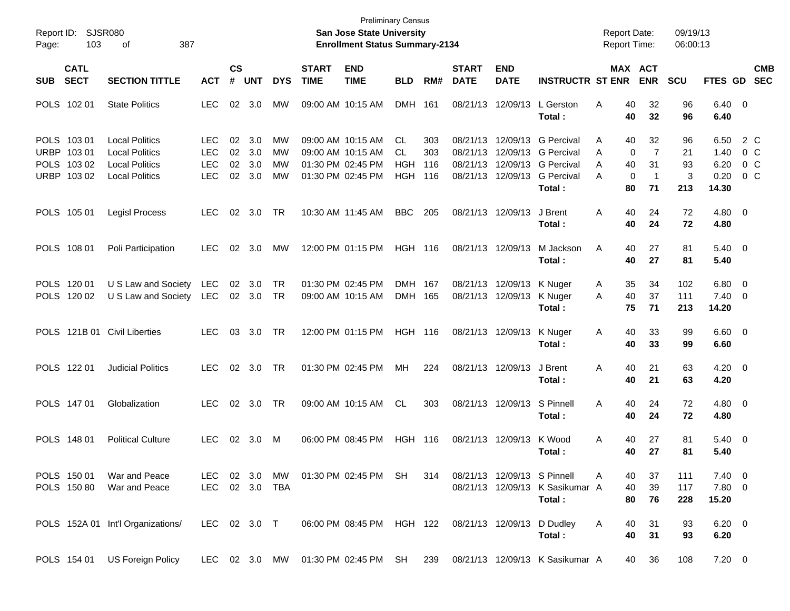| Report ID:<br>Page: | 103                                                      | <b>SJSR080</b><br>387<br>οf                                                                      |                                                      |                      |                          |                      |                             | <b>Preliminary Census</b><br>San Jose State University<br><b>Enrollment Status Summary-2134</b> |                                              |                          |                                              |                                              |                                                                                            | <b>Report Date:</b><br><b>Report Time:</b> |                                                                                | 09/19/13<br>06:00:13       |                                       |                                                    |                          |
|---------------------|----------------------------------------------------------|--------------------------------------------------------------------------------------------------|------------------------------------------------------|----------------------|--------------------------|----------------------|-----------------------------|-------------------------------------------------------------------------------------------------|----------------------------------------------|--------------------------|----------------------------------------------|----------------------------------------------|--------------------------------------------------------------------------------------------|--------------------------------------------|--------------------------------------------------------------------------------|----------------------------|---------------------------------------|----------------------------------------------------|--------------------------|
| <b>SUB</b>          | <b>CATL</b><br><b>SECT</b>                               | <b>SECTION TITTLE</b>                                                                            | <b>ACT</b>                                           | $\mathsf{cs}$<br>#   | <b>UNT</b>               | <b>DYS</b>           | <b>START</b><br><b>TIME</b> | <b>END</b><br><b>TIME</b>                                                                       | <b>BLD</b>                                   | RM#                      | <b>START</b><br><b>DATE</b>                  | <b>END</b><br><b>DATE</b>                    | <b>INSTRUCTR ST ENR</b>                                                                    |                                            | MAX ACT<br><b>ENR</b>                                                          | <b>SCU</b>                 | FTES GD                               |                                                    | <b>CMB</b><br><b>SEC</b> |
|                     | POLS 102 01                                              | <b>State Politics</b>                                                                            | <b>LEC</b>                                           | 02                   | 3.0                      | МW                   |                             | 09:00 AM 10:15 AM                                                                               | <b>DMH</b>                                   | 161                      | 08/21/13                                     | 12/09/13                                     | L Gerston<br>Total:                                                                        | Α                                          | 40<br>32<br>40<br>32                                                           | 96<br>96                   | $6.40 \quad 0$<br>6.40                |                                                    |                          |
|                     | POLS 103 01<br>URBP 103 01<br>POLS 103 02<br>URBP 103 02 | <b>Local Politics</b><br><b>Local Politics</b><br><b>Local Politics</b><br><b>Local Politics</b> | <b>LEC</b><br><b>LEC</b><br><b>LEC</b><br><b>LEC</b> | 02<br>02<br>02<br>02 | 3.0<br>3.0<br>3.0<br>3.0 | МW<br>МW<br>MW<br>MW |                             | 09:00 AM 10:15 AM<br>09:00 AM 10:15 AM<br>01:30 PM 02:45 PM<br>01:30 PM 02:45 PM                | CL.<br><b>CL</b><br><b>HGH</b><br><b>HGH</b> | 303<br>303<br>116<br>116 | 08/21/13<br>08/21/13<br>08/21/13<br>08/21/13 | 12/09/13<br>12/09/13<br>12/09/13<br>12/09/13 | <b>G</b> Percival<br><b>G</b> Percival<br><b>G</b> Percival<br><b>G</b> Percival<br>Total: | A<br>A<br>A<br>A                           | 40<br>32<br>$\overline{7}$<br>0<br>40<br>31<br>0<br>$\overline{1}$<br>71<br>80 | 96<br>21<br>93<br>3<br>213 | 6.50<br>1.40<br>6.20<br>0.20<br>14.30 | 2 C<br>0 <sup>o</sup><br>$0\,C$<br>0 C             |                          |
|                     | POLS 105 01                                              | <b>Legisl Process</b>                                                                            | <b>LEC</b>                                           | 02                   | 3.0                      | <b>TR</b>            |                             | 10:30 AM 11:45 AM                                                                               | <b>BBC</b>                                   | 205                      | 08/21/13                                     | 12/09/13                                     | J Brent<br>Total:                                                                          | Α                                          | 40<br>24<br>40<br>24                                                           | 72<br>72                   | $4.80\ 0$<br>4.80                     |                                                    |                          |
|                     | POLS 108 01                                              | Poli Participation                                                                               | <b>LEC</b>                                           | 02                   | 3.0                      | МW                   |                             | 12:00 PM 01:15 PM                                                                               | <b>HGH 116</b>                               |                          |                                              | 08/21/13 12/09/13                            | M Jackson<br>Total:                                                                        | A                                          | 40<br>27<br>40<br>27                                                           | 81<br>81                   | $5.40 \ 0$<br>5.40                    |                                                    |                          |
|                     | POLS 120 01<br>POLS 120 02                               | U S Law and Society<br>U S Law and Society                                                       | <b>LEC</b><br>LEC                                    | 02                   | 3.0<br>02 3.0            | TR<br>TR             |                             | 01:30 PM 02:45 PM<br>09:00 AM 10:15 AM                                                          | <b>DMH</b><br><b>DMH</b>                     | 167<br>165               | 08/21/13<br>08/21/13                         | 12/09/13<br>12/09/13                         | K Nuger<br>K Nuger<br>Total:                                                               | A<br>A                                     | 35<br>34<br>40<br>37<br>75<br>71                                               | 102<br>111<br>213          | 6.80<br>7.40<br>14.20                 | $\overline{\mathbf{0}}$<br>$\overline{\mathbf{0}}$ |                          |
|                     |                                                          | POLS 121B 01 Civil Liberties                                                                     | <b>LEC</b>                                           | 03                   | 3.0                      | <b>TR</b>            |                             | 12:00 PM 01:15 PM                                                                               | <b>HGH 116</b>                               |                          |                                              | 08/21/13 12/09/13                            | K Nuger<br>Total:                                                                          | Α                                          | 40<br>33<br>40<br>33                                                           | 99<br>99                   | $6.60$ 0<br>6.60                      |                                                    |                          |
|                     | POLS 122 01                                              | <b>Judicial Politics</b>                                                                         | <b>LEC</b>                                           | 02                   | 3.0                      | TR                   |                             | 01:30 PM 02:45 PM                                                                               | МH                                           | 224                      |                                              | 08/21/13 12/09/13                            | J Brent<br>Total:                                                                          | Α                                          | 40<br>21<br>40<br>21                                                           | 63<br>63                   | $4.20 \ 0$<br>4.20                    |                                                    |                          |
|                     | POLS 147 01                                              | Globalization                                                                                    | <b>LEC</b>                                           | 02                   | 3.0                      | <b>TR</b>            |                             | 09:00 AM 10:15 AM                                                                               | <b>CL</b>                                    | 303                      |                                              | 08/21/13 12/09/13                            | S Pinnell<br>Total:                                                                        | A                                          | 40<br>24<br>40<br>24                                                           | 72<br>72                   | $4.80\ 0$<br>4.80                     |                                                    |                          |
|                     | POLS 148 01                                              | <b>Political Culture</b>                                                                         | <b>LEC</b>                                           | 02                   | 3.0                      | M                    |                             | 06:00 PM 08:45 PM                                                                               | HGH 116                                      |                          |                                              | 08/21/13 12/09/13                            | K Wood<br>Total:                                                                           | A                                          | 40<br>27<br>40<br>27                                                           | 81<br>81                   | 5.40 0<br>5.40                        |                                                    |                          |
|                     | POLS 150 01<br>POLS 150 80                               | War and Peace<br>War and Peace                                                                   | LEC.<br>LEC                                          |                      | 02 3.0<br>02 3.0         | MW<br>TBA            |                             | 01:30 PM 02:45 PM SH                                                                            |                                              | 314                      |                                              | 08/21/13 12/09/13 S Pinnell                  | 08/21/13 12/09/13 K Sasikumar A<br>Total:                                                  | A                                          | 40<br>37<br>40<br>39<br>80<br>76                                               | 111<br>117<br>228          | $7.40 \quad 0$<br>7.80 0<br>15.20     |                                                    |                          |
|                     |                                                          | POLS 152A 01 Int'l Organizations/                                                                | LEC 02 3.0 T                                         |                      |                          |                      |                             | 06:00 PM 08:45 PM HGH 122 08/21/13 12/09/13 D Dudley                                            |                                              |                          |                                              |                                              | Total:                                                                                     | A                                          | 40<br>31<br>40<br>31                                                           | 93<br>93                   | $6.20 \quad 0$<br>6.20                |                                                    |                          |
|                     | POLS 154 01                                              | <b>US Foreign Policy</b>                                                                         |                                                      |                      |                          |                      |                             | LEC 02 3.0 MW 01:30 PM 02:45 PM SH                                                              |                                              | 239                      |                                              |                                              | 08/21/13 12/09/13 K Sasikumar A                                                            |                                            | 36<br>40                                                                       | 108                        | $7.20 \t 0$                           |                                                    |                          |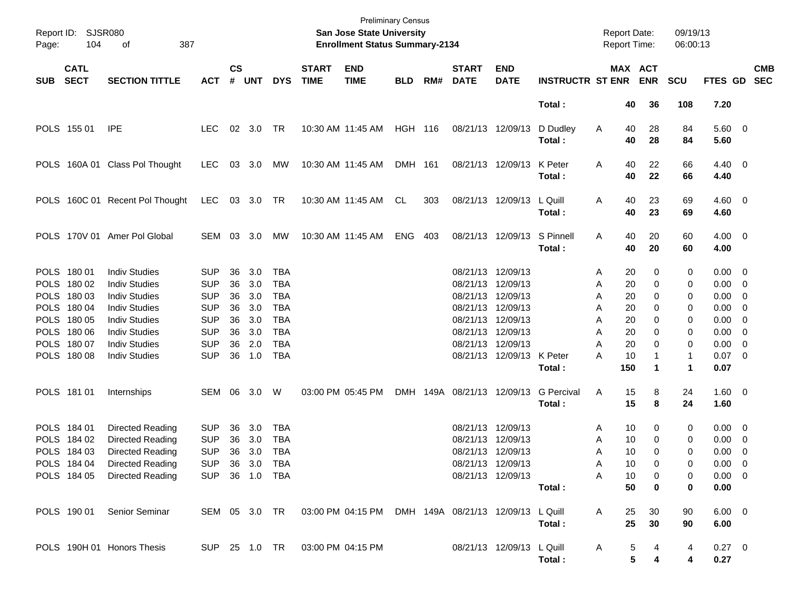| Page:      | Report ID: SJSR080<br>104  | 387<br>οf                       |                |                    |           |            |                             | <b>San Jose State University</b><br><b>Enrollment Status Summary-2134</b> | <b>Preliminary Census</b> |     |                             |                           |                         | <b>Report Date:</b><br>Report Time: |                       | 09/19/13<br>06:00:13 |                        |                          |                          |
|------------|----------------------------|---------------------------------|----------------|--------------------|-----------|------------|-----------------------------|---------------------------------------------------------------------------|---------------------------|-----|-----------------------------|---------------------------|-------------------------|-------------------------------------|-----------------------|----------------------|------------------------|--------------------------|--------------------------|
| <b>SUB</b> | <b>CATL</b><br><b>SECT</b> | <b>SECTION TITTLE</b>           | <b>ACT</b>     | $\mathsf{cs}$<br># | UNT       | <b>DYS</b> | <b>START</b><br><b>TIME</b> | <b>END</b><br><b>TIME</b>                                                 | <b>BLD</b>                | RM# | <b>START</b><br><b>DATE</b> | <b>END</b><br><b>DATE</b> | <b>INSTRUCTR ST ENR</b> |                                     | MAX ACT<br><b>ENR</b> | <b>SCU</b>           | <b>FTES GD</b>         |                          | <b>CMB</b><br><b>SEC</b> |
|            |                            |                                 |                |                    |           |            |                             |                                                                           |                           |     |                             |                           | Total:                  | 40                                  | 36                    | 108                  | 7.20                   |                          |                          |
|            | POLS 155 01                | <b>IPE</b>                      | LEC.           |                    | 02 3.0    | TR         |                             | 10:30 AM 11:45 AM                                                         | HGH 116                   |     |                             | 08/21/13 12/09/13         | D Dudley<br>Total:      | 40<br>A<br>40                       | 28<br>28              | 84<br>84             | 5.60 0<br>5.60         |                          |                          |
|            |                            | POLS 160A 01 Class Pol Thought  | <b>LEC</b>     |                    | 03 3.0    | MW         |                             | 10:30 AM 11:45 AM                                                         | DMH 161                   |     |                             | 08/21/13 12/09/13         | K Peter<br>Total:       | Α<br>40<br>40                       | 22<br>22              | 66<br>66             | $4.40 \quad 0$<br>4.40 |                          |                          |
|            |                            | POLS 160C 01 Recent Pol Thought | LEC            |                    | 03 3.0 TR |            |                             | 10:30 AM 11:45 AM                                                         | CL                        | 303 |                             | 08/21/13 12/09/13         | L Quill<br>Total:       | Α<br>40<br>40                       | 23<br>23              | 69<br>69             | $4.60$ 0<br>4.60       |                          |                          |
|            |                            | POLS 170V 01 Amer Pol Global    | SEM            |                    | 03 3.0    | МW         |                             | 10:30 AM 11:45 AM                                                         | <b>ENG</b>                | 403 |                             | 08/21/13 12/09/13         | S Pinnell<br>Total:     | Α<br>40<br>40                       | 20<br>20              | 60<br>60             | $4.00 \ 0$<br>4.00     |                          |                          |
|            | POLS 180 01                | <b>Indiv Studies</b>            | <b>SUP</b>     | 36                 | 3.0       | <b>TBA</b> |                             |                                                                           |                           |     | 08/21/13 12/09/13           |                           |                         | 20<br>Α                             | 0                     | 0                    | $0.00 \t 0$            |                          |                          |
|            | POLS 180 02                | <b>Indiv Studies</b>            | <b>SUP</b>     | 36                 | 3.0       | <b>TBA</b> |                             |                                                                           |                           |     |                             | 08/21/13 12/09/13         |                         | 20<br>Α                             | 0                     | 0                    | $0.00 \t 0$            |                          |                          |
|            | POLS 180 03                | <b>Indiv Studies</b>            | <b>SUP</b>     | 36                 | 3.0       | <b>TBA</b> |                             |                                                                           |                           |     |                             | 08/21/13 12/09/13         |                         | 20<br>Α                             | 0                     | 0                    | $0.00 \t 0$            |                          |                          |
|            | POLS 180 04                | <b>Indiv Studies</b>            | <b>SUP</b>     | 36                 | 3.0       | <b>TBA</b> |                             |                                                                           |                           |     |                             | 08/21/13 12/09/13         |                         | 20<br>Α                             | 0                     | 0                    | $0.00 \t 0$            |                          |                          |
|            | POLS 180 05                | <b>Indiv Studies</b>            | <b>SUP</b>     | 36                 | 3.0       | <b>TBA</b> |                             |                                                                           |                           |     | 08/21/13 12/09/13           |                           |                         | 20<br>Α                             | 0                     | 0                    | $0.00 \quad 0$         |                          |                          |
|            | POLS 180 06                | <b>Indiv Studies</b>            | <b>SUP</b>     | 36                 | 3.0       | <b>TBA</b> |                             |                                                                           |                           |     | 08/21/13 12/09/13           |                           |                         | 20<br>A                             | 0                     | 0                    | $0.00 \quad 0$         |                          |                          |
|            | POLS 180 07                | <b>Indiv Studies</b>            | <b>SUP</b>     | 36                 | 2.0       | <b>TBA</b> |                             |                                                                           |                           |     | 08/21/13 12/09/13           |                           |                         | 20<br>A                             | 0                     | 0                    | $0.00 \quad 0$         |                          |                          |
|            | POLS 180 08                | <b>Indiv Studies</b>            | <b>SUP</b>     | 36                 | 1.0       | <b>TBA</b> |                             |                                                                           |                           |     |                             | 08/21/13 12/09/13 K Peter | Total:                  | 10<br>А<br>150                      | 1                     | 1<br>1               | $0.07$ 0<br>0.07       |                          |                          |
|            | POLS 181 01                | Internships                     | SEM 06         |                    | 3.0       | W          |                             | 03:00 PM 05:45 PM                                                         |                           |     | DMH 149A 08/21/13 12/09/13  |                           | <b>G</b> Percival       | Α<br>15                             | 8                     | 24                   | $1.60 \t 0$            |                          |                          |
|            |                            |                                 |                |                    |           |            |                             |                                                                           |                           |     |                             |                           | Total:                  | 15                                  | 8                     | 24                   | 1.60                   |                          |                          |
|            | POLS 184 01                | Directed Reading                | <b>SUP</b>     | 36                 | 3.0       | <b>TBA</b> |                             |                                                                           |                           |     | 08/21/13 12/09/13           |                           |                         | 10<br>Α                             | 0                     | 0                    | $0.00 \t 0$            |                          |                          |
|            | POLS 184 02                | Directed Reading                | <b>SUP</b>     | 36                 | 3.0       | <b>TBA</b> |                             |                                                                           |                           |     | 08/21/13 12/09/13           |                           |                         | 10<br>Α                             | 0                     | 0                    | 0.00                   | $\overline{\phantom{0}}$ |                          |
|            | POLS 184 03                | Directed Reading                | <b>SUP</b>     | 36                 | 3.0       | TBA        |                             |                                                                           |                           |     | 08/21/13 12/09/13           |                           |                         | 10<br>A                             | $\Omega$              | 0                    | 0.00                   | $\overline{\phantom{0}}$ |                          |
|            | POLS 184 04                | <b>Directed Reading</b>         | SUP 36 3.0 TBA |                    |           |            |                             |                                                                           |                           |     |                             | 08/21/13 12/09/13         |                         | 10<br>A                             | 0                     | 0                    | $0.00 \t 0$            |                          |                          |
|            | POLS 184 05                | <b>Directed Reading</b>         | SUP 36 1.0 TBA |                    |           |            |                             |                                                                           |                           |     |                             | 08/21/13 12/09/13         |                         | Α<br>10                             | 0                     | 0                    | $0.00 \t 0$            |                          |                          |
|            |                            |                                 |                |                    |           |            |                             |                                                                           |                           |     |                             |                           | Total:                  | 50                                  | 0                     | 0                    | 0.00                   |                          |                          |
|            | POLS 190 01                | Senior Seminar                  | SEM 05 3.0 TR  |                    |           |            |                             | 03:00 PM 04:15 PM DMH 149A 08/21/13 12/09/13 L Quill                      |                           |     |                             |                           | Total:                  | 25<br>Α<br>25                       | 30<br>30              | 90<br>90             | $6.00 \quad 0$<br>6.00 |                          |                          |
|            |                            | POLS 190H 01 Honors Thesis      | SUP 25 1.0 TR  |                    |           |            | 03:00 PM 04:15 PM           |                                                                           |                           |     |                             | 08/21/13 12/09/13 L Quill | Total:                  | A                                   | 5<br>4<br>5<br>4      | 4<br>4               | $0.27$ 0<br>0.27       |                          |                          |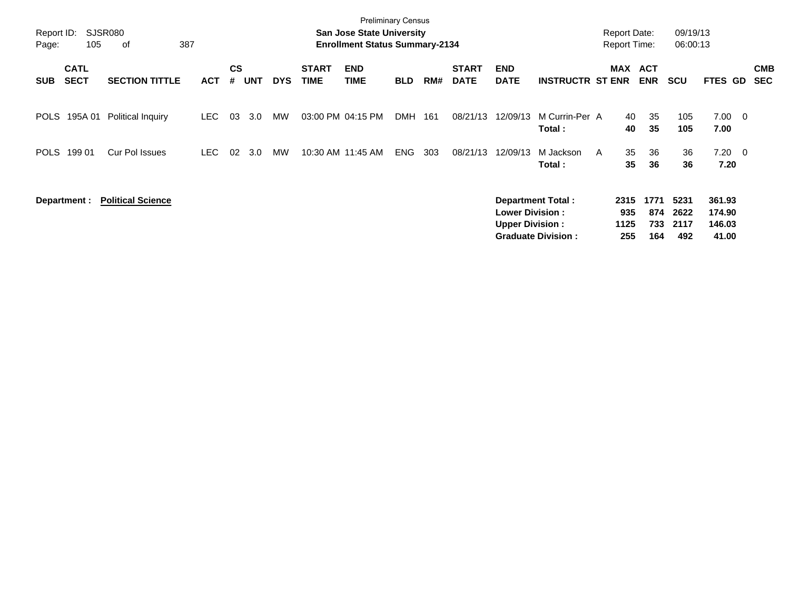| Report ID:<br>Page: | 105                        | SJSR080<br>387<br>оf     |            |                |            |            |                             | <b>Preliminary Census</b><br><b>San Jose State University</b><br><b>Enrollment Status Summary-2134</b> |            |     |                             |                                                  |                           |   | <b>Report Date:</b><br><b>Report Time:</b> |                          | 09/19/13<br>06:00:13 |                            |                          |                          |
|---------------------|----------------------------|--------------------------|------------|----------------|------------|------------|-----------------------------|--------------------------------------------------------------------------------------------------------|------------|-----|-----------------------------|--------------------------------------------------|---------------------------|---|--------------------------------------------|--------------------------|----------------------|----------------------------|--------------------------|--------------------------|
| <b>SUB</b>          | <b>CATL</b><br><b>SECT</b> | <b>SECTION TITTLE</b>    | <b>ACT</b> | <b>CS</b><br># | <b>UNT</b> | <b>DYS</b> | <b>START</b><br><b>TIME</b> | <b>END</b><br><b>TIME</b>                                                                              | <b>BLD</b> | RM# | <b>START</b><br><b>DATE</b> | <b>END</b><br><b>DATE</b>                        | <b>INSTRUCTR ST ENR</b>   |   | MAX                                        | <b>ACT</b><br><b>ENR</b> | <b>SCU</b>           | FTES GD                    |                          | <b>CMB</b><br><b>SEC</b> |
| POLS                | 195A 01                    | <b>Political Inquiry</b> | LEC.       | 03             | 3.0        | MW         | 03:00 PM 04:15 PM           |                                                                                                        | <b>DMH</b> | 161 | 08/21/13                    | 12/09/13                                         | M Currin-Per A<br>Total:  |   | 40<br>40                                   | 35<br>35                 | 105<br>105           | 7.00<br>7.00               | $\overline{\phantom{0}}$ |                          |
| <b>POLS</b>         | 199 01                     | <b>Cur Pol Issues</b>    | LEC.       | 02             | 3.0        | MW         |                             | 10:30 AM 11:45 AM                                                                                      | <b>ENG</b> | 303 | 08/21/13                    | 12/09/13                                         | M Jackson<br>Total:       | A | 35<br>35                                   | 36<br>36                 | 36<br>36             | $7.20 \t 0$<br>7.20        |                          |                          |
|                     | Department :               | <b>Political Science</b> |            |                |            |            |                             |                                                                                                        |            |     |                             | <b>Lower Division:</b><br><b>Upper Division:</b> | <b>Department Total:</b>  |   | 2315<br>935<br>1125                        | 1771<br>874<br>733       | 5231<br>2622<br>2117 | 361.93<br>174.90<br>146.03 |                          |                          |
|                     |                            |                          |            |                |            |            |                             |                                                                                                        |            |     |                             |                                                  | <b>Graduate Division:</b> |   | 255                                        | 164                      | 492                  | 41.00                      |                          |                          |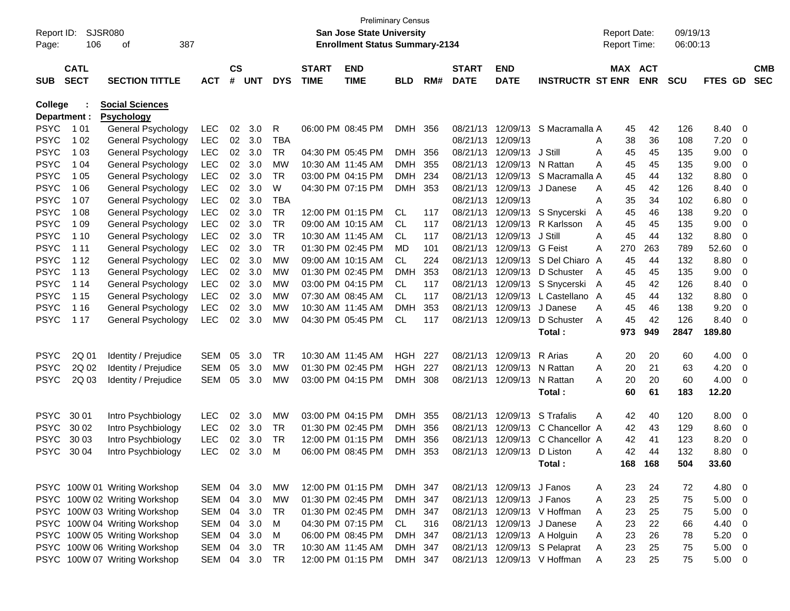| Report ID:  |              | SJSR080                       |            |               |            |            |              | <b>Preliminary Census</b><br>San Jose State University |            |     |              |                           |                              | <b>Report Date:</b> |            | 09/19/13   |         |                         |            |
|-------------|--------------|-------------------------------|------------|---------------|------------|------------|--------------|--------------------------------------------------------|------------|-----|--------------|---------------------------|------------------------------|---------------------|------------|------------|---------|-------------------------|------------|
| Page:       | 106          | 387<br>οf                     |            |               |            |            |              | <b>Enrollment Status Summary-2134</b>                  |            |     |              |                           |                              | <b>Report Time:</b> |            | 06:00:13   |         |                         |            |
|             | <b>CATL</b>  |                               |            | $\mathsf{cs}$ |            |            | <b>START</b> | <b>END</b>                                             |            |     | <b>START</b> | <b>END</b>                |                              |                     | MAX ACT    |            |         |                         | <b>CMB</b> |
| <b>SUB</b>  | <b>SECT</b>  | <b>SECTION TITTLE</b>         | <b>ACT</b> | #             | <b>UNT</b> | <b>DYS</b> | <b>TIME</b>  | <b>TIME</b>                                            | <b>BLD</b> | RM# | <b>DATE</b>  | <b>DATE</b>               | <b>INSTRUCTR ST ENR</b>      |                     | <b>ENR</b> | <b>SCU</b> | FTES GD |                         | <b>SEC</b> |
| College     |              | <b>Social Sciences</b>        |            |               |            |            |              |                                                        |            |     |              |                           |                              |                     |            |            |         |                         |            |
|             | Department : | <b>Psychology</b>             |            |               |            |            |              |                                                        |            |     |              |                           |                              |                     |            |            |         |                         |            |
| <b>PSYC</b> | 1 0 1        | General Psychology            | <b>LEC</b> | 02            | 3.0        | R          |              | 06:00 PM 08:45 PM                                      | <b>DMH</b> | 356 | 08/21/13     | 12/09/13                  | S Macramalla A               |                     | 42<br>45   | 126        | 8.40    | 0                       |            |
| <b>PSYC</b> | 1 0 2        | General Psychology            | <b>LEC</b> | 02            | 3.0        | <b>TBA</b> |              |                                                        |            |     | 08/21/13     | 12/09/13                  |                              | 38<br>A             | 36         | 108        | 7.20    | 0                       |            |
| <b>PSYC</b> | 1 0 3        | General Psychology            | LEC        | 02            | 3.0        | <b>TR</b>  |              | 04:30 PM 05:45 PM                                      | <b>DMH</b> | 356 | 08/21/13     | 12/09/13                  | J Still                      | A<br>45             | 45         | 135        | 9.00    | 0                       |            |
| <b>PSYC</b> | 1 04         | General Psychology            | LEC        | 02            | 3.0        | <b>MW</b>  |              | 10:30 AM 11:45 AM                                      | <b>DMH</b> | 355 | 08/21/13     | 12/09/13                  | N Rattan                     | A<br>45             | 45         | 135        | 9.00    | 0                       |            |
| <b>PSYC</b> | 1 0 5        | General Psychology            | LEC        | 02            | 3.0        | <b>TR</b>  |              | 03:00 PM 04:15 PM                                      | <b>DMH</b> | 234 | 08/21/13     | 12/09/13                  | S Macramalla A               | 45                  | 44         | 132        | 8.80    | 0                       |            |
| <b>PSYC</b> | 1 0 6        | General Psychology            | LEC        | 02            | 3.0        | W          |              | 04:30 PM 07:15 PM                                      | <b>DMH</b> | 353 | 08/21/13     | 12/09/13                  | J Danese                     | 45<br>A             | 42         | 126        | 8.40    | 0                       |            |
| <b>PSYC</b> | 1 0 7        | General Psychology            | LEC        | 02            | 3.0        | <b>TBA</b> |              |                                                        |            |     | 08/21/13     | 12/09/13                  |                              | 35<br>A             | 34         | 102        | 6.80    | 0                       |            |
| <b>PSYC</b> | 1 0 8        | General Psychology            | LEC        | 02            | 3.0        | <b>TR</b>  |              | 12:00 PM 01:15 PM                                      | CL         | 117 | 08/21/13     | 12/09/13                  | S Snycerski                  | 45<br>A             | 46         | 138        | 9.20    | 0                       |            |
| <b>PSYC</b> | 1 0 9        | General Psychology            | LEC        | 02            | 3.0        | <b>TR</b>  |              | 09:00 AM 10:15 AM                                      | CL         | 117 | 08/21/13     | 12/09/13                  | R Karlsson                   | A<br>45             | 45         | 135        | 9.00    | 0                       |            |
| <b>PSYC</b> | 1 10         | General Psychology            | <b>LEC</b> | 02            | 3.0        | <b>TR</b>  |              | 10:30 AM 11:45 AM                                      | CL         | 117 | 08/21/13     | 12/09/13                  | J Still                      | A<br>45             | 44         | 132        | 8.80    | 0                       |            |
| <b>PSYC</b> | 1 1 1        | General Psychology            | LEC        | 02            | 3.0        | <b>TR</b>  |              | 01:30 PM 02:45 PM                                      | MD         | 101 | 08/21/13     | 12/09/13                  | G Feist                      | A<br>270            | 263        | 789        | 52.60   | 0                       |            |
| <b>PSYC</b> | 1 1 2        | General Psychology            | LEC        | 02            | 3.0        | <b>MW</b>  |              | 09:00 AM 10:15 AM                                      | <b>CL</b>  | 224 | 08/21/13     | 12/09/13                  | S Del Chiaro A               | 45                  | 44         | 132        | 8.80    | 0                       |            |
| <b>PSYC</b> | 1 1 3        | General Psychology            | LEC        | 02            | 3.0        | МW         |              | 01:30 PM 02:45 PM                                      | <b>DMH</b> | 353 | 08/21/13     | 12/09/13                  | D Schuster                   | A                   | 45<br>45   | 135        | 9.00    | 0                       |            |
| <b>PSYC</b> | 1 14         | General Psychology            | LEC        | 02            | 3.0        | МW         |              | 03:00 PM 04:15 PM                                      | CL         | 117 | 08/21/13     | 12/09/13                  | S Snycerski                  | 45<br>A             | 42         | 126        | 8.40    | 0                       |            |
| <b>PSYC</b> | 1 15         | General Psychology            | LEC        | 02            | 3.0        | МW         |              | 07:30 AM 08:45 AM                                      | CL.        | 117 | 08/21/13     | 12/09/13                  | L Castellano A               | 45                  | 44         | 132        | 8.80    | 0                       |            |
| <b>PSYC</b> | 1 1 6        | General Psychology            | LEC        | 02            | 3.0        | МW         |              | 10:30 AM 11:45 AM                                      | <b>DMH</b> | 353 | 08/21/13     | 12/09/13                  | J Danese                     | A<br>45             | 46         | 138        | 9.20    | 0                       |            |
| <b>PSYC</b> | 1 1 7        | General Psychology            | <b>LEC</b> | 02            | 3.0        | МW         |              | 04:30 PM 05:45 PM                                      | <b>CL</b>  | 117 | 08/21/13     | 12/09/13                  | D Schuster                   | A<br>45             | 42         | 126        | 8.40    | 0                       |            |
|             |              |                               |            |               |            |            |              |                                                        |            |     |              |                           | Total:                       | 973                 | 949        | 2847       | 189.80  |                         |            |
| <b>PSYC</b> | 2Q 01        | Identity / Prejudice          | <b>SEM</b> | 05            | 3.0        | TR         |              | 10:30 AM 11:45 AM                                      | <b>HGH</b> | 227 | 08/21/13     | 12/09/13                  | R Arias                      | Α                   | 20<br>20   | 60         | 4.00    | 0                       |            |
| <b>PSYC</b> | 2Q 02        | Identity / Prejudice          | <b>SEM</b> | 05            | 3.0        | MW         |              | 01:30 PM 02:45 PM                                      | HGH        | 227 | 08/21/13     | 12/09/13                  | N Rattan                     | A<br>20             | 21         | 63         | 4.20    | 0                       |            |
| PSYC        | 2Q 03        | Identity / Prejudice          | <b>SEM</b> | 05            | 3.0        | MW         |              | 03:00 PM 04:15 PM                                      | <b>DMH</b> | 308 | 08/21/13     | 12/09/13                  | N Rattan                     | A<br>20             | 20         | 60         | 4.00    | 0                       |            |
|             |              |                               |            |               |            |            |              |                                                        |            |     |              |                           | Total:                       |                     | 60<br>61   | 183        | 12.20   |                         |            |
| <b>PSYC</b> | 30 01        | Intro Psychbiology            | <b>LEC</b> | 02            | 3.0        | MW         |              | 03:00 PM 04:15 PM                                      | <b>DMH</b> | 355 | 08/21/13     | 12/09/13                  | S Trafalis                   | A                   | 42<br>40   | 120        | 8.00    | 0                       |            |
| <b>PSYC</b> | 30 02        | Intro Psychbiology            | LEC        | 02            | 3.0        | TR         |              | 01:30 PM 02:45 PM                                      | <b>DMH</b> | 356 | 08/21/13     | 12/09/13                  | C Chancellor A               |                     | 42<br>43   | 129        | 8.60    | 0                       |            |
| <b>PSYC</b> | 30 03        | Intro Psychbiology            | <b>LEC</b> | 02            | 3.0        | TR         |              | 12:00 PM 01:15 PM                                      | <b>DMH</b> | 356 | 08/21/13     | 12/09/13                  | C Chancellor A               |                     | 42<br>41   | 123        | 8.20    | 0                       |            |
| PSYC        | 30 04        | Intro Psychbiology            | <b>LEC</b> | 02            | 3.0        | м          |              | 06:00 PM 08:45 PM                                      | <b>DMH</b> | 353 | 08/21/13     | 12/09/13                  | D Liston                     | A                   | 42<br>44   | 132        | 8.80    | 0                       |            |
|             |              |                               |            |               |            |            |              |                                                        |            |     |              |                           | Total:                       | 168                 | 168        | 504        | 33.60   |                         |            |
|             |              | PSYC 100W 01 Writing Workshop | SEM        | 04            | 3.0        | МW         |              | 12:00 PM 01:15 PM                                      | DMH 347    |     |              | 08/21/13 12/09/13 J Fanos |                              | A                   | 24<br>23   | 72         | 4.80    | $\overline{\mathbf{0}}$ |            |
|             |              | PSYC 100W 02 Writing Workshop | SEM        | 04            | 3.0        | MW         |              | 01:30 PM 02:45 PM                                      | DMH 347    |     |              | 08/21/13 12/09/13 J Fanos |                              | Α                   | 25<br>23   | 75         | 5.00    | $\overline{0}$          |            |
|             |              | PSYC 100W 03 Writing Workshop | SEM        | 04            | 3.0        | TR         |              | 01:30 PM 02:45 PM                                      | DMH 347    |     |              |                           | 08/21/13 12/09/13 V Hoffman  | A                   | 23<br>25   | 75         | 5.00    | 0                       |            |
|             |              | PSYC 100W 04 Writing Workshop | SEM        | 04            | 3.0        | м          |              | 04:30 PM 07:15 PM                                      | CL         | 316 |              |                           | 08/21/13 12/09/13 J Danese   | A                   | 23<br>22   | 66         | 4.40    | - 0                     |            |
|             |              | PSYC 100W 05 Writing Workshop | SEM        | 04            | 3.0        | м          |              | 06:00 PM 08:45 PM                                      | DMH 347    |     |              |                           | 08/21/13 12/09/13 A Holguin  | A                   | 23<br>26   | 78         | 5.20    | - 0                     |            |
|             |              | PSYC 100W 06 Writing Workshop | SEM        | 04            | 3.0        | <b>TR</b>  |              | 10:30 AM 11:45 AM                                      | DMH 347    |     |              |                           | 08/21/13 12/09/13 S Pelaprat | A                   | 23<br>25   | 75         | 5.00    | $\overline{0}$          |            |
|             |              | PSYC 100W 07 Writing Workshop | SEM 04     |               | 3.0        | <b>TR</b>  |              | 12:00 PM 01:15 PM                                      | DMH 347    |     |              |                           | 08/21/13 12/09/13 V Hoffman  | Α                   | 23<br>25   | 75         | 5.00    | $\overline{\mathbf{0}}$ |            |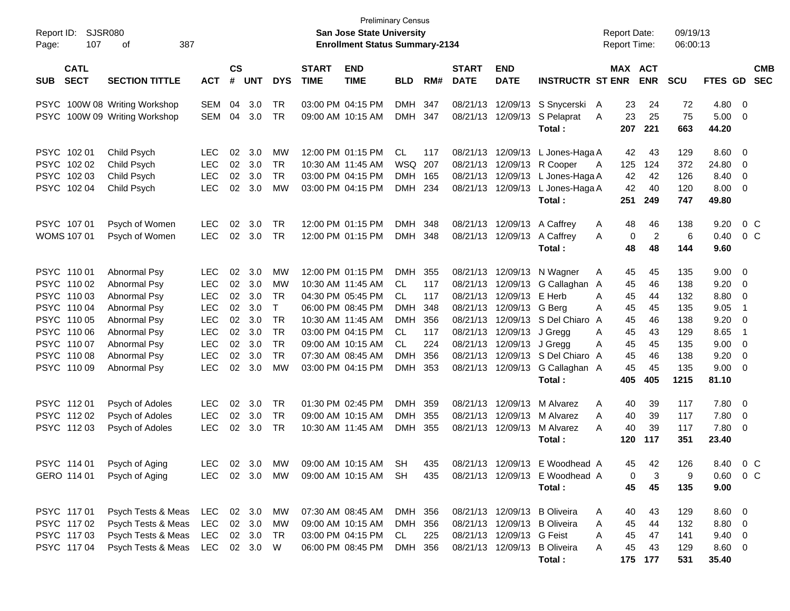| Report ID:<br>Page: | 107                        | <b>SJSR080</b><br>387<br>οf |               |                             |            |            |                             | <b>Preliminary Census</b><br><b>San Jose State University</b><br><b>Enrollment Status Summary-2134</b> |            |     |                             |                           |                                  | <b>Report Date:</b><br><b>Report Time:</b> |                | 09/19/13<br>06:00:13 |                |                |                          |
|---------------------|----------------------------|-----------------------------|---------------|-----------------------------|------------|------------|-----------------------------|--------------------------------------------------------------------------------------------------------|------------|-----|-----------------------------|---------------------------|----------------------------------|--------------------------------------------|----------------|----------------------|----------------|----------------|--------------------------|
| <b>SUB</b>          | <b>CATL</b><br><b>SECT</b> | <b>SECTION TITTLE</b>       | <b>ACT</b>    | $\mathbf{c}\mathbf{s}$<br># | <b>UNT</b> | <b>DYS</b> | <b>START</b><br><b>TIME</b> | <b>END</b><br><b>TIME</b>                                                                              | <b>BLD</b> | RM# | <b>START</b><br><b>DATE</b> | <b>END</b><br><b>DATE</b> | <b>INSTRUCTR ST ENR</b>          | MAX ACT                                    | <b>ENR</b>     | <b>SCU</b>           | FTES GD        |                | <b>CMB</b><br><b>SEC</b> |
|                     |                            |                             |               |                             |            |            |                             |                                                                                                        |            |     |                             |                           |                                  |                                            |                |                      |                |                |                          |
| <b>PSYC</b>         |                            | 100W 08 Writing Workshop    | <b>SEM</b>    | 04                          | 3.0        | <b>TR</b>  |                             | 03:00 PM 04:15 PM                                                                                      | <b>DMH</b> | 347 | 08/21/13                    | 12/09/13                  | S Snycerski                      | 23<br>A                                    | 24             | 72                   | 4.80           | $\overline{0}$ |                          |
| <b>PSYC</b>         |                            | 100W 09 Writing Workshop    | SEM           | 04                          | 3.0        | TR         |                             | 09:00 AM 10:15 AM                                                                                      | <b>DMH</b> | 347 | 08/21/13                    | 12/09/13                  | S Pelaprat<br>Total:             | 23<br>Α<br>207                             | 25<br>221      | 75<br>663            | 5.00<br>44.20  | 0              |                          |
|                     | PSYC 102 01                | Child Psych                 | <b>LEC</b>    | 02                          | 3.0        | MW         |                             | 12:00 PM 01:15 PM                                                                                      | CL         | 117 | 08/21/13                    | 12/09/13                  | L Jones-Haga A                   | 42                                         | 43             | 129                  | 8.60           | 0              |                          |
|                     | PSYC 102 02                | Child Psych                 | <b>LEC</b>    | 02                          | 3.0        | <b>TR</b>  |                             | 10:30 AM 11:45 AM                                                                                      | WSQ        | 207 | 08/21/13                    | 12/09/13                  | R Cooper                         | 125<br>A                                   | 124            | 372                  | 24.80          | 0              |                          |
|                     | PSYC 102 03                | Child Psych                 | LEC           | 02                          | 3.0        | <b>TR</b>  |                             | 03:00 PM 04:15 PM                                                                                      | <b>DMH</b> | 165 | 08/21/13                    | 12/09/13                  | L Jones-Haga A                   | 42                                         | 42             | 126                  | 8.40           | 0              |                          |
|                     | PSYC 102 04                | Child Psych                 | <b>LEC</b>    | 02                          | 3.0        | MW         |                             | 03:00 PM 04:15 PM                                                                                      | DMH 234    |     |                             |                           | 08/21/13 12/09/13 L Jones-Haga A | 42                                         | 40             | 120                  | 8.00           | 0              |                          |
|                     |                            |                             |               |                             |            |            |                             |                                                                                                        |            |     |                             |                           | Total:                           | 251                                        | 249            | 747                  | 49.80          |                |                          |
|                     | PSYC 107 01                | Psych of Women              | <b>LEC</b>    | 02                          | 3.0        | TR         |                             | 12:00 PM 01:15 PM                                                                                      | <b>DMH</b> | 348 |                             | 08/21/13 12/09/13         | A Caffrey                        | 48<br>A                                    | 46             | 138                  | 9.20           | $0\,$ C        |                          |
|                     | WOMS 107 01                | Psych of Women              | LEC           | 02                          | 3.0        | TR         |                             | 12:00 PM 01:15 PM                                                                                      | DMH 348    |     |                             | 08/21/13 12/09/13         | A Caffrey                        | 0<br>Α                                     | $\overline{2}$ | 6                    | 0.40           | $0\,$ C        |                          |
|                     |                            |                             |               |                             |            |            |                             |                                                                                                        |            |     |                             |                           | Total:                           | 48                                         | 48             | 144                  | 9.60           |                |                          |
|                     | PSYC 11001                 | Abnormal Psy                | <b>LEC</b>    | 02                          | 3.0        | MW         |                             | 12:00 PM 01:15 PM                                                                                      | <b>DMH</b> | 355 | 08/21/13                    |                           | 12/09/13 N Wagner                | A<br>45                                    | 45             | 135                  | 9.00           | 0              |                          |
|                     | PSYC 110 02                | Abnormal Psy                | <b>LEC</b>    | 02                          | 3.0        | MW         |                             | 10:30 AM 11:45 AM                                                                                      | CL         | 117 | 08/21/13                    | 12/09/13                  | G Callaghan                      | 45<br>A                                    | 46             | 138                  | 9.20           | 0              |                          |
|                     | PSYC 110 03                | Abnormal Psy                | <b>LEC</b>    | 02                          | 3.0        | TR         |                             | 04:30 PM 05:45 PM                                                                                      | <b>CL</b>  | 117 | 08/21/13                    | 12/09/13                  | E Herb                           | Α<br>45                                    | 44             | 132                  | 8.80           | 0              |                          |
|                     | PSYC 110 04                | Abnormal Psy                | <b>LEC</b>    | 02                          | 3.0        | T          |                             | 06:00 PM 08:45 PM                                                                                      | <b>DMH</b> | 348 | 08/21/13                    | 12/09/13                  | G Bera                           | Α<br>45                                    | 45             | 135                  | 9.05           | -1             |                          |
|                     | PSYC 110 05                | Abnormal Psy                | <b>LEC</b>    | 02                          | 3.0        | TR         |                             | 10:30 AM 11:45 AM                                                                                      | <b>DMH</b> | 356 | 08/21/13                    | 12/09/13                  | S Del Chiaro                     | A<br>45                                    | 46             | 138                  | 9.20           | 0              |                          |
|                     | PSYC 110 06                | Abnormal Psy                | <b>LEC</b>    | 02                          | 3.0        | TR         |                             | 03:00 PM 04:15 PM                                                                                      | CL         | 117 | 08/21/13                    | 12/09/13                  | J Gregg                          | 45<br>Α                                    | 43             | 129                  | 8.65           | -1             |                          |
|                     | PSYC 110 07                | Abnormal Psy                | <b>LEC</b>    | 02                          | 3.0        | TR         |                             | 09:00 AM 10:15 AM                                                                                      | CL.        | 224 | 08/21/13                    | 12/09/13                  | J Gregg                          | 45<br>Α                                    | 45             | 135                  | 9.00           | 0              |                          |
|                     | PSYC 110 08                | Abnormal Psy                | <b>LEC</b>    | 02                          | 3.0        | <b>TR</b>  |                             | 07:30 AM 08:45 AM                                                                                      | <b>DMH</b> | 356 | 08/21/13                    |                           | 12/09/13 S Del Chiaro            | 45<br>A                                    | 46             | 138                  | 9.20           | 0              |                          |
|                     | PSYC 110 09                | Abnormal Psy                | <b>LEC</b>    | 02                          | 3.0        | MW         |                             | 03:00 PM 04:15 PM                                                                                      | DMH        | 353 |                             | 08/21/13 12/09/13         | G Callaghan A                    | 45<br>405                                  | 45<br>405      | 135<br>1215          | 9.00<br>81.10  | 0              |                          |
|                     |                            |                             |               |                             |            |            |                             |                                                                                                        |            |     |                             |                           | Total:                           |                                            |                |                      |                |                |                          |
|                     | PSYC 11201                 | Psych of Adoles             | <b>LEC</b>    | 02                          | 3.0        | <b>TR</b>  |                             | 01:30 PM 02:45 PM                                                                                      | <b>DMH</b> | 359 | 08/21/13                    | 12/09/13                  | M Alvarez                        | A<br>40                                    | 39             | 117                  | 7.80           | 0              |                          |
|                     | PSYC 11202                 | Psych of Adoles             | LEC           | 02                          | 3.0        | TR         |                             | 09:00 AM 10:15 AM                                                                                      | <b>DMH</b> | 355 | 08/21/13                    | 12/09/13                  | M Alvarez                        | 40<br>A                                    | 39             | 117                  | 7.80           | 0              |                          |
|                     | PSYC 11203                 | Psych of Adoles             | <b>LEC</b>    | 02                          | 3.0        | TR         |                             | 10:30 AM 11:45 AM                                                                                      | <b>DMH</b> | 355 |                             | 08/21/13 12/09/13         | M Alvarez                        | Α<br>40                                    | 39             | 117                  | 7.80           | 0              |                          |
|                     |                            |                             |               |                             |            |            |                             |                                                                                                        |            |     |                             |                           | Total:                           | 120                                        | 117            | 351                  | 23.40          |                |                          |
|                     | PSYC 114 01                | Psych of Aging              | LEC           |                             | 02 3.0     | MW         |                             | 09:00 AM 10:15 AM                                                                                      | SH         | 435 |                             |                           | 08/21/13 12/09/13 E Woodhead A   | 45                                         | 42             | 126                  | 8.40           | $0\,$ C        |                          |
|                     | GERO 114 01                | Psych of Aging              | LEC 02 3.0 MW |                             |            |            |                             | 09:00 AM 10:15 AM SH                                                                                   |            | 435 |                             |                           | 08/21/13 12/09/13 E Woodhead A   | 0                                          | 3              | 9                    | $0.60 \t 0 C$  |                |                          |
|                     |                            |                             |               |                             |            |            |                             |                                                                                                        |            |     |                             |                           | Total:                           | 45                                         | 45             | 135                  | 9.00           |                |                          |
|                     | PSYC 11701                 | Psych Tests & Meas          | LEC           |                             | 02 3.0     | MW         |                             | 07:30 AM 08:45 AM                                                                                      | DMH 356    |     |                             |                           | 08/21/13 12/09/13 B Oliveira     | A<br>40                                    | 43             | 129                  | 8.60 0         |                |                          |
|                     | PSYC 11702                 | Psych Tests & Meas          | LEC           |                             | 02 3.0     | MW         |                             | 09:00 AM 10:15 AM                                                                                      | DMH 356    |     |                             |                           | 08/21/13 12/09/13 B Oliveira     | Α<br>45                                    | 44             | 132                  | 8.80 0         |                |                          |
|                     | PSYC 11703                 | Psych Tests & Meas          | LEC           |                             | 02 3.0     | TR         |                             | 03:00 PM 04:15 PM                                                                                      | CL         | 225 |                             | 08/21/13 12/09/13 G Feist |                                  | 45<br>A                                    | 47             | 141                  | $9.40 \quad 0$ |                |                          |
|                     | PSYC 11704                 | Psych Tests & Meas          | LEC 02 3.0    |                             |            | W          |                             | 06:00 PM 08:45 PM                                                                                      | DMH 356    |     |                             |                           | 08/21/13 12/09/13 B Oliveira     | 45<br>A                                    | 43             | 129                  | 8.60 0         |                |                          |
|                     |                            |                             |               |                             |            |            |                             |                                                                                                        |            |     |                             |                           | Total:                           |                                            | 175 177        | 531                  | 35.40          |                |                          |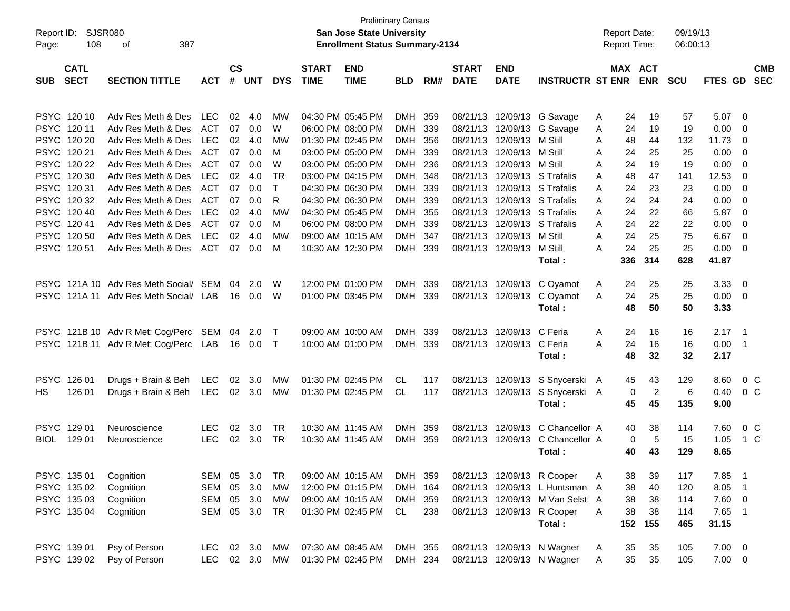| Report ID:  |                  | <b>SJSR080</b>                        |            |                             |            |            |              | <b>Preliminary Census</b><br><b>San Jose State University</b> |            |     |              |                   |                                 |   | <b>Report Date:</b> |                | 09/19/13   |             |                            |                |
|-------------|------------------|---------------------------------------|------------|-----------------------------|------------|------------|--------------|---------------------------------------------------------------|------------|-----|--------------|-------------------|---------------------------------|---|---------------------|----------------|------------|-------------|----------------------------|----------------|
| Page:       | 108<br>387<br>οf |                                       |            |                             |            |            |              | <b>Enrollment Status Summary-2134</b>                         |            |     |              |                   |                                 |   | <b>Report Time:</b> |                | 06:00:13   |             |                            |                |
|             | <b>CATL</b>      |                                       |            |                             |            |            | <b>START</b> | <b>END</b>                                                    |            |     | <b>START</b> | <b>END</b>        |                                 |   | MAX ACT             |                |            |             |                            | <b>CMB</b>     |
| <b>SUB</b>  | <b>SECT</b>      | <b>SECTION TITTLE</b>                 | <b>ACT</b> | $\mathbf{c}\mathbf{s}$<br># | <b>UNT</b> | <b>DYS</b> | <b>TIME</b>  | <b>TIME</b>                                                   | <b>BLD</b> | RM# | <b>DATE</b>  | <b>DATE</b>       | <b>INSTRUCTR ST ENR</b>         |   |                     | <b>ENR</b>     | <b>SCU</b> | FTES GD     |                            | <b>SEC</b>     |
|             |                  |                                       |            |                             |            |            |              |                                                               |            |     |              |                   |                                 |   |                     |                |            |             |                            |                |
|             | PSYC 120 10      | Adv Res Meth & Des                    | <b>LEC</b> | 02                          | 4.0        | MW         |              | 04:30 PM 05:45 PM                                             | <b>DMH</b> | 359 |              | 08/21/13 12/09/13 | G Savage                        | A | 24                  | 19             | 57         | 5.07        | - 0                        |                |
| PSYC 12011  |                  | Adv Res Meth & Des                    | <b>ACT</b> | 07                          | 0.0        | W          |              | 06:00 PM 08:00 PM                                             | <b>DMH</b> | 339 |              | 08/21/13 12/09/13 | G Savage                        | A | 24                  | 19             | 19         | 0.00        | 0                          |                |
|             | PSYC 120 20      | Adv Res Meth & Des                    | <b>LEC</b> | 02                          | 4.0        | MW         |              | 01:30 PM 02:45 PM                                             | DMH.       | 356 |              | 08/21/13 12/09/13 | M Still                         | A | 48                  | 44             | 132        | 11.73       | 0                          |                |
| PSYC 120 21 |                  | Adv Res Meth & Des                    | <b>ACT</b> | 07                          | 0.0        | м          |              | 03:00 PM 05:00 PM                                             | DMH.       | 339 |              | 08/21/13 12/09/13 | M Still                         | A | 24                  | 25             | 25         | 0.00        | 0                          |                |
|             | PSYC 120 22      | Adv Res Meth & Des                    | <b>ACT</b> | 07                          | 0.0        | W          |              | 03:00 PM 05:00 PM                                             | <b>DMH</b> | 236 | 08/21/13     | 12/09/13          | M Still                         | A | 24                  | 19             | 19         | 0.00        | 0                          |                |
|             | PSYC 120 30      | Adv Res Meth & Des                    | <b>LEC</b> | 02                          | 4.0        | <b>TR</b>  |              | 03:00 PM 04:15 PM                                             | <b>DMH</b> | 348 | 08/21/13     | 12/09/13          | S Trafalis                      | A | 48                  | 47             | 141        | 12.53       | 0                          |                |
|             | PSYC 12031       | Adv Res Meth & Des                    | <b>ACT</b> | 07                          | 0.0        | $\top$     |              | 04:30 PM 06:30 PM                                             | <b>DMH</b> | 339 | 08/21/13     |                   | 12/09/13 S Trafalis             | A | 24                  | 23             | 23         | 0.00        | 0                          |                |
|             | PSYC 120 32      | Adv Res Meth & Des                    | <b>ACT</b> | 07                          | 0.0        | R          |              | 04:30 PM 06:30 PM                                             | <b>DMH</b> | 339 | 08/21/13     |                   | 12/09/13 S Trafalis             | A | 24                  | 24             | 24         | 0.00        | 0                          |                |
|             | PSYC 120 40      | Adv Res Meth & Des                    | <b>LEC</b> | 02                          | 4.0        | MW         |              | 04:30 PM 05:45 PM                                             | DMH.       | 355 |              | 08/21/13 12/09/13 | S Trafalis                      | A | 24                  | 22             | 66         | 5.87        | 0                          |                |
| PSYC 12041  |                  | Adv Res Meth & Des                    | ACT        | 07                          | 0.0        | м          |              | 06:00 PM 08:00 PM                                             | <b>DMH</b> | 339 | 08/21/13     | 12/09/13          | S Trafalis                      | A | 24                  | 22             | 22         | 0.00        | 0                          |                |
|             | PSYC 120 50      | Adv Res Meth & Des                    | LEC        | 02                          | 4.0        | МW         |              | 09:00 AM 10:15 AM                                             | <b>DMH</b> | 347 |              | 08/21/13 12/09/13 | M Still                         | A | 24                  | 25             | 75         | 6.67        | $\overline{0}$             |                |
|             | PSYC 120 51      | Adv Res Meth & Des                    | ACT        | 07                          | 0.0        | M          |              | 10:30 AM 12:30 PM                                             | <b>DMH</b> | 339 |              | 08/21/13 12/09/13 | M Still                         | A | 24                  | 25             | 25         | 0.00        | - 0                        |                |
|             |                  |                                       |            |                             |            |            |              |                                                               |            |     |              |                   | Total:                          |   | 336                 | 314            | 628        | 41.87       |                            |                |
|             |                  | PSYC 121A 10 Adv Res Meth Social/ SEM |            | 04                          | 2.0        | W          |              | 12:00 PM 01:00 PM                                             | <b>DMH</b> | 339 |              | 08/21/13 12/09/13 | C Oyamot                        | A | 24                  | 25             | 25         | 3.33        | $\overline{0}$             |                |
|             |                  | PSYC 121A 11 Adv Res Meth Social/ LAB |            | 16                          | 0.0        | W          |              | 01:00 PM 03:45 PM                                             | <b>DMH</b> | 339 |              | 08/21/13 12/09/13 | C Oyamot                        | A | 24                  | 25             | 25         | 0.00        | - 0                        |                |
|             |                  |                                       |            |                             |            |            |              |                                                               |            |     |              |                   | Total:                          |   | 48                  | 50             | 50         | 3.33        |                            |                |
|             |                  |                                       |            |                             |            |            |              |                                                               |            |     |              |                   |                                 |   |                     |                |            |             |                            |                |
|             |                  | PSYC 121B 10 Adv R Met: Cog/Perc      | SEM        | 04                          | 2.0        | $\top$     |              | 09:00 AM 10:00 AM                                             | <b>DMH</b> | 339 |              | 08/21/13 12/09/13 | C Feria                         | A | 24                  | 16             | 16         | 2.17        | $\overline{\phantom{0}}$   |                |
|             |                  | PSYC 121B 11 Adv R Met: Cog/Perc LAB  |            | 16                          | $0.0\,$    | $\top$     |              | 10:00 AM 01:00 PM                                             | <b>DMH</b> | 339 |              | 08/21/13 12/09/13 | C Feria                         | A | 24                  | 16             | 16         | 0.00        | - 1                        |                |
|             |                  |                                       |            |                             |            |            |              |                                                               |            |     |              |                   | Total:                          |   | 48                  | 32             | 32         | 2.17        |                            |                |
| PSYC 126 01 |                  | Drugs + Brain & Beh                   | LEC        | 02                          | 3.0        | MW         |              | 01:30 PM 02:45 PM                                             | CL         | 117 |              | 08/21/13 12/09/13 | S Snycerski A                   |   | 45                  | 43             | 129        | 8.60        |                            | 0 <sup>C</sup> |
| HS.         | 126 01           | Drugs + Brain & Beh                   | LEC        |                             | 02 3.0     | МW         |              | 01:30 PM 02:45 PM                                             | CL.        | 117 |              | 08/21/13 12/09/13 | S Snycerski A                   |   | 0                   | $\overline{2}$ | 6          | 0.40        |                            | $0\,C$         |
|             |                  |                                       |            |                             |            |            |              |                                                               |            |     |              |                   | Total:                          |   | 45                  | 45             | 135        | 9.00        |                            |                |
|             |                  |                                       |            |                             |            |            |              |                                                               |            |     |              |                   |                                 |   |                     |                |            |             |                            |                |
| PSYC 129 01 |                  | Neuroscience                          | <b>LEC</b> | 02                          | 3.0        | TR         |              | 10:30 AM 11:45 AM                                             | <b>DMH</b> | 359 |              | 08/21/13 12/09/13 | C Chancellor A                  |   | 40                  | 38             | 114        | 7.60        |                            | 0 <sup>C</sup> |
| <b>BIOL</b> | 129 01           | Neuroscience                          | <b>LEC</b> | 02                          | 3.0        | TR         |              | 10:30 AM 11:45 AM                                             | <b>DMH</b> | 359 |              | 08/21/13 12/09/13 | C Chancellor A                  |   | 0                   | 5              | 15         | 1.05        | 1 C                        |                |
|             |                  |                                       |            |                             |            |            |              |                                                               |            |     |              |                   | Total:                          |   | 40                  | 43             | 129        | 8.65        |                            |                |
|             |                  |                                       |            |                             |            |            |              |                                                               |            |     |              |                   |                                 |   |                     |                |            |             |                            |                |
| PSYC 135 01 |                  | Cognition                             | SEM 05     |                             | 3.0        | TR         |              | 09:00 AM 10:15 AM                                             | DMH 359    |     |              |                   | 08/21/13 12/09/13 R Cooper      | A | 38                  | 39             | 117        | 7.85        | $\overline{\phantom{0}}$ 1 |                |
|             | PSYC 135 02      | Cognition                             | SEM        | 05                          | 3.0        | MW         |              | 12:00 PM 01:15 PM                                             | <b>DMH</b> | 164 |              | 08/21/13 12/09/13 | L Huntsman A                    |   | 38                  | 40             | 120        | 8.05        | $\overline{\phantom{0}}$ 1 |                |
|             | PSYC 13503       | Cognition                             | SEM        | 05                          | 3.0        | MW         |              | 09:00 AM 10:15 AM                                             | DMH 359    |     |              |                   | 08/21/13 12/09/13 M Van Selst A |   | 38                  | 38             | 114        | 7.60 0      |                            |                |
|             | PSYC 135 04      | Cognition                             | SEM        | 05                          | 3.0        | TR         |              | 01:30 PM 02:45 PM                                             | CL         | 238 |              | 08/21/13 12/09/13 | R Cooper                        | A | 38                  | 38             | 114        | 7.65 1      |                            |                |
|             |                  |                                       |            |                             |            |            |              |                                                               |            |     |              |                   | Total:                          |   | 152                 | 155            | 465        | 31.15       |                            |                |
|             |                  |                                       |            |                             |            |            |              |                                                               |            |     |              |                   |                                 |   |                     |                |            |             |                            |                |
| PSYC 139 01 |                  | Psy of Person                         | LEC        |                             | 02 3.0     | МW         |              | 07:30 AM 08:45 AM                                             | DMH 355    |     |              |                   | 08/21/13 12/09/13 N Wagner      | A | 35                  | 35             | 105        | $7.00 \t 0$ |                            |                |
|             | PSYC 139 02      | Psy of Person                         | <b>LEC</b> |                             | 02 3.0     | MW         |              | 01:30 PM 02:45 PM                                             | DMH 234    |     |              |                   | 08/21/13 12/09/13 N Wagner      | A | 35                  | 35             | 105        | $7.00 \t 0$ |                            |                |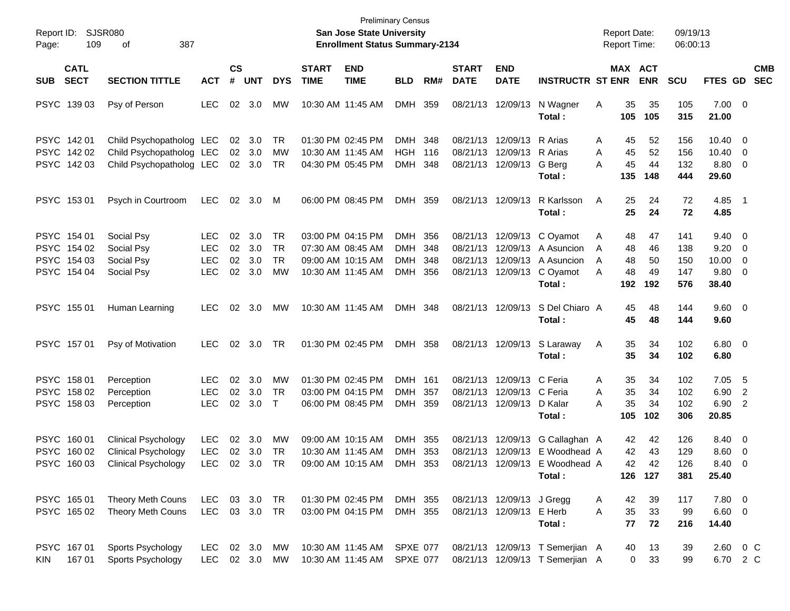| Report ID:<br>Page: | 109                                                      | <b>SJSR080</b><br>387<br>of                                                            |                                                      |                      |                          |                                           |                             | San Jose State University<br><b>Enrollment Status Summary-2134</b>               | <b>Preliminary Census</b>                     |                          |                                  |                                                                   |                                                                                                      | <b>Report Date:</b><br><b>Report Time:</b> |                                                     | 09/19/13<br>06:00:13            |                                                       |                                                      |
|---------------------|----------------------------------------------------------|----------------------------------------------------------------------------------------|------------------------------------------------------|----------------------|--------------------------|-------------------------------------------|-----------------------------|----------------------------------------------------------------------------------|-----------------------------------------------|--------------------------|----------------------------------|-------------------------------------------------------------------|------------------------------------------------------------------------------------------------------|--------------------------------------------|-----------------------------------------------------|---------------------------------|-------------------------------------------------------|------------------------------------------------------|
| SUB                 | <b>CATL</b><br><b>SECT</b>                               | <b>SECTION TITTLE</b>                                                                  | <b>ACT</b>                                           | $\mathsf{cs}$<br>#   | <b>UNT</b>               | <b>DYS</b>                                | <b>START</b><br><b>TIME</b> | <b>END</b><br><b>TIME</b>                                                        | <b>BLD</b>                                    | RM#                      | <b>START</b><br><b>DATE</b>      | <b>END</b><br><b>DATE</b>                                         | <b>INSTRUCTR ST ENR</b>                                                                              |                                            | <b>MAX ACT</b><br><b>ENR</b>                        | <b>SCU</b>                      |                                                       | <b>CMB</b><br>FTES GD SEC                            |
|                     | PSYC 139 03                                              | Psy of Person                                                                          | <b>LEC</b>                                           | 02                   | 3.0                      | MW                                        |                             | 10:30 AM 11:45 AM                                                                | DMH                                           | 359                      |                                  | 08/21/13 12/09/13                                                 | N Wagner<br>Total:                                                                                   | Α<br>105                                   | 35<br>35<br>105                                     | 105<br>315                      | $7.00 \t 0$<br>21.00                                  |                                                      |
|                     | PSYC 14201<br>PSYC 142 02<br>PSYC 142 03                 | Child Psychopatholog LEC<br>Child Psychopatholog LEC<br>Child Psychopatholog LEC       |                                                      | 02<br>02             | 3.0<br>3.0<br>02 3.0     | TR<br>MW<br><b>TR</b>                     |                             | 01:30 PM 02:45 PM<br>10:30 AM 11:45 AM<br>04:30 PM 05:45 PM                      | DMH<br><b>HGH</b><br><b>DMH</b>               | 348<br>116<br>348        | 08/21/13<br>08/21/13             | 12/09/13<br>12/09/13<br>08/21/13 12/09/13                         | R Arias<br>R Arias<br>G Berg<br>Total:                                                               | A<br>A<br>A<br>135                         | 52<br>45<br>45<br>52<br>45<br>44<br>148             | 156<br>156<br>132<br>444        | $10.40 \quad 0$<br>$10.40 \quad 0$<br>8.80 0<br>29.60 |                                                      |
|                     | PSYC 153 01                                              | Psych in Courtroom                                                                     | LEC                                                  | 02                   | 3.0                      | M                                         |                             | 06:00 PM 08:45 PM                                                                | DMH                                           | 359                      |                                  | 08/21/13 12/09/13                                                 | R Karlsson<br>Total:                                                                                 | A                                          | 25<br>24<br>25<br>24                                | 72<br>72                        | 4.85 1<br>4.85                                        |                                                      |
|                     | PSYC 154 01<br>PSYC 154 02<br>PSYC 154 03<br>PSYC 154 04 | Social Psy<br>Social Psy<br>Social Psy<br>Social Psy                                   | <b>LEC</b><br><b>LEC</b><br><b>LEC</b><br><b>LEC</b> | 02<br>02<br>02<br>02 | 3.0<br>3.0<br>3.0<br>3.0 | TR<br><b>TR</b><br><b>TR</b><br><b>MW</b> |                             | 03:00 PM 04:15 PM<br>07:30 AM 08:45 AM<br>09:00 AM 10:15 AM<br>10:30 AM 11:45 AM | DMH<br><b>DMH</b><br><b>DMH</b><br><b>DMH</b> | 356<br>348<br>348<br>356 | 08/21/13<br>08/21/13<br>08/21/13 | 08/21/13 12/09/13                                                 | 12/09/13 C Oyamot<br>12/09/13 A Asuncion<br>12/09/13 A Asuncion<br>C Oyamot<br>Total:                | A<br>A<br>A<br>A<br>192                    | 48<br>47<br>46<br>48<br>48<br>50<br>48<br>49<br>192 | 141<br>138<br>150<br>147<br>576 | $9.40 \quad 0$<br>9.20<br>10.00<br>9.80 0<br>38.40    | $\overline{\phantom{0}}$<br>$\overline{\phantom{0}}$ |
|                     | PSYC 155 01                                              | Human Learning                                                                         | <b>LEC</b>                                           | 02                   | 3.0                      | MW                                        |                             | 10:30 AM 11:45 AM                                                                | DMH 348                                       |                          |                                  | 08/21/13 12/09/13                                                 | S Del Chiaro A<br>Total:                                                                             |                                            | 45<br>48<br>45<br>48                                | 144<br>144                      | 9.60 0<br>9.60                                        |                                                      |
|                     | PSYC 157 01                                              | Psy of Motivation                                                                      | <b>LEC</b>                                           | 02                   | 3.0                      | TR                                        |                             | 01:30 PM 02:45 PM                                                                | DMH 358                                       |                          |                                  | 08/21/13 12/09/13                                                 | S Laraway<br>Total:                                                                                  | A                                          | 35<br>34<br>35<br>34                                | 102<br>102                      | $6.80$ 0<br>6.80                                      |                                                      |
|                     | PSYC 158 01<br>PSYC 158 02<br>PSYC 158 03                | Perception<br>Perception<br>Perception                                                 | <b>LEC</b><br><b>LEC</b><br><b>LEC</b>               | 02<br>02<br>02       | 3.0<br>3.0<br>3.0        | MW<br><b>TR</b><br>$\top$                 |                             | 01:30 PM 02:45 PM<br>03:00 PM 04:15 PM<br>06:00 PM 08:45 PM                      | DMH<br><b>DMH</b><br>DMH                      | 161<br>357<br>359        | 08/21/13<br>08/21/13             | 12/09/13 C Feria<br>12/09/13 C Feria<br>08/21/13 12/09/13 D Kalar | Total:                                                                                               | A<br>A<br>А<br>105                         | 35<br>34<br>35<br>34<br>35<br>34<br>102             | 102<br>102<br>102<br>306        | 7.05<br>6.90<br>6.90<br>20.85                         | - 5<br>2<br>$\overline{2}$                           |
|                     | PSYC 160 01<br>PSYC 160 02<br>PSYC 16003                 | <b>Clinical Psychology</b><br><b>Clinical Psychology</b><br><b>Clinical Psychology</b> | <b>LEC</b><br><b>LEC</b><br>LEC 02 3.0 TR            | 02<br>02             | 3.0<br>3.0               | MW<br>TR                                  |                             | 09:00 AM 10:15 AM<br>10:30 AM 11:45 AM<br>09:00 AM 10:15 AM DMH 353              | <b>DMH</b><br><b>DMH</b>                      | 355<br>353               | 08/21/13                         |                                                                   | 12/09/13 G Callaghan A<br>08/21/13 12/09/13 E Woodhead A<br>08/21/13 12/09/13 E Woodhead A<br>Total: |                                            | 42<br>42<br>42<br>43<br>42<br>42<br>126 127         | 126<br>129<br>126<br>381        | 8.40 0<br>$8.60 \quad 0$<br>8.40 0<br>25.40           |                                                      |
|                     | PSYC 165 01<br>PSYC 165 02                               | Theory Meth Couns<br>Theory Meth Couns                                                 | LEC.<br>LEC 03 3.0 TR                                |                      | 03 3.0 TR                |                                           |                             | 01:30 PM 02:45 PM<br>03:00 PM 04:15 PM                                           | DMH 355<br>DMH 355                            |                          |                                  | 08/21/13 12/09/13 J Gregg<br>08/21/13 12/09/13 E Herb             | Total:                                                                                               | A<br>A                                     | 39<br>42<br>35<br>33<br>77<br>72                    | 117<br>99<br>216                | 7.80 0<br>$6.60$ 0<br>14.40                           |                                                      |
| <b>KIN</b>          | PSYC 16701<br>167 01                                     | Sports Psychology<br>Sports Psychology                                                 | <b>LEC</b><br>LEC 02 3.0 MW                          |                      | 02 3.0                   | МW                                        |                             | 10:30 AM 11:45 AM<br>10:30 AM 11:45 AM                                           | <b>SPXE 077</b><br><b>SPXE 077</b>            |                          |                                  |                                                                   | 08/21/13 12/09/13 T Semerjian A<br>08/21/13 12/09/13 T Semerjian A                                   |                                            | 13<br>40<br>$\mathbf 0$<br>33                       | 39<br>99                        |                                                       | 2.60 0 C<br>6.70 2 C                                 |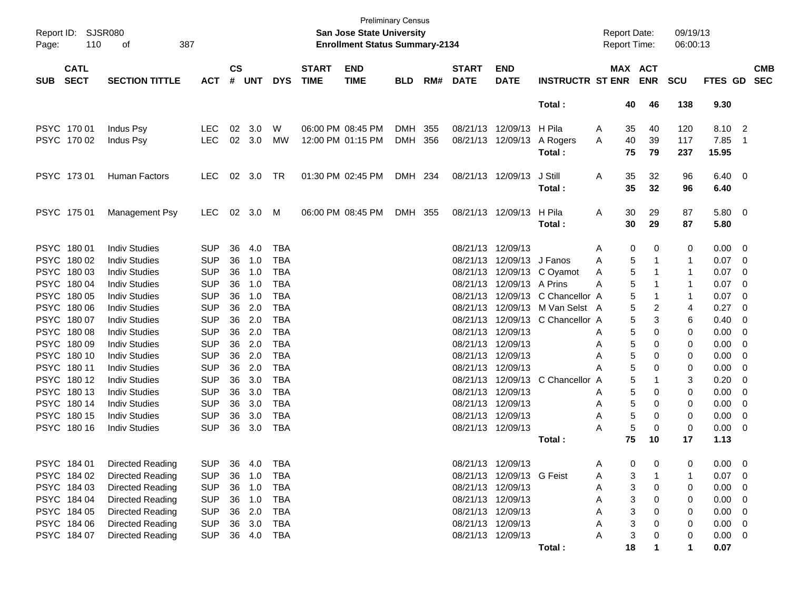| Report ID:<br>Page:        | 110                        | <b>SJSR080</b><br>387<br>оf                  |                          |                    |            |                          |                             | <b>San Jose State University</b><br><b>Enrollment Status Summary-2134</b> | <b>Preliminary Census</b> |     |                             |                           |                         |        | <b>Report Date:</b><br>Report Time: |                       | 09/19/13<br>06:00:13 |                |                          |                          |
|----------------------------|----------------------------|----------------------------------------------|--------------------------|--------------------|------------|--------------------------|-----------------------------|---------------------------------------------------------------------------|---------------------------|-----|-----------------------------|---------------------------|-------------------------|--------|-------------------------------------|-----------------------|----------------------|----------------|--------------------------|--------------------------|
| <b>SUB</b>                 | <b>CATL</b><br><b>SECT</b> | <b>SECTION TITTLE</b>                        | <b>ACT</b>               | $\mathsf{cs}$<br># | <b>UNT</b> | <b>DYS</b>               | <b>START</b><br><b>TIME</b> | <b>END</b><br><b>TIME</b>                                                 | <b>BLD</b>                | RM# | <b>START</b><br><b>DATE</b> | <b>END</b><br><b>DATE</b> | <b>INSTRUCTR ST ENR</b> |        |                                     | MAX ACT<br><b>ENR</b> | <b>SCU</b>           | <b>FTES GD</b> |                          | <b>CMB</b><br><b>SEC</b> |
|                            |                            |                                              |                          |                    |            |                          |                             |                                                                           |                           |     |                             |                           | Total:                  |        | 40                                  | 46                    | 138                  | 9.30           |                          |                          |
|                            | PSYC 170 01                | Indus Psy                                    | <b>LEC</b>               | 02                 | 3.0        | W                        |                             | 06:00 PM 08:45 PM                                                         | DMH 355                   |     | 08/21/13                    | 12/09/13                  | H Pila                  | A      | 35                                  | 40                    | 120                  | 8.10           | $\overline{\mathbf{2}}$  |                          |
|                            | PSYC 170 02                | Indus Psy                                    | <b>LEC</b>               | 02                 | 3.0        | MW                       | 12:00 PM 01:15 PM           |                                                                           | DMH 356                   |     | 08/21/13                    | 12/09/13                  | A Rogers                | A      | 40                                  | 39                    | 117                  | 7.85           | $\overline{\mathbf{1}}$  |                          |
|                            |                            |                                              |                          |                    |            |                          |                             |                                                                           |                           |     |                             |                           | Total:                  |        | 75                                  | 79                    | 237                  | 15.95          |                          |                          |
|                            | PSYC 173 01                | <b>Human Factors</b>                         | <b>LEC</b>               | 02                 | 3.0        | TR                       | 01:30 PM 02:45 PM           |                                                                           | DMH 234                   |     | 08/21/13 12/09/13           |                           | J Still                 | A      | 35                                  | 32                    | 96                   | 6.40           | - 0                      |                          |
|                            |                            |                                              |                          |                    |            |                          |                             |                                                                           |                           |     |                             |                           | Total:                  |        | 35                                  | 32                    | 96                   | 6.40           |                          |                          |
|                            | PSYC 175 01                | Management Psy                               | LEC                      | 02                 | 3.0        | M                        | 06:00 PM 08:45 PM           |                                                                           | DMH 355                   |     | 08/21/13 12/09/13           |                           | H Pila                  | A      | 30                                  | 29                    | 87                   | 5.80           | - 0                      |                          |
|                            |                            |                                              |                          |                    |            |                          |                             |                                                                           |                           |     |                             |                           | Total:                  |        | 30                                  | 29                    | 87                   | 5.80           |                          |                          |
|                            | PSYC 180 01                | <b>Indiv Studies</b>                         | <b>SUP</b>               | 36                 | 4.0        | <b>TBA</b>               |                             |                                                                           |                           |     | 08/21/13                    | 12/09/13                  |                         | A      | 0                                   | 0                     | 0                    | 0.00           | - 0                      |                          |
| <b>PSYC</b>                | 180 02                     | <b>Indiv Studies</b>                         | <b>SUP</b>               | 36                 | 1.0        | <b>TBA</b>               |                             |                                                                           |                           |     | 08/21/13                    | 12/09/13                  | J Fanos                 | A      | 5                                   | -1                    | 1                    | 0.07           | - 0                      |                          |
| <b>PSYC</b>                | 180 03                     | <b>Indiv Studies</b>                         | <b>SUP</b>               | 36                 | 1.0        | <b>TBA</b>               |                             |                                                                           |                           |     | 08/21/13                    | 12/09/13                  | C Oyamot                | A      | 5                                   | -1                    | 1                    | 0.07           | 0                        |                          |
| <b>PSYC</b>                | 18004                      | <b>Indiv Studies</b>                         | <b>SUP</b>               | 36                 | 1.0        | <b>TBA</b>               |                             |                                                                           |                           |     | 08/21/13                    | 12/09/13 A Prins          |                         | A      | 5                                   | 1                     | 1                    | 0.07           | 0                        |                          |
| <b>PSYC</b>                | 180 05                     | <b>Indiv Studies</b>                         | <b>SUP</b>               | 36                 | 1.0        | <b>TBA</b>               |                             |                                                                           |                           |     | 08/21/13                    | 12/09/13                  | C Chancellor A          |        | 5                                   | -1                    | 1                    | 0.07           | 0                        |                          |
| <b>PSYC</b>                | 180 06                     | <b>Indiv Studies</b>                         | <b>SUP</b>               | 36                 | 2.0        | <b>TBA</b>               |                             |                                                                           |                           |     | 08/21/13                    |                           | 12/09/13 M Van Selst A  |        | 5                                   | 2                     | 4                    | 0.27           | 0                        |                          |
| <b>PSYC</b>                | 180 07                     | <b>Indiv Studies</b>                         | <b>SUP</b>               | 36                 | 2.0        | <b>TBA</b>               |                             |                                                                           |                           |     | 08/21/13                    | 12/09/13                  | C Chancellor A          |        | 5                                   | 3                     | 6                    | 0.40           | 0                        |                          |
| <b>PSYC</b>                | 18008                      | <b>Indiv Studies</b>                         | <b>SUP</b>               | 36                 | 2.0        | <b>TBA</b>               |                             |                                                                           |                           |     | 08/21/13                    | 12/09/13                  |                         | A      | 5                                   | 0                     | 0                    | 0.00           | 0                        |                          |
| <b>PSYC</b>                | 18009                      | <b>Indiv Studies</b>                         | <b>SUP</b>               | 36                 | 2.0        | <b>TBA</b>               |                             |                                                                           |                           |     | 08/21/13                    | 12/09/13                  |                         | A      | 5                                   | 0                     | 0                    | 0.00           | 0                        |                          |
| <b>PSYC</b>                | 180 10                     | <b>Indiv Studies</b>                         | <b>SUP</b>               | 36                 | 2.0        | <b>TBA</b>               |                             |                                                                           |                           |     | 08/21/13                    | 12/09/13                  |                         | A      | 5                                   | 0                     | 0                    | 0.00           | 0                        |                          |
| <b>PSYC</b>                | 180 11                     | <b>Indiv Studies</b>                         | <b>SUP</b>               | 36                 | 2.0        | <b>TBA</b>               |                             |                                                                           |                           |     | 08/21/13                    | 12/09/13                  |                         | A      | 5                                   | 0                     | 0                    | 0.00           | 0                        |                          |
| <b>PSYC</b>                | 180 12                     | <b>Indiv Studies</b>                         | <b>SUP</b>               | 36                 | 3.0        | <b>TBA</b>               |                             |                                                                           |                           |     | 08/21/13                    | 12/09/13                  | C Chancellor A          |        | 5                                   | 1                     | 3                    | 0.20           | 0                        |                          |
| <b>PSYC</b>                | 180 13                     | <b>Indiv Studies</b><br><b>Indiv Studies</b> | <b>SUP</b>               | 36                 | 3.0        | <b>TBA</b>               |                             |                                                                           |                           |     | 08/21/13                    | 12/09/13                  |                         | Α      | 5                                   | 0                     | 0                    | 0.00           | 0                        |                          |
| <b>PSYC</b><br><b>PSYC</b> | 180 14<br>180 15           | <b>Indiv Studies</b>                         | <b>SUP</b><br><b>SUP</b> | 36<br>36           | 3.0        | <b>TBA</b><br><b>TBA</b> |                             |                                                                           |                           |     | 08/21/13<br>08/21/13        | 12/09/13<br>12/09/13      |                         | A      | 5<br>5                              | 0<br>0                | 0<br>0               | 0.00           | 0                        |                          |
|                            | PSYC 18016                 | <b>Indiv Studies</b>                         | <b>SUP</b>               | 36                 | 3.0<br>3.0 | <b>TBA</b>               |                             |                                                                           |                           |     | 08/21/13 12/09/13           |                           |                         | A<br>A | 5                                   | 0                     | 0                    | 0.00<br>0.00   | 0<br>0                   |                          |
|                            |                            |                                              |                          |                    |            |                          |                             |                                                                           |                           |     |                             |                           | Total:                  |        | 75                                  | 10                    | 17                   | 1.13           |                          |                          |
|                            |                            |                                              |                          |                    |            |                          |                             |                                                                           |                           |     |                             |                           |                         |        |                                     |                       |                      |                |                          |                          |
|                            | PSYC 184 01                | Directed Reading                             | <b>SUP</b>               |                    | 36 4.0     | TBA                      |                             |                                                                           |                           |     |                             | 08/21/13 12/09/13         |                         | A      | $\Omega$                            | $\Omega$              | 0                    | $0.00 \quad 0$ |                          |                          |
|                            | PSYC 184 02                | Directed Reading                             | <b>SUP</b>               |                    | 36 1.0     | TBA                      |                             |                                                                           |                           |     |                             | 08/21/13 12/09/13 G Feist |                         | A      | 3                                   | 1                     | 1                    | 0.07           | - 0                      |                          |
|                            | PSYC 184 03                | Directed Reading                             | SUP                      |                    | 36 1.0     | TBA                      |                             |                                                                           |                           |     | 08/21/13 12/09/13           |                           |                         | A      | 3                                   | 0                     | 0                    | 0.00           | 0                        |                          |
|                            | PSYC 184 04                | Directed Reading                             | <b>SUP</b>               |                    | 36 1.0     | TBA                      |                             |                                                                           |                           |     | 08/21/13 12/09/13           |                           |                         | Α      |                                     | 0                     | 0                    | 0.00           | 0                        |                          |
|                            | PSYC 184 05                | Directed Reading                             | <b>SUP</b>               |                    | 36 2.0     | TBA                      |                             |                                                                           |                           |     | 08/21/13 12/09/13           |                           |                         |        |                                     | 0                     | 0                    | 0.00           | -0                       |                          |
|                            | PSYC 184 06                | Directed Reading                             | SUP                      |                    | 36 3.0     | TBA                      |                             |                                                                           |                           |     | 08/21/13 12/09/13           |                           |                         |        |                                     | 0                     | 0                    | 0.00           | - 0                      |                          |
|                            | PSYC 184 07                | <b>Directed Reading</b>                      | <b>SUP</b>               |                    | 36 4.0     | TBA                      |                             |                                                                           |                           |     | 08/21/13 12/09/13           |                           |                         |        | 3                                   | 0                     | 0                    | 0.00           | $\overline{\phantom{0}}$ |                          |
|                            |                            |                                              |                          |                    |            |                          |                             |                                                                           |                           |     |                             |                           | Total:                  |        | 18                                  |                       | $\mathbf 1$          | 0.07           |                          |                          |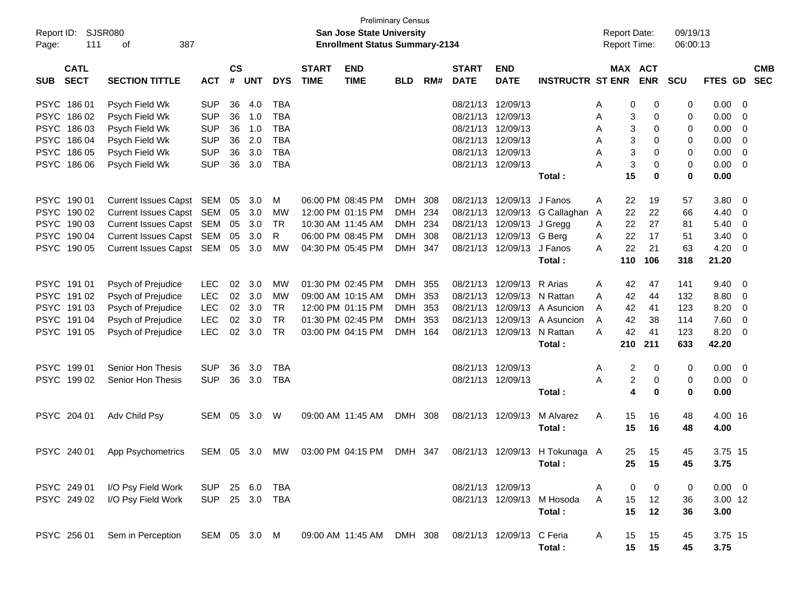| Report ID:<br>Page: | <b>SJSR080</b><br>111      | 387<br>оf                   |              |                    |            |            |                             | <b>Preliminary Census</b><br><b>San Jose State University</b><br><b>Enrollment Status Summary-2134</b> |            |     |                             |                           |                                | <b>Report Date:</b><br><b>Report Time:</b> |                       | 09/19/13<br>06:00:13 |                |                          |
|---------------------|----------------------------|-----------------------------|--------------|--------------------|------------|------------|-----------------------------|--------------------------------------------------------------------------------------------------------|------------|-----|-----------------------------|---------------------------|--------------------------------|--------------------------------------------|-----------------------|----------------------|----------------|--------------------------|
| <b>SUB</b>          | <b>CATL</b><br><b>SECT</b> | <b>SECTION TITTLE</b>       | <b>ACT</b>   | $\mathsf{cs}$<br># | <b>UNT</b> | <b>DYS</b> | <b>START</b><br><b>TIME</b> | <b>END</b><br><b>TIME</b>                                                                              | <b>BLD</b> | RM# | <b>START</b><br><b>DATE</b> | <b>END</b><br><b>DATE</b> | <b>INSTRUCTR ST ENR</b>        |                                            | MAX ACT<br><b>ENR</b> | <b>SCU</b>           | FTES GD        | <b>CMB</b><br><b>SEC</b> |
| <b>PSYC</b>         | 18601                      | Psych Field Wk              | <b>SUP</b>   | 36                 | 4.0        | <b>TBA</b> |                             |                                                                                                        |            |     | 08/21/13                    | 12/09/13                  |                                | A                                          | 0<br>0                | 0                    | 0.00           | - 0                      |
| <b>PSYC</b>         | 18602                      | Psych Field Wk              | <b>SUP</b>   | 36                 | 1.0        | <b>TBA</b> |                             |                                                                                                        |            |     | 08/21/13                    | 12/09/13                  |                                | A                                          | 3<br>0                | 0                    | 0.00           | - 0                      |
| <b>PSYC</b>         | 186 03                     | Psych Field Wk              | <b>SUP</b>   | 36                 | 1.0        | <b>TBA</b> |                             |                                                                                                        |            |     | 08/21/13                    | 12/09/13                  |                                | A                                          | 3<br>0                | 0                    | 0.00           | - 0                      |
| <b>PSYC</b>         | 186 04                     | Psych Field Wk              | <b>SUP</b>   | 36                 | 2.0        | <b>TBA</b> |                             |                                                                                                        |            |     | 08/21/13                    | 12/09/13                  |                                | A                                          | 3<br>$\mathbf 0$      | 0                    | 0.00           | - 0                      |
| <b>PSYC</b>         | 186 05                     | Psych Field Wk              | <b>SUP</b>   | 36                 | 3.0        | <b>TBA</b> |                             |                                                                                                        |            |     | 08/21/13 12/09/13           |                           |                                | A                                          | 3<br>0                | 0                    | 0.00           | - 0                      |
| <b>PSYC</b>         | 186 06                     | Psych Field Wk              | <b>SUP</b>   | 36                 | 3.0        | <b>TBA</b> |                             |                                                                                                        |            |     |                             | 08/21/13 12/09/13         |                                | A                                          | 3<br>$\mathbf 0$      | 0                    | 0.00           | - 0                      |
|                     |                            |                             |              |                    |            |            |                             |                                                                                                        |            |     |                             |                           | Total:                         | 15                                         | $\bf{0}$              | $\bf{0}$             | 0.00           |                          |
| <b>PSYC</b>         | 190 01                     | Current Issues Capst SEM    |              | 05                 | 3.0        | м          |                             | 06:00 PM 08:45 PM                                                                                      | DMH 308    |     | 08/21/13                    | 12/09/13                  | J Fanos                        | Α<br>22                                    | 19                    | 57                   | 3.80           | - 0                      |
|                     | PSYC 190 02                | Current Issues Capst SEM    |              | 05                 | 3.0        | MW         |                             | 12:00 PM 01:15 PM                                                                                      | DMH        | 234 | 08/21/13                    | 12/09/13                  | G Callaghan A                  | 22                                         | 22                    | 66                   | 4.40           | 0                        |
| <b>PSYC</b>         | 190 03                     | Current Issues Capst SEM    |              | 05                 | 3.0        | <b>TR</b>  |                             | 10:30 AM 11:45 AM                                                                                      | DMH 234    |     | 08/21/13                    | 12/09/13                  | J Gregg                        | 22<br>A                                    | 27                    | 81                   | 5.40           | 0                        |
| <b>PSYC</b>         | 190 04                     | Current Issues Capst SEM    |              | 05                 | 3.0        | R          |                             | 06:00 PM 08:45 PM                                                                                      | DMH 308    |     | 08/21/13                    | 12/09/13                  | G Berg                         | 22<br>A                                    | 17                    | 51                   | 3.40           | - 0                      |
|                     | PSYC 190 05                | Current Issues Capst SEM 05 |              |                    | 3.0        | MW         |                             | 04:30 PM 05:45 PM                                                                                      | DMH 347    |     |                             | 08/21/13 12/09/13         | J Fanos                        | 22<br>A                                    | 21                    | 63                   | 4.20           | - 0                      |
|                     |                            |                             |              |                    |            |            |                             |                                                                                                        |            |     |                             |                           | Total:                         | 110                                        | 106                   | 318                  | 21.20          |                          |
|                     | PSYC 191 01                | Psych of Prejudice          | <b>LEC</b>   | 02                 | 3.0        | MW         |                             | 01:30 PM 02:45 PM                                                                                      | DMH 355    |     | 08/21/13                    | 12/09/13                  | R Arias                        | A<br>42                                    | 47                    | 141                  | 9.40           | - 0                      |
| <b>PSYC</b>         | 191 02                     | Psych of Prejudice          | <b>LEC</b>   | 02                 | 3.0        | MW         |                             | 09:00 AM 10:15 AM                                                                                      | DMH 353    |     | 08/21/13                    | 12/09/13                  | N Rattan                       | 42<br>A                                    | 44                    | 132                  | 8.80           | - 0                      |
| <b>PSYC</b>         | 191 03                     | Psych of Prejudice          | <b>LEC</b>   | 02                 | 3.0        | <b>TR</b>  |                             | 12:00 PM 01:15 PM                                                                                      | DMH 353    |     | 08/21/13                    | 12/09/13                  | A Asuncion                     | 42<br>A                                    | 41                    | 123                  | 8.20           | 0                        |
| <b>PSYC</b>         | 191 04                     | Psych of Prejudice          | <b>LEC</b>   | 02                 | 3.0        | <b>TR</b>  |                             | 01:30 PM 02:45 PM                                                                                      | DMH        | 353 | 08/21/13                    | 12/09/13                  | A Asuncion                     | A<br>42                                    | 38                    | 114                  | 7.60           | - 0                      |
|                     | PSYC 19105                 | Psych of Prejudice          | <b>LEC</b>   | 02                 | 3.0        | <b>TR</b>  |                             | 03:00 PM 04:15 PM                                                                                      | DMH 164    |     |                             | 08/21/13 12/09/13         | N Rattan                       | 42<br>A                                    | 41                    | 123                  | 8.20           | - 0                      |
|                     |                            |                             |              |                    |            |            |                             |                                                                                                        |            |     |                             |                           | Total:                         | 210                                        | 211                   | 633                  | 42.20          |                          |
| <b>PSYC</b>         | 199 01                     | Senior Hon Thesis           | <b>SUP</b>   | 36                 | 3.0        | <b>TBA</b> |                             |                                                                                                        |            |     | 08/21/13 12/09/13           |                           |                                | Α                                          | 2<br>0                | 0                    | 0.00           | - 0                      |
|                     | PSYC 199 02                | Senior Hon Thesis           | <b>SUP</b>   | 36                 | 3.0        | <b>TBA</b> |                             |                                                                                                        |            |     | 08/21/13 12/09/13           |                           |                                | A                                          | 2<br>0                | 0                    | 0.00           | - 0                      |
|                     |                            |                             |              |                    |            |            |                             |                                                                                                        |            |     |                             |                           | Total:                         |                                            | $\mathbf 0$<br>4      | 0                    | 0.00           |                          |
|                     | PSYC 204 01                | Adv Child Psy               | SEM 05       |                    | 3.0        | W          |                             | 09:00 AM 11:45 AM                                                                                      | DMH 308    |     | 08/21/13 12/09/13           |                           | M Alvarez                      | A<br>15                                    | 16                    | 48                   | 4.00 16        |                          |
|                     |                            |                             |              |                    |            |            |                             |                                                                                                        |            |     |                             |                           | Total:                         |                                            | 15<br>16              | 48                   | 4.00           |                          |
|                     | PSYC 240 01                | App Psychometrics           | SEM 05       |                    | 3.0        | MW         |                             | 03:00 PM 04:15 PM                                                                                      | DMH 347    |     |                             |                           | 08/21/13 12/09/13 H Tokunaga A |                                            | 15<br>25              | 45                   | 3.75 15        |                          |
|                     |                            |                             |              |                    |            |            |                             |                                                                                                        |            |     |                             |                           | Total:                         |                                            | 25<br>15              | 45                   | 3.75           |                          |
|                     | PSYC 249 01                | I/O Psy Field Work          | SUP          |                    | 25 6.0     | TBA        |                             |                                                                                                        |            |     | 08/21/13 12/09/13           |                           |                                | A                                          | 0<br>0                | 0                    | $0.00 \quad 0$ |                          |
|                     | PSYC 249 02                | I/O Psy Field Work          | <b>SUP</b>   |                    | 25 3.0     | TBA        |                             |                                                                                                        |            |     |                             |                           | 08/21/13 12/09/13 M Hosoda     | 15<br>A                                    | 12                    | 36                   | 3.00 12        |                          |
|                     |                            |                             |              |                    |            |            |                             |                                                                                                        |            |     |                             |                           | Total:                         |                                            | 15<br>12              | 36                   | 3.00           |                          |
|                     | PSYC 256 01                | Sem in Perception           | SEM 05 3.0 M |                    |            |            |                             | 09:00 AM 11:45 AM DMH 308                                                                              |            |     | 08/21/13 12/09/13 C Feria   |                           |                                | A                                          | 15<br>15              | 45                   | 3.75 15        |                          |
|                     |                            |                             |              |                    |            |            |                             |                                                                                                        |            |     |                             |                           | Total:                         |                                            | 15<br>15              | 45                   | 3.75           |                          |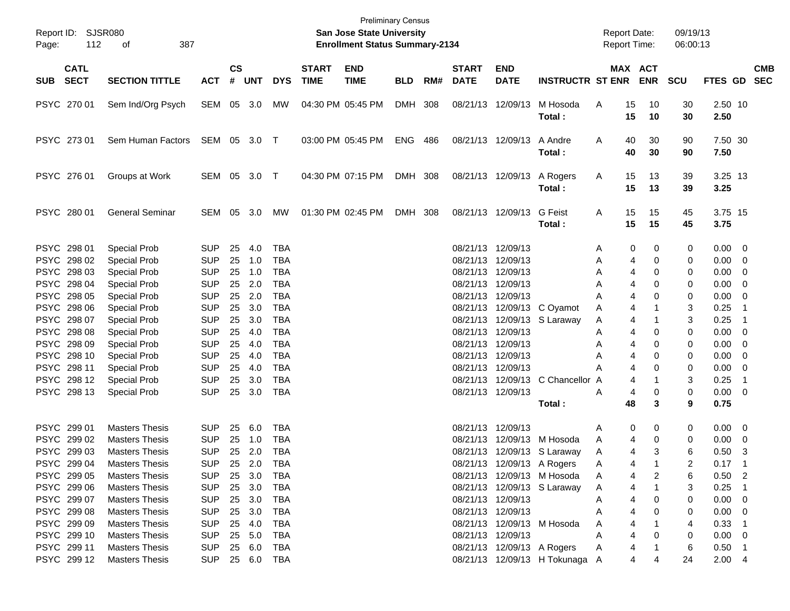| Report ID:<br>112<br>Page:                | SJSR080<br>387<br>οf                                                    |                                        |                |                         |                                        |                             | <b>San Jose State University</b><br><b>Enrollment Status Summary-2134</b> | <b>Preliminary Census</b> |     |                             |                                                             |                                                                                | <b>Report Date:</b><br>Report Time: |                       | 09/19/13<br>06:00:13 |                          |                                                                                     |
|-------------------------------------------|-------------------------------------------------------------------------|----------------------------------------|----------------|-------------------------|----------------------------------------|-----------------------------|---------------------------------------------------------------------------|---------------------------|-----|-----------------------------|-------------------------------------------------------------|--------------------------------------------------------------------------------|-------------------------------------|-----------------------|----------------------|--------------------------|-------------------------------------------------------------------------------------|
| <b>CATL</b><br><b>SECT</b><br><b>SUB</b>  | <b>SECTION TITTLE</b>                                                   | <b>ACT</b>                             | <b>CS</b><br># | <b>UNT</b>              | <b>DYS</b>                             | <b>START</b><br><b>TIME</b> | <b>END</b><br><b>TIME</b>                                                 | <b>BLD</b>                | RM# | <b>START</b><br><b>DATE</b> | <b>END</b><br><b>DATE</b>                                   | <b>INSTRUCTR ST ENR</b>                                                        |                                     | MAX ACT<br><b>ENR</b> | <b>SCU</b>           |                          | <b>CMB</b><br>FTES GD SEC                                                           |
| PSYC 270 01                               | Sem Ind/Org Psych                                                       | SEM 05 3.0                             |                |                         | МW                                     |                             | 04:30 PM 05:45 PM                                                         | DMH 308                   |     |                             | 08/21/13 12/09/13                                           | M Hosoda<br>Total:                                                             | 15<br>A<br>15                       | 10<br>10              | 30<br>30             | 2.50 10<br>2.50          |                                                                                     |
| PSYC 273 01                               | Sem Human Factors SEM 05 3.0 T                                          |                                        |                |                         |                                        |                             | 03:00 PM 05:45 PM                                                         | <b>ENG 486</b>            |     |                             | 08/21/13 12/09/13                                           | A Andre<br>Total:                                                              | 40<br>A<br>40                       | 30<br>30              | 90<br>90             | 7.50 30<br>7.50          |                                                                                     |
| PSYC 276 01                               | Groups at Work                                                          | SEM 05 3.0 T                           |                |                         |                                        |                             | 04:30 PM 07:15 PM                                                         | DMH 308                   |     |                             | 08/21/13 12/09/13                                           | A Rogers<br>Total:                                                             | 15<br>A<br>15                       | 13<br>13              | 39<br>39             | $3.25$ 13<br>3.25        |                                                                                     |
| PSYC 280 01                               | <b>General Seminar</b>                                                  | SEM 05 3.0                             |                |                         | МW                                     |                             | 01:30 PM 02:45 PM                                                         | DMH 308                   |     |                             | 08/21/13 12/09/13                                           | <b>G</b> Feist<br>Total:                                                       | 15<br>A<br>15                       | 15<br>15              | 45<br>45             | 3.75 15<br>3.75          |                                                                                     |
| PSYC 298 01<br>PSYC 298 02                | <b>Special Prob</b><br><b>Special Prob</b>                              | <b>SUP</b><br><b>SUP</b>               | 25<br>25       | 4.0<br>1.0              | <b>TBA</b><br><b>TBA</b>               |                             |                                                                           |                           |     |                             | 08/21/13 12/09/13<br>08/21/13 12/09/13                      |                                                                                | 0<br>A<br>Α<br>4                    | 0<br>0                | 0<br>0               | 0.00<br>0.00             | - 0<br>$\mathbf 0$                                                                  |
| PSYC 298 03<br>PSYC 298 04<br>PSYC 298 05 | <b>Special Prob</b><br><b>Special Prob</b><br><b>Special Prob</b>       | <b>SUP</b><br><b>SUP</b><br><b>SUP</b> | 25<br>25<br>25 | 1.0<br>2.0<br>2.0       | <b>TBA</b><br><b>TBA</b><br><b>TBA</b> |                             |                                                                           |                           |     |                             | 08/21/13 12/09/13<br>08/21/13 12/09/13<br>08/21/13 12/09/13 |                                                                                | A<br>4<br>A<br>4<br>A<br>4          | 0<br>0<br>0           | 0<br>0<br>0          | 0.00<br>0.00<br>0.00     | 0<br>0<br>0                                                                         |
| PSYC 298 06<br>PSYC 298 07<br>PSYC 298 08 | <b>Special Prob</b><br><b>Special Prob</b><br>Special Prob              | <b>SUP</b><br><b>SUP</b><br><b>SUP</b> | 25<br>25<br>25 | 3.0<br>3.0<br>4.0       | <b>TBA</b><br><b>TBA</b><br><b>TBA</b> |                             |                                                                           |                           |     |                             | 08/21/13 12/09/13                                           | 08/21/13 12/09/13 C Oyamot<br>08/21/13 12/09/13 S Laraway                      | Α<br>4<br>A<br>4<br>A<br>4          | 1<br>0                | 3<br>3<br>0          | 0.25<br>0.25<br>0.00     | -1<br>$\overline{\phantom{0}}$ 1<br>0                                               |
| PSYC 298 09<br>PSYC 298 10<br>PSYC 298 11 | <b>Special Prob</b><br><b>Special Prob</b><br><b>Special Prob</b>       | <b>SUP</b><br><b>SUP</b><br><b>SUP</b> | 25<br>25<br>25 | 4.0<br>4.0<br>4.0       | <b>TBA</b><br><b>TBA</b><br><b>TBA</b> |                             |                                                                           |                           |     |                             | 08/21/13 12/09/13<br>08/21/13 12/09/13<br>08/21/13 12/09/13 |                                                                                | A<br>4<br>A<br>4<br>А<br>4          | 0<br>0<br>0           | 0<br>0<br>0          | 0.00<br>0.00<br>0.00     | 0<br>0<br>0                                                                         |
| PSYC 298 12<br>PSYC 298 13                | <b>Special Prob</b><br><b>Special Prob</b>                              | <b>SUP</b><br><b>SUP</b>               | 25<br>25       | 3.0<br>3.0              | <b>TBA</b><br><b>TBA</b>               |                             |                                                                           |                           |     | 08/21/13                    | 08/21/13 12/09/13                                           | 12/09/13 C Chancellor A<br>Total:                                              | 4<br>A<br>4<br>48                   | 0<br>3                | 3<br>0<br>9          | 0.25<br>0.00<br>0.75     | -1<br>$\overline{\phantom{0}}$                                                      |
| PSYC 299 01                               | <b>Masters Thesis</b>                                                   | <b>SUP</b>                             | 25             | 6.0                     | <b>TBA</b>                             |                             |                                                                           |                           |     | 08/21/13 12/09/13           |                                                             |                                                                                | 0<br>Α                              | 0                     | 0                    | 0.00                     | $\overline{0}$                                                                      |
| PSYC 299 02<br>PSYC 299 03<br>PSYC 299 04 | <b>Masters Thesis</b><br><b>Masters Thesis</b><br><b>Masters Thesis</b> | <b>SUP</b><br><b>SUP</b><br>SUP        | 25<br>25       | 1.0<br>25 2.0<br>2.0    | <b>TBA</b><br><b>TBA</b><br>TBA        |                             |                                                                           |                           |     | 08/21/13                    |                                                             | 12/09/13 M Hosoda<br>08/21/13 12/09/13 S Laraway<br>08/21/13 12/09/13 A Rogers | A<br>4<br>A<br>4<br>4<br>A          | 0<br>3                | 0<br>6<br>2          | 0.00<br>0.50<br>$0.17$ 1 | 0<br>3                                                                              |
| PSYC 299 05<br>PSYC 299 06<br>PSYC 299 07 | <b>Masters Thesis</b><br><b>Masters Thesis</b><br><b>Masters Thesis</b> | <b>SUP</b><br><b>SUP</b><br><b>SUP</b> | 25             | 3.0<br>25 3.0<br>25 3.0 | <b>TBA</b><br><b>TBA</b><br><b>TBA</b> |                             |                                                                           |                           |     |                             | 08/21/13 12/09/13                                           | 08/21/13 12/09/13 M Hosoda<br>08/21/13 12/09/13 S Laraway                      | A<br>4<br>A<br>4<br>A<br>4          | 2<br>0                | 6<br>3<br>0          | 0.50<br>0.25<br>0.00     | $\overline{\phantom{0}}^2$<br>$\overline{\phantom{0}}$ 1<br>$\overline{\mathbf{0}}$ |
| PSYC 299 08<br>PSYC 299 09<br>PSYC 299 10 | <b>Masters Thesis</b><br><b>Masters Thesis</b><br><b>Masters Thesis</b> | <b>SUP</b><br><b>SUP</b><br><b>SUP</b> | 25             | 25 3.0<br>4.0<br>25 5.0 | <b>TBA</b><br><b>TBA</b><br><b>TBA</b> |                             |                                                                           |                           |     |                             | 08/21/13 12/09/13<br>08/21/13 12/09/13                      | 08/21/13 12/09/13 M Hosoda                                                     | A<br>4<br>4<br>A<br>Α<br>4          | 0<br>0                | 0<br>4<br>0          | 0.00<br>0.33<br>0.00     | $\overline{0}$<br>- 1<br>- 0                                                        |
| PSYC 299 11<br>PSYC 299 12                | <b>Masters Thesis</b><br><b>Masters Thesis</b>                          | <b>SUP</b><br><b>SUP</b>               | 25             | 6.0                     | <b>TBA</b><br>25 6.0 TBA               |                             |                                                                           |                           |     |                             |                                                             | 08/21/13 12/09/13 A Rogers<br>08/21/13 12/09/13 H Tokunaga A                   | Α<br>4<br>4                         | 4                     | 6<br>24              | 0.50<br>2.004            | - 1                                                                                 |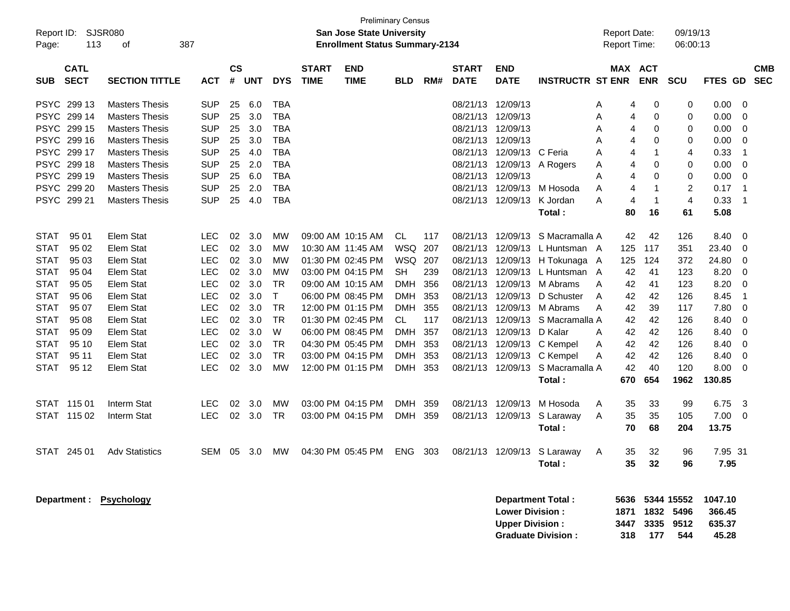| Report ID:<br>Page:        | 113                        | <b>SJSR080</b><br>387<br>οf                    |                          |                    |            |                          |                             | <b>Preliminary Census</b><br><b>San Jose State University</b><br><b>Enrollment Status Summary-2134</b> |            |            |                             |                                                  |                                                       |            | <b>Report Date:</b><br><b>Report Time:</b> | 09/19/13<br>06:00:13                                       |                                      |                               |                          |
|----------------------------|----------------------------|------------------------------------------------|--------------------------|--------------------|------------|--------------------------|-----------------------------|--------------------------------------------------------------------------------------------------------|------------|------------|-----------------------------|--------------------------------------------------|-------------------------------------------------------|------------|--------------------------------------------|------------------------------------------------------------|--------------------------------------|-------------------------------|--------------------------|
| <b>SUB</b>                 | <b>CATL</b><br><b>SECT</b> | <b>SECTION TITTLE</b>                          | <b>ACT</b>               | $\mathsf{cs}$<br># | UNT        | <b>DYS</b>               | <b>START</b><br><b>TIME</b> | <b>END</b><br><b>TIME</b>                                                                              | BLD        | RM#        | <b>START</b><br><b>DATE</b> | <b>END</b><br><b>DATE</b>                        | <b>INSTRUCTR ST ENR</b>                               | <b>MAX</b> | <b>ACT</b><br><b>ENR</b>                   | <b>SCU</b>                                                 | <b>FTES</b>                          | GD                            | <b>CMB</b><br><b>SEC</b> |
| <b>PSYC</b><br><b>PSYC</b> | 299 13<br>299 14           | <b>Masters Thesis</b><br><b>Masters Thesis</b> | <b>SUP</b><br><b>SUP</b> | 25<br>25           | 6.0<br>3.0 | TBA<br><b>TBA</b>        |                             |                                                                                                        |            |            | 08/21/13<br>08/21/13        | 12/09/13<br>12/09/13                             |                                                       | A<br>A     | 0<br>4<br>0<br>4                           | 0<br>0                                                     | 0.00<br>0.00                         | 0<br>0                        |                          |
| <b>PSYC</b>                | 299 15                     | <b>Masters Thesis</b>                          | <b>SUP</b>               | 25                 | 3.0        | <b>TBA</b>               |                             |                                                                                                        |            |            | 08/21/13                    | 12/09/13                                         |                                                       | A          | 0<br>4                                     | 0                                                          | 0.00                                 | 0                             |                          |
| <b>PSYC</b><br><b>PSYC</b> | 299 16<br>299 17           | <b>Masters Thesis</b><br><b>Masters Thesis</b> | <b>SUP</b><br><b>SUP</b> | 25<br>25           | 3.0<br>4.0 | <b>TBA</b><br><b>TBA</b> |                             |                                                                                                        |            |            | 08/21/13<br>08/21/13        | 12/09/13<br>12/09/13                             | C Feria                                               | Α<br>A     | 0<br>4<br>4<br>1                           | 0<br>4                                                     | 0.00<br>0.33                         | 0<br>$\overline{\mathbf{1}}$  |                          |
| <b>PSYC</b>                | 299 18                     | <b>Masters Thesis</b>                          | <b>SUP</b>               | 25                 | 2.0        | <b>TBA</b>               |                             |                                                                                                        |            |            | 08/21/13                    | 12/09/13                                         | A Rogers                                              | A          | 0<br>4                                     | 0                                                          | 0.00                                 | 0                             |                          |
| <b>PSYC</b>                | 299 19                     | <b>Masters Thesis</b>                          | <b>SUP</b>               | 25                 | 6.0        | <b>TBA</b>               |                             |                                                                                                        |            |            | 08/21/13                    | 12/09/13                                         |                                                       | A          | 0<br>4                                     | 0                                                          | 0.00                                 | 0                             |                          |
| <b>PSYC</b><br><b>PSYC</b> | 299 20<br>299 21           | <b>Masters Thesis</b><br><b>Masters Thesis</b> | <b>SUP</b><br><b>SUP</b> | 25<br>25           | 2.0<br>4.0 | <b>TBA</b><br><b>TBA</b> |                             |                                                                                                        |            |            | 08/21/13<br>08/21/13        | 12/09/13<br>12/09/13                             | M Hosoda<br>K Jordan                                  | A          | 1<br>4<br>1                                | $\overline{c}$<br>4                                        | 0.17<br>0.33                         | $\overline{\mathbf{1}}$<br>-1 |                          |
|                            |                            |                                                |                          |                    |            |                          |                             |                                                                                                        |            |            |                             |                                                  | Total:                                                | Α          | 4<br>80<br>16                              | 61                                                         | 5.08                                 |                               |                          |
|                            |                            |                                                |                          |                    |            |                          |                             |                                                                                                        |            |            |                             |                                                  |                                                       |            |                                            |                                                            |                                      |                               |                          |
| <b>STAT</b><br><b>STAT</b> | 95 01<br>95 02             | <b>Elem Stat</b><br><b>Elem Stat</b>           | <b>LEC</b><br><b>LEC</b> | 02<br>02           | 3.0<br>3.0 | МW<br>МW                 |                             | 09:00 AM 10:15 AM<br>10:30 AM 11:45 AM                                                                 | CL<br>WSQ  | 117<br>207 | 08/21/13<br>08/21/13        | 12/09/13<br>12/09/13                             | S Macramalla A<br>L Huntsman A                        |            | 42<br>42<br>125<br>117                     | 126<br>351                                                 | 8.40<br>23.40                        | 0<br>0                        |                          |
| STAT                       | 95 03                      | Elem Stat                                      | <b>LEC</b>               | 02                 | 3.0        | МW                       |                             | 01:30 PM 02:45 PM                                                                                      | WSQ        | 207        | 08/21/13                    | 12/09/13                                         | H Tokunaga A                                          |            | 125<br>124                                 | 372                                                        | 24.80                                | 0                             |                          |
| STAT                       | 95 04                      | Elem Stat                                      | <b>LEC</b>               | 02                 | 3.0        | МW                       |                             | 03:00 PM 04:15 PM                                                                                      | <b>SH</b>  | 239        | 08/21/13                    | 12/09/13                                         | L Huntsman A                                          |            | 42<br>41                                   | 123                                                        | 8.20                                 | 0                             |                          |
| STAT                       | 95 05                      | Elem Stat                                      | <b>LEC</b>               | 02                 | 3.0        | <b>TR</b>                |                             | 09:00 AM 10:15 AM                                                                                      | <b>DMH</b> | 356        | 08/21/13                    | 12/09/13                                         | M Abrams                                              | A          | 42<br>41                                   | 123                                                        | 8.20                                 | 0                             |                          |
| STAT                       | 95 06                      | Elem Stat                                      | <b>LEC</b>               | 02                 | 3.0        | $\mathsf{T}$             |                             | 06:00 PM 08:45 PM                                                                                      | <b>DMH</b> | 353        | 08/21/13                    | 12/09/13                                         | D Schuster                                            | A          | 42<br>42                                   | 126                                                        | 8.45                                 | -1                            |                          |
| STAT                       | 95 07                      | Elem Stat                                      | <b>LEC</b>               | 02                 | 3.0        | <b>TR</b>                |                             | 12:00 PM 01:15 PM                                                                                      | <b>DMH</b> | 355        | 08/21/13                    | 12/09/13                                         | M Abrams                                              | A          | 42<br>39                                   | 117                                                        | 7.80                                 | 0                             |                          |
| STAT                       | 95 08                      | Elem Stat                                      | <b>LEC</b>               | 02                 | 3.0        | <b>TR</b>                |                             | 01:30 PM 02:45 PM                                                                                      | CL         | 117        | 08/21/13                    | 12/09/13                                         | S Macramalla A                                        |            | 42<br>42                                   | 126                                                        | 8.40                                 | 0                             |                          |
| STAT                       | 95 09                      | Elem Stat                                      | <b>LEC</b>               | 02                 | 3.0        | W                        |                             | 06:00 PM 08:45 PM                                                                                      | <b>DMH</b> | 357        | 08/21/13                    | 12/09/13                                         | D Kalar                                               | A          | 42<br>42                                   | 126                                                        | 8.40                                 | 0                             |                          |
| STAT                       | 95 10                      | Elem Stat                                      | <b>LEC</b>               | 02                 | 3.0        | <b>TR</b>                |                             | 04:30 PM 05:45 PM                                                                                      | <b>DMH</b> | 353        | 08/21/13                    | 12/09/13                                         | C Kempel                                              | A          | 42<br>42                                   | 126                                                        | 8.40                                 | 0                             |                          |
| STAT                       | 95 11                      | Elem Stat                                      | <b>LEC</b>               | 02                 | 3.0        | <b>TR</b>                |                             | 03:00 PM 04:15 PM                                                                                      | <b>DMH</b> | 353        | 08/21/13                    | 12/09/13                                         | C Kempel                                              | A          | 42<br>42                                   | 126                                                        | 8.40                                 | 0                             |                          |
| <b>STAT</b>                | 95 12                      | Elem Stat                                      | <b>LEC</b>               | 02                 | 3.0        | МW                       |                             | 12:00 PM 01:15 PM                                                                                      | DMH        | 353        | 08/21/13                    | 12/09/13                                         | S Macramalla A<br>Total:                              | 670        | 42<br>40<br>654                            | 120<br>1962                                                | 8.00<br>130.85                       | 0                             |                          |
|                            | STAT 115 01                | Interm Stat                                    | <b>LEC</b>               | 02                 | 3.0        | МW                       |                             | 03:00 PM 04:15 PM                                                                                      | <b>DMH</b> | 359        | 08/21/13                    | 12/09/13                                         | M Hosoda                                              | A          | 35<br>33                                   | 99                                                         | 6.75                                 | 3                             |                          |
|                            | STAT 115 02                | Interm Stat                                    | <b>LEC</b>               | 02                 | 3.0        | <b>TR</b>                |                             | 03:00 PM 04:15 PM                                                                                      | <b>DMH</b> | 359        | 08/21/13                    | 12/09/13                                         | S Laraway                                             | A          | 35<br>35                                   | 105                                                        | 7.00                                 | 0                             |                          |
|                            |                            |                                                |                          |                    |            |                          |                             |                                                                                                        |            |            |                             |                                                  | Total:                                                |            | 70<br>68                                   | 204                                                        | 13.75                                |                               |                          |
|                            | STAT 245 01                | <b>Adv Statistics</b>                          | <b>SEM</b>               | - 05               | 3.0        | МW                       |                             | 04:30 PM 05:45 PM                                                                                      | ENG        | 303        |                             |                                                  | 08/21/13 12/09/13 S Laraway                           | A          | 32<br>35                                   | 96                                                         | 7.95 31                              |                               |                          |
|                            |                            |                                                |                          |                    |            |                          |                             |                                                                                                        |            |            |                             |                                                  | Total:                                                |            | 32<br>35                                   | 96                                                         | 7.95                                 |                               |                          |
|                            |                            | Department: Psychology                         |                          |                    |            |                          |                             |                                                                                                        |            |            |                             | <b>Lower Division:</b><br><b>Upper Division:</b> | <b>Department Total:</b><br><b>Graduate Division:</b> |            | 318 177                                    | 5636 5344 15552<br>1871 1832 5496<br>3447 3335 9512<br>544 | 1047.10<br>366.45<br>635.37<br>45.28 |                               |                          |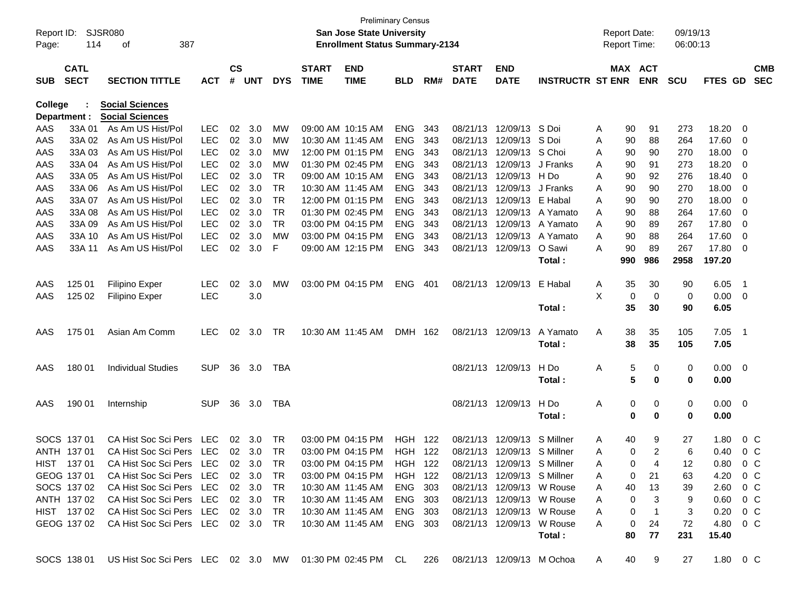| Page:      | Report ID: SJSR080<br>114  | 387<br>of                                                                                         |            |                    |                |            |                             | <b>Preliminary Census</b><br><b>San Jose State University</b><br><b>Enrollment Status Summary-2134</b> |            |     |                             |                             |                         | <b>Report Date:</b><br><b>Report Time:</b> |             |                          | 09/19/13<br>06:00:13 |                  |                          |                          |
|------------|----------------------------|---------------------------------------------------------------------------------------------------|------------|--------------------|----------------|------------|-----------------------------|--------------------------------------------------------------------------------------------------------|------------|-----|-----------------------------|-----------------------------|-------------------------|--------------------------------------------|-------------|--------------------------|----------------------|------------------|--------------------------|--------------------------|
| <b>SUB</b> | <b>CATL</b><br><b>SECT</b> | <b>SECTION TITTLE</b>                                                                             | <b>ACT</b> | $\mathsf{cs}$<br># | <b>UNT</b>     | <b>DYS</b> | <b>START</b><br><b>TIME</b> | <b>END</b><br><b>TIME</b>                                                                              | <b>BLD</b> | RM# | <b>START</b><br><b>DATE</b> | <b>END</b><br><b>DATE</b>   | <b>INSTRUCTR ST ENR</b> |                                            |             | MAX ACT<br><b>ENR</b>    | <b>SCU</b>           | FTES GD          |                          | <b>CMB</b><br><b>SEC</b> |
| College    |                            | <b>Social Sciences</b><br><b>Social Sciences</b>                                                  |            |                    |                |            |                             |                                                                                                        |            |     |                             |                             |                         |                                            |             |                          |                      |                  |                          |                          |
| AAS        | Department :<br>33A 01     | As Am US Hist/Pol                                                                                 | <b>LEC</b> | 02                 | 3.0            | MW         |                             | 09:00 AM 10:15 AM                                                                                      | <b>ENG</b> | 343 | 08/21/13                    | 12/09/13 S Doi              |                         | A                                          | 90          | 91                       | 273                  | 18.20            | 0                        |                          |
| AAS        | 33A 02                     | As Am US Hist/Pol                                                                                 | <b>LEC</b> | 02 <sub>o</sub>    | 3.0            | МW         |                             | 10:30 AM 11:45 AM                                                                                      | <b>ENG</b> | 343 | 08/21/13                    | 12/09/13 S Doi              |                         | A                                          | 90          | 88                       | 264                  | 17.60            | 0                        |                          |
| AAS        | 33A 03                     | As Am US Hist/Pol                                                                                 | <b>LEC</b> | 02                 | 3.0            | МW         |                             | 12:00 PM 01:15 PM                                                                                      | <b>ENG</b> | 343 | 08/21/13                    | 12/09/13 S Choi             |                         | A                                          | 90          | 90                       | 270                  | 18.00            | 0                        |                          |
| AAS        | 33A 04                     | As Am US Hist/Pol                                                                                 | <b>LEC</b> | 02 <sub>o</sub>    | 3.0            | MW         |                             | 01:30 PM 02:45 PM                                                                                      | <b>ENG</b> | 343 | 08/21/13                    | 12/09/13 J Franks           |                         | A                                          | 90          | 91                       | 273                  | 18.20            | 0                        |                          |
| AAS        | 33A 05                     | As Am US Hist/Pol                                                                                 | <b>LEC</b> | 02                 | 3.0            | TR         |                             | 09:00 AM 10:15 AM                                                                                      | <b>ENG</b> | 343 | 08/21/13                    | 12/09/13 H Do               |                         | A                                          | 90          | 92                       | 276                  | 18.40            | 0                        |                          |
| AAS        | 33A 06                     | As Am US Hist/Pol                                                                                 | <b>LEC</b> | 02                 | 3.0            | TR         |                             | 10:30 AM 11:45 AM                                                                                      | <b>ENG</b> | 343 | 08/21/13                    | 12/09/13 J Franks           |                         | A                                          | 90          | 90                       | 270                  | 18.00            | 0                        |                          |
| AAS        | 33A 07                     | As Am US Hist/Pol                                                                                 | <b>LEC</b> | 02                 | 3.0            | TR         |                             | 12:00 PM 01:15 PM                                                                                      | <b>ENG</b> | 343 | 08/21/13                    | 12/09/13 E Habal            |                         | A                                          | 90          | 90                       | 270                  | 18.00            | 0                        |                          |
| AAS        | 33A 08                     | As Am US Hist/Pol                                                                                 | <b>LEC</b> | 02                 | 3.0            | TR         |                             | 01:30 PM 02:45 PM                                                                                      | <b>ENG</b> | 343 | 08/21/13                    |                             | 12/09/13 A Yamato       | A                                          | 90          | 88                       | 264                  | 17.60            | 0                        |                          |
| AAS        | 33A 09                     | As Am US Hist/Pol                                                                                 | <b>LEC</b> | 02                 | 3.0            | TR         |                             | 03:00 PM 04:15 PM                                                                                      | <b>ENG</b> | 343 | 08/21/13                    |                             | 12/09/13 A Yamato       | A                                          | 90          | 89                       | 267                  | 17.80            | 0                        |                          |
| AAS        | 33A 10                     | As Am US Hist/Pol                                                                                 | <b>LEC</b> | 02                 | 3.0            | МW         |                             | 03:00 PM 04:15 PM                                                                                      | <b>ENG</b> | 343 | 08/21/13                    |                             | 12/09/13 A Yamato       | A                                          | 90          | 88                       | 264                  | 17.60            | 0                        |                          |
| AAS        | 33A 11                     | As Am US Hist/Pol                                                                                 | <b>LEC</b> | 02                 | 3.0            | F          |                             | 09:00 AM 12:15 PM                                                                                      | <b>ENG</b> | 343 | 08/21/13                    | 12/09/13                    | O Sawi                  | A                                          | 90          | 89                       | 267                  | 17.80            | 0                        |                          |
|            |                            |                                                                                                   |            |                    |                |            |                             |                                                                                                        |            |     |                             |                             | Total:                  |                                            | 990         | 986                      | 2958                 | 197.20           |                          |                          |
| AAS        | 125 01                     | Filipino Exper                                                                                    | <b>LEC</b> | 02                 | 3.0            | MW         |                             | 03:00 PM 04:15 PM                                                                                      | <b>ENG</b> | 401 |                             | 08/21/13 12/09/13           | E Habal                 | A                                          | 35          | 30                       | 90                   | 6.05             | $\overline{\phantom{1}}$ |                          |
| AAS        | 125 02                     | <b>Filipino Exper</b>                                                                             | <b>LEC</b> |                    | 3.0            |            |                             |                                                                                                        |            |     |                             |                             |                         | X                                          | 0           | 0                        | 0                    | 0.00             | - 0                      |                          |
|            |                            |                                                                                                   |            |                    |                |            |                             |                                                                                                        |            |     |                             |                             | Total:                  |                                            | 35          | 30                       | 90                   | 6.05             |                          |                          |
| AAS        | 175 01                     | Asian Am Comm                                                                                     | <b>LEC</b> | 02                 | 3.0            | TR         |                             | 10:30 AM 11:45 AM                                                                                      | DMH 162    |     |                             | 08/21/13 12/09/13           | A Yamato                | Α                                          | 38          | 35                       | 105                  | 7.05             | $\overline{\phantom{1}}$ |                          |
|            |                            |                                                                                                   |            |                    |                |            |                             |                                                                                                        |            |     |                             |                             | Total:                  |                                            | 38          | 35                       | 105                  | 7.05             |                          |                          |
| AAS        | 180 01                     | <b>Individual Studies</b>                                                                         | <b>SUP</b> | 36                 | 3.0            | TBA        |                             |                                                                                                        |            |     |                             | 08/21/13 12/09/13           | H Do                    | A                                          | 5           | 0                        | 0                    | $0.00\,$         | $\overline{\phantom{0}}$ |                          |
|            |                            |                                                                                                   |            |                    |                |            |                             |                                                                                                        |            |     |                             |                             | Total :                 |                                            | 5           | 0                        | 0                    | 0.00             |                          |                          |
| AAS        | 190 01                     | Internship                                                                                        | <b>SUP</b> | 36                 | 3.0            | TBA        |                             |                                                                                                        |            |     |                             | 08/21/13 12/09/13           | H Do                    | Α                                          | 0           | 0                        | 0                    | 0.00             | - 0                      |                          |
|            |                            |                                                                                                   |            |                    |                |            |                             |                                                                                                        |            |     |                             |                             | Total :                 |                                            | 0           | 0                        | 0                    | 0.00             |                          |                          |
|            | SOCS 137 01                | CA Hist Soc Sci Pers                                                                              | LEC        | 02                 | 3.0            | TR         |                             | 03:00 PM 04:15 PM                                                                                      | HGH        | 122 | 08/21/13                    | 12/09/13                    | S Millner               | A                                          | 40          | 9                        | 27                   | 1.80             | $0\,C$                   |                          |
|            | ANTH 137 01                | CA Hist Soc Sci Pers                                                                              | LEC        |                    | $02 \quad 3.0$ | TR         |                             | 03:00 PM 04:15 PM                                                                                      | HGH        | 122 |                             | 08/21/13 12/09/13 S Millner |                         | A                                          | 0           | 2                        | 6                    | 0.40             | 0 <sup>o</sup>           |                          |
|            | HIST 137 01                | CA Hist Soc Sci Pers LEC 02 3.0                                                                   |            |                    |                | TR         |                             | 03:00 PM 04:15 PM                                                                                      | HGH 122    |     |                             | 08/21/13 12/09/13 S Millner |                         | Α                                          | 0           | 4                        | 12                   | 0.80             |                          | $0\,C$                   |
|            | GEOG 137 01                | CA Hist Soc Sci Pers LEC 02 3.0 TR                                                                |            |                    |                |            |                             | 03:00 PM 04:15 PM HGH 122                                                                              |            |     | 08/21/13 12/09/13 S Millner |                             |                         |                                            | 0           | 21                       | 63                   | 4.20 0 C         |                          |                          |
|            | SOCS 137 02                | CA Hist Soc Sci Pers LEC                                                                          |            |                    | 02 3.0         | TR         |                             | 10:30 AM 11:45 AM                                                                                      | ENG 303    |     |                             | 08/21/13 12/09/13 W Rouse   |                         | A                                          | 40          | 13                       | 39                   | $2.60 \t 0 \t C$ |                          |                          |
|            | ANTH 137 02                | CA Hist Soc Sci Pers LEC 02 3.0                                                                   |            |                    |                | TR         |                             | 10:30 AM 11:45 AM                                                                                      | ENG 303    |     |                             | 08/21/13 12/09/13 W Rouse   |                         | A                                          | 0           | 3                        | 9                    | $0.60 \t 0 C$    |                          |                          |
|            | HIST 13702                 | CA Hist Soc Sci Pers LEC 02 3.0                                                                   |            |                    |                | TR         |                             | 10:30 AM 11:45 AM                                                                                      | ENG 303    |     |                             | 08/21/13 12/09/13 W Rouse   |                         | A                                          | $\mathbf 0$ | $\overline{\phantom{1}}$ | 3                    | $0.20 \t 0 C$    |                          |                          |
|            |                            | GEOG 137 02 CA Hist Soc Sci Pers LEC 02 3.0 TR                                                    |            |                    |                |            |                             | 10:30 AM 11:45 AM ENG 303                                                                              |            |     |                             | 08/21/13 12/09/13 W Rouse   |                         | A                                          | $\mathbf 0$ | 24                       | 72                   | 4.80 0 C         |                          |                          |
|            |                            |                                                                                                   |            |                    |                |            |                             |                                                                                                        |            |     |                             |                             | Total:                  |                                            | 80          | 77                       | 231                  | 15.40            |                          |                          |
|            |                            | SOCS 138 01 US Hist Soc Sci Pers LEC 02 3.0 MW 01:30 PM 02:45 PM CL 226 08/21/13 12/09/13 M Ochoa |            |                    |                |            |                             |                                                                                                        |            |     |                             |                             |                         | A                                          | 40          | 9                        | 27                   | 1.80 0 C         |                          |                          |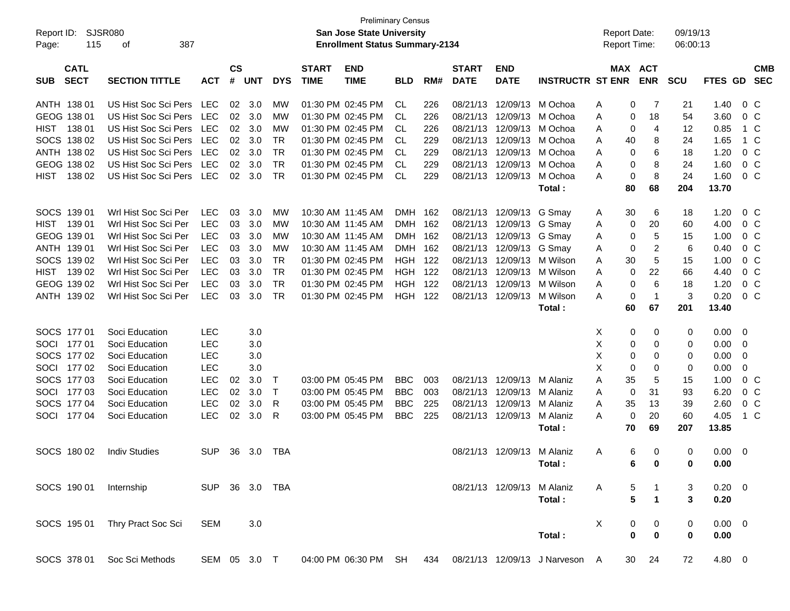| Report ID:<br>Page: | 115                        | SJSR080<br>387<br>оf  |                |                    |            |            |                             | <b>Preliminary Census</b><br>San Jose State University<br><b>Enrollment Status Summary-2134</b> |                |     |                             |                            |                                | <b>Report Date:</b><br><b>Report Time:</b> |                         |                | 09/19/13<br>06:00:13 |                          |                          |
|---------------------|----------------------------|-----------------------|----------------|--------------------|------------|------------|-----------------------------|-------------------------------------------------------------------------------------------------|----------------|-----|-----------------------------|----------------------------|--------------------------------|--------------------------------------------|-------------------------|----------------|----------------------|--------------------------|--------------------------|
| <b>SUB</b>          | <b>CATL</b><br><b>SECT</b> | <b>SECTION TITTLE</b> | <b>ACT</b>     | $\mathsf{cs}$<br># | <b>UNT</b> | <b>DYS</b> | <b>START</b><br><b>TIME</b> | <b>END</b><br><b>TIME</b>                                                                       | <b>BLD</b>     | RM# | <b>START</b><br><b>DATE</b> | <b>END</b><br><b>DATE</b>  | <b>INSTRUCTR ST ENR</b>        |                                            | MAX ACT<br><b>ENR</b>   | <b>SCU</b>     | <b>FTES GD</b>       |                          | <b>CMB</b><br><b>SEC</b> |
| ANTH 138 01         |                            | US Hist Soc Sci Pers  | LEC            | 02                 | 3.0        | МW         |                             | 01:30 PM 02:45 PM                                                                               | CL             | 226 | 08/21/13                    | 12/09/13                   | M Ochoa                        | Α                                          | 0                       | 7              | 1.40<br>21           |                          | 0 <sup>C</sup>           |
| GEOG 138 01         |                            | US Hist Soc Sci Pers  | LEC            | 02                 | 3.0        | МW         |                             | 01:30 PM 02:45 PM                                                                               | CL.            | 226 | 08/21/13                    | 12/09/13                   | M Ochoa                        | A                                          | 0                       | 18             | 54<br>3.60           |                          | 0 <sup>C</sup>           |
| HIST                | 138 01                     | US Hist Soc Sci Pers  | LEC            | 02                 | 3.0        | МW         |                             | 01:30 PM 02:45 PM                                                                               | CL             | 226 | 08/21/13                    | 12/09/13                   | M Ochoa                        | A                                          | 0                       | 4              | 12<br>0.85           |                          | 1 C                      |
|                     | SOCS 138 02                | US Hist Soc Sci Pers  | LEC            | 02                 | 3.0        | <b>TR</b>  |                             | 01:30 PM 02:45 PM                                                                               | CL             | 229 | 08/21/13                    | 12/09/13                   | M Ochoa                        | A                                          | 40                      | 8              | 24<br>1.65           |                          | 1 C                      |
|                     | ANTH 138 02                | US Hist Soc Sci Pers  | LEC            | 02                 | 3.0        | <b>TR</b>  |                             | 01:30 PM 02:45 PM                                                                               | CL.            | 229 | 08/21/13                    | 12/09/13                   | M Ochoa                        | A                                          | 0                       | 6              | 18<br>1.20           |                          | 0 <sup>C</sup>           |
|                     | GEOG 138 02                | US Hist Soc Sci Pers  | <b>LEC</b>     | 02                 | 3.0        | <b>TR</b>  |                             | 01:30 PM 02:45 PM                                                                               | CL             | 229 | 08/21/13                    | 12/09/13                   | M Ochoa                        | A                                          | 0                       | 8              | 1.60<br>24           |                          | 0 <sup>C</sup>           |
| HIST                | 138 02                     | US Hist Soc Sci Pers  | LEC            | 02                 | 3.0        | <b>TR</b>  |                             | 01:30 PM 02:45 PM                                                                               | <b>CL</b>      | 229 | 08/21/13                    | 12/09/13                   | M Ochoa                        | A                                          | 0                       | 8              | 24<br>1.60           |                          | 0 <sup>C</sup>           |
|                     |                            |                       |                |                    |            |            |                             |                                                                                                 |                |     |                             |                            | Total:                         | 80                                         | 68                      | 204            | 13.70                |                          |                          |
| SOCS 139 01         |                            | Wrl Hist Soc Sci Per  | <b>LEC</b>     | 03                 | 3.0        | MW         |                             | 10:30 AM 11:45 AM                                                                               | DMH 162        |     | 08/21/13                    | 12/09/13                   | G Smay                         | A                                          | 30                      | 6              | 18<br>1.20           |                          | $0\,C$                   |
| HIST                | 139 01                     | Wrl Hist Soc Sci Per  | <b>LEC</b>     | 03                 | 3.0        | <b>MW</b>  |                             | 10:30 AM 11:45 AM                                                                               | <b>DMH</b>     | 162 | 08/21/13                    | 12/09/13                   | G Smay                         | A                                          | 20<br>0                 |                | 4.00<br>60           |                          | 0 <sup>C</sup>           |
| GEOG 139 01         |                            | Wrl Hist Soc Sci Per  | <b>LEC</b>     | 03                 | 3.0        | МW         |                             | 10:30 AM 11:45 AM                                                                               | DMH 162        |     | 08/21/13                    | 12/09/13                   | G Smay                         | A                                          | 0                       | 5              | 15<br>1.00           |                          | 0 <sup>C</sup>           |
| ANTH 139 01         |                            | Wrl Hist Soc Sci Per  | <b>LEC</b>     | 03                 | 3.0        | МW         |                             | 10:30 AM 11:45 AM                                                                               | <b>DMH</b>     | 162 | 08/21/13                    | 12/09/13                   | G Smay                         | A                                          | 0                       | 2              | 6<br>0.40            |                          | 0 <sup>C</sup>           |
|                     | SOCS 139 02                | Wrl Hist Soc Sci Per  | <b>LEC</b>     | 03                 | 3.0        | <b>TR</b>  |                             | 01:30 PM 02:45 PM                                                                               | <b>HGH 122</b> |     | 08/21/13                    | 12/09/13                   | M Wilson                       | 30<br>A                                    |                         | 5              | 15<br>1.00           |                          | 0 <sup>C</sup>           |
| HIST                | 139 02                     | Wrl Hist Soc Sci Per  | <b>LEC</b>     | 03                 | 3.0        | <b>TR</b>  |                             | 01:30 PM 02:45 PM                                                                               | <b>HGH</b>     | 122 | 08/21/13                    | 12/09/13                   | M Wilson                       | A                                          | 0                       | 22             | 66<br>4.40           |                          | 0 <sup>C</sup>           |
|                     | GEOG 139 02                | Wrl Hist Soc Sci Per  | <b>LEC</b>     | 03                 | 3.0        | <b>TR</b>  |                             | 01:30 PM 02:45 PM                                                                               | <b>HGH</b>     | 122 | 08/21/13                    | 12/09/13                   | M Wilson                       | A                                          | 0                       | 6              | 18<br>1.20           |                          | 0 <sup>C</sup>           |
|                     | ANTH 139 02                | Wrl Hist Soc Sci Per  | <b>LEC</b>     | 03                 | 3.0        | <b>TR</b>  |                             | 01:30 PM 02:45 PM                                                                               | HGH            | 122 | 08/21/13                    | 12/09/13                   | M Wilson                       | A                                          | 0                       | $\mathbf{1}$   | 3<br>0.20            |                          | $0\,C$                   |
|                     |                            |                       |                |                    |            |            |                             |                                                                                                 |                |     |                             |                            | Total:                         | 60                                         | 67                      | 201            | 13.40                |                          |                          |
| SOCS 177 01         |                            | Soci Education        | <b>LEC</b>     |                    | 3.0        |            |                             |                                                                                                 |                |     |                             |                            |                                | Х                                          | 0                       | 0              | 0.00<br>0            | 0                        |                          |
| SOCI 177 01         |                            | Soci Education        | <b>LEC</b>     |                    | 3.0        |            |                             |                                                                                                 |                |     |                             |                            |                                | X                                          | 0                       | 0              | 0.00<br>0            | - 0                      |                          |
|                     | SOCS 177 02                | Soci Education        | <b>LEC</b>     |                    | 3.0        |            |                             |                                                                                                 |                |     |                             |                            |                                | X                                          | 0                       | 0              | 0.00<br>0            | 0                        |                          |
| SOCI                | 177 02                     | Soci Education        | <b>LEC</b>     |                    | 3.0        |            |                             |                                                                                                 |                |     |                             |                            |                                | Х                                          | 0                       | 0              | 0.00<br>0            | 0                        |                          |
|                     | SOCS 177 03                | Soci Education        | LEC            | 02                 | 3.0        | Т          |                             | 03:00 PM 05:45 PM                                                                               | <b>BBC</b>     | 003 | 08/21/13                    | 12/09/13                   | M Alaniz                       | 35<br>A                                    |                         | 5              | 15<br>1.00           |                          | 0 <sup>C</sup>           |
| SOCI                | 17703                      | Soci Education        | <b>LEC</b>     | 02                 | 3.0        | Τ          |                             | 03:00 PM 05:45 PM                                                                               | <b>BBC</b>     | 003 | 08/21/13                    | 12/09/13                   | M Alaniz                       | A                                          | 31<br>0                 |                | 93<br>6.20           |                          | 0 <sup>C</sup>           |
|                     | SOCS 177 04                | Soci Education        | LEC            | 02                 | 3.0        | R          |                             | 03:00 PM 05:45 PM                                                                               | <b>BBC</b>     | 225 | 08/21/13                    | 12/09/13                   | M Alaniz                       | 35<br>A                                    | 13                      |                | 39<br>2.60           |                          | 0 <sup>C</sup>           |
| SOCI                | 17704                      | Soci Education        | <b>LEC</b>     | 02                 | 3.0        | R          |                             | 03:00 PM 05:45 PM                                                                               | <b>BBC</b>     | 225 | 08/21/13                    | 12/09/13                   | M Alaniz                       | A                                          | $\mathbf 0$<br>20       |                | 60<br>4.05           |                          | 1 C                      |
|                     |                            |                       |                |                    |            |            |                             |                                                                                                 |                |     |                             |                            | Total:                         | 70                                         | 69                      | 207            | 13.85                |                          |                          |
|                     | SOCS 180 02                | <b>Indiv Studies</b>  | <b>SUP</b>     | 36                 | 3.0        | <b>TBA</b> |                             |                                                                                                 |                |     |                             | 08/21/13 12/09/13 M Alaniz |                                | A                                          | 6                       | 0              | 0.00<br>0            | $\overline{\phantom{0}}$ |                          |
|                     |                            |                       |                |                    |            |            |                             |                                                                                                 |                |     |                             |                            | Total:                         |                                            | 6                       | $\bf{0}$       | 0<br>0.00            |                          |                          |
|                     | SOCS 190 01                | Internship            | SUP 36 3.0 TBA |                    |            |            |                             |                                                                                                 |                |     |                             | 08/21/13 12/09/13          | M Alaniz                       | A                                          | 5                       |                | 3                    | $0.20 \ 0$               |                          |
|                     |                            |                       |                |                    |            |            |                             |                                                                                                 |                |     |                             |                            | Total:                         |                                            | $\overline{\mathbf{5}}$ | $\overline{1}$ | $\mathbf{3}$<br>0.20 |                          |                          |
|                     | SOCS 195 01                | Thry Pract Soc Sci    | <b>SEM</b>     |                    | 3.0        |            |                             |                                                                                                 |                |     |                             |                            |                                | Х                                          | 0                       | 0              | 0                    | $0.00 \t 0$              |                          |
|                     |                            |                       |                |                    |            |            |                             |                                                                                                 |                |     |                             |                            | Total:                         |                                            | $\pmb{0}$               | $\mathbf 0$    | 0<br>0.00            |                          |                          |
|                     | SOCS 378 01                | Soc Sci Methods       | SEM 05 3.0 T   |                    |            |            |                             | 04:00 PM 06:30 PM                                                                               | SH             | 434 |                             |                            | 08/21/13 12/09/13 J Narveson A |                                            | 24<br>30                |                | 72                   | 4.80 0                   |                          |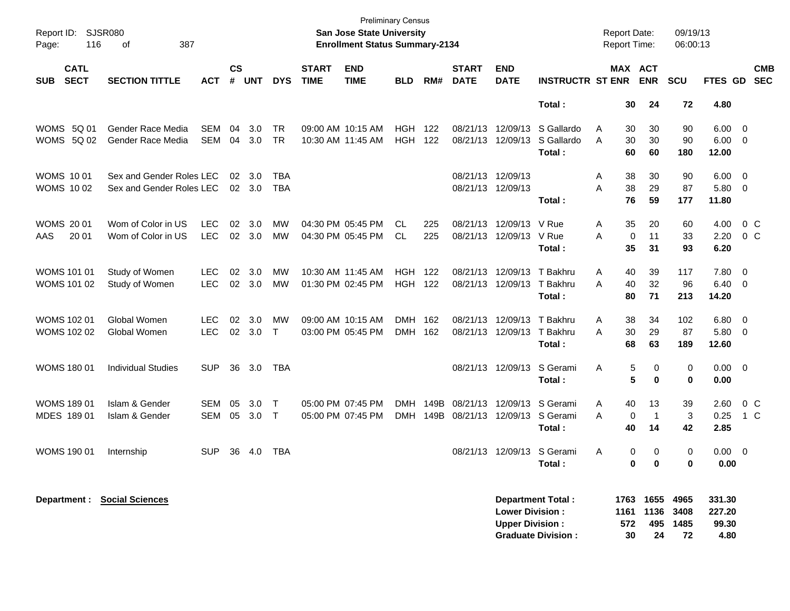| Report ID:<br>116<br>Page:               | SJSR080<br>387<br>оf                                 |                          |                    |               |                        |                             | <b>Preliminary Census</b><br><b>San Jose State University</b><br><b>Enrollment Status Summary-2134</b> |                          |              |                               |                                                  |                                                       | <b>Report Date:</b><br><b>Report Time:</b> |                         |                          | 09/19/13<br>06:00:13                 |                                   |                                                      |
|------------------------------------------|------------------------------------------------------|--------------------------|--------------------|---------------|------------------------|-----------------------------|--------------------------------------------------------------------------------------------------------|--------------------------|--------------|-------------------------------|--------------------------------------------------|-------------------------------------------------------|--------------------------------------------|-------------------------|--------------------------|--------------------------------------|-----------------------------------|------------------------------------------------------|
| <b>CATL</b><br><b>SECT</b><br><b>SUB</b> | <b>SECTION TITTLE</b>                                | <b>ACT</b>               | $\mathsf{cs}$<br># | <b>UNT</b>    | <b>DYS</b>             | <b>START</b><br><b>TIME</b> | <b>END</b><br><b>TIME</b>                                                                              | <b>BLD</b>               | RM#          | <b>START</b><br><b>DATE</b>   | <b>END</b><br><b>DATE</b>                        | <b>INSTRUCTR ST ENR</b>                               |                                            | MAX ACT                 | <b>ENR</b>               | <b>SCU</b>                           | FTES GD                           | <b>CMB</b><br><b>SEC</b>                             |
|                                          |                                                      |                          |                    |               |                        |                             |                                                                                                        |                          |              |                               |                                                  | Total:                                                |                                            | 30                      | 24                       | 72                                   | 4.80                              |                                                      |
| WOMS 5Q 01<br><b>WOMS 5Q 02</b>          | Gender Race Media<br>Gender Race Media               | <b>SEM</b><br><b>SEM</b> | 04<br>04           | 3.0<br>3.0    | <b>TR</b><br><b>TR</b> |                             | 09:00 AM 10:15 AM<br>10:30 AM 11:45 AM                                                                 | <b>HGH</b><br><b>HGH</b> | 122<br>122   | 08/21/13<br>08/21/13          | 12/09/13<br>12/09/13                             | S Gallardo<br>S Gallardo<br>Total:                    | Α<br>A                                     | 30<br>30<br>60          | 30<br>30<br>60           | 90<br>90<br>180                      | 6.00<br>6.00<br>12.00             | $\overline{\mathbf{0}}$<br>$\overline{\phantom{0}}$  |
| <b>WOMS 1001</b><br><b>WOMS 1002</b>     | Sex and Gender Roles LEC<br>Sex and Gender Roles LEC |                          | 02                 | 3.0<br>02 3.0 | TBA<br><b>TBA</b>      |                             |                                                                                                        |                          |              | 08/21/13<br>08/21/13 12/09/13 | 12/09/13                                         | Total:                                                | Α<br>Α                                     | 38<br>38<br>76          | 30<br>29<br>59           | 90<br>87<br>177                      | 6.00<br>5.80<br>11.80             | $\overline{\mathbf{0}}$<br>$\overline{\phantom{0}}$  |
| <b>WOMS 2001</b><br>AAS<br>20 01         | Wom of Color in US<br>Wom of Color in US             | <b>LEC</b><br><b>LEC</b> | 02                 | 3.0<br>02 3.0 | <b>MW</b><br>MW        |                             | 04:30 PM 05:45 PM<br>04:30 PM 05:45 PM                                                                 | CL<br>CL                 | 225<br>225   | 08/21/13<br>08/21/13          | 12/09/13<br>12/09/13                             | V Rue<br>V Rue<br>Total:                              | Α<br>Α                                     | 35<br>0<br>35           | 20<br>11<br>31           | 60<br>33<br>93                       | 4.00<br>2.20<br>6.20              | 0 <sup>o</sup><br>0 <sup>o</sup>                     |
| WOMS 101 01<br>WOMS 101 02               | Study of Women<br>Study of Women                     | <b>LEC</b><br><b>LEC</b> | 02                 | 3.0<br>02 3.0 | <b>MW</b><br><b>MW</b> |                             | 10:30 AM 11:45 AM<br>01:30 PM 02:45 PM                                                                 | <b>HGH</b><br><b>HGH</b> | 122<br>122   | 08/21/13<br>08/21/13          | 12/09/13<br>12/09/13                             | T Bakhru<br>T Bakhru<br>Total:                        | Α<br>Α                                     | 40<br>40<br>80          | 39<br>32<br>71           | 117<br>96<br>213                     | 7.80<br>6.40<br>14.20             | $\overline{\phantom{0}}$<br>$\overline{\phantom{0}}$ |
| WOMS 102 01<br><b>WOMS 102 02</b>        | Global Women<br>Global Women                         | <b>LEC</b><br><b>LEC</b> | 02<br>02           | 3.0<br>3.0    | MW<br>$\top$           |                             | 09:00 AM 10:15 AM<br>03:00 PM 05:45 PM                                                                 | DMH<br>DMH 162           | 162          | 08/21/13<br>08/21/13          | 12/09/13<br>12/09/13                             | T Bakhru<br>T Bakhru<br>Total:                        | Α<br>Α                                     | 38<br>30<br>68          | 34<br>29<br>63           | 102<br>87<br>189                     | 6.80<br>5.80<br>12.60             | $\overline{\phantom{0}}$<br>$\overline{\mathbf{0}}$  |
| WOMS 180 01                              | <b>Individual Studies</b>                            | <b>SUP</b>               | 36                 | 3.0           | TBA                    |                             |                                                                                                        |                          |              |                               | 08/21/13 12/09/13                                | S Gerami<br>Total:                                    | Α                                          | 5<br>5                  | 0<br>0                   | 0<br>0                               | $0.00 \t 0$<br>0.00               |                                                      |
| WOMS 189 01<br>MDES 189 01               | Islam & Gender<br>Islam & Gender                     | <b>SEM</b><br><b>SEM</b> | 05<br>05           | 3.0<br>3.0    | T<br>$\top$            |                             | 05:00 PM 07:45 PM<br>05:00 PM 07:45 PM                                                                 | <b>DMH</b><br>DMH        | 149B<br>149B | 08/21/13<br>08/21/13          | 12/09/13<br>12/09/13                             | S Gerami<br>S Gerami<br>Total:                        | Α<br>Α                                     | 40<br>$\mathbf 0$<br>40 | 13<br>$\mathbf{1}$<br>14 | 39<br>3<br>42                        | 2.60<br>0.25<br>2.85              | $0\,C$<br>1 C                                        |
| <b>WOMS 190 01</b>                       | Internship                                           | <b>SUP</b>               | 36                 | 4.0           | TBA                    |                             |                                                                                                        |                          |              | 08/21/13                      |                                                  | 12/09/13 S Gerami<br>Total:                           | A                                          | 0<br>0                  | 0<br>0                   | 0<br>0                               | $0.00 \t 0$<br>0.00               |                                                      |
|                                          | <b>Department : Social Sciences</b>                  |                          |                    |               |                        |                             |                                                                                                        |                          |              |                               | <b>Lower Division:</b><br><b>Upper Division:</b> | <b>Department Total:</b><br><b>Graduate Division:</b> | 1161                                       | 572<br>30               | 1136<br>495<br>24        | 1763 1655 4965<br>3408<br>1485<br>72 | 331.30<br>227.20<br>99.30<br>4.80 |                                                      |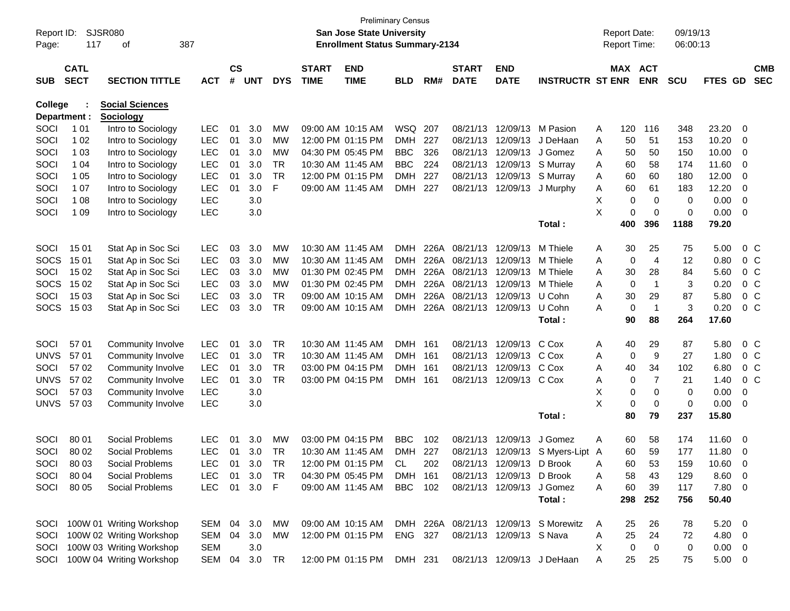| Report ID:<br>Page: | 117          | <b>SJSR080</b><br>387<br>оf   |               |               |            |            |              | <b>Preliminary Census</b><br><b>San Jose State University</b><br><b>Enrollment Status Summary-2134</b> |            |     |                        |                            |                                       | <b>Report Date:</b><br>Report Time: |                     | 09/19/13<br>06:00:13 |                |                          |            |
|---------------------|--------------|-------------------------------|---------------|---------------|------------|------------|--------------|--------------------------------------------------------------------------------------------------------|------------|-----|------------------------|----------------------------|---------------------------------------|-------------------------------------|---------------------|----------------------|----------------|--------------------------|------------|
|                     | <b>CATL</b>  |                               |               | $\mathsf{cs}$ |            |            | <b>START</b> | <b>END</b>                                                                                             |            |     | <b>START</b>           | <b>END</b>                 |                                       |                                     | MAX ACT             |                      |                |                          | <b>CMB</b> |
| <b>SUB</b>          | <b>SECT</b>  | <b>SECTION TITTLE</b>         | <b>ACT</b>    | #             | <b>UNT</b> | <b>DYS</b> | <b>TIME</b>  | <b>TIME</b>                                                                                            | <b>BLD</b> | RM# | <b>DATE</b>            | <b>DATE</b>                | <b>INSTRUCTR ST ENR</b>               |                                     | <b>ENR</b>          | <b>SCU</b>           | FTES GD        |                          | <b>SEC</b> |
| <b>College</b>      |              | <b>Social Sciences</b>        |               |               |            |            |              |                                                                                                        |            |     |                        |                            |                                       |                                     |                     |                      |                |                          |            |
|                     | Department : | <b>Sociology</b>              |               |               |            |            |              |                                                                                                        |            |     |                        |                            |                                       |                                     |                     |                      |                |                          |            |
| SOCI                | 1 0 1        | Intro to Sociology            | <b>LEC</b>    | 01            | 3.0        | <b>MW</b>  |              | 09:00 AM 10:15 AM                                                                                      | WSQ 207    |     |                        | 08/21/13 12/09/13 M Pasion |                                       | 120<br>A                            | 116                 | 348                  | 23.20          | 0                        |            |
| SOCI                | 1 0 2        | Intro to Sociology            | <b>LEC</b>    | 01            | 3.0        | MW         |              | 12:00 PM 01:15 PM                                                                                      | DMH        | 227 | 08/21/13               | 12/09/13                   | J DeHaan                              | 50<br>A                             | 51                  | 153                  | 10.20          | 0                        |            |
| SOCI                | 1 0 3        | Intro to Sociology            | <b>LEC</b>    | 01            | 3.0        | MW         |              | 04:30 PM 05:45 PM                                                                                      | <b>BBC</b> | 326 | 08/21/13               | 12/09/13                   | J Gomez                               | 50<br>A                             | 50                  | 150                  | 10.00          | 0                        |            |
| SOCI                | 1 04         | Intro to Sociology            | <b>LEC</b>    | 01            | 3.0        | TR         |              | 10:30 AM 11:45 AM                                                                                      | <b>BBC</b> | 224 |                        | 08/21/13 12/09/13 S Murray |                                       | 60<br>A                             | 58                  | 174                  | 11.60          | $\mathbf 0$              |            |
| SOCI                | 1 0 5        | Intro to Sociology            | <b>LEC</b>    | 01            | 3.0        | <b>TR</b>  |              | 12:00 PM 01:15 PM                                                                                      | <b>DMH</b> | 227 | 08/21/13               | 12/09/13 S Murray          |                                       | 60<br>A                             | 60                  | 180                  | 12.00          | $\mathbf 0$              |            |
| SOCI                | 1 0 7        | Intro to Sociology            | <b>LEC</b>    | 01            | 3.0        | F          |              | 09:00 AM 11:45 AM                                                                                      | DMH        | 227 | 08/21/13               | 12/09/13                   | J Murphy                              | 60<br>A                             | 61                  | 183                  | 12.20          | $\mathbf 0$              |            |
| SOCI                | 1 0 8        | Intro to Sociology            | <b>LEC</b>    |               | 3.0        |            |              |                                                                                                        |            |     |                        |                            |                                       | Х                                   | 0<br>$\mathbf 0$    | 0                    | 0.00           | $\mathbf 0$              |            |
| SOCI                | 1 0 9        | Intro to Sociology            | <b>LEC</b>    |               | 3.0        |            |              |                                                                                                        |            |     |                        |                            |                                       | X                                   | 0<br>$\mathbf 0$    | 0                    | 0.00           | $\mathbf 0$              |            |
|                     |              |                               |               |               |            |            |              |                                                                                                        |            |     |                        |                            | Total:                                | 400                                 | 396                 | 1188                 | 79.20          |                          |            |
| SOCI                | 15 01        | Stat Ap in Soc Sci            | <b>LEC</b>    | 03            | 3.0        | MW         |              | 10:30 AM 11:45 AM                                                                                      | <b>DMH</b> |     | 226A 08/21/13          | 12/09/13                   | M Thiele                              | 30<br>A                             | 25                  | 75                   | 5.00           | 0 <sup>C</sup>           |            |
| <b>SOCS</b>         | 15 01        | Stat Ap in Soc Sci            | <b>LEC</b>    | 03            | 3.0        | <b>MW</b>  |              | 10:30 AM 11:45 AM                                                                                      | <b>DMH</b> |     | 226A 08/21/13          | 12/09/13                   | M Thiele                              | A                                   | $\overline{4}$<br>0 | 12                   | 0.80           | 0 <sup>C</sup>           |            |
| SOCI                | 15 02        | Stat Ap in Soc Sci            | <b>LEC</b>    | 03            | 3.0        | МW         |              | 01:30 PM 02:45 PM                                                                                      | <b>DMH</b> |     | 226A 08/21/13          | 12/09/13                   | M Thiele                              | 30<br>A                             | 28                  | 84                   | 5.60           | 0 <sup>o</sup>           |            |
| <b>SOCS</b>         | 15 02        | Stat Ap in Soc Sci            | <b>LEC</b>    | 03            | 3.0        | MW         |              | 01:30 PM 02:45 PM                                                                                      | <b>DMH</b> |     | 226A 08/21/13          | 12/09/13                   | M Thiele                              | A                                   | $\overline{1}$<br>0 | 3                    | 0.20           | 0 <sup>o</sup>           |            |
| SOCI                | 15 03        | Stat Ap in Soc Sci            | <b>LEC</b>    | 03            | 3.0        | <b>TR</b>  |              | 09:00 AM 10:15 AM                                                                                      | <b>DMH</b> |     | 226A 08/21/13          | 12/09/13                   | U Cohn                                | 30<br>A                             | 29                  | 87                   | 5.80           | 0 <sup>o</sup>           |            |
|                     | SOCS 1503    | Stat Ap in Soc Sci            | <b>LEC</b>    | 03            | 3.0        | <b>TR</b>  |              | 09:00 AM 10:15 AM                                                                                      | <b>DMH</b> |     | 226A 08/21/13 12/09/13 |                            | U Cohn                                | A                                   | 0<br>$\overline{1}$ | 3                    | 0.20           | 0 <sup>o</sup>           |            |
|                     |              |                               |               |               |            |            |              |                                                                                                        |            |     |                        |                            | Total:                                | 90                                  | 88                  | 264                  | 17.60          |                          |            |
| SOCI                | 57 01        | Community Involve             | <b>LEC</b>    | 01            | 3.0        | <b>TR</b>  |              | 10:30 AM 11:45 AM                                                                                      | <b>DMH</b> | 161 |                        | 08/21/13 12/09/13          | C Cox                                 | 40<br>A                             | 29                  | 87                   | 5.80           | 0 <sup>o</sup>           |            |
| <b>UNVS</b>         | 57 01        | Community Involve             | <b>LEC</b>    | 01            | 3.0        | <b>TR</b>  |              | 10:30 AM 11:45 AM                                                                                      | <b>DMH</b> | 161 | 08/21/13               | 12/09/13                   | C Cox                                 | A                                   | 9<br>0              | 27                   | 1.80           | 0 <sup>o</sup>           |            |
| SOCI                | 57 02        | Community Involve             | <b>LEC</b>    | 01            | 3.0        | <b>TR</b>  |              | 03:00 PM 04:15 PM                                                                                      | <b>DMH</b> | 161 | 08/21/13               | 12/09/13                   | C Cox                                 | 40<br>A                             | 34                  | 102                  | 6.80           | 0 <sup>o</sup>           |            |
| <b>UNVS</b>         | 57 02        | Community Involve             | <b>LEC</b>    | 01            | 3.0        | <b>TR</b>  |              | 03:00 PM 04:15 PM                                                                                      | DMH        | 161 | 08/21/13               | 12/09/13 C Cox             |                                       | A                                   | 7<br>0              | 21                   | 1.40           | 0 <sup>o</sup>           |            |
| SOCI                | 57 03        | Community Involve             | <b>LEC</b>    |               | 3.0        |            |              |                                                                                                        |            |     |                        |                            |                                       | X                                   | 0<br>$\mathbf 0$    | 0                    | 0.00           | 0                        |            |
| <b>UNVS</b>         | 57 03        | Community Involve             | <b>LEC</b>    |               | 3.0        |            |              |                                                                                                        |            |     |                        |                            |                                       | X                                   | 0<br>0              | 0                    | 0.00           | 0                        |            |
|                     |              |                               |               |               |            |            |              |                                                                                                        |            |     |                        |                            | Total:                                | 80                                  | 79                  | 237                  | 15.80          |                          |            |
| SOCI                | 80 01        | Social Problems               | <b>LEC</b>    | 01            | 3.0        | <b>MW</b>  |              | 03:00 PM 04:15 PM                                                                                      | <b>BBC</b> | 102 | 08/21/13               | 12/09/13                   | J Gomez                               | 60<br>A                             | 58                  | 174                  | 11.60          | 0                        |            |
| SOCI                | 80 02        | Social Problems               | <b>LEC</b>    | 01            | 3.0        | TR         |              | 10:30 AM 11:45 AM                                                                                      | <b>DMH</b> | 227 |                        | 08/21/13 12/09/13          | S Myers-Lipt A                        | 60                                  | 59                  | 177                  | 11.80          | 0                        |            |
| <b>SOCI</b>         | 80 03        | Social Problems               | LEC           | 01            | 3.0        | TR         |              | 12:00 PM 01:15 PM                                                                                      | CL.        | 202 |                        | 08/21/13 12/09/13 D Brook  |                                       | 60<br>A                             | 53                  | 159                  | 10.60          | 0                        |            |
| SOCI                | 80 04        | Social Problems               | <b>LEC</b>    | 01            | 3.0        | TR         |              | 04:30 PM 05:45 PM                                                                                      | DMH 161    |     |                        | 08/21/13 12/09/13 D Brook  |                                       | 58                                  | 43                  | 129                  | 8.60           | $\overline{\phantom{0}}$ |            |
| SOCI                | 80 05        | Social Problems               | <b>LEC</b>    | 01            | 3.0 F      |            |              | 09:00 AM 11:45 AM                                                                                      | BBC 102    |     |                        | 08/21/13 12/09/13 J Gomez  |                                       | A<br>60<br>A                        | 39                  | 117                  | 7.80 0         |                          |            |
|                     |              |                               |               |               |            |            |              |                                                                                                        |            |     |                        |                            | Total:                                | 298                                 | 252                 | 756                  | 50.40          |                          |            |
|                     |              |                               |               |               |            |            |              |                                                                                                        |            |     |                        |                            |                                       |                                     |                     |                      |                |                          |            |
|                     |              | SOCI 100W 01 Writing Workshop | SEM 04 3.0    |               |            | МW         |              | 09:00 AM 10:15 AM                                                                                      |            |     |                        |                            | DMH 226A 08/21/13 12/09/13 S Morewitz | A<br>25                             | 26                  | 78                   | $5.20 \ 0$     |                          |            |
| SOCI                |              | 100W 02 Writing Workshop      | SEM 04        |               | 3.0        | MW         |              | 12:00 PM 01:15 PM                                                                                      | ENG 327    |     |                        | 08/21/13 12/09/13 S Nava   |                                       | 25<br>A                             | 24                  | 72                   | $4.80\ 0$      |                          |            |
|                     |              | SOCI 100W 03 Writing Workshop | <b>SEM</b>    |               | 3.0        |            |              |                                                                                                        |            |     |                        |                            |                                       | X                                   | 0<br>0              | 0                    | $0.00 \quad 0$ |                          |            |
|                     |              | SOCI 100W 04 Writing Workshop | SEM 04 3.0 TR |               |            |            |              | 12:00 PM 01:15 PM DMH 231 08/21/13 12/09/13 J DeHaan                                                   |            |     |                        |                            |                                       | 25<br>A                             | 25                  | 75                   | $5.00 \t 0$    |                          |            |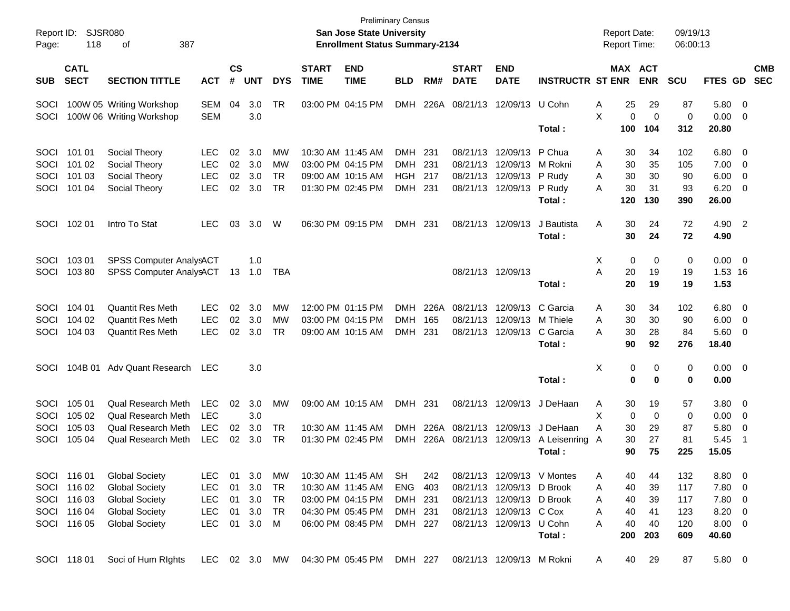| Report ID:<br>Page: | 118                        | SJSR080<br>387<br>οf       |               |                |            |            |                             | <b>San Jose State University</b><br><b>Enrollment Status Summary-2134</b> | <b>Preliminary Census</b> |      |                             |                           |                            | <b>Report Date:</b><br>Report Time: |                       | 09/19/13<br>06:00:13 |                |                            |                          |
|---------------------|----------------------------|----------------------------|---------------|----------------|------------|------------|-----------------------------|---------------------------------------------------------------------------|---------------------------|------|-----------------------------|---------------------------|----------------------------|-------------------------------------|-----------------------|----------------------|----------------|----------------------------|--------------------------|
| <b>SUB</b>          | <b>CATL</b><br><b>SECT</b> | <b>SECTION TITTLE</b>      | <b>ACT</b>    | <b>CS</b><br># | <b>UNT</b> | <b>DYS</b> | <b>START</b><br><b>TIME</b> | <b>END</b><br><b>TIME</b>                                                 | <b>BLD</b>                | RM#  | <b>START</b><br><b>DATE</b> | <b>END</b><br><b>DATE</b> | <b>INSTRUCTR ST ENR</b>    |                                     | MAX ACT<br><b>ENR</b> | <b>SCU</b>           | <b>FTES GD</b> |                            | <b>CMB</b><br><b>SEC</b> |
| <b>SOCI</b>         |                            | 100W 05 Writing Workshop   | SEM           | 04             | 3.0        | TR         |                             | 03:00 PM 04:15 PM                                                         | <b>DMH</b>                |      | 226A 08/21/13               | 12/09/13 U Cohn           |                            | 25<br>Α                             | 29                    | 87                   | 5.80           | 0                          |                          |
| SOCI                |                            | 100W 06 Writing Workshop   | <b>SEM</b>    |                | 3.0        |            |                             |                                                                           |                           |      |                             |                           | Total:                     | X<br>0<br>100                       | $\mathbf 0$<br>104    | 0<br>312             | 0.00<br>20.80  | $\overline{0}$             |                          |
| SOCI                | 101 01                     | Social Theory              | <b>LEC</b>    | 02             | 3.0        | МW         |                             | 10:30 AM 11:45 AM                                                         | <b>DMH</b>                | 231  | 08/21/13                    | 12/09/13                  | P Chua                     | 30<br>Α                             | 34                    | 102                  | 6.80           | 0                          |                          |
| SOCI                | 101 02                     | Social Theory              | <b>LEC</b>    | 02             | 3.0        | МW         |                             | 03:00 PM 04:15 PM                                                         | <b>DMH</b>                | 231  | 08/21/13                    | 12/09/13                  | M Rokni                    | 30<br>A                             | 35                    | 105                  | 7.00           | 0                          |                          |
| SOCI                | 101 03                     | Social Theory              | <b>LEC</b>    | 02             | 3.0        | <b>TR</b>  |                             | 09:00 AM 10:15 AM                                                         | HGH                       | 217  | 08/21/13                    | 12/09/13 P Rudy           |                            | 30<br>A                             | 30                    | 90                   | 6.00           | 0                          |                          |
| SOCI                | 101 04                     | Social Theory              | <b>LEC</b>    | 02             | 3.0        | <b>TR</b>  |                             | 01:30 PM 02:45 PM                                                         | DMH                       | 231  |                             | 08/21/13 12/09/13 P Rudy  | Total:                     | 30<br>A<br>120                      | 31<br>130             | 93<br>390            | 6.20<br>26.00  | 0                          |                          |
| SOCI                | 102 01                     | Intro To Stat              | <b>LEC</b>    | 03             | 3.0        | W          |                             | 06:30 PM 09:15 PM                                                         | DMH 231                   |      |                             | 08/21/13 12/09/13         | J Bautista<br>Total:       | A<br>30<br>30                       | 24<br>24              | 72<br>72             | 4.90<br>4.90   | $\overline{\phantom{0}}^2$ |                          |
|                     |                            |                            |               |                |            |            |                             |                                                                           |                           |      |                             |                           |                            |                                     |                       |                      |                |                            |                          |
| SOCI                | 103 01                     | SPSS Computer AnalysACT    |               |                | 1.0        |            |                             |                                                                           |                           |      |                             |                           |                            | $\mathbf 0$<br>Χ                    | 0                     | 0                    | 0.00           | $\overline{\phantom{0}}$   |                          |
| SOCI                | 10380                      | SPSS Computer AnalysACT    |               |                | 13 1.0     | TBA        |                             |                                                                           |                           |      |                             | 08/21/13 12/09/13         |                            | Α<br>20                             | 19                    | 19                   | 1.53 16        |                            |                          |
|                     |                            |                            |               |                |            |            |                             |                                                                           |                           |      |                             |                           | Total:                     | 20                                  | 19                    | 19                   | 1.53           |                            |                          |
| SOCI                | 104 01                     | <b>Quantit Res Meth</b>    | <b>LEC</b>    | 02             | 3.0        | МW         |                             | 12:00 PM 01:15 PM                                                         | <b>DMH</b>                | 226A | 08/21/13                    | 12/09/13                  | C Garcia                   | 30<br>Α                             | 34                    | 102                  | 6.80           | $\overline{0}$             |                          |
| SOCI                | 104 02                     | <b>Quantit Res Meth</b>    | <b>LEC</b>    | 02             | 3.0        | МW         |                             | 03:00 PM 04:15 PM                                                         | <b>DMH</b>                | 165  | 08/21/13                    | 12/09/13                  | M Thiele                   | 30<br>Α                             | 30                    | 90                   | 6.00           | 0                          |                          |
| SOCI                | 104 03                     | <b>Quantit Res Meth</b>    | <b>LEC</b>    | 02             | 3.0        | <b>TR</b>  |                             | 09:00 AM 10:15 AM                                                         | <b>DMH</b>                | 231  |                             | 08/21/13 12/09/13         | C Garcia                   | 30<br>А                             | 28                    | 84                   | 5.60           | 0                          |                          |
|                     |                            |                            |               |                |            |            |                             |                                                                           |                           |      |                             |                           | Total:                     | 90                                  | 92                    | 276                  | 18.40          |                            |                          |
| <b>SOCI</b>         |                            | 104B 01 Adv Quant Research | <b>LEC</b>    |                | 3.0        |            |                             |                                                                           |                           |      |                             |                           |                            | Χ<br>0                              | 0                     | 0                    | 0.00           | $\overline{\mathbf{0}}$    |                          |
|                     |                            |                            |               |                |            |            |                             |                                                                           |                           |      |                             |                           | Total:                     | 0                                   | 0                     | 0                    | 0.00           |                            |                          |
| SOCI                | 105 01                     | <b>Qual Research Meth</b>  | <b>LEC</b>    | 02             | 3.0        | МW         |                             | 09:00 AM 10:15 AM                                                         | DMH                       | 231  |                             | 08/21/13 12/09/13         | J DeHaan                   | 30<br>A                             | 19                    | 57                   | 3.80           | 0                          |                          |
| SOCI                | 105 02                     | <b>Qual Research Meth</b>  | <b>LEC</b>    |                | 3.0        |            |                             |                                                                           |                           |      |                             |                           |                            | Χ<br>$\mathbf 0$                    | $\mathbf 0$           | 0                    | 0.00           | 0                          |                          |
| SOCI                | 105 03                     | <b>Qual Research Meth</b>  | <b>LEC</b>    | 02             | 3.0        | TR         |                             | 10:30 AM 11:45 AM                                                         | <b>DMH</b>                | 226A |                             | 08/21/13 12/09/13         | J DeHaan                   | Α<br>30                             | 29                    | 87                   | 5.80           | 0                          |                          |
| SOCI                | 105 04                     | <b>Qual Research Meth</b>  | <b>LEC</b>    | 02             | 3.0        | <b>TR</b>  |                             | 01:30 PM 02:45 PM                                                         | <b>DMH</b>                | 226A | 08/21/13                    | 12/09/13                  | A Leisenring A             | 30                                  | 27                    | 81                   | 5.45           | -1                         |                          |
|                     |                            |                            |               |                |            |            |                             |                                                                           |                           |      |                             |                           | Total :                    | 90                                  | 75                    | 225                  | 15.05          |                            |                          |
|                     | SOCI 116 01                | <b>Global Society</b>      | <b>LEC</b>    |                | 01 3.0     | MW         |                             | 10:30 AM 11:45 AM                                                         | <b>SH</b>                 | 242  |                             |                           | 08/21/13 12/09/13 V Montes | 40<br>A                             | 44                    | 132                  | 8.80           | $\overline{\phantom{0}}$   |                          |
| SOCI                | 116 02                     | <b>Global Society</b>      | <b>LEC</b>    | 01             | 3.0        | TR         |                             | 10:30 AM 11:45 AM                                                         | <b>ENG</b>                | 403  |                             | 08/21/13 12/09/13 D Brook |                            | 40<br>A                             | 39                    | 117                  | 7.80           | 0                          |                          |
| SOCI                | 116 03                     | <b>Global Society</b>      | <b>LEC</b>    | 01             | 3.0        | TR         |                             | 03:00 PM 04:15 PM                                                         | DMH 231                   |      |                             | 08/21/13 12/09/13 D Brook |                            | 40<br>Α                             | 39                    | 117                  | 7.80           | 0                          |                          |
| SOCI                | 116 04                     | <b>Global Society</b>      | <b>LEC</b>    | 01             | 3.0        | TR         |                             | 04:30 PM 05:45 PM                                                         | DMH 231                   |      |                             | 08/21/13 12/09/13 C Cox   |                            | Α<br>40                             | 41                    | 123                  | 8.20           | 0                          |                          |
|                     | SOCI 116 05                | <b>Global Society</b>      | <b>LEC</b>    |                | 01 3.0 M   |            |                             | 06:00 PM 08:45 PM                                                         | DMH 227                   |      |                             | 08/21/13 12/09/13 U Cohn  |                            | 40<br>A                             | 40                    | 120                  | $8.00 \t 0$    |                            |                          |
|                     |                            |                            |               |                |            |            |                             |                                                                           |                           |      |                             |                           | Total:                     | 200                                 | 203                   | 609                  | 40.60          |                            |                          |
|                     | SOCI 11801                 | Soci of Hum RIghts         | LEC 02 3.0 MW |                |            |            |                             | 04:30 PM 05:45 PM                                                         | DMH 227                   |      |                             | 08/21/13 12/09/13 M Rokni |                            | 40<br>A                             | 29                    | 87                   | 5.80 0         |                            |                          |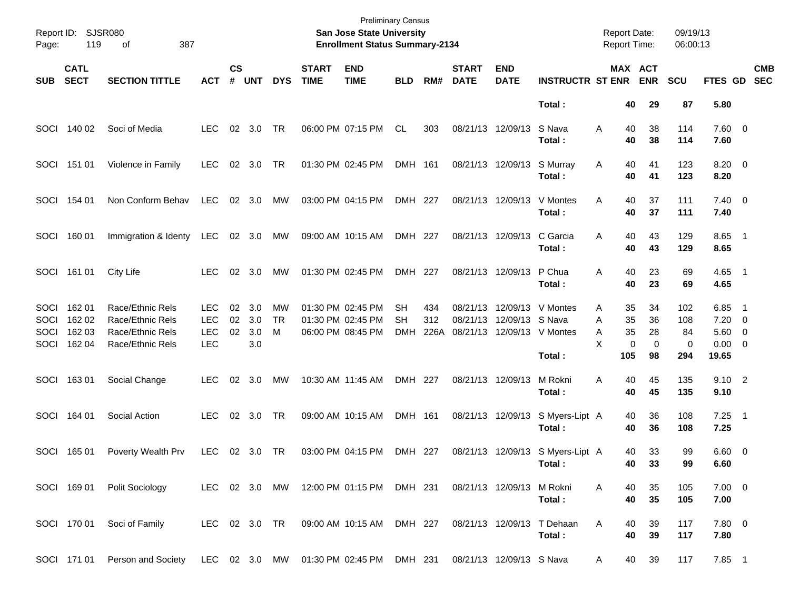| Page:                        | Report ID: SJSR080<br>119            | 387<br>оf                                                                                       |                                                      |                             |                          |               |                             | <b>Preliminary Census</b><br>San Jose State University<br><b>Enrollment Status Summary-2134</b> |                        |                    |                                  |                           |                                                  | <b>Report Date:</b><br><b>Report Time:</b> |                            |                           | 09/19/13<br>06:00:13         |                                                         |                          |                          |
|------------------------------|--------------------------------------|-------------------------------------------------------------------------------------------------|------------------------------------------------------|-----------------------------|--------------------------|---------------|-----------------------------|-------------------------------------------------------------------------------------------------|------------------------|--------------------|----------------------------------|---------------------------|--------------------------------------------------|--------------------------------------------|----------------------------|---------------------------|------------------------------|---------------------------------------------------------|--------------------------|--------------------------|
| <b>SUB</b>                   | <b>CATL</b><br><b>SECT</b>           | <b>SECTION TITTLE</b>                                                                           | <b>ACT</b>                                           | $\mathsf{cs}$<br>$\pmb{\#}$ | <b>UNT</b>               | <b>DYS</b>    | <b>START</b><br><b>TIME</b> | <b>END</b><br><b>TIME</b>                                                                       | <b>BLD</b>             | RM#                | <b>START</b><br><b>DATE</b>      | <b>END</b><br><b>DATE</b> | <b>INSTRUCTR ST ENR</b>                          |                                            |                            | MAX ACT<br><b>ENR</b>     | <b>SCU</b>                   | FTES GD                                                 |                          | <b>CMB</b><br><b>SEC</b> |
|                              |                                      |                                                                                                 |                                                      |                             |                          |               |                             |                                                                                                 |                        |                    |                                  |                           | Total:                                           |                                            | 40                         | 29                        | 87                           | 5.80                                                    |                          |                          |
| SOCI                         | 140 02                               | Soci of Media                                                                                   | LEC.                                                 | 02                          | 3.0                      | TR            |                             | 06:00 PM 07:15 PM                                                                               | CL                     | 303                |                                  | 08/21/13 12/09/13         | S Nava<br>Total:                                 | A                                          | 40<br>40                   | 38<br>38                  | 114<br>114                   | 7.60 0<br>7.60                                          |                          |                          |
| SOCI                         | 151 01                               | Violence in Family                                                                              | <b>LEC</b>                                           | 02                          | 3.0                      | TR            |                             | 01:30 PM 02:45 PM                                                                               | DMH 161                |                    |                                  | 08/21/13 12/09/13         | S Murray<br>Total :                              | A                                          | 40<br>40                   | 41<br>41                  | 123<br>123                   | 8.20 0<br>8.20                                          |                          |                          |
| SOCI                         | 154 01                               | Non Conform Behav                                                                               | LEC                                                  | 02                          | 3.0                      | МW            |                             | 03:00 PM 04:15 PM                                                                               | DMH 227                |                    |                                  | 08/21/13 12/09/13         | V Montes<br>Total :                              | A                                          | 40<br>40                   | 37<br>37                  | 111<br>111                   | $7.40 \quad 0$<br>7.40                                  |                          |                          |
| SOCI                         | 160 01                               | Immigration & Identy                                                                            | LEC                                                  |                             | 02 3.0                   | MW            |                             | 09:00 AM 10:15 AM                                                                               | DMH 227                |                    |                                  | 08/21/13 12/09/13         | C Garcia<br>Total :                              | A                                          | 40<br>40                   | 43<br>43                  | 129<br>129                   | 8.65 1<br>8.65                                          |                          |                          |
| SOCI                         | 161 01                               | City Life                                                                                       | LEC.                                                 | 02                          | 3.0                      | МW            |                             | 01:30 PM 02:45 PM                                                                               | DMH 227                |                    |                                  | 08/21/13 12/09/13         | P Chua<br>Total:                                 | A                                          | 40<br>40                   | 23<br>23                  | 69<br>69                     | 4.65 1<br>4.65                                          |                          |                          |
| SOCI<br>SOCI<br>SOCI<br>SOCI | 162 01<br>162 02<br>162 03<br>162 04 | Race/Ethnic Rels<br>Race/Ethnic Rels<br>Race/Ethnic Rels<br>Race/Ethnic Rels                    | <b>LEC</b><br><b>LEC</b><br><b>LEC</b><br><b>LEC</b> | 02<br>02<br>02              | 3.0<br>3.0<br>3.0<br>3.0 | MW<br>TR<br>М |                             | 01:30 PM 02:45 PM<br>01:30 PM 02:45 PM<br>06:00 PM 08:45 PM                                     | SН<br>SН<br><b>DMH</b> | 434<br>312<br>226A | 08/21/13<br>08/21/13<br>08/21/13 | 12/09/13 S Nava           | 12/09/13 V Montes<br>12/09/13 V Montes<br>Total: | Α<br>A<br>A<br>X                           | 35<br>35<br>35<br>0<br>105 | 34<br>36<br>28<br>0<br>98 | 102<br>108<br>84<br>0<br>294 | 6.85<br>$7.20 \t 0$<br>$5.60$ 0<br>$0.00 \t 0$<br>19.65 | $\overline{\phantom{1}}$ |                          |
| SOCI                         | 16301                                | Social Change                                                                                   | LEC.                                                 | 02                          | 3.0                      | МW            |                             | 10:30 AM 11:45 AM                                                                               | DMH 227                |                    |                                  | 08/21/13 12/09/13         | M Rokni<br>Total :                               | Α                                          | 40<br>40                   | 45<br>45                  | 135<br>135                   | $9.10$ 2<br>9.10                                        |                          |                          |
| SOCI                         | 164 01                               | Social Action                                                                                   | <b>LEC</b>                                           |                             | 02 3.0                   | TR            |                             | 09:00 AM 10:15 AM                                                                               | DMH 161                |                    |                                  | 08/21/13 12/09/13         | S Myers-Lipt A<br>Total:                         |                                            | 40<br>40                   | 36<br>36                  | 108<br>108                   | $7.25$ 1<br>7.25                                        |                          |                          |
| SOCI                         | 165 01                               | Poverty Wealth Prv                                                                              | <b>LEC</b>                                           | 02                          | 3.0                      | TR            |                             | 03:00 PM 04:15 PM                                                                               | DMH 227                |                    |                                  | 08/21/13 12/09/13         | S Myers-Lipt A<br>Total :                        |                                            | 40<br>40                   | 33<br>33                  | 99<br>99                     | $6.60$ 0<br>6.60                                        |                          |                          |
|                              |                                      | SOCI 169 01 Polit Sociology                                                                     |                                                      |                             |                          |               |                             | LEC 02 3.0 MW 12:00 PM 01:15 PM DMH 231 08/21/13 12/09/13 M Rokni                               |                        |                    |                                  |                           | Total:                                           | A                                          | 40<br>40                   | 35<br>35                  | 105<br>105                   | $7.00 \t 0$<br>7.00                                     |                          |                          |
|                              |                                      | SOCI 170 01 Soci of Family                                                                      |                                                      |                             |                          |               |                             | LEC 02 3.0 TR  09:00 AM  10:15 AM  DMH  227                                                     |                        |                    |                                  |                           | 08/21/13 12/09/13 T Dehaan<br>Total:             | A                                          | 40<br>40                   | 39<br>39                  | 117<br>117                   | $7.80\ 0$<br>7.80                                       |                          |                          |
|                              |                                      | SOCI 171 01 Person and Society LEC 02 3.0 MW 01:30 PM 02:45 PM DMH 231 08/21/13 12/09/13 S Nava |                                                      |                             |                          |               |                             |                                                                                                 |                        |                    |                                  |                           |                                                  | A                                          | 40                         | 39                        | 117                          | 7.85 1                                                  |                          |                          |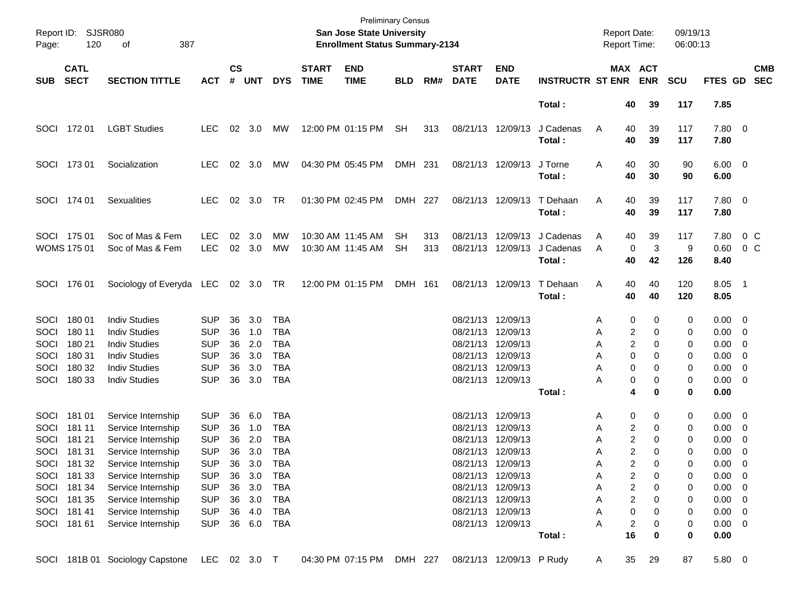| Page:                                       | Report ID: SJSR080<br>120                                          | 387<br>оf                                                                                                                        |                                                                                  |                                  |                                        |                                                                    |                             | <b>Preliminary Census</b><br>San Jose State University<br><b>Enrollment Status Summary-2134</b> |                 |            |                                                       |                                                                                  |                                  | <b>Report Date:</b><br><b>Report Time:</b> |                                                            | 09/19/13<br>06:00:13       |                                                            |                                                                                                             |
|---------------------------------------------|--------------------------------------------------------------------|----------------------------------------------------------------------------------------------------------------------------------|----------------------------------------------------------------------------------|----------------------------------|----------------------------------------|--------------------------------------------------------------------|-----------------------------|-------------------------------------------------------------------------------------------------|-----------------|------------|-------------------------------------------------------|----------------------------------------------------------------------------------|----------------------------------|--------------------------------------------|------------------------------------------------------------|----------------------------|------------------------------------------------------------|-------------------------------------------------------------------------------------------------------------|
| <b>SUB</b>                                  | <b>CATL</b><br><b>SECT</b>                                         | <b>SECTION TITTLE</b>                                                                                                            | <b>ACT</b>                                                                       | $\mathsf{cs}$<br>#               | <b>UNT</b>                             | <b>DYS</b>                                                         | <b>START</b><br><b>TIME</b> | <b>END</b><br><b>TIME</b>                                                                       | <b>BLD</b>      | RM#        | <b>START</b><br><b>DATE</b>                           | <b>END</b><br><b>DATE</b>                                                        | <b>INSTRUCTR ST ENR</b>          |                                            | <b>MAX ACT</b><br><b>ENR</b>                               | <b>SCU</b>                 | FTES GD                                                    | <b>CMB</b><br><b>SEC</b>                                                                                    |
|                                             |                                                                    |                                                                                                                                  |                                                                                  |                                  |                                        |                                                                    |                             |                                                                                                 |                 |            |                                                       |                                                                                  | Total:                           | 40                                         | 39                                                         | 117                        | 7.85                                                       |                                                                                                             |
|                                             | SOCI 172 01                                                        | <b>LGBT Studies</b>                                                                                                              | <b>LEC</b>                                                                       |                                  | $02 \quad 3.0$                         | МW                                                                 |                             | 12:00 PM 01:15 PM                                                                               | SH              | 313        |                                                       | 08/21/13 12/09/13                                                                | J Cadenas<br>Total:              | 40<br>A<br>40                              | 39<br>39                                                   | 117<br>117                 | 7.80 0<br>7.80                                             |                                                                                                             |
|                                             | SOCI 173 01                                                        | Socialization                                                                                                                    | <b>LEC</b>                                                                       |                                  | 02 3.0                                 | МW                                                                 |                             | 04:30 PM 05:45 PM                                                                               | DMH 231         |            |                                                       | 08/21/13 12/09/13                                                                | J Torne<br>Total:                | 40<br>A<br>40                              | 30<br>30                                                   | 90<br>90                   | $6.00 \t 0$<br>6.00                                        |                                                                                                             |
|                                             | SOCI 174 01                                                        | <b>Sexualities</b>                                                                                                               | <b>LEC</b>                                                                       |                                  | 02 3.0                                 | TR                                                                 |                             | 01:30 PM 02:45 PM                                                                               | DMH 227         |            |                                                       | 08/21/13 12/09/13                                                                | T Dehaan<br>Total:               | 40<br>A<br>40                              | 39<br>39                                                   | 117<br>117                 | 7.80 0<br>7.80                                             |                                                                                                             |
|                                             | SOCI 175 01<br><b>WOMS 175 01</b>                                  | Soc of Mas & Fem<br>Soc of Mas & Fem                                                                                             | <b>LEC</b><br><b>LEC</b>                                                         | 02<br>02                         | 3.0<br>3.0                             | MW<br>MW                                                           |                             | 10:30 AM 11:45 AM<br>10:30 AM 11:45 AM                                                          | SН<br><b>SH</b> | 313<br>313 | 08/21/13                                              | 12/09/13<br>08/21/13 12/09/13                                                    | J Cadenas<br>J Cadenas<br>Total: | 40<br>A<br>A<br>40                         | 39<br>3<br>0<br>42                                         | 117<br>9<br>126            | 7.80<br>0.60<br>8.40                                       | $0\,C$<br>0 <sup>o</sup>                                                                                    |
|                                             | SOCI 176 01                                                        | Sociology of Everyda LEC 02 3.0 TR                                                                                               |                                                                                  |                                  |                                        |                                                                    |                             | 12:00 PM 01:15 PM                                                                               | DMH 161         |            |                                                       | 08/21/13 12/09/13                                                                | T Dehaan<br>Total:               | 40<br>A<br>40                              | 40<br>40                                                   | 120<br>120                 | 8.05 1<br>8.05                                             |                                                                                                             |
| <b>SOCI</b><br>SOCI<br>SOCI<br>SOCI<br>SOCI | 18001<br>180 11<br>180 21<br>180 31<br>180 32                      | <b>Indiv Studies</b><br><b>Indiv Studies</b><br><b>Indiv Studies</b><br><b>Indiv Studies</b><br><b>Indiv Studies</b>             | <b>SUP</b><br><b>SUP</b><br><b>SUP</b><br><b>SUP</b><br><b>SUP</b>               | 36<br>36<br>36<br>36<br>36       | 3.0<br>1.0<br>2.0<br>3.0<br>3.0        | <b>TBA</b><br><b>TBA</b><br><b>TBA</b><br><b>TBA</b><br><b>TBA</b> |                             |                                                                                                 |                 |            | 08/21/13 12/09/13<br>08/21/13<br>08/21/13<br>08/21/13 | 12/09/13<br>12/09/13<br>12/09/13<br>08/21/13 12/09/13                            |                                  | 0<br>Α<br>Α<br>Α<br>Α<br>Α<br>0            | 0<br>2<br>0<br>2<br>0<br>0<br>0<br>0                       | 0<br>0<br>0<br>0<br>0      | $0.00 \quad 0$<br>$0.00 \t 0$<br>0.00<br>0.00<br>0.00      | $\overline{\phantom{0}}$<br>$\overline{\phantom{0}}$<br>$\overline{\phantom{0}}$                            |
| SOCI                                        | 180 33                                                             | <b>Indiv Studies</b>                                                                                                             | <b>SUP</b>                                                                       | 36                               | 3.0                                    | TBA                                                                |                             |                                                                                                 |                 |            |                                                       | 08/21/13 12/09/13                                                                | Total:                           | Α                                          | 0<br>0<br>4<br>0                                           | 0<br>0                     | $0.00 \t 0$<br>0.00                                        |                                                                                                             |
| SOCI<br>SOCI<br>SOCI<br>SOCI                | 181 01<br>181 11<br>181 21<br>181 31<br>SOCI 181 32<br>SOCI 181 33 | Service Internship<br>Service Internship<br>Service Internship<br>Service Internship<br>Service Internship<br>Service Internship | <b>SUP</b><br><b>SUP</b><br><b>SUP</b><br><b>SUP</b><br><b>SUP</b><br><b>SUP</b> | 36<br>36<br>36<br>36<br>36<br>36 | 6.0<br>1.0<br>2.0<br>3.0<br>3.0<br>3.0 | <b>TBA</b><br>TBA<br><b>TBA</b><br>TBA<br><b>TBA</b><br><b>TBA</b> |                             |                                                                                                 |                 |            | 08/21/13<br>08/21/13<br>08/21/13<br>08/21/13 12/09/13 | 12/09/13<br>12/09/13<br>12/09/13<br>08/21/13 12/09/13<br>08/21/13 12/09/13       |                                  | 0<br>A<br>Α<br>Α<br>Α<br>A<br>Α            | 0<br>2<br>0<br>2<br>0<br>2<br>$\Omega$<br>2<br>0<br>2<br>0 | 0<br>0<br>0<br>0<br>0<br>0 | $0.00 \t 0$<br>0.00<br>0.00<br>0.00<br>0.00<br>$0.00 \t 0$ | $\overline{\phantom{0}}$<br>$\overline{\mathbf{0}}$<br>$\overline{\phantom{0}}$<br>$\overline{\phantom{0}}$ |
|                                             | SOCI 181 34<br>SOCI 181 35<br>SOCI 181 41<br>SOCI 181 61           | Service Internship<br>Service Internship<br>Service Internship<br>Service Internship                                             | <b>SUP</b><br><b>SUP</b><br><b>SUP</b><br><b>SUP</b>                             | 36<br>36<br>36                   | 3.0<br>3.0<br>4.0<br>36 6.0            | TBA<br>TBA<br>TBA<br>TBA                                           |                             |                                                                                                 |                 |            |                                                       | 08/21/13 12/09/13<br>08/21/13 12/09/13<br>08/21/13 12/09/13<br>08/21/13 12/09/13 |                                  | Α<br>А<br>А<br>А<br>16                     | 2<br>0<br>$\overline{\mathbf{c}}$<br>0<br>0<br>0<br>2<br>0 | 0<br>0<br>0<br>0           | $0.00 \t 0$<br>$0.00 \t 0$<br>$0.00 \t 0$<br>$0.00 \t 0$   |                                                                                                             |
|                                             |                                                                    | SOCI 181B 01 Sociology Capstone                                                                                                  | LEC.                                                                             |                                  | 02 3.0 T                               |                                                                    |                             | 04:30 PM 07:15 PM                                                                               | DMH 227         |            |                                                       | 08/21/13 12/09/13 P Rudy                                                         | Total:                           | 35<br>A                                    | 0<br>29                                                    | 0<br>87                    | 0.00<br>5.80 0                                             |                                                                                                             |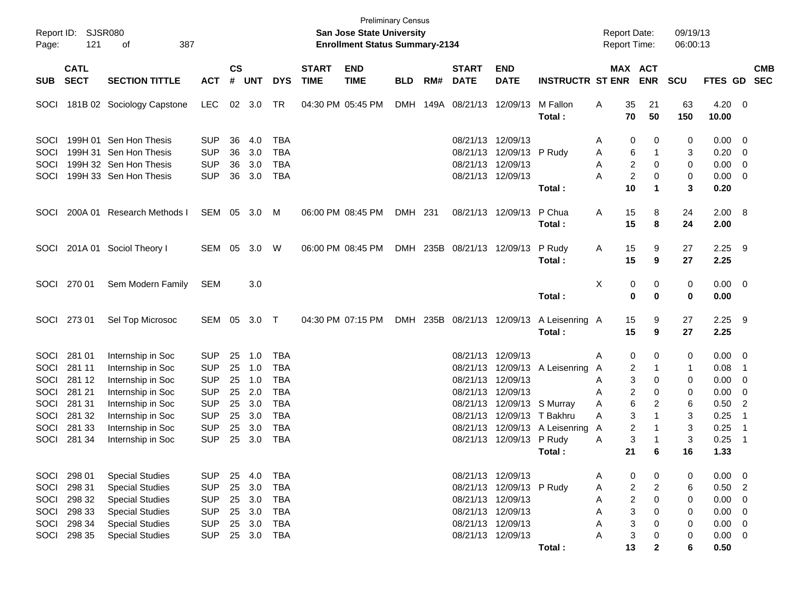| Page:                       | Report ID: SJSR080<br>121  | 387<br>оf                                                                  |                                        |                    |                   |                                        |                             | <b>Preliminary Census</b><br>San Jose State University<br><b>Enrollment Status Summary-2134</b> |            |     |                                                    |                                        |                          | <b>Report Date:</b><br>Report Time:     |                     | 09/19/13<br>06:00:13 |                      |                            |            |
|-----------------------------|----------------------------|----------------------------------------------------------------------------|----------------------------------------|--------------------|-------------------|----------------------------------------|-----------------------------|-------------------------------------------------------------------------------------------------|------------|-----|----------------------------------------------------|----------------------------------------|--------------------------|-----------------------------------------|---------------------|----------------------|----------------------|----------------------------|------------|
| <b>SUB</b>                  | <b>CATL</b><br><b>SECT</b> | <b>SECTION TITTLE</b>                                                      | <b>ACT</b>                             | $\mathsf{cs}$<br># | <b>UNT</b>        | <b>DYS</b>                             | <b>START</b><br><b>TIME</b> | <b>END</b><br><b>TIME</b>                                                                       | <b>BLD</b> | RM# | <b>START</b><br><b>DATE</b>                        | <b>END</b><br><b>DATE</b>              | <b>INSTRUCTR ST ENR</b>  | <b>MAX ACT</b>                          | <b>ENR</b>          | <b>SCU</b>           | FTES GD SEC          |                            | <b>CMB</b> |
| SOCI                        |                            | 181B 02 Sociology Capstone                                                 | LEC                                    |                    | 02 3.0            | TR                                     |                             | 04:30 PM 05:45 PM                                                                               |            |     | DMH 149A 08/21/13 12/09/13                         |                                        | M Fallon<br>Total:       | 35<br>A<br>70                           | 21<br>50            | 63<br>150            | 4.20<br>10.00        | - 0                        |            |
| <b>SOCI</b><br>SOCI<br>SOCI |                            | 199H 01 Sen Hon Thesis<br>199H 31 Sen Hon Thesis<br>199H 32 Sen Hon Thesis | <b>SUP</b><br><b>SUP</b><br><b>SUP</b> | 36<br>36<br>36     | 4.0<br>3.0<br>3.0 | <b>TBA</b><br><b>TBA</b><br><b>TBA</b> |                             |                                                                                                 |            |     | 08/21/13 12/09/13<br>08/21/13<br>08/21/13 12/09/13 | 12/09/13 P Rudy                        |                          | 0<br>Α<br>6<br>Α<br>$\overline{c}$<br>A | 0<br>$\mathbf 0$    | 0<br>3<br>0          | 0.00<br>0.20<br>0.00 | - 0<br>0<br>$\overline{0}$ |            |
| SOCI                        |                            | 199H 33 Sen Hon Thesis                                                     | <b>SUP</b>                             | 36                 | 3.0               | <b>TBA</b>                             |                             |                                                                                                 |            |     |                                                    | 08/21/13 12/09/13                      | Total:                   | $\overline{c}$<br>A<br>10               | 0<br>1              | 0<br>3               | 0.00<br>0.20         | $\overline{0}$             |            |
| SOCI                        |                            | 200A 01 Research Methods I                                                 | SEM 05 3.0                             |                    |                   | M                                      |                             | 06:00 PM 08:45 PM                                                                               | DMH 231    |     |                                                    | 08/21/13 12/09/13                      | P Chua<br>Total:         | 15<br>A<br>15                           | 8<br>8              | 24<br>24             | 2.00 8<br>2.00       |                            |            |
| <b>SOCI</b>                 |                            | 201A 01 Sociol Theory I                                                    | SEM 05 3.0 W                           |                    |                   |                                        |                             | 06:00 PM 08:45 PM                                                                               |            |     | DMH 235B 08/21/13 12/09/13                         |                                        | P Rudy<br>Total:         | 15<br>A<br>15                           | 9<br>9              | 27<br>27             | 2.25<br>2.25         | - 9                        |            |
| SOCI                        | 270 01                     | Sem Modern Family                                                          | <b>SEM</b>                             |                    | 3.0               |                                        |                             |                                                                                                 |            |     |                                                    |                                        | Total:                   | Χ<br>0<br>0                             | 0<br>0              | 0<br>0               | $0.00 \t 0$<br>0.00  |                            |            |
|                             | SOCI 273 01                | Sel Top Microsoc                                                           | SEM 05 3.0 T                           |                    |                   |                                        |                             | 04:30 PM 07:15 PM                                                                               |            |     | DMH 235B 08/21/13 12/09/13                         |                                        | A Leisenring A<br>Total: | 15<br>15                                | 9<br>9              | 27<br>27             | $2.25$ 9<br>2.25     |                            |            |
| SOCI                        | 281 01                     | Internship in Soc                                                          | <b>SUP</b>                             | 25                 | 1.0               | <b>TBA</b>                             |                             |                                                                                                 |            |     | 08/21/13 12/09/13                                  |                                        |                          | 0<br>A                                  | 0                   | 0                    | 0.00                 | $\overline{0}$             |            |
| SOCI<br>SOCI                | 281 11<br>281 12           | Internship in Soc<br>Internship in Soc                                     | <b>SUP</b><br><b>SUP</b>               | 25<br>25           | 1.0<br>1.0        | <b>TBA</b><br><b>TBA</b>               |                             |                                                                                                 |            |     | 08/21/13<br>08/21/13                               | 12/09/13                               | 12/09/13 A Leisenring    | 2<br>A<br>3<br>A                        | -1<br>0             | $\mathbf{1}$<br>0    | 0.08<br>0.00         | $\overline{1}$<br>0        |            |
| SOCI<br>SOCI                | 281 21<br>281 31           | Internship in Soc<br>Internship in Soc                                     | <b>SUP</b><br><b>SUP</b>               | 25<br>25           | 2.0<br>3.0        | <b>TBA</b><br><b>TBA</b>               |                             |                                                                                                 |            |     | 08/21/13                                           | 12/09/13<br>08/21/13 12/09/13 S Murray |                          | $\overline{c}$<br>A<br>6<br>A           | 0<br>$\overline{2}$ | 0<br>6               | 0.00<br>0.50         | 0<br>$\overline{2}$        |            |
| SOCI<br>SOCI                | 281 32<br>281 33           | Internship in Soc<br>Internship in Soc                                     | <b>SUP</b><br><b>SUP</b>               | 25<br>25           | 3.0<br>3.0        | <b>TBA</b><br><b>TBA</b>               |                             |                                                                                                 |            |     | 08/21/13                                           | 08/21/13 12/09/13 T Bakhru             | 12/09/13 A Leisenring    | 3<br>A<br>$\overline{\mathbf{c}}$<br>A  |                     | 3<br>3               | 0.25<br>0.25         | $\overline{1}$<br>-1       |            |
| SOCI                        | 281 34                     | Internship in Soc                                                          | <b>SUP</b>                             | 25                 | 3.0               | <b>TBA</b>                             |                             |                                                                                                 |            |     |                                                    | 08/21/13 12/09/13                      | P Rudy<br>Total :        | 3<br>Α<br>21                            | 6                   | 3<br>16              | 0.25<br>1.33         | -1                         |            |
| SOCI                        | 298 01                     | <b>Special Studies</b>                                                     | <b>SUP</b>                             | 25                 | 4.0               | <b>TBA</b>                             |                             |                                                                                                 |            |     | 08/21/13 12/09/13                                  |                                        |                          | 0<br>Α                                  | 0                   | 0                    | 0.00                 | 0                          |            |
| SOCI                        | 298 31                     | <b>Special Studies</b>                                                     | <b>SUP</b>                             | 25                 | 3.0               | <b>TBA</b>                             |                             |                                                                                                 |            |     |                                                    | 08/21/13 12/09/13 P Rudy               |                          | $\overline{c}$<br>Α                     | $\overline{2}$      | 6                    | 0.50                 | $\overline{2}$             |            |
| SOCI<br>SOCI                | 298 32<br>298 33           | <b>Special Studies</b><br><b>Special Studies</b>                           | <b>SUP</b><br><b>SUP</b>               | 25<br>25           | 3.0<br>3.0        | <b>TBA</b><br><b>TBA</b>               |                             |                                                                                                 |            |     | 08/21/13 12/09/13<br>08/21/13 12/09/13             |                                        |                          | $\boldsymbol{2}$<br>Α<br>3<br>A         | 0<br>0              | 0<br>0               | 0.00<br>0.00         | 0<br>0                     |            |
| SOCI                        | 298 34                     | <b>Special Studies</b>                                                     | <b>SUP</b>                             | 25                 | 3.0               | <b>TBA</b>                             |                             |                                                                                                 |            |     | 08/21/13 12/09/13                                  |                                        |                          | 3<br>A                                  | 0                   | 0                    | 0.00                 | 0                          |            |
| SOCI                        | 298 35                     | <b>Special Studies</b>                                                     | <b>SUP</b>                             | 25                 | 3.0               | <b>TBA</b>                             |                             |                                                                                                 |            |     |                                                    | 08/21/13 12/09/13                      | Total:                   | 3<br>A<br>13                            | 0<br>$\mathbf{2}$   | 0<br>6               | 0.00<br>0.50         | $\mathbf 0$                |            |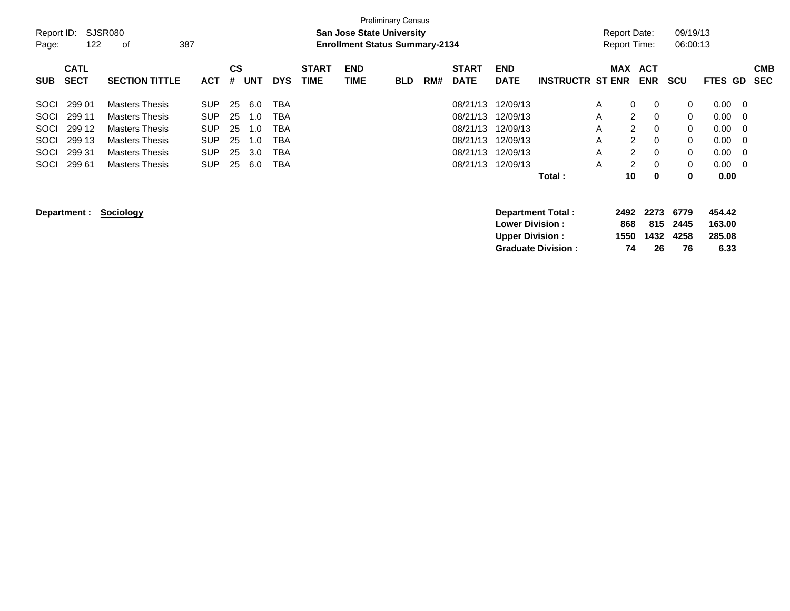| Report ID:<br>SJSR080<br>09/19/13<br><b>San Jose State University</b><br>Report Date:<br>387<br><b>Enrollment Status Summary-2134</b><br>06:00:13<br>122<br><b>Report Time:</b><br>Page:<br>оf<br><b>END</b><br><b>CATL</b><br>CS<br><b>START</b><br><b>START</b><br><b>END</b><br><b>MAX</b><br><b>ACT</b><br><b>CMB</b><br><b>SECT</b><br><b>UNT</b><br><b>TIME</b><br><b>TIME</b><br><b>DATE</b><br><b>DATE</b><br><b>INSTRUCTR ST ENR</b><br><b>ENR</b><br><b>SECTION TITTLE</b><br><b>ACT</b><br>#<br><b>DYS</b><br>RM#<br><b>SCU</b><br>FTES GD<br><b>SEC</b><br><b>SUB</b><br><b>BLD</b><br>12/09/13<br>299 01<br><b>Masters Thesis</b><br>25<br>6.0<br>08/21/13<br>0<br>0.00<br><b>SOCI</b><br><b>SUP</b><br>TBA<br>0<br>0<br>A<br>- 0<br>$\overline{2}$<br>0<br>299 11<br><b>SUP</b><br>25<br>08/21/13<br>12/09/13<br>0<br>0.00<br><b>SOCI</b><br><b>Masters Thesis</b><br>TBA<br>A<br>1.0<br>- 0<br>$\overline{2}$<br>299 12<br>SOCI<br><b>Masters Thesis</b><br><b>SUP</b><br>25<br><b>TBA</b><br>08/21/13<br>12/09/13<br>0<br>0.00<br>1.0<br>A<br>0<br>- 0<br>299 13<br><b>SUP</b><br>$\overline{2}$<br>SOCI<br><b>Masters Thesis</b><br>25<br><b>TBA</b><br>08/21/13<br>12/09/13<br>0<br>0.00<br>A<br>0<br>1.0<br>- 0<br>299 31<br><b>SUP</b><br>$\overline{2}$<br>SOCI<br>25<br>3.0<br>08/21/13<br>12/09/13<br>0<br>0.00<br><b>Masters Thesis</b><br>TBA<br>A<br>0<br>- 0<br>2<br>299 61<br><b>SUP</b><br>25<br>12/09/13<br>$\mathbf 0$<br>$\mathbf 0$<br>SOCI<br>6.0<br><b>TBA</b><br>08/21/13<br>A<br>0.00<br><b>Masters Thesis</b><br>- 0<br>Total:<br>10<br>0.00<br>0<br>0<br>2273<br>454.42<br>Sociology<br>6779<br><b>Department Total:</b><br>2492<br>Department : |  |  |  |  | <b>Preliminary Census</b> |  |  |  |  |  |  |
|-----------------------------------------------------------------------------------------------------------------------------------------------------------------------------------------------------------------------------------------------------------------------------------------------------------------------------------------------------------------------------------------------------------------------------------------------------------------------------------------------------------------------------------------------------------------------------------------------------------------------------------------------------------------------------------------------------------------------------------------------------------------------------------------------------------------------------------------------------------------------------------------------------------------------------------------------------------------------------------------------------------------------------------------------------------------------------------------------------------------------------------------------------------------------------------------------------------------------------------------------------------------------------------------------------------------------------------------------------------------------------------------------------------------------------------------------------------------------------------------------------------------------------------------------------------------------------------------------------------------------------------------------------------------------------------------|--|--|--|--|---------------------------|--|--|--|--|--|--|
|                                                                                                                                                                                                                                                                                                                                                                                                                                                                                                                                                                                                                                                                                                                                                                                                                                                                                                                                                                                                                                                                                                                                                                                                                                                                                                                                                                                                                                                                                                                                                                                                                                                                                         |  |  |  |  |                           |  |  |  |  |  |  |
|                                                                                                                                                                                                                                                                                                                                                                                                                                                                                                                                                                                                                                                                                                                                                                                                                                                                                                                                                                                                                                                                                                                                                                                                                                                                                                                                                                                                                                                                                                                                                                                                                                                                                         |  |  |  |  |                           |  |  |  |  |  |  |
|                                                                                                                                                                                                                                                                                                                                                                                                                                                                                                                                                                                                                                                                                                                                                                                                                                                                                                                                                                                                                                                                                                                                                                                                                                                                                                                                                                                                                                                                                                                                                                                                                                                                                         |  |  |  |  |                           |  |  |  |  |  |  |
|                                                                                                                                                                                                                                                                                                                                                                                                                                                                                                                                                                                                                                                                                                                                                                                                                                                                                                                                                                                                                                                                                                                                                                                                                                                                                                                                                                                                                                                                                                                                                                                                                                                                                         |  |  |  |  |                           |  |  |  |  |  |  |
|                                                                                                                                                                                                                                                                                                                                                                                                                                                                                                                                                                                                                                                                                                                                                                                                                                                                                                                                                                                                                                                                                                                                                                                                                                                                                                                                                                                                                                                                                                                                                                                                                                                                                         |  |  |  |  |                           |  |  |  |  |  |  |
|                                                                                                                                                                                                                                                                                                                                                                                                                                                                                                                                                                                                                                                                                                                                                                                                                                                                                                                                                                                                                                                                                                                                                                                                                                                                                                                                                                                                                                                                                                                                                                                                                                                                                         |  |  |  |  |                           |  |  |  |  |  |  |
|                                                                                                                                                                                                                                                                                                                                                                                                                                                                                                                                                                                                                                                                                                                                                                                                                                                                                                                                                                                                                                                                                                                                                                                                                                                                                                                                                                                                                                                                                                                                                                                                                                                                                         |  |  |  |  |                           |  |  |  |  |  |  |
|                                                                                                                                                                                                                                                                                                                                                                                                                                                                                                                                                                                                                                                                                                                                                                                                                                                                                                                                                                                                                                                                                                                                                                                                                                                                                                                                                                                                                                                                                                                                                                                                                                                                                         |  |  |  |  |                           |  |  |  |  |  |  |
|                                                                                                                                                                                                                                                                                                                                                                                                                                                                                                                                                                                                                                                                                                                                                                                                                                                                                                                                                                                                                                                                                                                                                                                                                                                                                                                                                                                                                                                                                                                                                                                                                                                                                         |  |  |  |  |                           |  |  |  |  |  |  |
|                                                                                                                                                                                                                                                                                                                                                                                                                                                                                                                                                                                                                                                                                                                                                                                                                                                                                                                                                                                                                                                                                                                                                                                                                                                                                                                                                                                                                                                                                                                                                                                                                                                                                         |  |  |  |  |                           |  |  |  |  |  |  |
|                                                                                                                                                                                                                                                                                                                                                                                                                                                                                                                                                                                                                                                                                                                                                                                                                                                                                                                                                                                                                                                                                                                                                                                                                                                                                                                                                                                                                                                                                                                                                                                                                                                                                         |  |  |  |  |                           |  |  |  |  |  |  |
|                                                                                                                                                                                                                                                                                                                                                                                                                                                                                                                                                                                                                                                                                                                                                                                                                                                                                                                                                                                                                                                                                                                                                                                                                                                                                                                                                                                                                                                                                                                                                                                                                                                                                         |  |  |  |  |                           |  |  |  |  |  |  |
| <b>Lower Division :</b><br>815<br>163.00<br>868<br>2445                                                                                                                                                                                                                                                                                                                                                                                                                                                                                                                                                                                                                                                                                                                                                                                                                                                                                                                                                                                                                                                                                                                                                                                                                                                                                                                                                                                                                                                                                                                                                                                                                                 |  |  |  |  |                           |  |  |  |  |  |  |
| <b>Upper Division:</b><br>1432<br>285.08<br>1550<br>4258                                                                                                                                                                                                                                                                                                                                                                                                                                                                                                                                                                                                                                                                                                                                                                                                                                                                                                                                                                                                                                                                                                                                                                                                                                                                                                                                                                                                                                                                                                                                                                                                                                |  |  |  |  |                           |  |  |  |  |  |  |
| 6.33<br><b>Graduate Division:</b><br>74<br>26<br>76                                                                                                                                                                                                                                                                                                                                                                                                                                                                                                                                                                                                                                                                                                                                                                                                                                                                                                                                                                                                                                                                                                                                                                                                                                                                                                                                                                                                                                                                                                                                                                                                                                     |  |  |  |  |                           |  |  |  |  |  |  |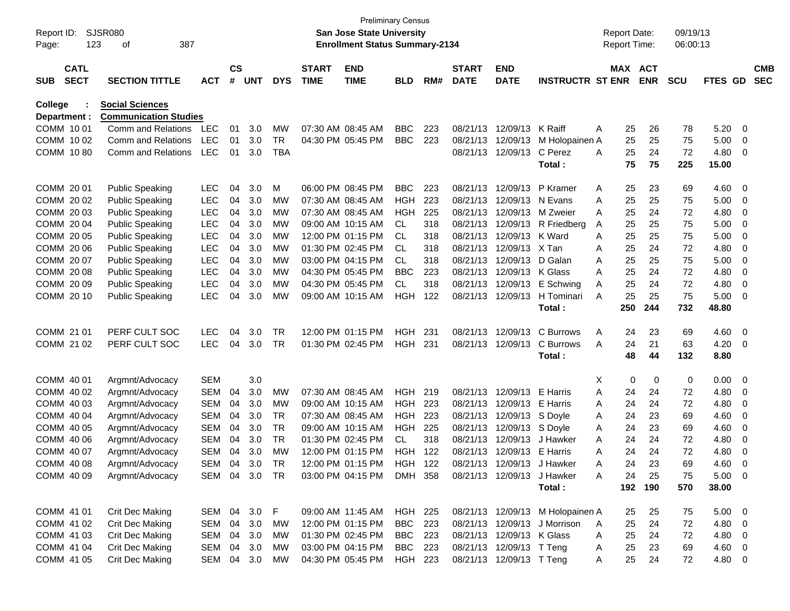| Report ID:<br>Page: |                            | <b>SJSR080</b><br>387<br>123<br>οf |            |                |            |            |                             | <b>Preliminary Census</b><br><b>San Jose State University</b><br><b>Enrollment Status Summary-2134</b> |            |     |                             |                            |                                  | <b>Report Date:</b><br>Report Time: |         |            | 09/19/13<br>06:00:13 |             |                         |                          |
|---------------------|----------------------------|------------------------------------|------------|----------------|------------|------------|-----------------------------|--------------------------------------------------------------------------------------------------------|------------|-----|-----------------------------|----------------------------|----------------------------------|-------------------------------------|---------|------------|----------------------|-------------|-------------------------|--------------------------|
| <b>SUB</b>          | <b>CATL</b><br><b>SECT</b> | <b>SECTION TITTLE</b>              | <b>ACT</b> | <b>CS</b><br># | <b>UNT</b> | <b>DYS</b> | <b>START</b><br><b>TIME</b> | <b>END</b><br><b>TIME</b>                                                                              | <b>BLD</b> | RM# | <b>START</b><br><b>DATE</b> | <b>END</b><br><b>DATE</b>  | <b>INSTRUCTR ST ENR</b>          |                                     | MAX ACT | <b>ENR</b> | <b>SCU</b>           | FTES GD     |                         | <b>CMB</b><br><b>SEC</b> |
| <b>College</b>      |                            | <b>Social Sciences</b>             |            |                |            |            |                             |                                                                                                        |            |     |                             |                            |                                  |                                     |         |            |                      |             |                         |                          |
| Department :        |                            | <b>Communication Studies</b>       |            |                |            |            |                             |                                                                                                        |            |     |                             |                            |                                  |                                     |         |            |                      |             |                         |                          |
| COMM 1001           |                            | Comm and Relations                 | LEC        | 01             | 3.0        | МW         |                             | 07:30 AM 08:45 AM                                                                                      | <b>BBC</b> | 223 | 08/21/13                    | 12/09/13                   | K Raiff                          | A                                   | 25      | 26         | 78                   | 5.20        | 0                       |                          |
| COMM 10 02          |                            | <b>Comm and Relations</b>          | <b>LEC</b> | 01             | 3.0        | TR         |                             | 04:30 PM 05:45 PM                                                                                      | <b>BBC</b> | 223 | 08/21/13                    | 12/09/13                   | M Holopainen A                   |                                     | 25      | 25         | 75                   | 5.00        | 0                       |                          |
| COMM 1080           |                            | <b>Comm and Relations</b>          | <b>LEC</b> | 01             | 3.0        | <b>TBA</b> |                             |                                                                                                        |            |     | 08/21/13                    | 12/09/13                   | C Perez                          | A                                   | 25      | 24         | 72                   | 4.80        | 0                       |                          |
|                     |                            |                                    |            |                |            |            |                             |                                                                                                        |            |     |                             |                            | Total:                           |                                     | 75      | 75         | 225                  | 15.00       |                         |                          |
| COMM 20 01          |                            | <b>Public Speaking</b>             | <b>LEC</b> | 04             | 3.0        | M          |                             | 06:00 PM 08:45 PM                                                                                      | <b>BBC</b> | 223 | 08/21/13                    | 12/09/13                   | P Kramer                         | A                                   | 25      | 23         | 69                   | 4.60        | - 0                     |                          |
| COMM 20 02          |                            | <b>Public Speaking</b>             | <b>LEC</b> | 04             | 3.0        | МW         |                             | 07:30 AM 08:45 AM                                                                                      | <b>HGH</b> | 223 | 08/21/13                    | 12/09/13                   | N Evans                          | Α                                   | 25      | 25         | 75                   | 5.00        | 0                       |                          |
| COMM 2003           |                            | <b>Public Speaking</b>             | <b>LEC</b> | 04             | 3.0        | МW         |                             | 07:30 AM 08:45 AM                                                                                      | <b>HGH</b> | 225 | 08/21/13                    | 12/09/13                   | M Zweier                         | A                                   | 25      | 24         | 72                   | 4.80        | 0                       |                          |
| COMM 2004           |                            | <b>Public Speaking</b>             | <b>LEC</b> | 04             | 3.0        | МW         |                             | 09:00 AM 10:15 AM                                                                                      | <b>CL</b>  | 318 | 08/21/13                    | 12/09/13                   | R Friedberg                      | A                                   | 25      | 25         | 75                   | 5.00        | 0                       |                          |
| COMM 20 05          |                            | <b>Public Speaking</b>             | <b>LEC</b> | 04             | 3.0        | МW         |                             | 12:00 PM 01:15 PM                                                                                      | <b>CL</b>  | 318 | 08/21/13                    | 12/09/13                   | K Ward                           | A                                   | 25      | 25         | 75                   | 5.00        | 0                       |                          |
| COMM 20 06          |                            | <b>Public Speaking</b>             | <b>LEC</b> | 04             | 3.0        | МW         |                             | 01:30 PM 02:45 PM                                                                                      | <b>CL</b>  | 318 | 08/21/13                    | 12/09/13 X Tan             |                                  | A                                   | 25      | 24         | 72                   | 4.80        | 0                       |                          |
| COMM 2007           |                            | <b>Public Speaking</b>             | <b>LEC</b> | 04             | 3.0        | МW         |                             | 03:00 PM 04:15 PM                                                                                      | <b>CL</b>  | 318 | 08/21/13                    | 12/09/13                   | D Galan                          | A                                   | 25      | 25         | 75                   | 5.00        | 0                       |                          |
| COMM 2008           |                            | <b>Public Speaking</b>             | <b>LEC</b> | 04             | 3.0        | МW         |                             | 04:30 PM 05:45 PM                                                                                      | <b>BBC</b> | 223 | 08/21/13                    | 12/09/13                   | K Glass                          | A                                   | 25      | 24         | 72                   | 4.80        | 0                       |                          |
| COMM 20 09          |                            | <b>Public Speaking</b>             | <b>LEC</b> | 04             | 3.0        | МW         |                             | 04:30 PM 05:45 PM                                                                                      | <b>CL</b>  | 318 | 08/21/13                    | 12/09/13                   | E Schwing                        | Α                                   | 25      | 24         | 72                   | 4.80        | 0                       |                          |
| COMM 20 10          |                            | <b>Public Speaking</b>             | <b>LEC</b> | 04             | 3.0        | МW         |                             | 09:00 AM 10:15 AM                                                                                      | <b>HGH</b> | 122 | 08/21/13                    | 12/09/13                   | H Tominari                       | A                                   | 25      | 25         | 75                   | 5.00        | - 0                     |                          |
|                     |                            |                                    |            |                |            |            |                             |                                                                                                        |            |     |                             |                            | Total:                           |                                     | 250     | 244        | 732                  | 48.80       |                         |                          |
| COMM 21 01          |                            | PERF CULT SOC                      | <b>LEC</b> | 04             | 3.0        | TR.        |                             | 12:00 PM 01:15 PM                                                                                      | HGH        | 231 | 08/21/13                    | 12/09/13                   | C Burrows                        | A                                   | 24      | 23         | 69                   | 4.60        | $\overline{\mathbf{0}}$ |                          |
| COMM 21 02          |                            | PERF CULT SOC                      | <b>LEC</b> | 04             | 3.0        | <b>TR</b>  |                             | 01:30 PM 02:45 PM                                                                                      | HGH        | 231 | 08/21/13                    | 12/09/13                   | C Burrows                        | A                                   | 24      | 21         | 63                   | 4.20        | 0                       |                          |
|                     |                            |                                    |            |                |            |            |                             |                                                                                                        |            |     |                             |                            | Total:                           |                                     | 48      | 44         | 132                  | 8.80        |                         |                          |
| COMM 40 01          |                            | Argmnt/Advocacy                    | <b>SEM</b> |                | 3.0        |            |                             |                                                                                                        |            |     |                             |                            |                                  | Х                                   | 0       | 0          | 0                    | 0.00        | 0                       |                          |
| COMM 40 02          |                            | Argmnt/Advocacy                    | <b>SEM</b> | 04             | 3.0        | МW         |                             | 07:30 AM 08:45 AM                                                                                      | HGH        | 219 | 08/21/13                    | 12/09/13                   | E Harris                         | Α                                   | 24      | 24         | 72                   | 4.80        | 0                       |                          |
| COMM 40 03          |                            | Argmnt/Advocacy                    | <b>SEM</b> | 04             | 3.0        | МW         |                             | 09:00 AM 10:15 AM                                                                                      | <b>HGH</b> | 223 | 08/21/13                    | 12/09/13                   | E Harris                         | A                                   | 24      | 24         | 72                   | 4.80        | 0                       |                          |
| COMM 40 04          |                            | Argmnt/Advocacy                    | <b>SEM</b> | 04             | 3.0        | TR.        |                             | 07:30 AM 08:45 AM                                                                                      | HGH        | 223 | 08/21/13                    | 12/09/13                   | S Doyle                          | A                                   | 24      | 23         | 69                   | 4.60        | 0                       |                          |
| COMM 40 05          |                            | Argmnt/Advocacy                    | <b>SEM</b> | 04             | 3.0        | TR         |                             | 09:00 AM 10:15 AM                                                                                      | HGH        | 225 | 08/21/13                    | 12/09/13                   | S Doyle                          | A                                   | 24      | 23         | 69                   | 4.60        | 0                       |                          |
| COMM 40 06          |                            | Argmnt/Advocacy                    | SEM        | 04             | 3.0        | <b>TR</b>  |                             | 01:30 PM 02:45 PM                                                                                      | <b>CL</b>  | 318 | 08/21/13                    | 12/09/13                   | J Hawker                         | A                                   | 24      | 24         | 72                   | 4.80        | 0                       |                          |
| COMM 40 07          |                            | Argmnt/Advocacy                    | <b>SEM</b> | 04             | 3.0        | МW         |                             | 12:00 PM 01:15 PM                                                                                      | HGH        | 122 | 08/21/13                    | 12/09/13                   | E Harris                         | A                                   | 24      | 24         | 72                   | 4.80        | 0                       |                          |
| COMM 40 08          |                            | Argmnt/Advocacy                    | SEM        | 04             | 3.0        | <b>TR</b>  |                             | 12:00 PM 01:15 PM                                                                                      | HGH 122    |     |                             | 08/21/13 12/09/13 J Hawker |                                  | A                                   | 24      | 23         | 69                   | 4.60        | $\overline{\mathbf{0}}$ |                          |
| COMM 40 09          |                            | Argmnt/Advocacy                    | SEM 04 3.0 |                |            | TR         |                             | 03:00 PM 04:15 PM                                                                                      | DMH 358    |     |                             | 08/21/13 12/09/13          | J Hawker                         | A                                   | 24      | 25         | 75                   | $5.00 \t 0$ |                         |                          |
|                     |                            |                                    |            |                |            |            |                             |                                                                                                        |            |     |                             |                            | Total:                           |                                     | 192     | 190        | 570                  | 38.00       |                         |                          |
| COMM 41 01          |                            | Crit Dec Making                    | SEM        |                | 04 3.0 F   |            |                             | 09:00 AM 11:45 AM                                                                                      | HGH 225    |     |                             |                            | 08/21/13 12/09/13 M Holopainen A |                                     | 25      | 25         | 75                   | $5.00 \t 0$ |                         |                          |
| COMM 41 02          |                            | Crit Dec Making                    | SEM        | 04             | 3.0        | МW         |                             | 12:00 PM 01:15 PM                                                                                      | <b>BBC</b> | 223 |                             |                            | 08/21/13 12/09/13 J Morrison     | A                                   | 25      | 24         | 72                   | 4.80 0      |                         |                          |
| COMM 41 03          |                            | Crit Dec Making                    | SEM        |                | 04 3.0     | МW         |                             | 01:30 PM 02:45 PM                                                                                      | BBC        | 223 |                             | 08/21/13 12/09/13 K Glass  |                                  | A                                   | 25      | 24         | 72                   | 4.80 0      |                         |                          |
| COMM 41 04          |                            | Crit Dec Making                    | SEM        |                | 04 3.0     | МW         |                             | 03:00 PM 04:15 PM                                                                                      | <b>BBC</b> | 223 |                             | 08/21/13 12/09/13 T Teng   |                                  | A                                   | 25      | 23         | 69                   | 4.60 0      |                         |                          |
| COMM 41 05          |                            | Crit Dec Making                    | SEM        |                | 04 3.0     | МW         |                             | 04:30 PM 05:45 PM                                                                                      | HGH 223    |     |                             | 08/21/13 12/09/13 T Teng   |                                  | A                                   | 25      | 24         | 72                   | 4.80 0      |                         |                          |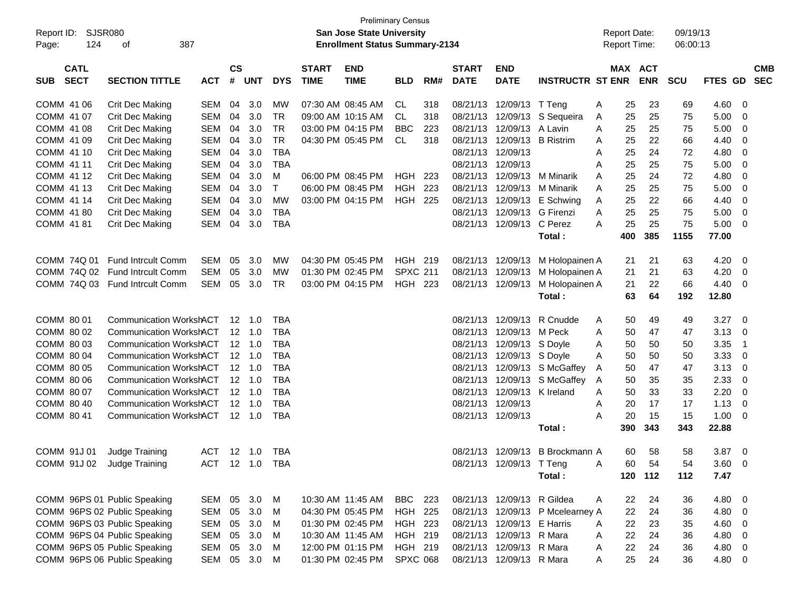|                          |             |                                                                  |                |               |                                  |                          |              | <b>Preliminary Census</b>             |                 |     |              |                             |                                  |        |                     |            |            |                |                                  |            |
|--------------------------|-------------|------------------------------------------------------------------|----------------|---------------|----------------------------------|--------------------------|--------------|---------------------------------------|-----------------|-----|--------------|-----------------------------|----------------------------------|--------|---------------------|------------|------------|----------------|----------------------------------|------------|
| Report ID:               | SJSR080     |                                                                  |                |               |                                  |                          |              | <b>San Jose State University</b>      |                 |     |              |                             |                                  |        | <b>Report Date:</b> |            | 09/19/13   |                |                                  |            |
| Page:                    | 124         | οf                                                               | 387            |               |                                  |                          |              | <b>Enrollment Status Summary-2134</b> |                 |     |              |                             |                                  |        | <b>Report Time:</b> |            | 06:00:13   |                |                                  |            |
|                          |             |                                                                  |                |               |                                  |                          |              |                                       |                 |     |              |                             |                                  |        |                     |            |            |                |                                  |            |
|                          | <b>CATL</b> |                                                                  |                | $\mathsf{cs}$ |                                  |                          | <b>START</b> | <b>END</b>                            |                 |     | <b>START</b> | <b>END</b>                  |                                  |        | MAX ACT             |            |            |                |                                  | <b>CMB</b> |
| <b>SUB</b>               | <b>SECT</b> | <b>SECTION TITTLE</b>                                            | <b>ACT</b>     | #             | <b>UNT</b>                       | <b>DYS</b>               | <b>TIME</b>  | <b>TIME</b>                           | <b>BLD</b>      | RM# | <b>DATE</b>  | <b>DATE</b>                 | <b>INSTRUCTR ST ENR</b>          |        |                     | <b>ENR</b> | <b>SCU</b> | <b>FTES GD</b> |                                  | <b>SEC</b> |
| COMM 41 06               |             | Crit Dec Making                                                  | SEM            | 04            | 3.0                              | <b>MW</b>                |              | 07:30 AM 08:45 AM                     | CL.             | 318 |              | 08/21/13 12/09/13 T Teng    |                                  | A      | 25                  | 23         | 69         | 4.60           | 0                                |            |
| COMM 41 07               |             | <b>Crit Dec Making</b>                                           | SEM            | 04            | 3.0                              | TR                       |              | 09:00 AM 10:15 AM                     | CL              | 318 |              |                             | 08/21/13 12/09/13 S Sequeira     | A      | 25                  | 25         | 75         | 5.00           | $\overline{0}$                   |            |
| COMM 41 08               |             | <b>Crit Dec Making</b>                                           | <b>SEM</b>     | 04            | 3.0                              | <b>TR</b>                |              | 03:00 PM 04:15 PM                     | <b>BBC</b>      | 223 | 08/21/13     | 12/09/13                    | A Lavin                          | A      | 25                  | 25         | 75         | 5.00           | $\overline{0}$                   |            |
| COMM 41 09               |             | <b>Crit Dec Making</b>                                           | <b>SEM</b>     | 04            | 3.0                              | <b>TR</b>                |              | 04:30 PM 05:45 PM                     | CL              | 318 |              | 08/21/13 12/09/13 B Ristrim |                                  | A      | 25                  | 22         | 66         | 4.40           | 0                                |            |
| COMM 41 10               |             | <b>Crit Dec Making</b>                                           | <b>SEM</b>     | 04            | 3.0                              | <b>TBA</b>               |              |                                       |                 |     |              | 08/21/13 12/09/13           |                                  | Α      | 25                  | 24         | 72         | 4.80           | 0                                |            |
| COMM 41 11               |             | <b>Crit Dec Making</b>                                           | <b>SEM</b>     | 04            | 3.0                              | <b>TBA</b>               |              |                                       |                 |     |              | 08/21/13 12/09/13           |                                  | A      | 25                  | 25         | 75         | 5.00           | $\overline{0}$                   |            |
| COMM 41 12               |             | <b>Crit Dec Making</b>                                           | <b>SEM</b>     | 04            | 3.0                              | M                        |              | 06:00 PM 08:45 PM                     | <b>HGH</b>      | 223 | 08/21/13     |                             | 12/09/13 M Minarik               | A      | 25                  | 24         | 72         | 4.80           | 0                                |            |
| COMM 41 13               |             | <b>Crit Dec Making</b>                                           | <b>SEM</b>     | 04            | 3.0                              | T                        |              | 06:00 PM 08:45 PM                     | HGH             | 223 | 08/21/13     | 12/09/13                    | M Minarik                        | A      | 25                  | 25         | 75         | 5.00           | $\overline{0}$                   |            |
| COMM 41 14               |             | <b>Crit Dec Making</b>                                           | <b>SEM</b>     | 04            | 3.0                              | MW                       |              | 03:00 PM 04:15 PM                     | <b>HGH 225</b>  |     | 08/21/13     | 12/09/13                    | E Schwing                        | A      | 25                  | 22         | 66         | 4.40           | $\overline{0}$                   |            |
| COMM 41 80               |             | <b>Crit Dec Making</b>                                           | <b>SEM</b>     | 04            | 3.0                              | <b>TBA</b>               |              |                                       |                 |     | 08/21/13     | 12/09/13                    | <b>G</b> Firenzi                 | A      | 25                  | 25         | 75         | 5.00           | $\overline{0}$                   |            |
| COMM 41 81               |             | Crit Dec Making                                                  | <b>SEM</b>     | 04            | 3.0                              | <b>TBA</b>               |              |                                       |                 |     |              | 08/21/13 12/09/13 C Perez   |                                  | A      | 25                  | 25         | 75         | 5.00           | $\overline{0}$                   |            |
|                          |             |                                                                  |                |               |                                  |                          |              |                                       |                 |     |              |                             | Total:                           |        | 400                 | 385        | 1155       | 77.00          |                                  |            |
|                          |             |                                                                  |                |               |                                  |                          |              |                                       |                 |     |              |                             |                                  |        |                     |            |            |                |                                  |            |
| COMM 74Q 01              |             | <b>Fund Intrcult Comm</b>                                        | SEM            | 05            | 3.0                              | MW                       |              | 04:30 PM 05:45 PM                     | HGH 219         |     |              |                             | 08/21/13 12/09/13 M Holopainen A |        | 21                  | 21         | 63         | 4.20           | $\overline{\mathbf{0}}$          |            |
|                          |             | COMM 74Q 02 Fund Intrcult Comm                                   | <b>SEM</b>     | 05            | 3.0                              | MW                       |              | 01:30 PM 02:45 PM                     | <b>SPXC 211</b> |     |              | 08/21/13 12/09/13           | M Holopainen A                   |        | 21                  | 21         | 63         | 4.20           | $\overline{\mathbf{0}}$          |            |
|                          |             | COMM 74Q 03 Fund Intrcult Comm                                   | SEM            | 05            | 3.0                              | <b>TR</b>                |              | 03:00 PM 04:15 PM                     | HGH 223         |     |              | 08/21/13 12/09/13           | M Holopainen A                   |        | 21                  | 22         | 66         | 4.40           | $\overline{0}$                   |            |
|                          |             |                                                                  |                |               |                                  |                          |              |                                       |                 |     |              |                             | Total:                           |        | 63                  | 64         | 192        | 12.80          |                                  |            |
|                          |             |                                                                  |                |               |                                  |                          |              |                                       |                 |     |              |                             |                                  |        |                     |            |            |                |                                  |            |
| COMM 80 01               |             | <b>Communication WorkshACT</b>                                   |                |               |                                  | TBA                      |              |                                       |                 |     |              |                             | 08/21/13 12/09/13 R Cnudde       | A      | 50                  | 49         | 49         | 3.27           | $\overline{\mathbf{0}}$          |            |
| COMM 80 02               |             | <b>Communication WorkshACT</b>                                   |                |               | $12 \quad 1.0$                   | <b>TBA</b>               |              |                                       |                 |     |              | 08/21/13 12/09/13 M Peck    |                                  | A      | 50                  | 47         | 47         | 3.13           | - 0                              |            |
| COMM 80 03               |             | <b>Communication WorkshACT</b>                                   |                |               | $12 \quad 1.0$                   | <b>TBA</b>               |              |                                       |                 |     |              | 08/21/13 12/09/13 S Doyle   |                                  | Α      | 50                  | 50         | 50         | 3.35           | $\overline{1}$                   |            |
| COMM 80 04               |             | <b>Communication WorkshACT</b>                                   |                |               | $12 \quad 1.0$                   | <b>TBA</b>               |              |                                       |                 |     |              | 08/21/13 12/09/13 S Doyle   |                                  | Α      | 50                  | 50         | 50         | 3.33           | 0                                |            |
| COMM 80 05               |             | <b>Communication WorkshACT</b>                                   |                |               | $12 \quad 1.0$                   | <b>TBA</b>               |              |                                       |                 |     |              |                             | 08/21/13 12/09/13 S McGaffey     | A      | 50                  | 47         | 47         | 3.13           | 0                                |            |
| COMM 80 06               |             | <b>Communication WorkshACT</b>                                   |                |               | $12 \quad 1.0$                   | <b>TBA</b>               |              |                                       |                 |     |              | 08/21/13 12/09/13 K Ireland | 08/21/13 12/09/13 S McGaffey     | A      | 50                  | 35         | 35         | 2.33           | $\overline{0}$                   |            |
| COMM 80 07<br>COMM 80 40 |             | <b>Communication WorkshACT</b><br><b>Communication WorkshACT</b> |                |               | $12 \quad 1.0$<br>$12 \quad 1.0$ | <b>TBA</b><br><b>TBA</b> |              |                                       |                 |     |              | 08/21/13 12/09/13           |                                  | A      | 50<br>20            | 33<br>17   | 33<br>17   | 2.20<br>1.13   | $\overline{0}$<br>$\overline{0}$ |            |
| COMM 80 41               |             | <b>Communication WorkshACT</b>                                   |                |               | 12 1.0                           | <b>TBA</b>               |              |                                       |                 |     |              | 08/21/13 12/09/13           |                                  | A<br>A | 20                  | 15         | 15         | 1.00           | $\overline{\mathbf{0}}$          |            |
|                          |             |                                                                  |                |               |                                  |                          |              |                                       |                 |     |              |                             | Total:                           |        | 390                 | 343        | 343        | 22.88          |                                  |            |
|                          |             |                                                                  |                |               |                                  |                          |              |                                       |                 |     |              |                             |                                  |        |                     |            |            |                |                                  |            |
| COMM 91J 01              |             | Judge Training                                                   | ACT 12 1.0     |               |                                  | TBA                      |              |                                       |                 |     |              |                             | 08/21/13 12/09/13 B Brockmann A  |        | 60                  | 58         | 58         | 3.87           | $\overline{\mathbf{0}}$          |            |
|                          |             | COMM 91J 02 Judge Training                                       | ACT 12 1.0 TBA |               |                                  |                          |              |                                       |                 |     |              | 08/21/13 12/09/13 T Teng    |                                  | - A    |                     | 60 54      | 54         | $3.60 \ 0$     |                                  |            |
|                          |             |                                                                  |                |               |                                  |                          |              |                                       |                 |     |              |                             | Total:                           |        |                     | 120 112    | 112        | 7.47           |                                  |            |
|                          |             |                                                                  |                |               |                                  |                          |              |                                       |                 |     |              |                             |                                  |        |                     |            |            |                |                                  |            |
|                          |             | COMM 96PS 01 Public Speaking                                     | SEM 05 3.0 M   |               |                                  |                          |              | 10:30 AM 11:45 AM                     | BBC 223         |     |              | 08/21/13 12/09/13 R Gildea  |                                  | A      | 22                  | 24         | 36         | 4.80 0         |                                  |            |
|                          |             | COMM 96PS 02 Public Speaking                                     | SEM            |               | 05 3.0                           | M                        |              | 04:30 PM 05:45 PM                     | HGH 225         |     |              |                             | 08/21/13 12/09/13 P Mcelearney A |        | 22                  | 24         | 36         | 4.80 0         |                                  |            |
|                          |             | COMM 96PS 03 Public Speaking                                     | SEM            |               | 05 3.0                           | M                        |              | 01:30 PM 02:45 PM                     | HGH 223         |     |              | 08/21/13 12/09/13 E Harris  |                                  | A      | 22                  | 23         | 35         | 4.60 0         |                                  |            |
|                          |             | COMM 96PS 04 Public Speaking                                     | SEM            |               | 05 3.0                           | M                        |              | 10:30 AM 11:45 AM                     | HGH 219         |     |              | 08/21/13 12/09/13 R Mara    |                                  | A      | 22                  | 24         | 36         | 4.80 0         |                                  |            |
|                          |             | COMM 96PS 05 Public Speaking                                     | SEM            |               | 05 3.0                           | M                        |              | 12:00 PM 01:15 PM                     | HGH 219         |     |              | 08/21/13 12/09/13 R Mara    |                                  | A      | 22                  | 24         | 36         | 4.80 0         |                                  |            |
|                          |             | COMM 96PS 06 Public Speaking                                     | SEM 05 3.0 M   |               |                                  |                          |              | 01:30 PM 02:45 PM                     | <b>SPXC 068</b> |     |              | 08/21/13 12/09/13 R Mara    |                                  | A      | 25                  | 24         | 36         | 4.80 0         |                                  |            |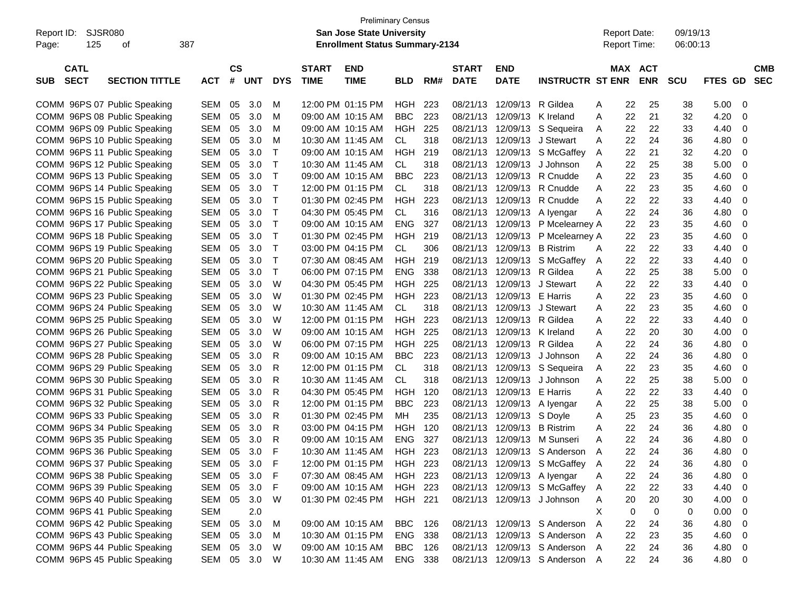|                           |                              |            |               |              |              |                   | <b>Preliminary Census</b>             |            |     |              |                             |                                |   |                     |             |          |         |            |
|---------------------------|------------------------------|------------|---------------|--------------|--------------|-------------------|---------------------------------------|------------|-----|--------------|-----------------------------|--------------------------------|---|---------------------|-------------|----------|---------|------------|
| Report ID:                | SJSR080                      |            |               |              |              |                   | <b>San Jose State University</b>      |            |     |              |                             |                                |   | <b>Report Date:</b> |             | 09/19/13 |         |            |
| 125<br>Page:              | οf                           | 387        |               |              |              |                   | <b>Enrollment Status Summary-2134</b> |            |     |              |                             |                                |   | <b>Report Time:</b> |             | 06:00:13 |         |            |
|                           |                              |            |               |              |              |                   |                                       |            |     |              |                             |                                |   |                     |             |          |         |            |
| <b>CATL</b>               |                              |            | $\mathsf{cs}$ |              |              | <b>START</b>      | <b>END</b>                            |            |     | <b>START</b> | <b>END</b>                  |                                |   | MAX                 | ACT         |          |         | <b>CMB</b> |
| <b>SECT</b><br><b>SUB</b> | <b>SECTION TITTLE</b>        | ACT        |               | # UNT        | <b>DYS</b>   | <b>TIME</b>       | <b>TIME</b>                           | <b>BLD</b> | RM# | <b>DATE</b>  | <b>DATE</b>                 | <b>INSTRUCTR ST ENR</b>        |   |                     | <b>ENR</b>  | SCU      | FTES GD | <b>SEC</b> |
|                           |                              |            |               |              |              |                   |                                       |            |     |              |                             |                                |   |                     |             |          |         |            |
|                           | COMM 96PS 07 Public Speaking | SEM        | 05            | 3.0          | M            |                   | 12:00 PM 01:15 PM                     | HGH        | 223 | 08/21/13     | 12/09/13                    | R Gildea                       | A | 22                  | 25          | 38       | 5.00    | 0          |
|                           | COMM 96PS 08 Public Speaking | <b>SEM</b> | 05            | 3.0          | M            | 09:00 AM 10:15 AM |                                       | BBC        | 223 | 08/21/13     | 12/09/13 K Ireland          |                                | A | 22                  | 21          | 32       | 4.20    | 0          |
|                           | COMM 96PS 09 Public Speaking | SEM        | 05            | 3.0          | M            | 09:00 AM 10:15 AM |                                       | HGH        | 225 | 08/21/13     |                             | 12/09/13 S Sequeira            | A | 22                  | 22          | 33       | 4.40    | 0          |
|                           | COMM 96PS 10 Public Speaking | SEM        | 05            | 3.0          | M            | 10:30 AM 11:45 AM |                                       | CL.        | 318 | 08/21/13     |                             | 12/09/13 J Stewart             | A | 22                  | 24          | 36       | 4.80    | 0          |
|                           | COMM 96PS 11 Public Speaking | <b>SEM</b> | 05            | 3.0          | $\mathsf T$  | 09:00 AM 10:15 AM |                                       | HGH        | 219 | 08/21/13     |                             | 12/09/13 S McGaffey            | A | 22                  | 21          | 32       | 4.20    | 0          |
|                           | COMM 96PS 12 Public Speaking | <b>SEM</b> | 05            | 3.0          | $\mathsf T$  | 10:30 AM 11:45 AM |                                       | CL.        | 318 | 08/21/13     |                             | 12/09/13 J Johnson             | Α | 22                  | 25          | 38       | 5.00    | 0          |
|                           | COMM 96PS 13 Public Speaking | <b>SEM</b> | 05            | 3.0          | $\mathsf T$  |                   | 09:00 AM 10:15 AM                     | <b>BBC</b> | 223 | 08/21/13     |                             | 12/09/13 R Cnudde              | Α | 22                  | 23          | 35       | 4.60    | 0          |
|                           | COMM 96PS 14 Public Speaking | SEM        | 05            | 3.0          | $\mathsf T$  | 12:00 PM 01:15 PM |                                       | CL.        | 318 | 08/21/13     |                             | 12/09/13 R Cnudde              | Α | 22                  | 23          | 35       | 4.60    | 0          |
|                           | COMM 96PS 15 Public Speaking | SEM        | 05            | 3.0          | $\mathsf T$  | 01:30 PM 02:45 PM |                                       | HGH        | 223 | 08/21/13     | 12/09/13                    | R Cnudde                       | A | 22                  | 22          | 33       | 4.40    | 0          |
|                           | COMM 96PS 16 Public Speaking | <b>SEM</b> | 05            | 3.0          | $\mathsf T$  | 04:30 PM 05:45 PM |                                       | CL.        | 316 | 08/21/13     |                             | 12/09/13 A lyengar             | Α | 22                  | 24          | 36       | 4.80    | 0          |
|                           | COMM 96PS 17 Public Speaking | <b>SEM</b> | 05            | 3.0          | $\mathsf T$  | 09:00 AM 10:15 AM |                                       | <b>ENG</b> | 327 | 08/21/13     |                             | 12/09/13 P Mcelearney A        |   | 22                  | 23          | 35       | 4.60    | 0          |
|                           | COMM 96PS 18 Public Speaking | <b>SEM</b> | 05            | 3.0          | $\mathsf T$  |                   | 01:30 PM 02:45 PM                     | HGH        | 219 | 08/21/13     |                             | 12/09/13 P Mcelearney A        |   | 22                  | 23          | 35       | 4.60    | 0          |
|                           | COMM 96PS 19 Public Speaking | SEM        | 05            | 3.0          | $\mathsf T$  | 03:00 PM 04:15 PM |                                       | CL.        | 306 | 08/21/13     | 12/09/13 B Ristrim          |                                | A | 22                  | 22          | 33       | 4.40    | 0          |
|                           | COMM 96PS 20 Public Speaking | SEM        | 05            | 3.0          | $\mathsf T$  | 07:30 AM 08:45 AM |                                       | HGH        | 219 | 08/21/13     |                             | 12/09/13 S McGaffey            | A | 22                  | 22          | 33       | 4.40    | 0          |
|                           | COMM 96PS 21 Public Speaking | <b>SEM</b> | 05            | 3.0          | $\mathsf T$  | 06:00 PM 07:15 PM |                                       | <b>ENG</b> | 338 | 08/21/13     | 12/09/13                    | R Gildea                       | Α | 22                  | 25          | 38       | 5.00    | 0          |
|                           | COMM 96PS 22 Public Speaking | SEM        | 05            | 3.0          | W            | 04:30 PM 05:45 PM |                                       | HGH        | 225 | 08/21/13     |                             | 12/09/13 J Stewart             | A | 22                  | 22          | 33       | 4.40    | 0          |
|                           | COMM 96PS 23 Public Speaking | SEM        | 05            | 3.0          | W            | 01:30 PM 02:45 PM |                                       | HGH        | 223 | 08/21/13     | 12/09/13 E Harris           |                                | Α | 22                  | 23          | 35       | 4.60    | 0          |
|                           | COMM 96PS 24 Public Speaking | SEM        | 05            | 3.0          | W            | 10:30 AM 11:45 AM |                                       | CL.        | 318 | 08/21/13     |                             | 12/09/13 J Stewart             | Α | 22                  | 23          | 35       | 4.60    | 0          |
|                           | COMM 96PS 25 Public Speaking | SEM        | 05            | 3.0          | W            | 12:00 PM 01:15 PM |                                       | HGH        | 223 | 08/21/13     | 12/09/13 R Gildea           |                                | A | 22                  | 22          | 33       | 4.40    | 0          |
|                           | COMM 96PS 26 Public Speaking | <b>SEM</b> | 05            | 3.0          | W            | 09:00 AM 10:15 AM |                                       | HGH        | 225 | 08/21/13     | 12/09/13 K Ireland          |                                | Α | 22                  | 20          | 30       | 4.00    | 0          |
|                           | COMM 96PS 27 Public Speaking | SEM        | 05            | 3.0          | W            | 06:00 PM 07:15 PM |                                       | HGH        | 225 | 08/21/13     | 12/09/13                    | R Gildea                       | Α | 22                  | 24          | 36       | 4.80    | 0          |
|                           | COMM 96PS 28 Public Speaking | SEM        | 05            | 3.0          | R            | 09:00 AM 10:15 AM |                                       | <b>BBC</b> | 223 | 08/21/13     |                             | 12/09/13 J Johnson             | Α | 22                  | 24          | 36       | 4.80    | 0          |
|                           | COMM 96PS 29 Public Speaking | SEM        | 05            | 3.0          | R            | 12:00 PM 01:15 PM |                                       | CL.        | 318 | 08/21/13     |                             | 12/09/13 S Sequeira            | A | 22                  | 23          | 35       | 4.60    | 0          |
|                           | COMM 96PS 30 Public Speaking | <b>SEM</b> | 05            | 3.0          | R            | 10:30 AM 11:45 AM |                                       | CL.        | 318 | 08/21/13     |                             | 12/09/13 J Johnson             | A | 22                  | 25          | 38       | 5.00    | 0          |
|                           | COMM 96PS 31 Public Speaking | SEM        | 05            | 3.0          | R            | 04:30 PM 05:45 PM |                                       | HGH        | 120 | 08/21/13     | 12/09/13 E Harris           |                                | A | 22                  | 22          | 33       | 4.40    | 0          |
|                           | COMM 96PS 32 Public Speaking | SEM        | 05            | 3.0          | R            | 12:00 PM 01:15 PM |                                       | <b>BBC</b> | 223 | 08/21/13     |                             | 12/09/13 A Iyengar             | A | 22                  | 25          | 38       | 5.00    | 0          |
|                           | COMM 96PS 33 Public Speaking | SEM        | 05            | 3.0          | R            | 01:30 PM 02:45 PM |                                       | MН         | 235 | 08/21/13     | 12/09/13 S Doyle            |                                | A | 25                  | 23          | 35       | 4.60    | 0          |
|                           | COMM 96PS 34 Public Speaking | SEM        | 05            | 3.0          | R            | 03:00 PM 04:15 PM |                                       | HGH        | 120 | 08/21/13     | 12/09/13 B Ristrim          |                                | A | 22                  | 24          | 36       | 4.80    | 0          |
|                           | COMM 96PS 35 Public Speaking | SEM        | 05            | 3.0          | R            |                   | 09:00 AM 10:15 AM                     | <b>ENG</b> | 327 | 08/21/13     |                             | 12/09/13 M Sunseri             | A | 22                  | 24          | 36       | 4.80    | 0          |
|                           | COMM 96PS 36 Public Speaking | SEM        | 05            | 3.0          | F            |                   | 10:30 AM 11:45 AM                     | HGH 223    |     |              |                             | 08/21/13 12/09/13 S Anderson   | A | 22                  | 24          | 36       | 4.80    | 0          |
|                           | COMM 96PS 37 Public Speaking | SEM 05 3.0 |               |              | $\mathsf{F}$ |                   | 12:00 PM 01:15 PM HGH 223             |            |     |              |                             | 08/21/13 12/09/13 S McGaffey   | A | 22                  | 24          | 36       | 4.80    | 0          |
|                           | COMM 96PS 38 Public Speaking | SEM        | 05            | 3.0          | F            |                   | 07:30 AM 08:45 AM                     | HGH 223    |     |              | 08/21/13 12/09/13 A lyengar |                                | A | 22                  | 24          | 36       | 4.80    | 0          |
|                           | COMM 96PS 39 Public Speaking | SEM        | 05            | 3.0          | F            |                   | 09:00 AM 10:15 AM                     | HGH 223    |     |              |                             | 08/21/13 12/09/13 S McGaffey   | A | 22                  | 22          | 33       | 4.40    | 0          |
|                           | COMM 96PS 40 Public Speaking | SEM        | 05            | 3.0          | W            |                   | 01:30 PM 02:45 PM                     | HGH 221    |     |              |                             | 08/21/13 12/09/13 J Johnson    | A | 20                  | 20          | 30       | 4.00    | 0          |
|                           | COMM 96PS 41 Public Speaking | <b>SEM</b> |               | 2.0          |              |                   |                                       |            |     |              |                             |                                | X | 0                   | $\mathbf 0$ | 0        | 0.00    | 0          |
|                           | COMM 96PS 42 Public Speaking | SEM        | 05            | 3.0          | M            |                   | 09:00 AM 10:15 AM                     | BBC        | 126 |              |                             | 08/21/13 12/09/13 S Anderson   | A | 22                  | 24          | 36       | 4.80    | 0          |
|                           | COMM 96PS 43 Public Speaking | SEM        | 05            | 3.0          | M            |                   | 10:30 AM 01:15 PM                     | ENG 338    |     |              |                             | 08/21/13 12/09/13 S Anderson A |   | 22                  | 23          | 35       | 4.60    | 0          |
|                           | COMM 96PS 44 Public Speaking | SEM        | 05            | 3.0          | W            |                   | 09:00 AM 10:15 AM                     | BBC        | 126 |              |                             | 08/21/13 12/09/13 S Anderson A |   | 22                  | 24          | 36       | 4.80    | 0          |
|                           | COMM 96PS 45 Public Speaking |            |               | SEM 05 3.0 W |              |                   | 10:30 AM 11:45 AM                     | ENG 338    |     |              |                             | 08/21/13 12/09/13 S Anderson A |   | 22                  | 24          | 36       | 4.80 0  |            |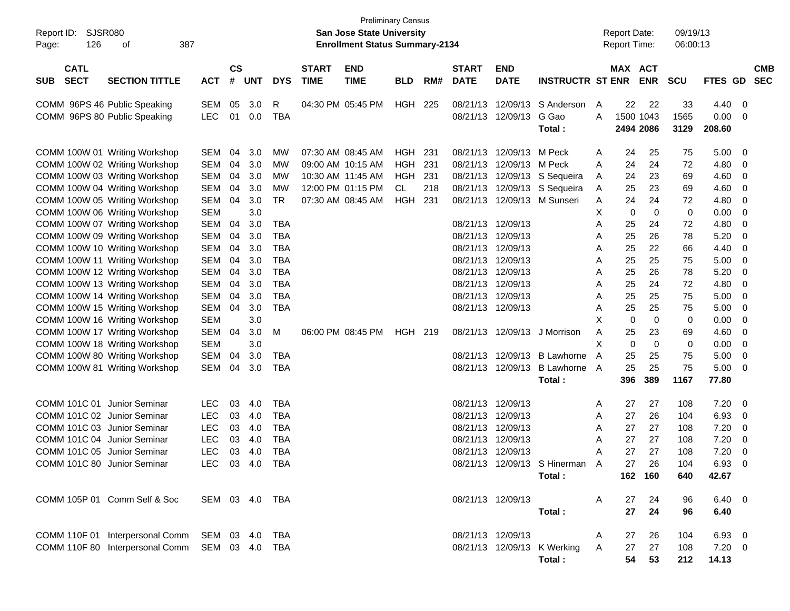| <b>SJSR080</b><br>Report ID:<br>126<br>Page: | 387<br>οf                                      |                |                    |            |            |                             | <b>Preliminary Census</b><br><b>San Jose State University</b><br><b>Enrollment Status Summary-2134</b> |            |     |                             |                           |                                |   | <b>Report Date:</b><br><b>Report Time:</b> |             | 09/19/13<br>06:00:13 |                |     |                          |
|----------------------------------------------|------------------------------------------------|----------------|--------------------|------------|------------|-----------------------------|--------------------------------------------------------------------------------------------------------|------------|-----|-----------------------------|---------------------------|--------------------------------|---|--------------------------------------------|-------------|----------------------|----------------|-----|--------------------------|
| <b>CATL</b><br><b>SECT</b><br><b>SUB</b>     | <b>SECTION TITTLE</b>                          | <b>ACT</b>     | $\mathsf{cs}$<br># | <b>UNT</b> | <b>DYS</b> | <b>START</b><br><b>TIME</b> | <b>END</b><br><b>TIME</b>                                                                              | <b>BLD</b> | RM# | <b>START</b><br><b>DATE</b> | <b>END</b><br><b>DATE</b> | <b>INSTRUCTR ST ENR</b>        |   | MAX ACT                                    | <b>ENR</b>  | <b>SCU</b>           | <b>FTES GD</b> |     | <b>CMB</b><br><b>SEC</b> |
| COMM 96PS 46 Public Speaking                 |                                                | <b>SEM</b>     | 05                 | 3.0        | R          |                             | 04:30 PM 05:45 PM                                                                                      | HGH        | 225 | 08/21/13                    | 12/09/13                  | S Anderson                     | A | 22                                         | 22          | 33                   | 4.40           | 0   |                          |
| COMM 96PS 80 Public Speaking                 |                                                | <b>LEC</b>     | 01                 | 0.0        | <b>TBA</b> |                             |                                                                                                        |            |     |                             | 08/21/13 12/09/13         | G Gao                          | A | 1500 1043                                  |             | 1565                 | 0.00           | 0   |                          |
|                                              |                                                |                |                    |            |            |                             |                                                                                                        |            |     |                             |                           | Total:                         |   |                                            | 2494 2086   | 3129                 | 208.60         |     |                          |
|                                              | COMM 100W 01 Writing Workshop                  | <b>SEM</b>     | 04                 | 3.0        | MW         |                             | 07:30 AM 08:45 AM                                                                                      | HGH        | 231 | 08/21/13                    | 12/09/13 M Peck           |                                | A | 24                                         | 25          | 75                   | 5.00           | - 0 |                          |
|                                              | COMM 100W 02 Writing Workshop                  | <b>SEM</b>     | 04                 | 3.0        | МW         |                             | 09:00 AM 10:15 AM                                                                                      | <b>HGH</b> | 231 | 08/21/13                    | 12/09/13 M Peck           |                                | A | 24                                         | 24          | 72                   | 4.80           | 0   |                          |
|                                              | COMM 100W 03 Writing Workshop                  | <b>SEM</b>     | 04                 | 3.0        | МW         |                             | 10:30 AM 11:45 AM                                                                                      | <b>HGH</b> | 231 | 08/21/13                    |                           | 12/09/13 S Sequeira            | A | 24                                         | 23          | 69                   | 4.60           | 0   |                          |
|                                              | COMM 100W 04 Writing Workshop                  | <b>SEM</b>     | 04                 | 3.0        | МW         |                             | 12:00 PM 01:15 PM                                                                                      | CL         | 218 |                             |                           | 08/21/13 12/09/13 S Sequeira   | A | 25                                         | 23          | 69                   | 4.60           | 0   |                          |
|                                              | COMM 100W 05 Writing Workshop                  | <b>SEM</b>     | 04                 | 3.0        | TR.        |                             | 07:30 AM 08:45 AM                                                                                      | <b>HGH</b> | 231 |                             |                           | 08/21/13 12/09/13 M Sunseri    | A | 24                                         | 24          | 72                   | 4.80           | 0   |                          |
|                                              | COMM 100W 06 Writing Workshop                  | <b>SEM</b>     |                    | 3.0        |            |                             |                                                                                                        |            |     |                             |                           |                                | Х | 0                                          | $\mathbf 0$ | 0                    | 0.00           | 0   |                          |
|                                              | COMM 100W 07 Writing Workshop                  | <b>SEM</b>     | 04                 | 3.0        | <b>TBA</b> |                             |                                                                                                        |            |     |                             | 08/21/13 12/09/13         |                                | Α | 25                                         | 24          | 72                   | 4.80           | 0   |                          |
|                                              | COMM 100W 09 Writing Workshop                  | SEM            | 04                 | 3.0        | <b>TBA</b> |                             |                                                                                                        |            |     | 08/21/13                    | 12/09/13                  |                                | A | 25                                         | 26          | 78                   | 5.20           | 0   |                          |
|                                              | COMM 100W 10 Writing Workshop                  | SEM            | 04                 | 3.0        | <b>TBA</b> |                             |                                                                                                        |            |     | 08/21/13                    | 12/09/13                  |                                | A | 25                                         | 22          | 66                   | 4.40           | 0   |                          |
|                                              | COMM 100W 11 Writing Workshop                  | SEM            | 04                 | 3.0        | <b>TBA</b> |                             |                                                                                                        |            |     |                             | 08/21/13 12/09/13         |                                | A | 25                                         | 25          | 75                   | 5.00           | 0   |                          |
|                                              | COMM 100W 12 Writing Workshop                  | <b>SEM</b>     | 04                 | 3.0        | <b>TBA</b> |                             |                                                                                                        |            |     |                             | 08/21/13 12/09/13         |                                | A | 25                                         | 26          | 78                   | 5.20           | 0   |                          |
|                                              | COMM 100W 13 Writing Workshop                  | <b>SEM</b>     | 04                 | 3.0        | <b>TBA</b> |                             |                                                                                                        |            |     |                             | 08/21/13 12/09/13         |                                | A | 25                                         | 24          | 72                   | 4.80           | 0   |                          |
|                                              | COMM 100W 14 Writing Workshop                  | <b>SEM</b>     | 04                 | 3.0        | <b>TBA</b> |                             |                                                                                                        |            |     |                             | 08/21/13 12/09/13         |                                | A | 25                                         | 25          | 75                   | 5.00           | 0   |                          |
|                                              | COMM 100W 15 Writing Workshop                  | <b>SEM</b>     | 04                 | 3.0        | <b>TBA</b> |                             |                                                                                                        |            |     |                             | 08/21/13 12/09/13         |                                | A | 25                                         | 25          | 75                   | 5.00           | 0   |                          |
|                                              | COMM 100W 16 Writing Workshop                  | <b>SEM</b>     |                    | 3.0        |            |                             |                                                                                                        |            |     |                             |                           |                                | X | $\mathbf 0$                                | $\mathbf 0$ | 0                    | 0.00           | 0   |                          |
|                                              | COMM 100W 17 Writing Workshop                  | <b>SEM</b>     | 04                 | 3.0        | M          |                             | 06:00 PM 08:45 PM                                                                                      | HGH        | 219 |                             |                           | 08/21/13 12/09/13 J Morrison   | Α | 25                                         | 23          | 69                   | 4.60           | 0   |                          |
|                                              | COMM 100W 18 Writing Workshop                  | <b>SEM</b>     |                    | 3.0        |            |                             |                                                                                                        |            |     |                             |                           |                                | X | $\mathbf 0$                                | $\mathbf 0$ | 0                    | 0.00           | 0   |                          |
|                                              | COMM 100W 80 Writing Workshop                  | <b>SEM</b>     | 04                 | 3.0        | <b>TBA</b> |                             |                                                                                                        |            |     |                             | 08/21/13 12/09/13         | <b>B</b> Lawhorne              | A | 25                                         | 25          | 75                   | 5.00           | 0   |                          |
|                                              | COMM 100W 81 Writing Workshop                  | <b>SEM</b>     | 04                 | 3.0        | <b>TBA</b> |                             |                                                                                                        |            |     |                             | 08/21/13 12/09/13         | <b>B</b> Lawhorne              | A | 25                                         | 25          | 75                   | 5.00           | 0   |                          |
|                                              |                                                |                |                    |            |            |                             |                                                                                                        |            |     |                             |                           | Total:                         |   | 396                                        | 389         | 1167                 | 77.80          |     |                          |
| COMM 101C 01                                 | Junior Seminar                                 | LEC            | 03                 | 4.0        | <b>TBA</b> |                             |                                                                                                        |            |     |                             | 08/21/13 12/09/13         |                                | A | 27                                         | 27          | 108                  | 7.20           | 0   |                          |
| COMM 101C 02 Junior Seminar                  |                                                | <b>LEC</b>     | 03                 | 4.0        | <b>TBA</b> |                             |                                                                                                        |            |     | 08/21/13                    | 12/09/13                  |                                | A | 27                                         | 26          | 104                  | 6.93           | 0   |                          |
| COMM 101C 03 Junior Seminar                  |                                                | LEC            | 03                 | 4.0        | <b>TBA</b> |                             |                                                                                                        |            |     | 08/21/13                    | 12/09/13                  |                                | A | 27                                         | 27          | 108                  | 7.20           | 0   |                          |
| COMM 101C 04 Junior Seminar                  |                                                | <b>LEC</b>     | 03                 | 4.0        | <b>TBA</b> |                             |                                                                                                        |            |     | 08/21/13                    | 12/09/13                  |                                | A | 27                                         | 27          | 108                  | 7.20           | 0   |                          |
| COMM 101C 05 Junior Seminar                  |                                                | <b>LEC</b>     | 03                 | 4.0        | <b>TBA</b> |                             |                                                                                                        |            |     |                             | 08/21/13 12/09/13         |                                | Α | 27                                         | 27          | 108                  | 7.20           | 0   |                          |
| COMM 101C 80 Junior Seminar                  |                                                | LEC 03 4.0 TBA |                    |            |            |                             |                                                                                                        |            |     |                             |                           | 08/21/13 12/09/13 S Hinerman A |   | 27                                         | 26          | 104                  | $6.93$ 0       |     |                          |
|                                              |                                                |                |                    |            |            |                             |                                                                                                        |            |     |                             |                           | Total:                         |   |                                            | 162 160     | 640                  | 42.67          |     |                          |
|                                              |                                                |                |                    |            |            |                             |                                                                                                        |            |     |                             |                           |                                |   |                                            |             |                      |                |     |                          |
|                                              | COMM 105P 01 Comm Self & Soc                   | SEM 03 4.0 TBA |                    |            |            |                             |                                                                                                        |            |     |                             | 08/21/13 12/09/13         |                                | A | 27                                         | 24          | 96                   | $6.40\ 0$      |     |                          |
|                                              |                                                |                |                    |            |            |                             |                                                                                                        |            |     |                             |                           | Total:                         |   | 27                                         | 24          | 96                   | 6.40           |     |                          |
|                                              | COMM 110F 01 Interpersonal Comm SEM 03 4.0 TBA |                |                    |            |            |                             |                                                                                                        |            |     |                             | 08/21/13 12/09/13         |                                | A | 27                                         | 26          | 104                  | $6.93$ 0       |     |                          |
|                                              | COMM 110F 80 Interpersonal Comm SEM 03 4.0 TBA |                |                    |            |            |                             |                                                                                                        |            |     |                             |                           | 08/21/13 12/09/13 K Werking    | A | 27                                         | 27          | 108                  | $7.20 \t 0$    |     |                          |
|                                              |                                                |                |                    |            |            |                             |                                                                                                        |            |     |                             |                           | Total:                         |   | 54                                         | 53          | 212                  | 14.13          |     |                          |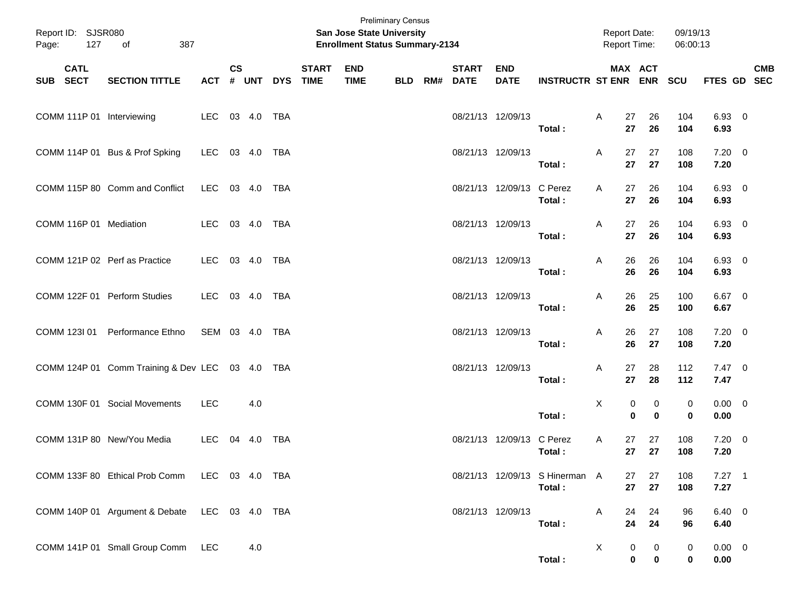| Page:        | Report ID: SJSR080<br>127 | 387<br>of                                       |                |               |     |                |              | San Jose State University<br><b>Enrollment Status Summary-2134</b> | <b>Preliminary Census</b> |                          |                           |                                          | <b>Report Date:</b><br>Report Time: |                                      | 09/19/13<br>06:00:13 |                     |            |
|--------------|---------------------------|-------------------------------------------------|----------------|---------------|-----|----------------|--------------|--------------------------------------------------------------------|---------------------------|--------------------------|---------------------------|------------------------------------------|-------------------------------------|--------------------------------------|----------------------|---------------------|------------|
| SUB SECT     | <b>CATL</b>               | <b>SECTION TITTLE</b>                           | <b>ACT</b>     | $\mathsf{cs}$ |     | # UNT DYS TIME | <b>START</b> | <b>END</b><br><b>TIME</b>                                          | <b>BLD</b>                | <b>START</b><br>RM# DATE | <b>END</b><br><b>DATE</b> | <b>INSTRUCTR ST ENR ENR</b>              |                                     | MAX ACT                              | <b>SCU</b>           | FTES GD SEC         | <b>CMB</b> |
|              |                           | COMM 111P 01 Interviewing                       | LEC 03 4.0 TBA |               |     |                |              |                                                                    |                           | 08/21/13 12/09/13        |                           | Total:                                   | A<br>27<br>27                       | 26<br>26                             | 104<br>104           | 6.93 0<br>6.93      |            |
|              |                           | COMM 114P 01 Bus & Prof Spking                  | LEC 03 4.0 TBA |               |     |                |              |                                                                    |                           | 08/21/13 12/09/13        |                           | Total:                                   | A<br>27<br>27                       | 27<br>27                             | 108<br>108           | $7.20 \t 0$<br>7.20 |            |
|              |                           | COMM 115P 80 Comm and Conflict                  | LEC 03 4.0 TBA |               |     |                |              |                                                                    |                           |                          | 08/21/13 12/09/13 C Perez | Total:                                   | A<br>27<br>27                       | 26<br>26                             | 104<br>104           | $6.93$ 0<br>6.93    |            |
|              |                           | COMM 116P 01 Mediation                          | LEC 03 4.0 TBA |               |     |                |              |                                                                    |                           | 08/21/13 12/09/13        |                           | Total:                                   | 27<br>A<br>27                       | 26<br>26                             | 104<br>104           | $6.93$ 0<br>6.93    |            |
|              |                           | COMM 121P 02 Perf as Practice                   | LEC 03 4.0     |               |     | TBA            |              |                                                                    |                           | 08/21/13 12/09/13        |                           | Total:                                   | 26<br>A<br>26                       | 26<br>26                             | 104<br>104           | $6.93$ 0<br>6.93    |            |
|              |                           | COMM 122F 01 Perform Studies                    | LEC 03 4.0 TBA |               |     |                |              |                                                                    |                           | 08/21/13 12/09/13        |                           | Total:                                   | 26<br>A<br>26                       | 25<br>25                             | 100<br>100           | $6.67$ 0<br>6.67    |            |
| COMM 123I 01 |                           | Performance Ethno                               | SEM 03 4.0 TBA |               |     |                |              |                                                                    |                           | 08/21/13 12/09/13        |                           | Total:                                   | 26<br>A<br>26                       | 27<br>27                             | 108<br>108           | $7.20 \t 0$<br>7.20 |            |
|              |                           | COMM 124P 01 Comm Training & Dev LEC 03 4.0 TBA |                |               |     |                |              |                                                                    |                           | 08/21/13 12/09/13        |                           | Total:                                   | 27<br>A<br>27                       | 28<br>28                             | 112<br>112           | $7.47\ 0$<br>7.47   |            |
|              |                           | COMM 130F 01 Social Movements                   | <b>LEC</b>     |               | 4.0 |                |              |                                                                    |                           |                          |                           | Total:                                   | Χ                                   | 0<br>0<br>$\mathbf 0$<br>$\mathbf 0$ | 0<br>$\mathbf 0$     | $0.00 \t 0$<br>0.00 |            |
|              |                           | COMM 131P 80 New/You Media                      | LEC.           | 04 4.0        |     | TBA            |              |                                                                    |                           |                          | 08/21/13 12/09/13         | C Perez<br>Total:                        | A<br>27<br>27                       | 27<br>27                             | 108<br>108           | $7.20 \t 0$<br>7.20 |            |
|              |                           | COMM 133F 80 Ethical Prob Comm LEC 03 4.0 TBA   |                |               |     |                |              |                                                                    |                           |                          |                           | 08/21/13 12/09/13 S Hinerman A<br>Total: | 27                                  | 27<br>27<br>27                       | 108<br>108           | $7.27$ 1<br>7.27    |            |
|              |                           | COMM 140P 01 Argument & Debate LEC 03 4.0 TBA   |                |               |     |                |              |                                                                    |                           |                          | 08/21/13 12/09/13         | Total :                                  | A<br>24<br>24                       | 24<br>24                             | 96<br>96             | $6.40\ 0$<br>6.40   |            |
|              |                           | COMM 141P 01 Small Group Comm LEC               |                |               | 4.0 |                |              |                                                                    |                           |                          |                           | Total:                                   | X                                   | 0<br>0<br>$\mathbf 0$<br>0           | 0<br>$\mathbf 0$     | $0.00 \t 0$<br>0.00 |            |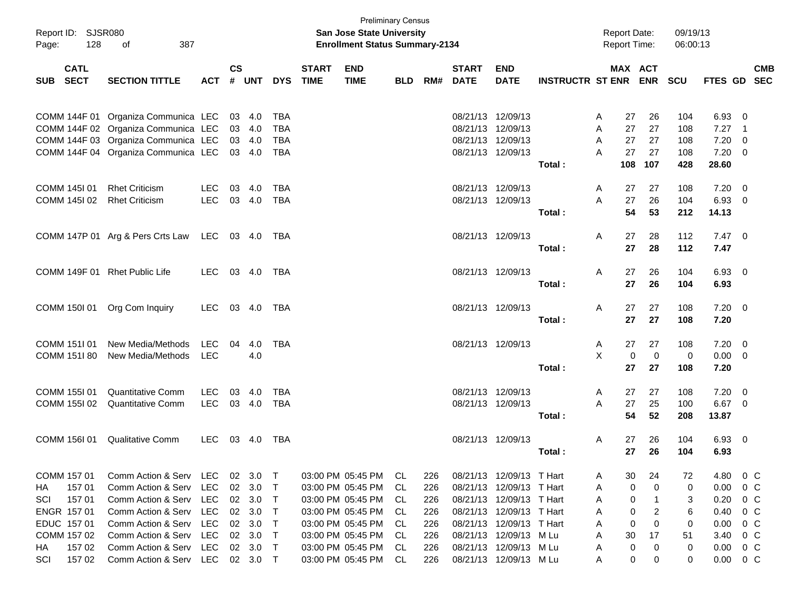| Page:       | Report ID: SJSR080<br>128  | οf<br>387                           |            |               |        |            |                             | <b>Preliminary Census</b><br>San Jose State University<br><b>Enrollment Status Summary-2134</b> |            |     |                             |                           |                         | <b>Report Date:</b><br><b>Report Time:</b> |                       | 09/19/13<br>06:00:13 |                |                          |                          |
|-------------|----------------------------|-------------------------------------|------------|---------------|--------|------------|-----------------------------|-------------------------------------------------------------------------------------------------|------------|-----|-----------------------------|---------------------------|-------------------------|--------------------------------------------|-----------------------|----------------------|----------------|--------------------------|--------------------------|
| SUB         | <b>CATL</b><br><b>SECT</b> | <b>SECTION TITTLE</b>               | <b>ACT</b> | $\mathsf{cs}$ | # UNT  | <b>DYS</b> | <b>START</b><br><b>TIME</b> | <b>END</b><br><b>TIME</b>                                                                       | <b>BLD</b> | RM# | <b>START</b><br><b>DATE</b> | <b>END</b><br><b>DATE</b> | <b>INSTRUCTR ST ENR</b> |                                            | MAX ACT<br><b>ENR</b> | <b>SCU</b>           | <b>FTES GD</b> |                          | <b>CMB</b><br><b>SEC</b> |
|             |                            |                                     |            |               |        |            |                             |                                                                                                 |            |     |                             |                           |                         |                                            |                       |                      |                |                          |                          |
|             |                            | COMM 144F 01 Organiza Communica LEC |            |               | 03 4.0 | TBA        |                             |                                                                                                 |            |     | 08/21/13 12/09/13           |                           |                         | A<br>27                                    | 26                    | 104                  | 6.93           | $\overline{\mathbf{0}}$  |                          |
|             |                            | COMM 144F 02 Organiza Communica LEC |            |               | 03 4.0 | <b>TBA</b> |                             |                                                                                                 |            |     | 08/21/13 12/09/13           |                           |                         | A<br>27                                    | 27                    | 108                  | 7.27           | $\overline{\phantom{1}}$ |                          |
|             |                            | COMM 144F 03 Organiza Communica LEC |            |               | 03 4.0 | <b>TBA</b> |                             |                                                                                                 |            |     | 08/21/13 12/09/13           |                           |                         | A<br>27                                    | 27                    | 108                  | 7.20           | $\overline{\mathbf{0}}$  |                          |
|             |                            | COMM 144F 04 Organiza Communica LEC |            |               | 03 4.0 | TBA        |                             |                                                                                                 |            |     | 08/21/13 12/09/13           |                           |                         | 27<br>A                                    | 27                    | 108                  | $7.20 \t 0$    |                          |                          |
|             |                            |                                     |            |               |        |            |                             |                                                                                                 |            |     |                             |                           | Total:                  | 108                                        | 107                   | 428                  | 28.60          |                          |                          |
|             |                            |                                     |            |               |        |            |                             |                                                                                                 |            |     |                             |                           |                         |                                            |                       |                      |                |                          |                          |
|             | COMM 1451 01               | <b>Rhet Criticism</b>               | <b>LEC</b> | 03            | 4.0    | TBA        |                             |                                                                                                 |            |     | 08/21/13 12/09/13           |                           |                         | Α<br>27                                    | 27                    | 108                  | $7.20 \t 0$    |                          |                          |
|             | COMM 145102                | <b>Rhet Criticism</b>               | <b>LEC</b> |               | 03 4.0 | TBA        |                             |                                                                                                 |            |     | 08/21/13 12/09/13           |                           |                         | A<br>27                                    | 26                    | 104                  | 6.93           | $\overline{\phantom{0}}$ |                          |
|             |                            |                                     |            |               |        |            |                             |                                                                                                 |            |     |                             |                           | Total:                  | 54                                         | 53                    | 212                  | 14.13          |                          |                          |
|             |                            |                                     |            |               |        |            |                             |                                                                                                 |            |     |                             |                           |                         |                                            |                       |                      |                |                          |                          |
|             |                            | COMM 147P 01 Arg & Pers Crts Law    | LEC        |               | 03 4.0 | TBA        |                             |                                                                                                 |            |     | 08/21/13 12/09/13           |                           |                         | A<br>27                                    | 28                    | 112                  | $7.47\quad 0$  |                          |                          |
|             |                            |                                     |            |               |        |            |                             |                                                                                                 |            |     |                             |                           | Total:                  | 27                                         | 28                    | 112                  | 7.47           |                          |                          |
|             |                            |                                     |            |               |        |            |                             |                                                                                                 |            |     |                             |                           |                         |                                            |                       |                      |                |                          |                          |
|             |                            | COMM 149F 01 Rhet Public Life       | <b>LEC</b> |               | 03 4.0 | TBA        |                             |                                                                                                 |            |     | 08/21/13 12/09/13           |                           |                         | A<br>27                                    | 26                    | 104                  | 6.93 0         |                          |                          |
|             |                            |                                     |            |               |        |            |                             |                                                                                                 |            |     |                             |                           | Total:                  | 27                                         | 26                    | 104                  | 6.93           |                          |                          |
|             |                            |                                     |            |               |        |            |                             |                                                                                                 |            |     |                             |                           |                         |                                            |                       |                      |                |                          |                          |
|             | COMM 150I 01               | Org Com Inquiry                     | LEC.       |               | 03 4.0 | TBA        |                             |                                                                                                 |            |     | 08/21/13 12/09/13           |                           |                         | A<br>27                                    | 27                    | 108                  | $7.20 \t 0$    |                          |                          |
|             |                            |                                     |            |               |        |            |                             |                                                                                                 |            |     |                             |                           | Total:                  | 27                                         | 27                    | 108                  | 7.20           |                          |                          |
|             |                            |                                     |            |               |        |            |                             |                                                                                                 |            |     |                             |                           |                         |                                            |                       |                      |                |                          |                          |
|             | COMM 151101                | New Media/Methods                   | <b>LEC</b> | 04            | 4.0    | TBA        |                             |                                                                                                 |            |     | 08/21/13 12/09/13           |                           |                         | A<br>27                                    | 27                    | 108                  | $7.20 \t 0$    |                          |                          |
|             | COMM 151I 80               | New Media/Methods                   | LEC        |               | 4.0    |            |                             |                                                                                                 |            |     |                             |                           |                         | X                                          | $\mathbf 0$<br>0      | 0                    | $0.00 \t 0$    |                          |                          |
|             |                            |                                     |            |               |        |            |                             |                                                                                                 |            |     |                             |                           | Total:                  | 27                                         | 27                    | 108                  | 7.20           |                          |                          |
|             |                            |                                     |            |               |        |            |                             |                                                                                                 |            |     |                             |                           |                         |                                            |                       |                      |                |                          |                          |
|             | COMM 1551 01               | <b>Quantitative Comm</b>            | LEC.       | 03            | 4.0    | TBA        |                             |                                                                                                 |            |     | 08/21/13 12/09/13           |                           |                         | Α<br>27<br>A                               | 27                    | 108                  | $7.20 \t 0$    |                          |                          |
|             | COMM 155I 02               | <b>Quantitative Comm</b>            | <b>LEC</b> |               | 03 4.0 | TBA        |                             |                                                                                                 |            |     | 08/21/13 12/09/13           |                           | Total:                  | 27<br>54                                   | 25<br>52              | 100<br>208           | 6.67 0         |                          |                          |
|             |                            |                                     |            |               |        |            |                             |                                                                                                 |            |     |                             |                           |                         |                                            |                       |                      | 13.87          |                          |                          |
|             | COMM 156I 01               | <b>Qualitative Comm</b>             | <b>LEC</b> |               | 03 4.0 | TBA        |                             |                                                                                                 |            |     | 08/21/13 12/09/13           |                           |                         | Α<br>27                                    | 26                    | 104                  | $6.93 \quad 0$ |                          |                          |
|             |                            |                                     |            |               |        |            |                             |                                                                                                 |            |     |                             |                           | Total:                  | 27                                         | 26                    | 104                  | 6.93           |                          |                          |
|             |                            |                                     |            |               |        |            |                             |                                                                                                 |            |     |                             |                           |                         |                                            |                       |                      |                |                          |                          |
| COMM 157 01 |                            | Comm Action & Serv LEC              |            |               | 02 3.0 | $\top$     |                             | 03:00 PM 05:45 PM CL                                                                            |            | 226 |                             | 08/21/13 12/09/13 T Hart  |                         | 30<br>A                                    | 24                    | 72                   | 4.80           | $0\,$ C                  |                          |
| HA.         | 157 01                     | Comm Action & Serv                  | LEC        | 02            | 3.0    | Т          |                             | 03:00 PM 05:45 PM                                                                               | -CL        | 226 |                             | 08/21/13 12/09/13 T Hart  |                         | A                                          | 0<br>0                | 0                    | 0.00           | $0\,C$                   |                          |
| SCI         | 15701                      | Comm Action & Serv                  | LEC.       |               | 02 3.0 | $\top$     |                             | 03:00 PM 05:45 PM                                                                               | - CL       | 226 |                             | 08/21/13 12/09/13 T Hart  |                         | A                                          | 0<br>-1               | 3                    | 0.20           | $0\,$ C                  |                          |
| ENGR 157 01 |                            | Comm Action & Serv                  | LEC.       |               | 02 3.0 | Т          |                             | 03:00 PM 05:45 PM                                                                               | -CL        | 226 |                             | 08/21/13 12/09/13 T Hart  |                         | A                                          | 2<br>0                | 6                    | 0.40           | $0\,C$                   |                          |
| EDUC 157 01 |                            | Comm Action & Serv                  | LEC.       |               | 02 3.0 | Т          |                             | 03:00 PM 05:45 PM                                                                               | -CL        | 226 |                             | 08/21/13 12/09/13 T Hart  |                         | A                                          | 0<br>0                | 0                    | 0.00           | 0 C                      |                          |
| COMM 157 02 |                            | Comm Action & Serv                  | LEC        |               | 02 3.0 | $\top$     |                             | 03:00 PM 05:45 PM                                                                               | - CL       | 226 |                             | 08/21/13 12/09/13 M Lu    |                         | A<br>30                                    | 17                    | 51                   | 3.40           | 0 C                      |                          |
| HA.         | 157 02                     | Comm Action & Serv                  | LEC        |               | 02 3.0 | T          |                             | 03:00 PM 05:45 PM CL                                                                            |            | 226 |                             | 08/21/13 12/09/13 M Lu    |                         | A                                          | 0<br>0                | 0                    | 0.00           | 0 C                      |                          |
| SCI         | 157 02                     | Comm Action & Serv LEC 02 3.0 T     |            |               |        |            |                             | 03:00 PM 05:45 PM CL                                                                            |            | 226 |                             | 08/21/13 12/09/13 M Lu    |                         | A                                          | 0<br>0                | 0                    | 0.00           | 0 C                      |                          |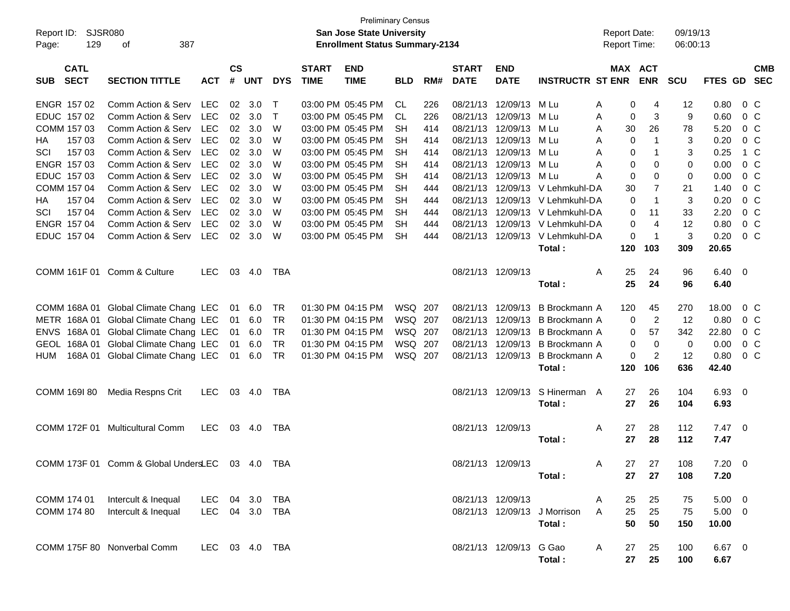| Report ID:<br>Page: | SJSR080<br>129             | 387<br>оf                                       |                |                    |                |            |                             | <b>Preliminary Census</b><br><b>San Jose State University</b><br><b>Enrollment Status Summary-2134</b> |            |     |                             |                           |                                 | <b>Report Date:</b><br><b>Report Time:</b> |                | 09/19/13<br>06:00:13 |                |                |            |
|---------------------|----------------------------|-------------------------------------------------|----------------|--------------------|----------------|------------|-----------------------------|--------------------------------------------------------------------------------------------------------|------------|-----|-----------------------------|---------------------------|---------------------------------|--------------------------------------------|----------------|----------------------|----------------|----------------|------------|
| <b>SUB</b>          | <b>CATL</b><br><b>SECT</b> | <b>SECTION TITTLE</b>                           | <b>ACT</b>     | $\mathsf{cs}$<br># | <b>UNT</b>     | <b>DYS</b> | <b>START</b><br><b>TIME</b> | <b>END</b><br><b>TIME</b>                                                                              | <b>BLD</b> | RM# | <b>START</b><br><b>DATE</b> | <b>END</b><br><b>DATE</b> | <b>INSTRUCTR ST ENR</b>         | MAX ACT                                    | <b>ENR</b>     | <b>SCU</b>           | FTES GD SEC    |                | <b>CMB</b> |
|                     | ENGR 157 02                | Comm Action & Serv                              | LEC            | 02                 | 3.0            | $\top$     |                             | 03:00 PM 05:45 PM                                                                                      | CL.        | 226 |                             | 08/21/13 12/09/13         | M Lu                            | 0<br>Α                                     | 4              | 12                   | 0.80           | $0\,$ C        |            |
|                     | EDUC 157 02                | Comm Action & Serv                              | <b>LEC</b>     | 02                 | 3.0            | $\top$     |                             | 03:00 PM 05:45 PM                                                                                      | CL.        | 226 |                             | 08/21/13 12/09/13         | M Lu                            | Α<br>0                                     | 3              | 9                    | 0.60           | $0\,C$         |            |
|                     | COMM 157 03                | Comm Action & Serv                              | <b>LEC</b>     | 02                 | 3.0            | W          |                             | 03:00 PM 05:45 PM                                                                                      | <b>SH</b>  | 414 |                             | 08/21/13 12/09/13         | M Lu                            | Α<br>30                                    | 26             | 78                   | 5.20           | 0 <sup>o</sup> |            |
| HА                  | 157 03                     | Comm Action & Serv                              | <b>LEC</b>     | 02                 | 3.0            | W          |                             | 03:00 PM 05:45 PM                                                                                      | SН         | 414 |                             | 08/21/13 12/09/13         | M Lu                            | 0<br>Α                                     | 1              | 3                    | 0.20           | 0 <sup>C</sup> |            |
| SCI                 | 157 03                     | Comm Action & Serv                              | <b>LEC</b>     | 02                 | 3.0            | W          |                             | 03:00 PM 05:45 PM                                                                                      | SН         | 414 |                             | 08/21/13 12/09/13         | M Lu                            | A<br>0                                     |                | 3                    | 0.25           | 1 C            |            |
|                     | ENGR 157 03                | Comm Action & Serv                              | <b>LEC</b>     | 02                 | 3.0            | W          |                             | 03:00 PM 05:45 PM                                                                                      | SН         | 414 |                             | 08/21/13 12/09/13         | M Lu                            | A<br>0                                     | 0              | 0                    | 0.00           | $0\,C$         |            |
|                     | EDUC 157 03                | Comm Action & Serv                              | <b>LEC</b>     | 02                 | 3.0            | W          |                             | 03:00 PM 05:45 PM                                                                                      | SН         | 414 |                             | 08/21/13 12/09/13 M Lu    |                                 | A<br>0                                     | 0              | 0                    | 0.00           | 0 <sup>o</sup> |            |
|                     | COMM 157 04                | Comm Action & Serv                              | <b>LEC</b>     | 02                 | 3.0            | W          |                             | 03:00 PM 05:45 PM                                                                                      | <b>SH</b>  | 444 | 08/21/13                    |                           | 12/09/13 V Lehmkuhl-DA          | 30                                         | $\overline{7}$ | 21                   | 1.40           | $0\,C$         |            |
| HA                  | 157 04                     | Comm Action & Serv                              | <b>LEC</b>     | 02                 | 3.0            | W          |                             | 03:00 PM 05:45 PM                                                                                      | SН         | 444 |                             |                           | 08/21/13 12/09/13 V Lehmkuhl-DA | 0                                          | $\mathbf 1$    | 3                    | 0.20           | $0\,C$         |            |
| SCI                 | 157 04                     | Comm Action & Serv                              | <b>LEC</b>     | 02                 | 3.0            | W          |                             | 03:00 PM 05:45 PM                                                                                      | SН         | 444 |                             |                           | 08/21/13 12/09/13 V Lehmkuhl-DA | 0                                          | 11             | 33                   | 2.20           | 0 <sup>o</sup> |            |
|                     | ENGR 157 04                | Comm Action & Serv                              | <b>LEC</b>     | 02                 | 3.0            | W          |                             | 03:00 PM 05:45 PM                                                                                      | <b>SH</b>  | 444 |                             |                           | 08/21/13 12/09/13 V Lehmkuhl-DA | 0                                          | $\overline{4}$ | 12                   | 0.80           | 0 <sup>C</sup> |            |
|                     | EDUC 157 04                | Comm Action & Serv                              | LEC            |                    | $02 \quad 3.0$ | W          |                             | 03:00 PM 05:45 PM                                                                                      | <b>SH</b>  | 444 |                             |                           | 08/21/13 12/09/13 V Lehmkuhl-DA | 0                                          | -1             | 3                    | 0.20           | 0 <sup>C</sup> |            |
|                     |                            |                                                 |                |                    |                |            |                             |                                                                                                        |            |     |                             |                           | Total:                          | 120                                        | 103            | 309                  | 20.65          |                |            |
|                     |                            |                                                 |                |                    |                |            |                             |                                                                                                        |            |     |                             |                           |                                 |                                            |                |                      |                |                |            |
|                     |                            | COMM 161F 01 Comm & Culture                     | <b>LEC</b>     |                    | 03 4.0         | TBA        |                             |                                                                                                        |            |     | 08/21/13 12/09/13           |                           |                                 | Α<br>25                                    | 24             | 96                   | $6.40 \quad 0$ |                |            |
|                     |                            |                                                 |                |                    |                |            |                             |                                                                                                        |            |     |                             |                           | Total:                          | 25                                         | 24             | 96                   | 6.40           |                |            |
|                     |                            |                                                 |                |                    |                |            |                             |                                                                                                        |            |     |                             |                           |                                 |                                            |                |                      |                |                |            |
|                     |                            | COMM 168A 01 Global Climate Chang LEC           |                | 01                 | 6.0            | TR         |                             | 01:30 PM 04:15 PM                                                                                      | WSQ 207    |     | 08/21/13                    | 12/09/13                  | B Brockmann A                   | 120                                        | 45             | 270                  | 18.00          | $0\,$ C        |            |
|                     |                            | METR 168A 01 Global Climate Chang LEC           |                | 01                 | 6.0            | <b>TR</b>  |                             | 01:30 PM 04:15 PM                                                                                      | WSQ 207    |     |                             | 08/21/13 12/09/13         | B Brockmann A                   | 0                                          | $\overline{2}$ | 12                   | 0.80           | 0 <sup>o</sup> |            |
|                     |                            | ENVS 168A 01 Global Climate Chang LEC           |                | 01                 | 6.0            | <b>TR</b>  |                             | 01:30 PM 04:15 PM                                                                                      | WSQ 207    |     |                             | 08/21/13 12/09/13         | B Brockmann A                   | 0                                          | 57             | 342                  | 22.80          | 0 <sup>C</sup> |            |
| <b>GEOL</b>         |                            | 168A 01 Global Climate Chang LEC                |                | 01                 | 6.0            | <b>TR</b>  |                             | 01:30 PM 04:15 PM                                                                                      | WSQ 207    |     | 08/21/13                    | 12/09/13                  | B Brockmann A                   | 0                                          | $\mathbf 0$    | $\mathbf 0$          | 0.00           | 0 <sup>C</sup> |            |
| <b>HUM</b>          |                            | 168A 01 Global Climate Chang LEC                |                | 01                 | 6.0            | <b>TR</b>  |                             | 01:30 PM 04:15 PM                                                                                      | WSQ 207    |     |                             | 08/21/13 12/09/13         | <b>B</b> Brockmann A            | 0                                          | 2              | 12                   | 0.80           | $0\,C$         |            |
|                     |                            |                                                 |                |                    |                |            |                             |                                                                                                        |            |     |                             |                           | Total:                          | 120                                        | 106            | 636                  | 42.40          |                |            |
|                     |                            |                                                 | LEC.           |                    | 03 4.0         | TBA        |                             |                                                                                                        |            |     |                             | 08/21/13 12/09/13         | S Hinerman A                    | 27                                         | 26             | 104                  | 6.93 0         |                |            |
|                     | COMM 169I 80               | Media Respns Crit                               |                |                    |                |            |                             |                                                                                                        |            |     |                             |                           | Total:                          | 27                                         | 26             | 104                  | 6.93           |                |            |
|                     |                            |                                                 |                |                    |                |            |                             |                                                                                                        |            |     |                             |                           |                                 |                                            |                |                      |                |                |            |
|                     | COMM 172F 01               | <b>Multicultural Comm</b>                       | LEC.           |                    | 03 4.0         | TBA        |                             |                                                                                                        |            |     | 08/21/13 12/09/13           |                           |                                 | Α<br>27                                    | 28             | 112                  | $7.47\ 0$      |                |            |
|                     |                            |                                                 |                |                    |                |            |                             |                                                                                                        |            |     |                             |                           | Total:                          | 27                                         | 28             | 112                  | 7.47           |                |            |
|                     |                            |                                                 |                |                    |                |            |                             |                                                                                                        |            |     |                             |                           |                                 |                                            |                |                      |                |                |            |
|                     |                            | COMM 173F 01 Comm & Global UndersLEC 03 4.0 TBA |                |                    |                |            |                             |                                                                                                        |            |     |                             | 08/21/13 12/09/13         |                                 | A                                          | 27 27          | 108                  | $7.20 \t 0$    |                |            |
|                     |                            |                                                 |                |                    |                |            |                             |                                                                                                        |            |     |                             |                           | Total:                          | 27                                         | 27             | 108                  | 7.20           |                |            |
|                     |                            |                                                 |                |                    |                |            |                             |                                                                                                        |            |     |                             |                           |                                 |                                            |                |                      |                |                |            |
|                     | COMM 174 01                | Intercult & Inequal                             | LEC 04 3.0 TBA |                    |                |            |                             |                                                                                                        |            |     |                             | 08/21/13 12/09/13         |                                 | 25<br>A                                    | 25             | 75                   | $5.00 \t 0$    |                |            |
|                     | COMM 174 80                | Intercult & Inequal                             | LEC 04 3.0 TBA |                    |                |            |                             |                                                                                                        |            |     |                             |                           | 08/21/13 12/09/13 J Morrison    | A<br>25                                    | 25             | 75                   | $5.00 \t 0$    |                |            |
|                     |                            |                                                 |                |                    |                |            |                             |                                                                                                        |            |     |                             |                           | Total:                          | 50                                         | 50             | 150                  | 10.00          |                |            |
|                     |                            |                                                 |                |                    |                |            |                             |                                                                                                        |            |     |                             |                           |                                 |                                            |                |                      |                |                |            |
|                     |                            | COMM 175F 80 Nonverbal Comm                     | LEC 03 4.0 TBA |                    |                |            |                             |                                                                                                        |            |     |                             | 08/21/13 12/09/13 G Gao   |                                 | A<br>27                                    | 25             | 100                  | 6.67 0         |                |            |
|                     |                            |                                                 |                |                    |                |            |                             |                                                                                                        |            |     |                             |                           | Total:                          | 27                                         | 25             | 100                  | 6.67           |                |            |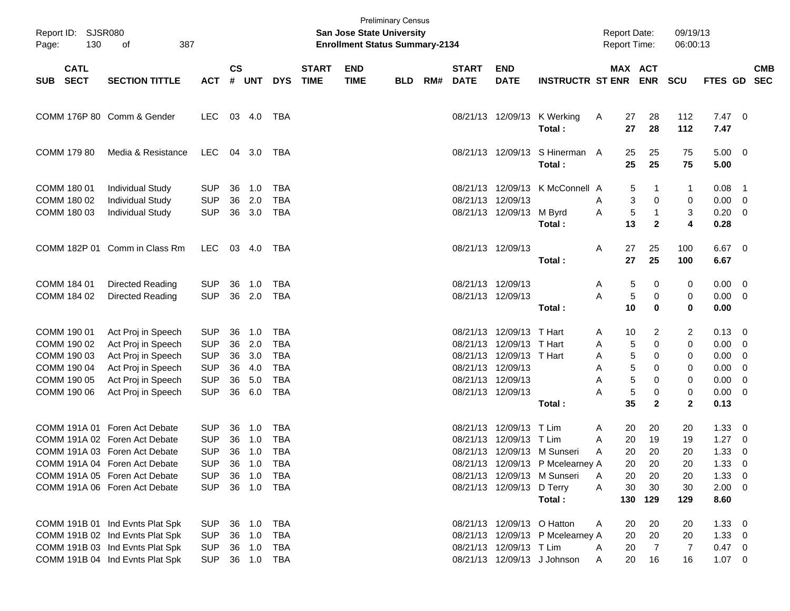| Page:      | Report ID: SJSR080<br>130  | 387                             |            |                    |            |            | <b>San Jose State University</b><br><b>Enrollment Status Summary-2134</b> | <b>Preliminary Census</b> |            |     |                             |                            |                                          | <b>Report Date:</b><br><b>Report Time:</b> |          | 09/19/13<br>06:00:13         |              |                       |                          |
|------------|----------------------------|---------------------------------|------------|--------------------|------------|------------|---------------------------------------------------------------------------|---------------------------|------------|-----|-----------------------------|----------------------------|------------------------------------------|--------------------------------------------|----------|------------------------------|--------------|-----------------------|--------------------------|
| <b>SUB</b> | <b>CATL</b><br><b>SECT</b> | <b>SECTION TITTLE</b>           | <b>ACT</b> | $\mathsf{cs}$<br># | UNT        | <b>DYS</b> | <b>START</b><br><b>TIME</b>                                               | <b>END</b><br><b>TIME</b> | <b>BLD</b> | RM# | <b>START</b><br><b>DATE</b> | <b>END</b><br><b>DATE</b>  | <b>INSTRUCTR ST ENR</b>                  |                                            | MAX ACT  | <b>ENR</b>                   | <b>SCU</b>   | FTES GD               | <b>CMB</b><br><b>SEC</b> |
|            |                            | COMM 176P 80 Comm & Gender      | LEC.       |                    | 03 4.0     | TBA        |                                                                           |                           |            |     |                             |                            | 08/21/13 12/09/13 K Werking<br>Total:    | A                                          | 27<br>27 | 28<br>28                     | 112<br>112   | $7.47\quad 0$<br>7.47 |                          |
|            | COMM 179 80                | Media & Resistance              | <b>LEC</b> |                    | 04 3.0     | TBA        |                                                                           |                           |            |     |                             |                            | 08/21/13 12/09/13 S Hinerman A<br>Total: |                                            | 25<br>25 | 25<br>25                     | 75<br>75     | $5.00 \ 0$<br>5.00    |                          |
|            | COMM 180 01                | <b>Individual Study</b>         | <b>SUP</b> | 36                 | 1.0        | <b>TBA</b> |                                                                           |                           |            |     | 08/21/13                    |                            | 12/09/13 K McConnell A                   |                                            | 5        | -1                           | 1            | 0.08                  | $\overline{\phantom{1}}$ |
|            | COMM 180 02                | <b>Individual Study</b>         | <b>SUP</b> | 36                 | 2.0        | <b>TBA</b> |                                                                           |                           |            |     | 08/21/13                    | 12/09/13                   |                                          | A                                          | 3        | 0                            | 0            | 0.00                  | - 0                      |
|            | COMM 180 03                | <b>Individual Study</b>         | <b>SUP</b> |                    | 36 3.0     | <b>TBA</b> |                                                                           |                           |            |     |                             | 08/21/13 12/09/13 M Byrd   | Total:                                   | A                                          | 5<br>13  | $\mathbf{1}$<br>$\mathbf{2}$ | 3<br>4       | 0.20<br>0.28          | $\overline{\mathbf{0}}$  |
|            |                            | COMM 182P 01 Comm in Class Rm   | <b>LEC</b> |                    | 03 4.0     | TBA        |                                                                           |                           |            |     |                             | 08/21/13 12/09/13          | Total:                                   | Α                                          | 27<br>27 | 25<br>25                     | 100<br>100   | $6.67$ 0<br>6.67      |                          |
|            | COMM 184 01                | Directed Reading                | <b>SUP</b> | 36                 | 1.0        | <b>TBA</b> |                                                                           |                           |            |     |                             | 08/21/13 12/09/13          |                                          | A                                          | 5        | 0                            | 0            | 0.00                  | - 0                      |
|            | COMM 184 02                | Directed Reading                | <b>SUP</b> |                    | 36 2.0     | <b>TBA</b> |                                                                           |                           |            |     |                             | 08/21/13 12/09/13          |                                          | A                                          | 5        | 0                            | 0            | 0.00                  | $\overline{\mathbf{0}}$  |
|            |                            |                                 |            |                    |            |            |                                                                           |                           |            |     |                             |                            | Total:                                   |                                            | 10       | $\bf{0}$                     | 0            | 0.00                  |                          |
|            | COMM 190 01                | Act Proj in Speech              | <b>SUP</b> | 36                 | 1.0        | <b>TBA</b> |                                                                           |                           |            |     | 08/21/13                    | 12/09/13 T Hart            |                                          | A                                          | 10       | 2                            | 2            | 0.13                  | - 0                      |
|            | COMM 190 02                | Act Proj in Speech              | <b>SUP</b> | 36                 | 2.0        | <b>TBA</b> |                                                                           |                           |            |     | 08/21/13                    | 12/09/13 T Hart            |                                          | A                                          | 5        | 0                            | 0            | 0.00                  | - 0                      |
|            | COMM 190 03                | Act Proj in Speech              | <b>SUP</b> | 36                 | 3.0        | <b>TBA</b> |                                                                           |                           |            |     | 08/21/13                    | 12/09/13 T Hart            |                                          | A                                          | 5        | 0                            | 0            | 0.00                  | 0                        |
|            | COMM 190 04                | Act Proj in Speech              | <b>SUP</b> | 36                 | 4.0        | <b>TBA</b> |                                                                           |                           |            |     | 08/21/13                    | 12/09/13                   |                                          | A                                          | 5        | 0                            | 0            | 0.00                  | 0                        |
|            | COMM 190 05                | Act Proj in Speech              | <b>SUP</b> | 36                 | 5.0        | <b>TBA</b> |                                                                           |                           |            |     | 08/21/13                    | 12/09/13                   |                                          | Α                                          | 5        | 0                            | 0            | 0.00                  | 0                        |
|            | COMM 190 06                | Act Proj in Speech              | <b>SUP</b> | 36                 | 6.0        | <b>TBA</b> |                                                                           |                           |            |     |                             | 08/21/13 12/09/13          |                                          | Α                                          | 5        | 0                            | 0            | 0.00                  | - 0                      |
|            |                            |                                 |            |                    |            |            |                                                                           |                           |            |     |                             |                            | Total:                                   |                                            | 35       | $\mathbf{2}$                 | $\mathbf{2}$ | 0.13                  |                          |
|            |                            | COMM 191A 01 Foren Act Debate   | <b>SUP</b> | 36                 | 1.0        | <b>TBA</b> |                                                                           |                           |            |     | 08/21/13                    | 12/09/13 T Lim             |                                          | A                                          | 20       | 20                           | 20           | 1.33                  | - 0                      |
|            |                            | COMM 191A 02 Foren Act Debate   | <b>SUP</b> | 36                 | 1.0        | <b>TBA</b> |                                                                           |                           |            |     | 08/21/13                    | 12/09/13 T Lim             |                                          | A                                          | 20       | 19                           | 19           | 1.27                  | - 0                      |
|            |                            | COMM 191A 03 Foren Act Debate   | <b>SUP</b> | 36                 | 1.0        | <b>TBA</b> |                                                                           |                           |            |     |                             |                            | 08/21/13 12/09/13 M Sunseri              | A                                          | 20       | 20                           | 20           | 1.33                  | 0                        |
|            |                            | COMM 191A 04 Foren Act Debate   | SUP.       |                    | 36 1.0     | TBA        |                                                                           |                           |            |     |                             |                            | 08/21/13 12/09/13 P Mcelearney A         |                                            | 20       | 20                           | 20           | 1.33                  | $\overline{\mathbf{0}}$  |
|            |                            | COMM 191A 05 Foren Act Debate   | <b>SUP</b> | 36                 | 1.0        | <b>TBA</b> |                                                                           |                           |            |     |                             |                            | 08/21/13 12/09/13 M Sunseri              | A                                          | 20       | 20                           | 20           | 1.33                  | - 0                      |
|            |                            | COMM 191A 06 Foren Act Debate   | <b>SUP</b> |                    | 36 1.0     | TBA        |                                                                           |                           |            |     |                             | 08/21/13 12/09/13 D Terry  |                                          | A                                          | 30       | 30                           | 30           | $2.00 \t 0$           |                          |
|            |                            |                                 |            |                    |            |            |                                                                           |                           |            |     |                             |                            | Total:                                   |                                            | 130      | 129                          | 129          | 8.60                  |                          |
|            |                            | COMM 191B 01 Ind Evnts Plat Spk | <b>SUP</b> |                    | 36 1.0     | <b>TBA</b> |                                                                           |                           |            |     |                             | 08/21/13 12/09/13 O Hatton |                                          | A                                          | 20       | 20                           | 20           | $1.33 \ 0$            |                          |
|            |                            | COMM 191B 02 Ind Evnts Plat Spk | <b>SUP</b> |                    | 36 1.0     | <b>TBA</b> |                                                                           |                           |            |     |                             |                            | 08/21/13 12/09/13 P Mcelearney A         |                                            | 20       | 20                           | 20           | 1.33                  | $\overline{\phantom{0}}$ |
|            |                            | COMM 191B 03 Ind Evnts Plat Spk | <b>SUP</b> |                    | 36 1.0     | <b>TBA</b> |                                                                           |                           |            |     |                             | 08/21/13 12/09/13 T Lim    |                                          | A                                          | 20       | $\overline{7}$               | 7            | $0.47 \ 0$            |                          |
|            |                            | COMM 191B 04 Ind Evnts Plat Spk | <b>SUP</b> |                    | 36 1.0 TBA |            |                                                                           |                           |            |     |                             |                            | 08/21/13 12/09/13 J Johnson              | A                                          | 20       | 16                           | 16           | $1.07 \t 0$           |                          |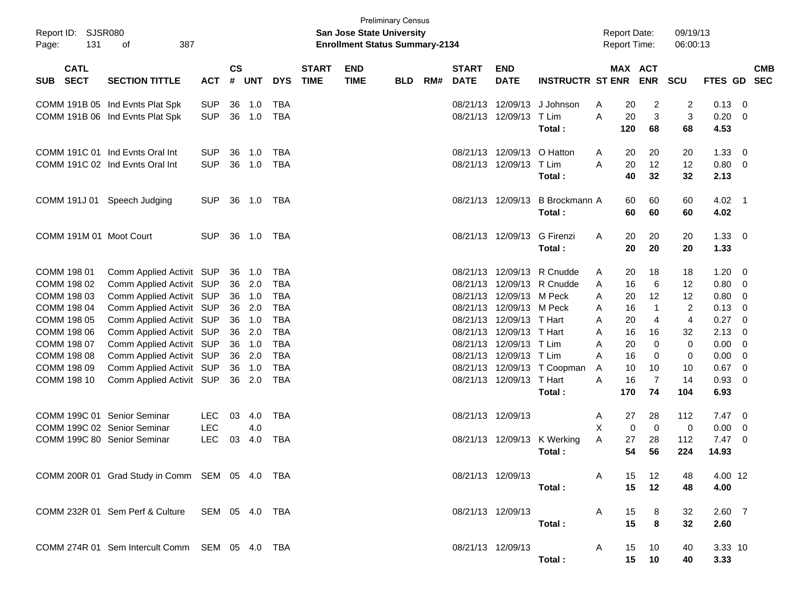| Report ID: SJSR080<br>Page:       | 131 | 387<br>οf                                       |            |               |        |            |                             | <b>San Jose State University</b><br><b>Enrollment Status Summary-2134</b> | <b>Preliminary Census</b> |     |                             |                           |                             |   | <b>Report Date:</b><br><b>Report Time:</b> |                      | 09/19/13<br>06:00:13 |              |                          |
|-----------------------------------|-----|-------------------------------------------------|------------|---------------|--------|------------|-----------------------------|---------------------------------------------------------------------------|---------------------------|-----|-----------------------------|---------------------------|-----------------------------|---|--------------------------------------------|----------------------|----------------------|--------------|--------------------------|
| <b>CATL</b><br><b>SECT</b><br>SUB |     | <b>SECTION TITTLE</b>                           | <b>ACT</b> | $\mathsf{cs}$ | # UNT  | <b>DYS</b> | <b>START</b><br><b>TIME</b> | <b>END</b><br><b>TIME</b>                                                 | <b>BLD</b>                | RM# | <b>START</b><br><b>DATE</b> | <b>END</b><br><b>DATE</b> | <b>INSTRUCTR ST ENR</b>     |   | MAX ACT                                    | <b>ENR</b>           | <b>SCU</b>           | FTES GD      | <b>CMB</b><br><b>SEC</b> |
|                                   |     | COMM 191B 05 Ind Evnts Plat Spk                 | <b>SUP</b> | 36            | 1.0    | <b>TBA</b> |                             |                                                                           |                           |     | 08/21/13                    |                           | 12/09/13 J Johnson          | A | 20                                         | 2                    | 2                    | 0.13         | 0                        |
|                                   |     | COMM 191B 06 Ind Evnts Plat Spk                 | <b>SUP</b> | 36            | 1.0    | <b>TBA</b> |                             |                                                                           |                           |     | 08/21/13                    | 12/09/13 T Lim            | Total:                      | A | 20<br>120                                  | 3<br>68              | 3<br>68              | 0.20<br>4.53 | 0                        |
|                                   |     | COMM 191C 01 Ind Evnts Oral Int                 | <b>SUP</b> | 36            | 1.0    | TBA        |                             |                                                                           |                           |     | 08/21/13                    | 12/09/13                  | O Hatton                    | A | 20                                         | 20                   | 20                   | 1.33         | 0                        |
|                                   |     | COMM 191C 02 Ind Evnts Oral Int                 | <b>SUP</b> | 36            | 1.0    | <b>TBA</b> |                             |                                                                           |                           |     |                             | 08/21/13 12/09/13 T Lim   | Total:                      | A | 20<br>40                                   | 12<br>32             | 12<br>32             | 0.80<br>2.13 | 0                        |
| COMM 191J 01                      |     | Speech Judging                                  | <b>SUP</b> | 36            | 1.0    | TBA        |                             |                                                                           |                           |     |                             | 08/21/13 12/09/13         | B Brockmann A               |   | 60                                         | 60                   | 60                   | 4.02         | $\overline{1}$           |
|                                   |     |                                                 |            |               |        |            |                             |                                                                           |                           |     |                             |                           | Total:                      |   | 60                                         | 60                   | 60                   | 4.02         |                          |
|                                   |     | COMM 191M 01 Moot Court                         | <b>SUP</b> | 36            | 1.0    | TBA        |                             |                                                                           |                           |     |                             | 08/21/13 12/09/13         | G Firenzi<br>Total:         | A | 20<br>20                                   | 20<br>20             | 20<br>20             | 1.33<br>1.33 | 0                        |
| COMM 198 01                       |     | Comm Applied Activit SUP                        |            |               | 36 1.0 | TBA        |                             |                                                                           |                           |     | 08/21/13                    |                           | 12/09/13 R Cnudde           | A | 20                                         | 18                   | 18                   | 1.20         | 0                        |
| COMM 198 02                       |     | Comm Applied Activit SUP                        |            | 36            | 2.0    | <b>TBA</b> |                             |                                                                           |                           |     | 08/21/13                    |                           | 12/09/13 R Cnudde           | A | 16                                         | 6                    | $12 \,$              | 0.80         | 0                        |
| COMM 198 03                       |     | Comm Applied Activit SUP                        |            | 36            | 1.0    | <b>TBA</b> |                             |                                                                           |                           |     | 08/21/13                    | 12/09/13 M Peck           |                             | A | 20                                         | 12                   | 12                   | 0.80         | 0                        |
| COMM 198 04                       |     | Comm Applied Activit SUP                        |            | 36            | 2.0    | <b>TBA</b> |                             |                                                                           |                           |     | 08/21/13                    | 12/09/13 M Peck           |                             | A | 16                                         | 1                    | 2                    | 0.13         | 0                        |
| COMM 198 05                       |     | Comm Applied Activit SUP                        |            | 36            | 1.0    | <b>TBA</b> |                             |                                                                           |                           |     | 08/21/13                    | 12/09/13 T Hart           |                             | A | 20                                         | 4                    | 4                    | 0.27         | 0                        |
| COMM 198 06                       |     | Comm Applied Activit SUP                        |            | 36            | 2.0    | <b>TBA</b> |                             |                                                                           |                           |     | 08/21/13                    | 12/09/13 T Hart           |                             | A | 16                                         | 16                   | 32                   | 2.13         | 0                        |
| COMM 198 07                       |     | Comm Applied Activit SUP                        |            | 36            | 1.0    | <b>TBA</b> |                             |                                                                           |                           |     | 08/21/13                    | 12/09/13 T Lim            |                             | A | 20                                         | 0                    | 0                    | 0.00         | 0                        |
| COMM 198 08                       |     | Comm Applied Activit SUP                        |            | 36            | 2.0    | <b>TBA</b> |                             |                                                                           |                           |     | 08/21/13                    | 12/09/13 T Lim            |                             | A | 16                                         | 0                    | 0                    | 0.00         | 0                        |
| COMM 198 09                       |     | Comm Applied Activit SUP                        |            |               | 36 1.0 | <b>TBA</b> |                             |                                                                           |                           |     | 08/21/13                    |                           | 12/09/13 T Coopman          | A | 10                                         | 10                   | 10                   | 0.67         | 0                        |
| COMM 198 10                       |     | Comm Applied Activit SUP                        |            |               | 36 2.0 | <b>TBA</b> |                             |                                                                           |                           |     |                             | 08/21/13 12/09/13 T Hart  | Total:                      | A | 16<br>170                                  | $\overline{7}$<br>74 | 14<br>104            | 0.93<br>6.93 | 0                        |
|                                   |     | COMM 199C 01 Senior Seminar                     | <b>LEC</b> | 03            | 4.0    | <b>TBA</b> |                             |                                                                           |                           |     | 08/21/13 12/09/13           |                           |                             | A | 27                                         | 28                   | 112                  | 7.47         | 0                        |
|                                   |     | COMM 199C 02 Senior Seminar                     | <b>LEC</b> |               | 4.0    |            |                             |                                                                           |                           |     |                             |                           |                             | X | 0                                          | 0                    | 0                    | 0.00         | 0                        |
|                                   |     | COMM 199C 80 Senior Seminar                     | <b>LEC</b> | 03            | 4.0    | <b>TBA</b> |                             |                                                                           |                           |     |                             |                           | 08/21/13 12/09/13 K Werking | Α | 27                                         | 28                   | 112                  | 7.47         | 0                        |
|                                   |     |                                                 |            |               |        |            |                             |                                                                           |                           |     |                             |                           | Total:                      |   | 54                                         | 56                   | 224                  | 14.93        |                          |
|                                   |     | COMM 200R 01 Grad Study in Comm SEM 05 4.0 TBA  |            |               |        |            |                             |                                                                           |                           |     | 08/21/13 12/09/13           |                           |                             | A | 15                                         | 12                   | 48                   | 4.00 12      |                          |
|                                   |     |                                                 |            |               |        |            |                             |                                                                           |                           |     |                             |                           | Total:                      |   | 15                                         | 12                   | 48                   | 4.00         |                          |
|                                   |     | COMM 232R 01 Sem Perf & Culture  SEM 05 4.0 TBA |            |               |        |            |                             |                                                                           |                           |     | 08/21/13 12/09/13           |                           |                             | A | 15                                         | 8                    | 32                   | $2.60$ 7     |                          |
|                                   |     |                                                 |            |               |        |            |                             |                                                                           |                           |     |                             |                           | Total:                      |   | 15                                         | 8                    | 32                   | 2.60         |                          |
|                                   |     | COMM 274R 01 Sem Intercult Comm SEM 05 4.0 TBA  |            |               |        |            |                             |                                                                           |                           |     | 08/21/13 12/09/13           |                           |                             | A | 15                                         | 10                   | 40                   | 3.33 10      |                          |
|                                   |     |                                                 |            |               |        |            |                             |                                                                           |                           |     |                             |                           | Total:                      |   | 15                                         | 10                   | 40                   | 3.33         |                          |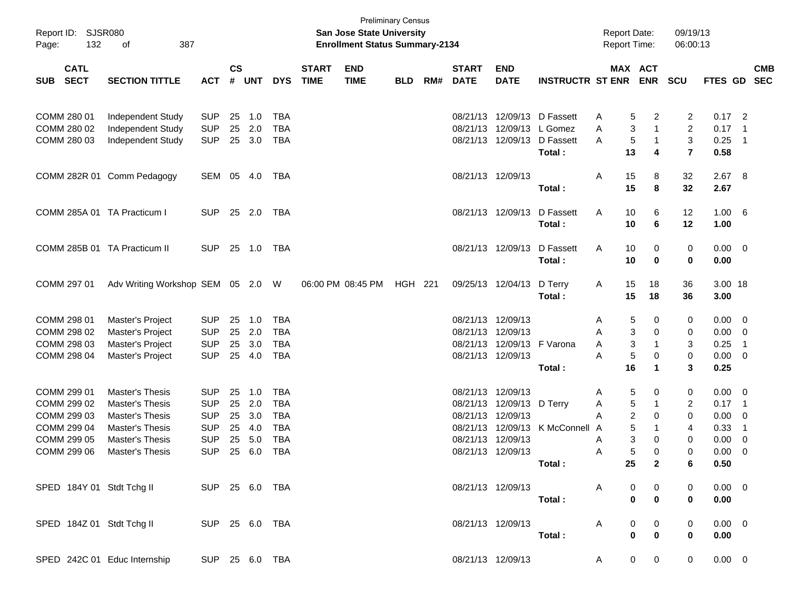| Report ID: SJSR080<br>132<br>Page:       | 387<br>οf                                   |            |                    |            |            |                             | <b>San Jose State University</b><br><b>Enrollment Status Summary-2134</b> | <b>Preliminary Census</b> |     |                             |                           |                         | <b>Report Date:</b><br><b>Report Time:</b> |                       |                | 09/19/13<br>06:00:13 |                |                            |            |
|------------------------------------------|---------------------------------------------|------------|--------------------|------------|------------|-----------------------------|---------------------------------------------------------------------------|---------------------------|-----|-----------------------------|---------------------------|-------------------------|--------------------------------------------|-----------------------|----------------|----------------------|----------------|----------------------------|------------|
| <b>CATL</b><br><b>SECT</b><br><b>SUB</b> | <b>SECTION TITTLE</b>                       | <b>ACT</b> | $\mathsf{cs}$<br># | <b>UNT</b> | <b>DYS</b> | <b>START</b><br><b>TIME</b> | <b>END</b><br><b>TIME</b>                                                 | <b>BLD</b>                | RM# | <b>START</b><br><b>DATE</b> | <b>END</b><br><b>DATE</b> | <b>INSTRUCTR ST ENR</b> |                                            | MAX ACT<br><b>ENR</b> | <b>SCU</b>     |                      | FTES GD SEC    |                            | <b>CMB</b> |
|                                          |                                             |            |                    |            |            |                             |                                                                           |                           |     |                             |                           |                         |                                            |                       |                |                      |                |                            |            |
| COMM 280 01                              | Independent Study                           | <b>SUP</b> | 25                 | 1.0        | TBA        |                             |                                                                           |                           |     |                             | 08/21/13 12/09/13         | D Fassett               | A                                          | 5                     | 2              | $\overline{2}$       | $0.17$ 2       |                            |            |
| COMM 280 02                              | Independent Study                           | <b>SUP</b> | 25                 | 2.0        | <b>TBA</b> |                             |                                                                           |                           |     | 08/21/13                    |                           | 12/09/13 L Gomez        | A                                          | 3                     | $\mathbf{1}$   | $\overline{2}$       | 0.17           | $\overline{\phantom{0}}$ 1 |            |
| COMM 280 03                              | Independent Study                           | <b>SUP</b> | 25                 | 3.0        | <b>TBA</b> |                             |                                                                           |                           |     |                             | 08/21/13 12/09/13         | D Fassett               | A                                          | 5                     | $\mathbf 1$    | 3                    | 0.25           | - 1                        |            |
|                                          |                                             |            |                    |            |            |                             |                                                                           |                           |     |                             |                           | Total:                  |                                            | 13                    | 4              | $\overline{7}$       | 0.58           |                            |            |
|                                          | COMM 282R 01 Comm Pedagogy                  | SEM 05     |                    | 4.0        | TBA        |                             |                                                                           |                           |     |                             | 08/21/13 12/09/13         |                         | A                                          | 15                    | 8              | 32                   | 2.67 8         |                            |            |
|                                          |                                             |            |                    |            |            |                             |                                                                           |                           |     |                             |                           | Total:                  |                                            | 15                    | 8              | 32                   | 2.67           |                            |            |
| COMM 285A 01 TA Practicum I              |                                             | <b>SUP</b> | 25                 | 2.0        | TBA        |                             |                                                                           |                           |     |                             | 08/21/13 12/09/13         | D Fassett               | A                                          | 10                    | 6              | 12                   | 1.00 6         |                            |            |
|                                          |                                             |            |                    |            |            |                             |                                                                           |                           |     |                             |                           | Total:                  |                                            | 10                    | 6              | 12                   | 1.00           |                            |            |
| COMM 285B 01 TA Practicum II             |                                             | <b>SUP</b> | 25                 | 1.0        | TBA        |                             |                                                                           |                           |     |                             | 08/21/13 12/09/13         | D Fassett               | A                                          | 10                    | 0              | 0                    | $0.00 \t 0$    |                            |            |
|                                          |                                             |            |                    |            |            |                             |                                                                           |                           |     |                             |                           | Total:                  |                                            | 10                    | 0              | 0                    | 0.00           |                            |            |
| COMM 297 01                              | Adv Writing Workshop SEM 05 2.0 W           |            |                    |            |            |                             | 06:00 PM 08:45 PM                                                         | <b>HGH 221</b>            |     |                             | 09/25/13 12/04/13         | D Terry                 | A                                          | 15                    | 18             | 36                   | 3.00 18        |                            |            |
|                                          |                                             |            |                    |            |            |                             |                                                                           |                           |     |                             |                           | Total:                  |                                            | 15                    | 18             | 36                   | 3.00           |                            |            |
| COMM 298 01                              | Master's Project                            | <b>SUP</b> | 25                 | 1.0        | <b>TBA</b> |                             |                                                                           |                           |     |                             | 08/21/13 12/09/13         |                         | A                                          | 5                     | 0              | 0                    | $0.00 \t 0$    |                            |            |
| COMM 298 02                              | Master's Project                            | <b>SUP</b> | 25                 | 2.0        | <b>TBA</b> |                             |                                                                           |                           |     |                             | 08/21/13 12/09/13         |                         | A                                          | 3                     | 0              | 0                    | 0.00           | - 0                        |            |
| COMM 298 03                              | Master's Project                            | <b>SUP</b> | 25                 | 3.0        | <b>TBA</b> |                             |                                                                           |                           |     | 08/21/13                    |                           | 12/09/13 F Varona       | A                                          | 3                     | -1             | 3                    | 0.25           | -1                         |            |
| COMM 298 04                              | Master's Project                            | <b>SUP</b> | 25                 | 4.0        | <b>TBA</b> |                             |                                                                           |                           |     |                             | 08/21/13 12/09/13         |                         | A                                          | 5                     | 0              | $\mathbf 0$          | 0.00           | - 0                        |            |
|                                          |                                             |            |                    |            |            |                             |                                                                           |                           |     |                             |                           | Total:                  |                                            | 16                    | 1              | 3                    | 0.25           |                            |            |
| COMM 299 01                              | Master's Thesis                             | <b>SUP</b> | 25                 | 1.0        | <b>TBA</b> |                             |                                                                           |                           |     |                             | 08/21/13 12/09/13         |                         | A                                          | 5                     | 0              | 0                    | $0.00 \t 0$    |                            |            |
| COMM 299 02                              | <b>Master's Thesis</b>                      | <b>SUP</b> | 25                 | 2.0        | <b>TBA</b> |                             |                                                                           |                           |     |                             | 08/21/13 12/09/13         | D Terry                 | A                                          | 5                     | -1             | $\overline{c}$       | 0.17           | - 1                        |            |
| COMM 299 03                              | <b>Master's Thesis</b>                      | <b>SUP</b> | 25                 | 3.0        | <b>TBA</b> |                             |                                                                           |                           |     | 08/21/13                    | 12/09/13                  |                         | A                                          | 2                     | 0              | 0                    | 0.00           | - 0                        |            |
| COMM 299 04                              | <b>Master's Thesis</b>                      | <b>SUP</b> | 25                 | 4.0        | <b>TBA</b> |                             |                                                                           |                           |     | 08/21/13                    |                           | 12/09/13 K McConnell    | A                                          | 5                     | -1             | 4                    | 0.33           | -1                         |            |
| COMM 299 05                              | <b>Master's Thesis</b>                      | <b>SUP</b> | 25                 | 5.0        | <b>TBA</b> |                             |                                                                           |                           |     |                             | 08/21/13 12/09/13         |                         | A                                          | 3                     | 0              | 0                    | 0.00           | 0                          |            |
| COMM 299 06                              | <b>Master's Thesis</b>                      | <b>SUP</b> | 25                 | 6.0        | <b>TBA</b> |                             |                                                                           |                           |     |                             | 08/21/13 12/09/13         |                         | A                                          | 5                     | $\Omega$       | $\mathbf 0$          | 0.00           | 0                          |            |
|                                          |                                             |            |                    |            |            |                             |                                                                           |                           |     |                             |                           | Total :                 |                                            | 25                    | $\mathbf{2}$   | 6                    | 0.50           |                            |            |
|                                          | SPED 184Y 01 Stdt Tchg II SUP 25 6.0 TBA    |            |                    |            |            |                             |                                                                           |                           |     |                             | 08/21/13 12/09/13         |                         | A                                          |                       |                |                      | $0.00 \t 0$    |                            |            |
|                                          |                                             |            |                    |            |            |                             |                                                                           |                           |     |                             |                           | Total:                  |                                            | 0                     | $\mathbf{0}$   | $\bf{0}$             | 0.00           |                            |            |
| SPED 184Z 01 Stdt Tchg II                | SUP 25 6.0 TBA                              |            |                    |            |            |                             |                                                                           |                           |     |                             | 08/21/13 12/09/13         |                         | A                                          | 0                     | 0              | 0                    | $0.00 \quad 0$ |                            |            |
|                                          |                                             |            |                    |            |            |                             |                                                                           |                           |     |                             |                           | Total:                  |                                            | 0                     | $\bf{0}$       | $\bf{0}$             | 0.00           |                            |            |
|                                          | SPED 242C 01 Educ Internship SUP 25 6.0 TBA |            |                    |            |            |                             |                                                                           |                           |     |                             | 08/21/13 12/09/13         |                         | A.                                         | $\mathbf{0}$          | $\overline{0}$ | $\mathbf 0$          | $0.00 \t 0$    |                            |            |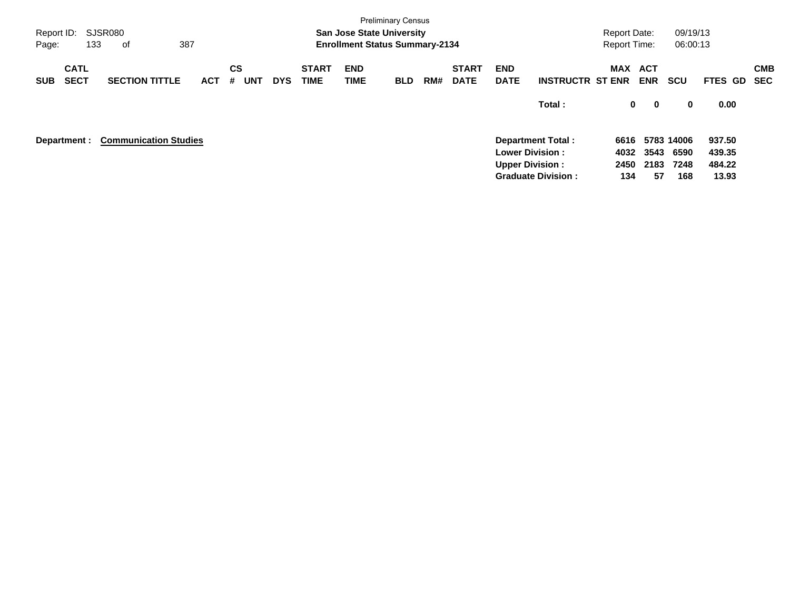| <b>Preliminary Census</b><br>SJSR080<br>09/19/13<br><b>San Jose State University</b><br>Report ID:<br><b>Report Date:</b><br>387<br><b>Enrollment Status Summary-2134</b><br>06:00:13<br>133<br><b>Report Time:</b><br>Page:<br>оf |                              |            |                              |            |                             |                    |            |     |                             |                           |                                                                                 |                     |                                       |                     |                                     |            |
|------------------------------------------------------------------------------------------------------------------------------------------------------------------------------------------------------------------------------------|------------------------------|------------|------------------------------|------------|-----------------------------|--------------------|------------|-----|-----------------------------|---------------------------|---------------------------------------------------------------------------------|---------------------|---------------------------------------|---------------------|-------------------------------------|------------|
| <b>CATL</b><br><b>SECT</b><br><b>SUB</b>                                                                                                                                                                                           | <b>SECTION TITTLE</b>        | <b>ACT</b> | <b>CS</b><br><b>UNT</b><br># | <b>DYS</b> | <b>START</b><br><b>TIME</b> | <b>END</b><br>TIME | <b>BLD</b> | RM# | <b>START</b><br><b>DATE</b> | <b>END</b><br><b>DATE</b> | <b>INSTRUCTR ST ENR</b>                                                         | MAX ACT             | <b>ENR</b>                            | <b>SCU</b>          | FTES GD SEC                         | <b>CMB</b> |
|                                                                                                                                                                                                                                    |                              |            |                              |            |                             |                    |            |     |                             |                           | Total:                                                                          |                     | 0<br>$\mathbf 0$                      | 0                   | 0.00                                |            |
| Department :                                                                                                                                                                                                                       | <b>Communication Studies</b> |            |                              |            |                             |                    |            |     |                             | <b>Upper Division:</b>    | <b>Department Total:</b><br><b>Lower Division:</b><br><b>Graduate Division:</b> | 4032<br>2450<br>134 | 6616 5783 14006<br>3543<br>2183<br>57 | 6590<br>7248<br>168 | 937.50<br>439.35<br>484.22<br>13.93 |            |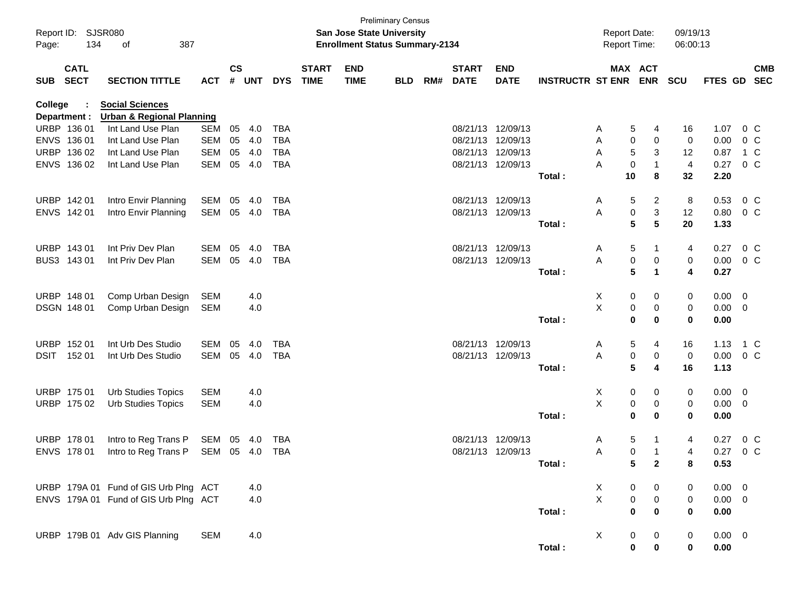| Page:      | Report ID: SJSR080<br>134<br>387<br>οf |                                                                |            | <b>Preliminary Census</b><br>San Jose State University<br><b>Enrollment Status Summary-2134</b> |            |            |                             |                           |            |     |                             | Report Date:<br>Report Time: |                             | 09/19/13<br>06:00:13 |                                |                |                |                |                          |
|------------|----------------------------------------|----------------------------------------------------------------|------------|-------------------------------------------------------------------------------------------------|------------|------------|-----------------------------|---------------------------|------------|-----|-----------------------------|------------------------------|-----------------------------|----------------------|--------------------------------|----------------|----------------|----------------|--------------------------|
| <b>SUB</b> | <b>CATL</b><br><b>SECT</b>             | <b>SECTION TITTLE</b>                                          | <b>ACT</b> | $\mathsf{cs}$<br>#                                                                              | <b>UNT</b> | <b>DYS</b> | <b>START</b><br><b>TIME</b> | <b>END</b><br><b>TIME</b> | <b>BLD</b> | RM# | <b>START</b><br><b>DATE</b> | <b>END</b><br><b>DATE</b>    | <b>INSTRUCTR ST ENR ENR</b> |                      | MAX ACT                        | <b>SCU</b>     | <b>FTES GD</b> |                | <b>CMB</b><br><b>SEC</b> |
| College    | Department :                           | <b>Social Sciences</b><br><b>Urban &amp; Regional Planning</b> |            |                                                                                                 |            |            |                             |                           |            |     |                             |                              |                             |                      |                                |                |                |                |                          |
|            | URBP 136 01                            | Int Land Use Plan                                              | <b>SEM</b> | 05                                                                                              | 4.0        | TBA        |                             |                           |            |     |                             | 08/21/13 12/09/13            |                             | Α                    | 5<br>4                         | 16             | 1.07           | 0 C            |                          |
|            | ENVS 136 01                            | Int Land Use Plan                                              | <b>SEM</b> | 05                                                                                              | 4.0        | <b>TBA</b> |                             |                           |            |     |                             | 08/21/13 12/09/13            |                             | Α                    | 0<br>0                         | 0              | 0.00           | 0 <sup>o</sup> |                          |
|            | URBP 136 02                            | Int Land Use Plan                                              | <b>SEM</b> | 05                                                                                              | 4.0        | <b>TBA</b> |                             |                           |            |     |                             | 08/21/13 12/09/13            |                             | Α                    | 5<br>3                         | 12             | 0.87           | 1 C            |                          |
|            | ENVS 136 02                            | Int Land Use Plan                                              | <b>SEM</b> | 05                                                                                              | 4.0        | <b>TBA</b> |                             |                           |            |     |                             | 08/21/13 12/09/13            |                             | Α                    | 0                              | $\overline{4}$ | 0.27           | 0 <sup>o</sup> |                          |
|            |                                        |                                                                |            |                                                                                                 |            |            |                             |                           |            |     |                             |                              | Total:                      | 10                   | 8                              | 32             | 2.20           |                |                          |
|            | URBP 142 01                            | Intro Envir Planning                                           | SEM        | 05                                                                                              | 4.0        | TBA        |                             |                           |            |     |                             | 08/21/13 12/09/13            |                             | Α                    | $\overline{c}$<br>5            | 8              | 0.53           | 0 <sup>o</sup> |                          |
|            | ENVS 142 01                            | Intro Envir Planning                                           | <b>SEM</b> |                                                                                                 | 05 4.0     | <b>TBA</b> |                             |                           |            |     |                             | 08/21/13 12/09/13            |                             | Α                    | 0<br>3                         | 12             | 0.80           | $0\,$ C        |                          |
|            |                                        |                                                                |            |                                                                                                 |            |            |                             |                           |            |     |                             |                              | Total:                      |                      | 5<br>5                         | 20             | 1.33           |                |                          |
|            | URBP 143 01                            | Int Priv Dev Plan                                              | <b>SEM</b> | 05                                                                                              | 4.0        | <b>TBA</b> |                             |                           |            |     |                             | 08/21/13 12/09/13            |                             | A                    | 5                              | 4              | 0.27           | $0\,C$         |                          |
|            | BUS3 143 01                            | Int Priv Dev Plan                                              | <b>SEM</b> | 05                                                                                              | 4.0        | <b>TBA</b> |                             |                           |            |     |                             | 08/21/13 12/09/13            |                             | Α                    | 0<br>0                         | 0              | $0.00 \t 0 C$  |                |                          |
|            |                                        |                                                                |            |                                                                                                 |            |            |                             |                           |            |     |                             |                              | Total:                      |                      | $5\phantom{.0}$<br>$\mathbf 1$ | 4              | 0.27           |                |                          |
|            | URBP 148 01                            | Comp Urban Design                                              | <b>SEM</b> |                                                                                                 | 4.0        |            |                             |                           |            |     |                             |                              |                             | X                    | 0<br>0                         | 0              | $0.00 \t 0$    |                |                          |
|            | DSGN 148 01                            | Comp Urban Design                                              | SEM        |                                                                                                 | 4.0        |            |                             |                           |            |     |                             |                              |                             | Χ                    | 0<br>0                         | 0              | $0.00 \t 0$    |                |                          |
|            |                                        |                                                                |            |                                                                                                 |            |            |                             |                           |            |     |                             |                              | Total:                      |                      | 0<br>0                         | 0              | 0.00           |                |                          |
|            | URBP 152 01                            | Int Urb Des Studio                                             | <b>SEM</b> | 05                                                                                              | 4.0        | <b>TBA</b> |                             |                           |            |     |                             | 08/21/13 12/09/13            |                             | A                    | 5<br>4                         | 16             | 1.13           | 1 C            |                          |
| DSIT       | 152 01                                 | Int Urb Des Studio                                             | SEM        | 05                                                                                              | 4.0        | <b>TBA</b> |                             |                           |            |     |                             | 08/21/13 12/09/13            |                             | Α                    | 0<br>0                         | 0              | $0.00 \t 0 C$  |                |                          |
|            |                                        |                                                                |            |                                                                                                 |            |            |                             |                           |            |     |                             |                              | Total:                      |                      | 5<br>4                         | 16             | 1.13           |                |                          |
|            | URBP 175 01                            | <b>Urb Studies Topics</b>                                      | <b>SEM</b> |                                                                                                 | 4.0        |            |                             |                           |            |     |                             |                              |                             | X                    | 0<br>0                         | 0              | $0.00 \t 0$    |                |                          |
|            | URBP 175 02                            | <b>Urb Studies Topics</b>                                      | <b>SEM</b> |                                                                                                 | 4.0        |            |                             |                           |            |     |                             |                              |                             | Χ                    | 0<br>0                         | 0              | $0.00 \t 0$    |                |                          |
|            |                                        |                                                                |            |                                                                                                 |            |            |                             |                           |            |     |                             |                              | Total:                      |                      | 0<br>0                         | 0              | 0.00           |                |                          |
|            | URBP 178 01                            | Intro to Reg Trans P                                           | SEM        | 05                                                                                              | 4.0        | <b>TBA</b> |                             |                           |            |     |                             | 08/21/13 12/09/13            |                             | A                    | 5                              | 4              | 0.27           | 0 <sup>o</sup> |                          |
|            | ENVS 178 01                            | Intro to Reg Trans P                                           | SEM        | 05 4.0                                                                                          |            | <b>TBA</b> |                             |                           |            |     | 08/21/13 12/09/13           |                              |                             | Α                    | 0                              | 4              | 0.27           | 0 <sup>o</sup> |                          |
|            |                                        |                                                                |            |                                                                                                 |            |            |                             |                           |            |     |                             |                              | Total:                      |                      | 5<br>$\mathbf{2}$              | 8              | 0.53           |                |                          |
|            |                                        | URBP 179A 01 Fund of GIS Urb Plng ACT                          |            |                                                                                                 | 4.0        |            |                             |                           |            |     |                             |                              |                             | X.                   | 0<br>0                         | 0              | $0.00 \t 0$    |                |                          |
|            |                                        | ENVS 179A 01 Fund of GIS Urb Plng ACT                          |            |                                                                                                 | 4.0        |            |                             |                           |            |     |                             |                              |                             | X                    | $\pmb{0}$<br>0                 | 0              | $0.00 \t 0$    |                |                          |
|            |                                        |                                                                |            |                                                                                                 |            |            |                             |                           |            |     |                             |                              | Total:                      |                      | 0<br>0                         | 0              | 0.00           |                |                          |
|            |                                        | URBP 179B 01 Adv GIS Planning                                  | <b>SEM</b> |                                                                                                 | 4.0        |            |                             |                           |            |     |                             |                              |                             | X                    | 0<br>0                         | 0              | $0.00 \t 0$    |                |                          |
|            |                                        |                                                                |            |                                                                                                 |            |            |                             |                           |            |     |                             |                              | Total:                      |                      | 0<br>$\bf{0}$                  | 0              | 0.00           |                |                          |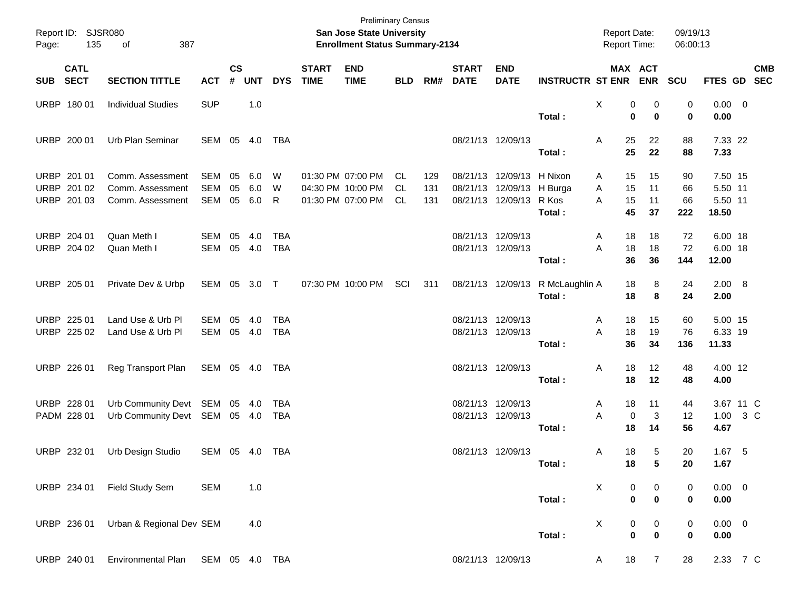| Page:      | Report ID: SJSR080<br>135                 | 387<br>of                                                |                          | <b>Preliminary Census</b><br>San Jose State University<br><b>Enrollment Status Summary-2134</b> |                   |                          |                             |                                                             |                         |                   |                                        |                                                             |                                       | <b>Report Date:</b><br><b>Report Time:</b> |                      | 09/19/13<br>06:00:13   |                                        |        |            |
|------------|-------------------------------------------|----------------------------------------------------------|--------------------------|-------------------------------------------------------------------------------------------------|-------------------|--------------------------|-----------------------------|-------------------------------------------------------------|-------------------------|-------------------|----------------------------------------|-------------------------------------------------------------|---------------------------------------|--------------------------------------------|----------------------|------------------------|----------------------------------------|--------|------------|
| <b>SUB</b> | <b>CATL</b><br><b>SECT</b>                | <b>SECTION TITTLE</b>                                    | <b>ACT</b>               | $\mathsf{cs}$<br>$\pmb{\#}$                                                                     | <b>UNT</b>        | <b>DYS</b>               | <b>START</b><br><b>TIME</b> | <b>END</b><br><b>TIME</b>                                   | <b>BLD</b>              | RM#               | <b>START</b><br><b>DATE</b>            | <b>END</b><br><b>DATE</b>                                   | INSTRUCTR ST ENR ENR                  |                                            | MAX ACT              | SCU                    | FTES GD SEC                            |        | <b>CMB</b> |
|            | URBP 180 01                               | <b>Individual Studies</b>                                | <b>SUP</b>               |                                                                                                 | 1.0               |                          |                             |                                                             |                         |                   |                                        |                                                             | Total:                                | X<br>0<br>0                                | 0<br>0               | 0<br>$\mathbf 0$       | $0.00 \t 0$<br>0.00                    |        |            |
|            | URBP 200 01                               | Urb Plan Seminar                                         | SEM 05 4.0               |                                                                                                 |                   | TBA                      |                             |                                                             |                         |                   | 08/21/13 12/09/13                      |                                                             | Total:                                | 25<br>Α<br>25                              | 22<br>22             | 88<br>88               | 7.33 22<br>7.33                        |        |            |
|            | URBP 201 01<br>URBP 201 02<br>URBP 201 03 | Comm. Assessment<br>Comm. Assessment<br>Comm. Assessment | SEM<br><b>SEM</b><br>SEM | 05<br>05<br>05                                                                                  | 6.0<br>6.0<br>6.0 | W<br>W<br>R              |                             | 01:30 PM 07:00 PM<br>04:30 PM 10:00 PM<br>01:30 PM 07:00 PM | CL.<br>CL.<br><b>CL</b> | 129<br>131<br>131 |                                        | 08/21/13 12/09/13<br>08/21/13 12/09/13<br>08/21/13 12/09/13 | H Nixon<br>H Burga<br>R Kos<br>Total: | 15<br>A<br>15<br>Α<br>15<br>A<br>45        | 15<br>11<br>11<br>37 | 90<br>66<br>66<br>222  | 7.50 15<br>5.50 11<br>5.50 11<br>18.50 |        |            |
|            | URBP 204 01<br>URBP 204 02                | Quan Meth I<br>Quan Meth I                               | SEM<br>SEM               | 05                                                                                              | 4.0<br>05 4.0     | <b>TBA</b><br><b>TBA</b> |                             |                                                             |                         |                   | 08/21/13 12/09/13                      | 08/21/13 12/09/13                                           | Total:                                | 18<br>A<br>18<br>A<br>36                   | 18<br>18<br>36       | 72<br>72<br>144        | 6.00 18<br>6.00 18<br>12.00            |        |            |
|            | URBP 205 01                               | Private Dev & Urbp                                       | SEM 05 3.0               |                                                                                                 |                   | $\top$                   |                             | 07:30 PM 10:00 PM                                           | SCI                     | 311               |                                        | 08/21/13 12/09/13                                           | R McLaughlin A<br>Total:              | 18<br>18                                   | 8<br>8               | 24<br>24               | 2.00 8<br>2.00                         |        |            |
|            | URBP 225 01<br>URBP 225 02                | Land Use & Urb Pl<br>Land Use & Urb Pl                   | SEM<br>SEM               | 05                                                                                              | 4.0<br>05 4.0     | <b>TBA</b><br><b>TBA</b> |                             |                                                             |                         |                   | 08/21/13 12/09/13<br>08/21/13 12/09/13 |                                                             | Total:                                | 18<br>A<br>18<br>A<br>36                   | 15<br>19<br>34       | 60<br>76<br>136        | 5.00 15<br>6.33 19<br>11.33            |        |            |
|            | URBP 226 01                               | Reg Transport Plan                                       | SEM 05 4.0               |                                                                                                 |                   | TBA                      |                             |                                                             |                         |                   | 08/21/13 12/09/13                      |                                                             | Total:                                | A<br>18<br>18                              | 12<br>12             | 48<br>48               | 4.00 12<br>4.00                        |        |            |
|            | URBP 228 01<br>PADM 228 01                | Urb Community Devt SEM<br>Urb Community Devt SEM 05 4.0  |                          |                                                                                                 | 05 4.0            | <b>TBA</b><br><b>TBA</b> |                             |                                                             |                         |                   | 08/21/13 12/09/13<br>08/21/13 12/09/13 |                                                             | Total:                                | 18<br>A<br>A<br>0<br>18                    | 11<br>3<br>14        | 44<br>12<br>56         | 3.67 11 C<br>1.00<br>4.67              | $3\,C$ |            |
|            | URBP 232 01                               | Urb Design Studio                                        | SEM 05 4.0               |                                                                                                 |                   | TBA                      |                             |                                                             |                         |                   | 08/21/13 12/09/13                      |                                                             | Total :                               | 18<br>A<br>18                              | 5<br>5               | 20<br>20               | $1.67$ 5<br>1.67                       |        |            |
|            | URBP 234 01                               | Field Study Sem                                          | <b>SEM</b>               |                                                                                                 | 1.0               |                          |                             |                                                             |                         |                   |                                        |                                                             | Total:                                | X<br>0<br>$\pmb{0}$                        | 0<br>$\pmb{0}$       | $\pmb{0}$<br>$\pmb{0}$ | $0.00 \t 0$<br>0.00                    |        |            |
|            | URBP 236 01                               | Urban & Regional Dev SEM                                 |                          |                                                                                                 | 4.0               |                          |                             |                                                             |                         |                   |                                        |                                                             | Total:                                | X<br>0<br>$\pmb{0}$                        | 0<br>$\pmb{0}$       | 0<br>$\pmb{0}$         | $0.00 \t 0$<br>0.00                    |        |            |
|            | URBP 240 01                               | Environmental Plan                                       | SEM 05 4.0 TBA           |                                                                                                 |                   |                          |                             |                                                             |                         |                   |                                        | 08/21/13 12/09/13                                           |                                       | 18<br>A                                    | $\overline{7}$       | 28                     | 2.33 7 C                               |        |            |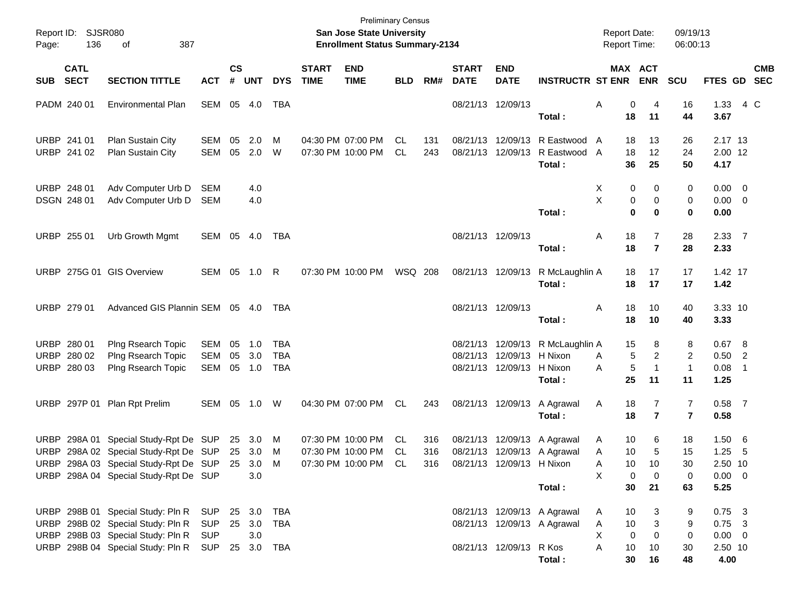| Page:      | Report ID: SJSR080<br>136                 | 387<br>of                                                                                                                                                                        |                                     | <b>Preliminary Census</b><br>San Jose State University<br><b>Enrollment Status Summary-2134</b> |                   |                                 |                             |                                                                |                 |            |                               |                                                        |                                                                      | <b>Report Date:</b><br><b>Report Time:</b>                |                                   |                                  | 09/19/13<br>06:00:13                                    |                          |            |
|------------|-------------------------------------------|----------------------------------------------------------------------------------------------------------------------------------------------------------------------------------|-------------------------------------|-------------------------------------------------------------------------------------------------|-------------------|---------------------------------|-----------------------------|----------------------------------------------------------------|-----------------|------------|-------------------------------|--------------------------------------------------------|----------------------------------------------------------------------|-----------------------------------------------------------|-----------------------------------|----------------------------------|---------------------------------------------------------|--------------------------|------------|
| <b>SUB</b> | <b>CATL</b><br><b>SECT</b>                | <b>SECTION TITTLE</b>                                                                                                                                                            | <b>ACT</b>                          | $\mathsf{cs}$<br>#                                                                              | <b>UNT</b>        | <b>DYS</b>                      | <b>START</b><br><b>TIME</b> | <b>END</b><br><b>TIME</b>                                      | <b>BLD</b>      | RM#        | <b>START</b><br><b>DATE</b>   | <b>END</b><br><b>DATE</b>                              | <b>INSTRUCTR ST ENR</b>                                              | MAX ACT                                                   | <b>ENR</b>                        | <b>SCU</b>                       | FTES GD SEC                                             |                          | <b>CMB</b> |
|            | PADM 240 01                               | Environmental Plan                                                                                                                                                               | SEM                                 |                                                                                                 | 05 4.0            | TBA                             |                             |                                                                |                 |            |                               | 08/21/13 12/09/13                                      | Total:                                                               | 0<br>Α<br>18                                              | 4<br>11                           | 16<br>44                         | 1.33<br>3.67                                            | 4 C                      |            |
|            | URBP 241 01<br>URBP 241 02                | Plan Sustain City<br>Plan Sustain City                                                                                                                                           | SEM<br><b>SEM</b>                   | 05<br>05                                                                                        | 2.0<br>2.0        | м<br>W                          |                             | 04:30 PM 07:00 PM<br>07:30 PM 10:00 PM                         | CL<br><b>CL</b> | 131<br>243 |                               | 08/21/13 12/09/13                                      | 08/21/13 12/09/13 R Eastwood<br>R Eastwood A<br>Total:               | 18<br>A<br>18<br>36                                       | 13<br>12<br>25                    | 26<br>24<br>50                   | 2.17 13<br>2.00 12<br>4.17                              |                          |            |
|            | URBP 248 01<br>DSGN 248 01                | Adv Computer Urb D<br>Adv Computer Urb D                                                                                                                                         | <b>SEM</b><br><b>SEM</b>            |                                                                                                 | 4.0<br>4.0        |                                 |                             |                                                                |                 |            |                               |                                                        | Total:                                                               | X<br>0<br>X<br>0<br>$\bf{0}$                              | 0<br>0<br>$\bf{0}$                | 0<br>0<br>0                      | $0.00 \t 0$<br>$0.00 \t 0$<br>0.00                      |                          |            |
|            | URBP 255 01                               | Urb Growth Mgmt                                                                                                                                                                  | SEM                                 | 05                                                                                              | 4.0               | TBA                             |                             |                                                                |                 |            | 08/21/13 12/09/13             |                                                        | Total:                                                               | Α<br>18<br>18                                             | $\overline{7}$<br>$\overline{7}$  | 28<br>28                         | 2.3377<br>2.33                                          |                          |            |
|            |                                           | URBP 275G 01 GIS Overview                                                                                                                                                        | SEM 05 1.0                          |                                                                                                 |                   | R                               |                             | 07:30 PM 10:00 PM                                              | <b>WSQ 208</b>  |            |                               | 08/21/13 12/09/13                                      | R McLaughlin A<br>Total:                                             | 18<br>18                                                  | 17<br>17                          | 17<br>17                         | 1.42 17<br>1.42                                         |                          |            |
|            | URBP 279 01                               | Advanced GIS Plannin SEM 05 4.0                                                                                                                                                  |                                     |                                                                                                 |                   | TBA                             |                             |                                                                |                 |            | 08/21/13 12/09/13             |                                                        | Total:                                                               | Α<br>18<br>18                                             | 10<br>10                          | 40<br>40                         | 3.33 10<br>3.33                                         |                          |            |
|            | URBP 280 01<br>URBP 280 02<br>URBP 280 03 | Plng Rsearch Topic<br>Plng Rsearch Topic<br>Plng Rsearch Topic                                                                                                                   | SEM<br>SEM<br><b>SEM</b>            | 05<br>05<br>05                                                                                  | 1.0<br>3.0<br>1.0 | TBA<br><b>TBA</b><br><b>TBA</b> |                             |                                                                |                 |            |                               | 08/21/13 12/09/13 H Nixon<br>08/21/13 12/09/13 H Nixon | 08/21/13 12/09/13 R McLaughlin A<br>Total:                           | 15<br>5<br>A<br>5<br>A<br>25                              | 8<br>2<br>$\mathbf{1}$<br>11      | 8<br>2<br>$\mathbf{1}$<br>11     | 0.67 8<br>$0.50$ 2<br>0.08<br>1.25                      | $\overline{\phantom{0}}$ |            |
|            |                                           | URBP 297P 01 Plan Rpt Prelim                                                                                                                                                     | SEM 05 1.0                          |                                                                                                 |                   | W                               |                             | 04:30 PM 07:00 PM                                              | CL              | 243        |                               | 08/21/13 12/09/13                                      | A Agrawal<br>Total:                                                  | Α<br>18<br>18                                             | 7<br>$\overline{7}$               | $\overline{7}$<br>$\overline{7}$ | $0.58$ 7<br>0.58                                        |                          |            |
|            |                                           | URBP 298A 01 Special Study-Rpt De SUP<br>URBP 298A 02 Special Study-Rpt De SUP 25 3.0<br>URBP 298A 03 Special Study-Rpt De SUP 25 3.0 M<br>URBP 298A 04 Special Study-Rpt De SUP |                                     |                                                                                                 | 25 3.0<br>3.0     | M<br>M                          |                             | 07:30 PM 10:00 PM<br>07:30 PM 10:00 PM<br>07:30 PM 10:00 PM CL | CL<br>CL        | 316<br>316 | 316 08/21/13 12/09/13 H Nixon |                                                        | 08/21/13 12/09/13 A Agrawal<br>08/21/13 12/09/13 A Agrawal<br>Total: | 10<br>Α<br>10<br>Α<br>10<br>Α<br>X<br>0<br>30             | 6<br>5<br>10<br>0<br>21           | 18<br>15<br>30<br>0<br>63        | $1.50\quad 6$<br>1.25<br>2.50 10<br>$0.00 \t 0$<br>5.25 | $-5$                     |            |
|            |                                           | URBP 298B 01 Special Study: Pln R<br>URBP 298B 02 Special Study: Pln R<br>URBP 298B 03 Special Study: Pln R<br>URBP 298B 04 Special Study: Pln R SUP 25 3.0 TBA                  | SUP 25 3.0 TBA<br>SUP<br><b>SUP</b> |                                                                                                 | 25 3.0 TBA<br>3.0 |                                 |                             |                                                                |                 |            |                               | 08/21/13 12/09/13 R Kos                                | 08/21/13 12/09/13 A Agrawal<br>08/21/13 12/09/13 A Agrawal<br>Total: | 10<br>A<br>$10$<br>Α<br>х<br>$\mathbf 0$<br>A<br>10<br>30 | 3<br>3<br>$\mathbf 0$<br>10<br>16 | 9<br>9<br>0<br>30<br>48          | $0.75$ 3<br>$0.75$ 3<br>$0.00 \t 0$<br>2.50 10<br>4.00  |                          |            |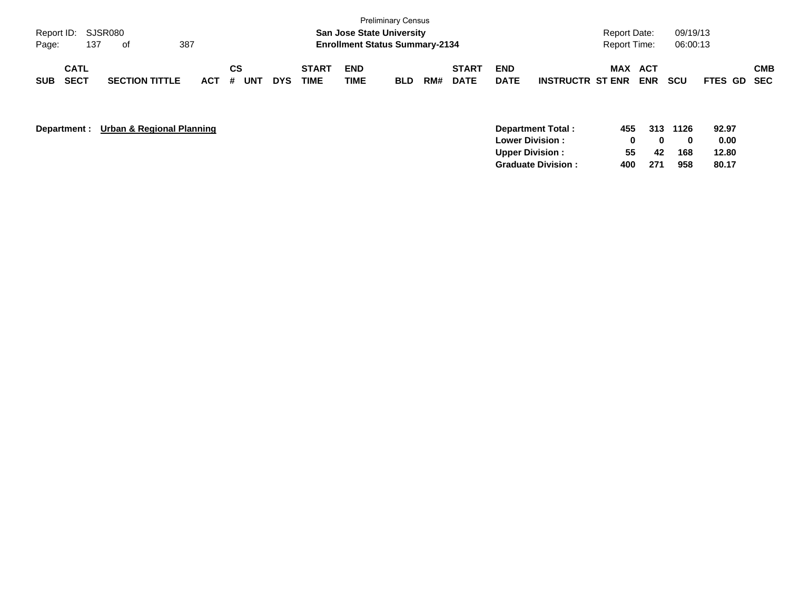| <b>Preliminary Census</b><br>Report ID: SJSR080<br><b>San Jose State University</b><br>387<br><b>Enrollment Status Summary-2134</b><br>137<br>Page:<br>of |                            |                       |         |           |            |                             |                    |            |     | <b>Report Date:</b><br><b>Report Time:</b> |                           | 09/19/13<br>06:00:13    |     |                   |            |             |            |
|-----------------------------------------------------------------------------------------------------------------------------------------------------------|----------------------------|-----------------------|---------|-----------|------------|-----------------------------|--------------------|------------|-----|--------------------------------------------|---------------------------|-------------------------|-----|-------------------|------------|-------------|------------|
| <b>SUB</b>                                                                                                                                                | <b>CATL</b><br><b>SECT</b> | <b>SECTION TITTLE</b> | $ACT$ # | СS<br>UNT | <b>DYS</b> | <b>START</b><br><b>TIME</b> | <b>END</b><br>TIME | <b>BLD</b> | RM# | <b>START</b><br><b>DATE</b>                | <b>END</b><br><b>DATE</b> | <b>INSTRUCTR ST ENR</b> | MAX | ACT<br><b>ENR</b> | <b>SCU</b> | FTES GD SEC | <b>CMB</b> |

| Department : | Urban & Regional Planning<br>Department Total: | 455 | 313 | 1126 | 92.97 |
|--------------|------------------------------------------------|-----|-----|------|-------|
|              | <b>Lower Division:</b>                         |     | n   |      | 0.00  |
|              | <b>Upper Division:</b>                         | 55  | 42  | 168  | 12.80 |
|              | <b>Graduate Division:</b>                      | 400 | 271 | 958  | 80.17 |